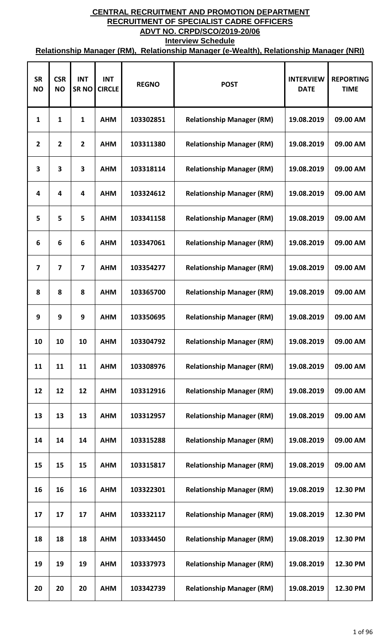| <b>SR</b><br><b>NO</b> | <b>CSR</b><br><b>NO</b> | <b>INT</b><br><b>SRNO</b> | <b>INT</b><br><b>CIRCLE</b> | <b>REGNO</b> | <b>POST</b>                      | <b>INTERVIEW</b><br><b>DATE</b> | <b>REPORTING</b><br><b>TIME</b> |
|------------------------|-------------------------|---------------------------|-----------------------------|--------------|----------------------------------|---------------------------------|---------------------------------|
| 1                      | 1                       | 1                         | <b>AHM</b>                  | 103302851    | <b>Relationship Manager (RM)</b> | 19.08.2019                      | 09.00 AM                        |
| $\overline{2}$         | $\overline{2}$          | $\mathbf{2}$              | <b>AHM</b>                  | 103311380    | <b>Relationship Manager (RM)</b> | 19.08.2019                      | 09.00 AM                        |
| 3                      | 3                       | 3                         | <b>AHM</b>                  | 103318114    | <b>Relationship Manager (RM)</b> | 19.08.2019                      | 09.00 AM                        |
| 4                      | $\overline{\mathbf{4}}$ | 4                         | <b>AHM</b>                  | 103324612    | <b>Relationship Manager (RM)</b> | 19.08.2019                      | 09.00 AM                        |
| 5                      | 5                       | 5                         | <b>AHM</b>                  | 103341158    | <b>Relationship Manager (RM)</b> | 19.08.2019                      | 09.00 AM                        |
| 6                      | 6                       | 6                         | <b>AHM</b>                  | 103347061    | <b>Relationship Manager (RM)</b> | 19.08.2019                      | 09.00 AM                        |
| $\overline{7}$         | 7                       | $\overline{\mathbf{z}}$   | <b>AHM</b>                  | 103354277    | <b>Relationship Manager (RM)</b> | 19.08.2019                      | 09.00 AM                        |
| 8                      | 8                       | 8                         | <b>AHM</b>                  | 103365700    | <b>Relationship Manager (RM)</b> | 19.08.2019                      | 09.00 AM                        |
| 9                      | 9                       | 9                         | <b>AHM</b>                  | 103350695    | <b>Relationship Manager (RM)</b> | 19.08.2019                      | 09.00 AM                        |
| 10                     | 10                      | 10                        | <b>AHM</b>                  | 103304792    | <b>Relationship Manager (RM)</b> | 19.08.2019                      | 09.00 AM                        |
| 11                     | 11                      | 11                        | <b>AHM</b>                  | 103308976    | <b>Relationship Manager (RM)</b> | 19.08.2019                      | 09.00 AM                        |
| 12                     | 12                      | 12                        | <b>AHM</b>                  | 103312916    | <b>Relationship Manager (RM)</b> | 19.08.2019                      | 09.00 AM                        |
| 13                     | 13                      | 13                        | <b>AHM</b>                  | 103312957    | <b>Relationship Manager (RM)</b> | 19.08.2019                      | 09.00 AM                        |
| 14                     | 14                      | 14                        | <b>AHM</b>                  | 103315288    | <b>Relationship Manager (RM)</b> | 19.08.2019                      | 09.00 AM                        |
| 15                     | 15                      | 15                        | <b>AHM</b>                  | 103315817    | <b>Relationship Manager (RM)</b> | 19.08.2019                      | 09.00 AM                        |
| 16                     | 16                      | 16                        | <b>AHM</b>                  | 103322301    | <b>Relationship Manager (RM)</b> | 19.08.2019                      | 12.30 PM                        |
| 17                     | 17                      | 17                        | <b>AHM</b>                  | 103332117    | <b>Relationship Manager (RM)</b> | 19.08.2019                      | 12.30 PM                        |
| 18                     | 18                      | 18                        | <b>AHM</b>                  | 103334450    | <b>Relationship Manager (RM)</b> | 19.08.2019                      | 12.30 PM                        |
| 19                     | 19                      | 19                        | <b>AHM</b>                  | 103337973    | <b>Relationship Manager (RM)</b> | 19.08.2019                      | 12.30 PM                        |
| 20                     | 20                      | 20                        | <b>AHM</b>                  | 103342739    | <b>Relationship Manager (RM)</b> | 19.08.2019                      | 12.30 PM                        |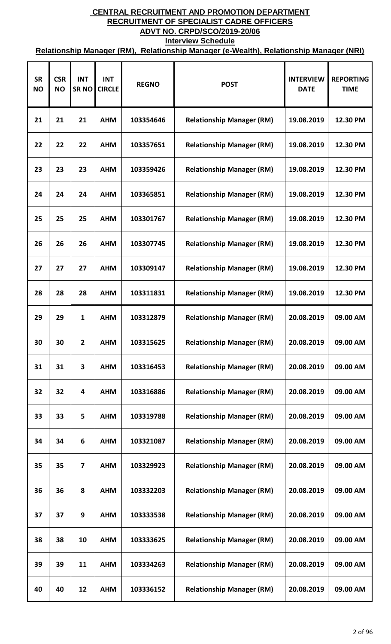| <b>SR</b><br><b>NO</b> | <b>CSR</b><br><b>NO</b> | <b>INT</b><br>SR <sub>NO</sub> | <b>INT</b><br><b>CIRCLE</b> | <b>REGNO</b> | <b>POST</b>                      | <b>INTERVIEW</b><br><b>DATE</b> | <b>REPORTING</b><br><b>TIME</b> |
|------------------------|-------------------------|--------------------------------|-----------------------------|--------------|----------------------------------|---------------------------------|---------------------------------|
| 21                     | 21                      | 21                             | <b>AHM</b>                  | 103354646    | <b>Relationship Manager (RM)</b> | 19.08.2019                      | 12.30 PM                        |
| 22                     | 22                      | 22                             | <b>AHM</b>                  | 103357651    | <b>Relationship Manager (RM)</b> | 19.08.2019                      | 12.30 PM                        |
| 23                     | 23                      | 23                             | <b>AHM</b>                  | 103359426    | <b>Relationship Manager (RM)</b> | 19.08.2019                      | 12.30 PM                        |
| 24                     | 24                      | 24                             | <b>AHM</b>                  | 103365851    | <b>Relationship Manager (RM)</b> | 19.08.2019                      | 12.30 PM                        |
| 25                     | 25                      | 25                             | <b>AHM</b>                  | 103301767    | <b>Relationship Manager (RM)</b> | 19.08.2019                      | 12.30 PM                        |
| 26                     | 26                      | 26                             | <b>AHM</b>                  | 103307745    | <b>Relationship Manager (RM)</b> | 19.08.2019                      | 12.30 PM                        |
| 27                     | 27                      | 27                             | <b>AHM</b>                  | 103309147    | <b>Relationship Manager (RM)</b> | 19.08.2019                      | 12.30 PM                        |
| 28                     | 28                      | 28                             | <b>AHM</b>                  | 103311831    | <b>Relationship Manager (RM)</b> | 19.08.2019                      | 12.30 PM                        |
| 29                     | 29                      | $\mathbf{1}$                   | <b>AHM</b>                  | 103312879    | <b>Relationship Manager (RM)</b> | 20.08.2019                      | 09.00 AM                        |
| 30                     | 30                      | $\mathbf{2}$                   | <b>AHM</b>                  | 103315625    | <b>Relationship Manager (RM)</b> | 20.08.2019                      | 09.00 AM                        |
| 31                     | 31                      | 3                              | <b>AHM</b>                  | 103316453    | <b>Relationship Manager (RM)</b> | 20.08.2019                      | 09.00 AM                        |
| 32                     | 32                      | 4                              | <b>AHM</b>                  | 103316886    | <b>Relationship Manager (RM)</b> | 20.08.2019                      | 09.00 AM                        |
| 33                     | 33                      | 5                              | <b>AHM</b>                  | 103319788    | <b>Relationship Manager (RM)</b> | 20.08.2019                      | 09.00 AM                        |
| 34                     | 34                      | 6                              | <b>AHM</b>                  | 103321087    | <b>Relationship Manager (RM)</b> | 20.08.2019                      | 09.00 AM                        |
| 35                     | 35                      | $\overline{7}$                 | <b>AHM</b>                  | 103329923    | <b>Relationship Manager (RM)</b> | 20.08.2019                      | 09.00 AM                        |
| 36                     | 36                      | 8                              | <b>AHM</b>                  | 103332203    | <b>Relationship Manager (RM)</b> | 20.08.2019                      | 09.00 AM                        |
| 37                     | 37                      | 9                              | <b>AHM</b>                  | 103333538    | <b>Relationship Manager (RM)</b> | 20.08.2019                      | 09.00 AM                        |
| 38                     | 38                      | 10                             | <b>AHM</b>                  | 103333625    | <b>Relationship Manager (RM)</b> | 20.08.2019                      | 09.00 AM                        |
| 39                     | 39                      | 11                             | <b>AHM</b>                  | 103334263    | <b>Relationship Manager (RM)</b> | 20.08.2019                      | 09.00 AM                        |
| 40                     | 40                      | 12                             | <b>AHM</b>                  | 103336152    | <b>Relationship Manager (RM)</b> | 20.08.2019                      | 09.00 AM                        |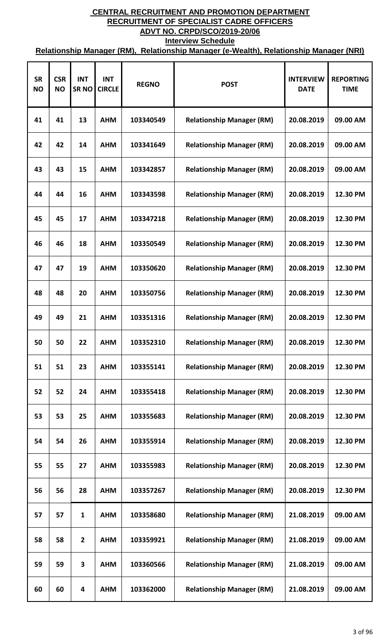| <b>SR</b><br><b>NO</b> | <b>CSR</b><br><b>NO</b> | <b>INT</b><br><b>SRNO</b> | <b>INT</b><br><b>CIRCLE</b> | <b>REGNO</b> | <b>POST</b>                      | <b>INTERVIEW</b><br><b>DATE</b> | <b>REPORTING</b><br><b>TIME</b> |
|------------------------|-------------------------|---------------------------|-----------------------------|--------------|----------------------------------|---------------------------------|---------------------------------|
| 41                     | 41                      | 13                        | <b>AHM</b>                  | 103340549    | <b>Relationship Manager (RM)</b> | 20.08.2019                      | 09.00 AM                        |
| 42                     | 42                      | 14                        | <b>AHM</b>                  | 103341649    | <b>Relationship Manager (RM)</b> | 20.08.2019                      | 09.00 AM                        |
| 43                     | 43                      | 15                        | <b>AHM</b>                  | 103342857    | <b>Relationship Manager (RM)</b> | 20.08.2019                      | 09.00 AM                        |
| 44                     | 44                      | 16                        | <b>AHM</b>                  | 103343598    | <b>Relationship Manager (RM)</b> | 20.08.2019                      | 12.30 PM                        |
| 45                     | 45                      | 17                        | <b>AHM</b>                  | 103347218    | <b>Relationship Manager (RM)</b> | 20.08.2019                      | 12.30 PM                        |
| 46                     | 46                      | 18                        | <b>AHM</b>                  | 103350549    | <b>Relationship Manager (RM)</b> | 20.08.2019                      | 12.30 PM                        |
| 47                     | 47                      | 19                        | <b>AHM</b>                  | 103350620    | <b>Relationship Manager (RM)</b> | 20.08.2019                      | 12.30 PM                        |
| 48                     | 48                      | 20                        | <b>AHM</b>                  | 103350756    | <b>Relationship Manager (RM)</b> | 20.08.2019                      | 12.30 PM                        |
| 49                     | 49                      | 21                        | <b>AHM</b>                  | 103351316    | <b>Relationship Manager (RM)</b> | 20.08.2019                      | 12.30 PM                        |
| 50                     | 50                      | 22                        | <b>AHM</b>                  | 103352310    | <b>Relationship Manager (RM)</b> | 20.08.2019                      | 12.30 PM                        |
| 51                     | 51                      | 23                        | <b>AHM</b>                  | 103355141    | <b>Relationship Manager (RM)</b> | 20.08.2019                      | 12.30 PM                        |
| 52                     | 52                      | 24                        | <b>AHM</b>                  | 103355418    | <b>Relationship Manager (RM)</b> | 20.08.2019                      | 12.30 PM                        |
| 53                     | 53                      | 25                        | <b>AHM</b>                  | 103355683    | <b>Relationship Manager (RM)</b> | 20.08.2019                      | 12.30 PM                        |
| 54                     | 54                      | 26                        | <b>AHM</b>                  | 103355914    | <b>Relationship Manager (RM)</b> | 20.08.2019                      | 12.30 PM                        |
| 55                     | 55                      | 27                        | <b>AHM</b>                  | 103355983    | <b>Relationship Manager (RM)</b> | 20.08.2019                      | 12.30 PM                        |
| 56                     | 56                      | 28                        | <b>AHM</b>                  | 103357267    | <b>Relationship Manager (RM)</b> | 20.08.2019                      | 12.30 PM                        |
| 57                     | 57                      | $\mathbf{1}$              | <b>AHM</b>                  | 103358680    | <b>Relationship Manager (RM)</b> | 21.08.2019                      | 09.00 AM                        |
| 58                     | 58                      | $\overline{2}$            | <b>AHM</b>                  | 103359921    | <b>Relationship Manager (RM)</b> | 21.08.2019                      | 09.00 AM                        |
| 59                     | 59                      | 3                         | <b>AHM</b>                  | 103360566    | <b>Relationship Manager (RM)</b> | 21.08.2019                      | 09.00 AM                        |
| 60                     | 60                      | 4                         | <b>AHM</b>                  | 103362000    | <b>Relationship Manager (RM)</b> | 21.08.2019                      | 09.00 AM                        |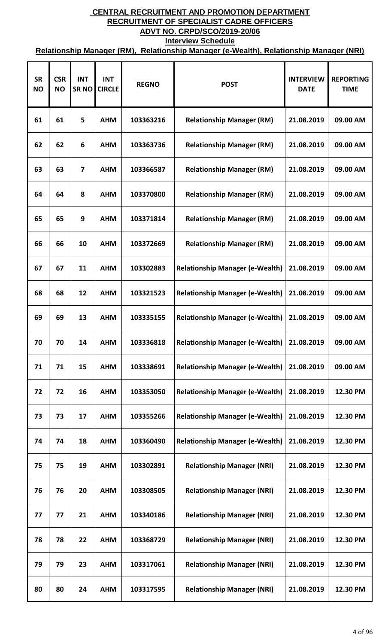| <b>SR</b><br><b>NO</b> | <b>CSR</b><br><b>NO</b> | <b>INT</b><br>SR <sub>NO</sub> | <b>INT</b><br><b>CIRCLE</b> | <b>REGNO</b> | <b>POST</b>                            | <b>INTERVIEW</b><br><b>DATE</b> | <b>REPORTING</b><br><b>TIME</b> |
|------------------------|-------------------------|--------------------------------|-----------------------------|--------------|----------------------------------------|---------------------------------|---------------------------------|
| 61                     | 61                      | 5                              | <b>AHM</b>                  | 103363216    | <b>Relationship Manager (RM)</b>       | 21.08.2019                      | 09.00 AM                        |
| 62                     | 62                      | 6                              | <b>AHM</b>                  | 103363736    | <b>Relationship Manager (RM)</b>       | 21.08.2019                      | 09.00 AM                        |
| 63                     | 63                      | 7                              | <b>AHM</b>                  | 103366587    | <b>Relationship Manager (RM)</b>       | 21.08.2019                      | 09.00 AM                        |
| 64                     | 64                      | 8                              | <b>AHM</b>                  | 103370800    | <b>Relationship Manager (RM)</b>       | 21.08.2019                      | 09.00 AM                        |
| 65                     | 65                      | 9                              | <b>AHM</b>                  | 103371814    | <b>Relationship Manager (RM)</b>       | 21.08.2019                      | 09.00 AM                        |
| 66                     | 66                      | 10                             | <b>AHM</b>                  | 103372669    | <b>Relationship Manager (RM)</b>       | 21.08.2019                      | 09.00 AM                        |
| 67                     | 67                      | 11                             | <b>AHM</b>                  | 103302883    | <b>Relationship Manager (e-Wealth)</b> | 21.08.2019                      | 09.00 AM                        |
| 68                     | 68                      | 12                             | <b>AHM</b>                  | 103321523    | <b>Relationship Manager (e-Wealth)</b> | 21.08.2019                      | 09.00 AM                        |
| 69                     | 69                      | 13                             | <b>AHM</b>                  | 103335155    | <b>Relationship Manager (e-Wealth)</b> | 21.08.2019                      | 09.00 AM                        |
| 70                     | 70                      | 14                             | <b>AHM</b>                  | 103336818    | <b>Relationship Manager (e-Wealth)</b> | 21.08.2019                      | 09.00 AM                        |
| 71                     | 71                      | 15                             | <b>AHM</b>                  | 103338691    | <b>Relationship Manager (e-Wealth)</b> | 21.08.2019                      | 09.00 AM                        |
| 72                     | 72                      | 16                             | <b>AHM</b>                  | 103353050    | <b>Relationship Manager (e-Wealth)</b> | 21.08.2019                      | 12.30 PM                        |
| 73                     | 73                      | 17                             | <b>AHM</b>                  | 103355266    | <b>Relationship Manager (e-Wealth)</b> | 21.08.2019                      | 12.30 PM                        |
| 74                     | 74                      | 18                             | <b>AHM</b>                  | 103360490    | <b>Relationship Manager (e-Wealth)</b> | 21.08.2019                      | 12.30 PM                        |
| 75                     | 75                      | 19                             | <b>AHM</b>                  | 103302891    | <b>Relationship Manager (NRI)</b>      | 21.08.2019                      | 12.30 PM                        |
| 76                     | 76                      | 20                             | <b>AHM</b>                  | 103308505    | <b>Relationship Manager (NRI)</b>      | 21.08.2019                      | 12.30 PM                        |
| 77                     | 77                      | 21                             | <b>AHM</b>                  | 103340186    | <b>Relationship Manager (NRI)</b>      | 21.08.2019                      | 12.30 PM                        |
| 78                     | 78                      | 22                             | <b>AHM</b>                  | 103368729    | <b>Relationship Manager (NRI)</b>      | 21.08.2019                      | 12.30 PM                        |
| 79                     | 79                      | 23                             | <b>AHM</b>                  | 103317061    | <b>Relationship Manager (NRI)</b>      | 21.08.2019                      | 12.30 PM                        |
| 80                     | 80                      | 24                             | <b>AHM</b>                  | 103317595    | <b>Relationship Manager (NRI)</b>      | 21.08.2019                      | 12.30 PM                        |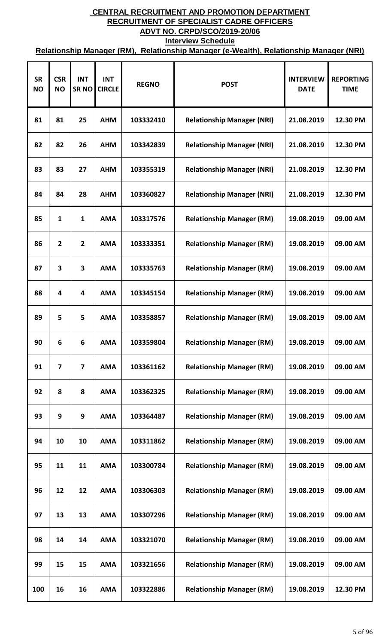| <b>SR</b><br><b>NO</b> | <b>CSR</b><br><b>NO</b> | <b>INT</b><br><b>SRNO</b> | <b>INT</b><br><b>CIRCLE</b> | <b>REGNO</b> | <b>POST</b>                       | <b>INTERVIEW</b><br><b>DATE</b> | <b>REPORTING</b><br><b>TIME</b> |
|------------------------|-------------------------|---------------------------|-----------------------------|--------------|-----------------------------------|---------------------------------|---------------------------------|
| 81                     | 81                      | 25                        | <b>AHM</b>                  | 103332410    | <b>Relationship Manager (NRI)</b> | 21.08.2019                      | 12.30 PM                        |
| 82                     | 82                      | 26                        | <b>AHM</b>                  | 103342839    | <b>Relationship Manager (NRI)</b> | 21.08.2019                      | 12.30 PM                        |
| 83                     | 83                      | 27                        | <b>AHM</b>                  | 103355319    | <b>Relationship Manager (NRI)</b> | 21.08.2019                      | 12.30 PM                        |
| 84                     | 84                      | 28                        | <b>AHM</b>                  | 103360827    | <b>Relationship Manager (NRI)</b> | 21.08.2019                      | 12.30 PM                        |
| 85                     | 1                       | $\mathbf{1}$              | <b>AMA</b>                  | 103317576    | <b>Relationship Manager (RM)</b>  | 19.08.2019                      | 09.00 AM                        |
| 86                     | $\overline{2}$          | $\mathbf{2}$              | <b>AMA</b>                  | 103333351    | <b>Relationship Manager (RM)</b>  | 19.08.2019                      | 09.00 AM                        |
| 87                     | 3                       | 3                         | <b>AMA</b>                  | 103335763    | <b>Relationship Manager (RM)</b>  | 19.08.2019                      | 09.00 AM                        |
| 88                     | 4                       | 4                         | <b>AMA</b>                  | 103345154    | <b>Relationship Manager (RM)</b>  | 19.08.2019                      | 09.00 AM                        |
| 89                     | 5                       | 5                         | <b>AMA</b>                  | 103358857    | <b>Relationship Manager (RM)</b>  | 19.08.2019                      | 09.00 AM                        |
| 90                     | 6                       | 6                         | <b>AMA</b>                  | 103359804    | <b>Relationship Manager (RM)</b>  | 19.08.2019                      | 09.00 AM                        |
| 91                     | $\overline{7}$          | $\overline{7}$            | <b>AMA</b>                  | 103361162    | <b>Relationship Manager (RM)</b>  | 19.08.2019                      | 09.00 AM                        |
| 92                     | 8                       | 8                         | <b>AMA</b>                  | 103362325    | <b>Relationship Manager (RM)</b>  | 19.08.2019                      | 09.00 AM                        |
| 93                     | 9                       | 9                         | <b>AMA</b>                  | 103364487    | <b>Relationship Manager (RM)</b>  | 19.08.2019                      | 09.00 AM                        |
| 94                     | 10                      | 10                        | <b>AMA</b>                  | 103311862    | <b>Relationship Manager (RM)</b>  | 19.08.2019                      | 09.00 AM                        |
| 95                     | 11                      | 11                        | <b>AMA</b>                  | 103300784    | <b>Relationship Manager (RM)</b>  | 19.08.2019                      | 09.00 AM                        |
| 96                     | 12                      | 12                        | <b>AMA</b>                  | 103306303    | <b>Relationship Manager (RM)</b>  | 19.08.2019                      | 09.00 AM                        |
| 97                     | 13                      | 13                        | <b>AMA</b>                  | 103307296    | <b>Relationship Manager (RM)</b>  | 19.08.2019                      | 09.00 AM                        |
| 98                     | 14                      | 14                        | <b>AMA</b>                  | 103321070    | <b>Relationship Manager (RM)</b>  | 19.08.2019                      | 09.00 AM                        |
| 99                     | 15                      | 15                        | <b>AMA</b>                  | 103321656    | <b>Relationship Manager (RM)</b>  | 19.08.2019                      | 09.00 AM                        |
| 100                    | 16                      | 16                        | <b>AMA</b>                  | 103322886    | <b>Relationship Manager (RM)</b>  | 19.08.2019                      | 12.30 PM                        |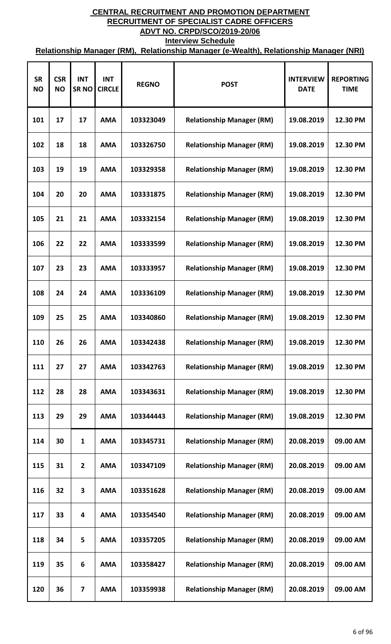| <b>SR</b><br><b>NO</b> | <b>CSR</b><br><b>NO</b> | <b>INT</b><br><b>SRNO</b> | <b>INT</b><br><b>CIRCLE</b> | <b>REGNO</b> | <b>POST</b>                      | <b>INTERVIEW</b><br><b>DATE</b> | <b>REPORTING</b><br><b>TIME</b> |
|------------------------|-------------------------|---------------------------|-----------------------------|--------------|----------------------------------|---------------------------------|---------------------------------|
| 101                    | 17                      | 17                        | <b>AMA</b>                  | 103323049    | <b>Relationship Manager (RM)</b> | 19.08.2019                      | 12.30 PM                        |
| 102                    | 18                      | 18                        | <b>AMA</b>                  | 103326750    | <b>Relationship Manager (RM)</b> | 19.08.2019                      | 12.30 PM                        |
| 103                    | 19                      | 19                        | <b>AMA</b>                  | 103329358    | <b>Relationship Manager (RM)</b> | 19.08.2019                      | 12.30 PM                        |
| 104                    | 20                      | 20                        | <b>AMA</b>                  | 103331875    | <b>Relationship Manager (RM)</b> | 19.08.2019                      | 12.30 PM                        |
| 105                    | 21                      | 21                        | <b>AMA</b>                  | 103332154    | <b>Relationship Manager (RM)</b> | 19.08.2019                      | 12.30 PM                        |
| 106                    | 22                      | 22                        | <b>AMA</b>                  | 103333599    | <b>Relationship Manager (RM)</b> | 19.08.2019                      | 12.30 PM                        |
| 107                    | 23                      | 23                        | <b>AMA</b>                  | 103333957    | <b>Relationship Manager (RM)</b> | 19.08.2019                      | 12.30 PM                        |
| 108                    | 24                      | 24                        | <b>AMA</b>                  | 103336109    | <b>Relationship Manager (RM)</b> | 19.08.2019                      | 12.30 PM                        |
| 109                    | 25                      | 25                        | <b>AMA</b>                  | 103340860    | <b>Relationship Manager (RM)</b> | 19.08.2019                      | 12.30 PM                        |
| 110                    | 26                      | 26                        | <b>AMA</b>                  | 103342438    | <b>Relationship Manager (RM)</b> | 19.08.2019                      | 12.30 PM                        |
| 111                    | 27                      | 27                        | <b>AMA</b>                  | 103342763    | <b>Relationship Manager (RM)</b> | 19.08.2019                      | 12.30 PM                        |
| 112                    | 28                      | 28                        | <b>AMA</b>                  | 103343631    | <b>Relationship Manager (RM)</b> | 19.08.2019                      | 12.30 PM                        |
| 113                    | 29                      | 29                        | <b>AMA</b>                  | 103344443    | <b>Relationship Manager (RM)</b> | 19.08.2019                      | 12.30 PM                        |
| 114                    | 30                      | $\mathbf{1}$              | <b>AMA</b>                  | 103345731    | <b>Relationship Manager (RM)</b> | 20.08.2019                      | 09.00 AM                        |
| 115                    | 31                      | $\mathbf{2}$              | <b>AMA</b>                  | 103347109    | <b>Relationship Manager (RM)</b> | 20.08.2019                      | 09.00 AM                        |
| 116                    | 32                      | 3                         | <b>AMA</b>                  | 103351628    | <b>Relationship Manager (RM)</b> | 20.08.2019                      | 09.00 AM                        |
| 117                    | 33                      | 4                         | <b>AMA</b>                  | 103354540    | <b>Relationship Manager (RM)</b> | 20.08.2019                      | 09.00 AM                        |
| 118                    | 34                      | 5                         | <b>AMA</b>                  | 103357205    | <b>Relationship Manager (RM)</b> | 20.08.2019                      | 09.00 AM                        |
| 119                    | 35                      | 6                         | <b>AMA</b>                  | 103358427    | <b>Relationship Manager (RM)</b> | 20.08.2019                      | 09.00 AM                        |
| 120                    | 36                      | $\overline{\mathbf{z}}$   | <b>AMA</b>                  | 103359938    | <b>Relationship Manager (RM)</b> | 20.08.2019                      | 09.00 AM                        |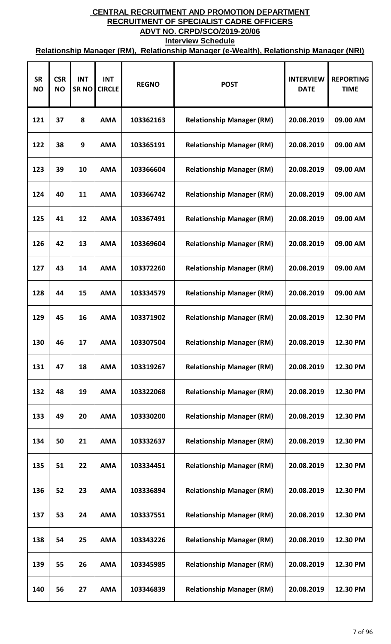| <b>SR</b><br><b>NO</b> | <b>CSR</b><br><b>NO</b> | <b>INT</b><br><b>SRNO</b> | <b>INT</b><br><b>CIRCLE</b> | <b>REGNO</b> | <b>POST</b>                      | <b>INTERVIEW</b><br><b>DATE</b> | <b>REPORTING</b><br><b>TIME</b> |
|------------------------|-------------------------|---------------------------|-----------------------------|--------------|----------------------------------|---------------------------------|---------------------------------|
| 121                    | 37                      | 8                         | <b>AMA</b>                  | 103362163    | <b>Relationship Manager (RM)</b> | 20.08.2019                      | 09.00 AM                        |
| 122                    | 38                      | 9                         | <b>AMA</b>                  | 103365191    | <b>Relationship Manager (RM)</b> | 20.08.2019                      | 09.00 AM                        |
| 123                    | 39                      | 10                        | <b>AMA</b>                  | 103366604    | <b>Relationship Manager (RM)</b> | 20.08.2019                      | 09.00 AM                        |
| 124                    | 40                      | 11                        | <b>AMA</b>                  | 103366742    | <b>Relationship Manager (RM)</b> | 20.08.2019                      | 09.00 AM                        |
| 125                    | 41                      | 12                        | <b>AMA</b>                  | 103367491    | <b>Relationship Manager (RM)</b> | 20.08.2019                      | 09.00 AM                        |
| 126                    | 42                      | 13                        | <b>AMA</b>                  | 103369604    | <b>Relationship Manager (RM)</b> | 20.08.2019                      | 09.00 AM                        |
| 127                    | 43                      | 14                        | <b>AMA</b>                  | 103372260    | <b>Relationship Manager (RM)</b> | 20.08.2019                      | 09.00 AM                        |
| 128                    | 44                      | 15                        | <b>AMA</b>                  | 103334579    | <b>Relationship Manager (RM)</b> | 20.08.2019                      | 09.00 AM                        |
| 129                    | 45                      | 16                        | <b>AMA</b>                  | 103371902    | <b>Relationship Manager (RM)</b> | 20.08.2019                      | 12.30 PM                        |
| 130                    | 46                      | 17                        | <b>AMA</b>                  | 103307504    | <b>Relationship Manager (RM)</b> | 20.08.2019                      | 12.30 PM                        |
| 131                    | 47                      | 18                        | <b>AMA</b>                  | 103319267    | <b>Relationship Manager (RM)</b> | 20.08.2019                      | 12.30 PM                        |
| 132                    | 48                      | 19                        | <b>AMA</b>                  | 103322068    | <b>Relationship Manager (RM)</b> | 20.08.2019                      | 12.30 PM                        |
| 133                    | 49                      | 20                        | <b>AMA</b>                  | 103330200    | <b>Relationship Manager (RM)</b> | 20.08.2019                      | 12.30 PM                        |
| 134                    | 50                      | 21                        | <b>AMA</b>                  | 103332637    | <b>Relationship Manager (RM)</b> | 20.08.2019                      | 12.30 PM                        |
| 135                    | 51                      | 22                        | <b>AMA</b>                  | 103334451    | <b>Relationship Manager (RM)</b> | 20.08.2019                      | 12.30 PM                        |
| 136                    | 52                      | 23                        | <b>AMA</b>                  | 103336894    | <b>Relationship Manager (RM)</b> | 20.08.2019                      | 12.30 PM                        |
| 137                    | 53                      | 24                        | <b>AMA</b>                  | 103337551    | <b>Relationship Manager (RM)</b> | 20.08.2019                      | 12.30 PM                        |
| 138                    | 54                      | 25                        | <b>AMA</b>                  | 103343226    | <b>Relationship Manager (RM)</b> | 20.08.2019                      | 12.30 PM                        |
| 139                    | 55                      | 26                        | <b>AMA</b>                  | 103345985    | <b>Relationship Manager (RM)</b> | 20.08.2019                      | 12.30 PM                        |
| 140                    | 56                      | 27                        | <b>AMA</b>                  | 103346839    | <b>Relationship Manager (RM)</b> | 20.08.2019                      | 12.30 PM                        |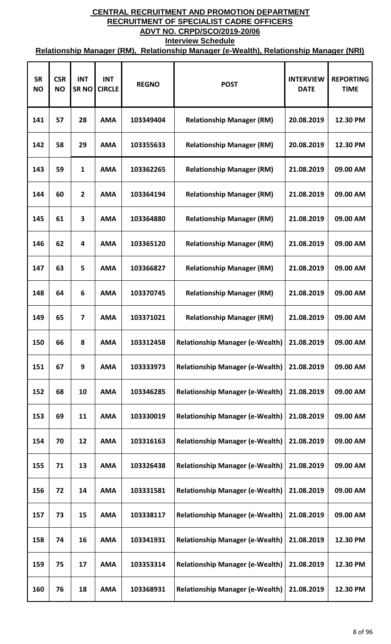| <b>SR</b><br><b>NO</b> | <b>CSR</b><br><b>NO</b> | <b>INT</b><br><b>SRNO</b> | <b>INT</b><br><b>CIRCLE</b> | <b>REGNO</b> | <b>POST</b>                            | <b>INTERVIEW</b><br><b>DATE</b> | <b>REPORTING</b><br><b>TIME</b> |
|------------------------|-------------------------|---------------------------|-----------------------------|--------------|----------------------------------------|---------------------------------|---------------------------------|
| 141                    | 57                      | 28                        | <b>AMA</b>                  | 103349404    | <b>Relationship Manager (RM)</b>       | 20.08.2019                      | 12.30 PM                        |
| 142                    | 58                      | 29                        | <b>AMA</b>                  | 103355633    | <b>Relationship Manager (RM)</b>       | 20.08.2019                      | 12.30 PM                        |
| 143                    | 59                      | 1                         | <b>AMA</b>                  | 103362265    | <b>Relationship Manager (RM)</b>       | 21.08.2019                      | 09.00 AM                        |
| 144                    | 60                      | $\mathbf{2}$              | <b>AMA</b>                  | 103364194    | <b>Relationship Manager (RM)</b>       | 21.08.2019                      | 09.00 AM                        |
| 145                    | 61                      | 3                         | <b>AMA</b>                  | 103364880    | <b>Relationship Manager (RM)</b>       | 21.08.2019                      | 09.00 AM                        |
| 146                    | 62                      | 4                         | <b>AMA</b>                  | 103365120    | <b>Relationship Manager (RM)</b>       | 21.08.2019                      | 09.00 AM                        |
| 147                    | 63                      | 5                         | <b>AMA</b>                  | 103366827    | <b>Relationship Manager (RM)</b>       | 21.08.2019                      | 09.00 AM                        |
| 148                    | 64                      | 6                         | <b>AMA</b>                  | 103370745    | <b>Relationship Manager (RM)</b>       | 21.08.2019                      | 09.00 AM                        |
| 149                    | 65                      | 7                         | <b>AMA</b>                  | 103371021    | <b>Relationship Manager (RM)</b>       | 21.08.2019                      | 09.00 AM                        |
| 150                    | 66                      | 8                         | <b>AMA</b>                  | 103312458    | <b>Relationship Manager (e-Wealth)</b> | 21.08.2019                      | 09.00 AM                        |
| 151                    | 67                      | 9                         | <b>AMA</b>                  | 103333973    | <b>Relationship Manager (e-Wealth)</b> | 21.08.2019                      | 09.00 AM                        |
| 152                    | 68                      | 10                        | <b>AMA</b>                  | 103346285    | <b>Relationship Manager (e-Wealth)</b> | 21.08.2019                      | 09.00 AM                        |
| 153                    | 69                      | 11                        | <b>AMA</b>                  | 103330019    | <b>Relationship Manager (e-Wealth)</b> | 21.08.2019                      | 09.00 AM                        |
| 154                    | 70                      | 12                        | <b>AMA</b>                  | 103316163    | <b>Relationship Manager (e-Wealth)</b> | 21.08.2019                      | 09.00 AM                        |
| 155                    | 71                      | 13                        | <b>AMA</b>                  | 103326438    | <b>Relationship Manager (e-Wealth)</b> | 21.08.2019                      | 09.00 AM                        |
| 156                    | 72                      | 14                        | <b>AMA</b>                  | 103331581    | <b>Relationship Manager (e-Wealth)</b> | 21.08.2019                      | 09.00 AM                        |
| 157                    | 73                      | 15                        | <b>AMA</b>                  | 103338117    | <b>Relationship Manager (e-Wealth)</b> | 21.08.2019                      | 09.00 AM                        |
| 158                    | 74                      | 16                        | <b>AMA</b>                  | 103341931    | <b>Relationship Manager (e-Wealth)</b> | 21.08.2019                      | 12.30 PM                        |
| 159                    | 75                      | 17                        | <b>AMA</b>                  | 103353314    | <b>Relationship Manager (e-Wealth)</b> | 21.08.2019                      | 12.30 PM                        |
| 160                    | 76                      | 18                        | <b>AMA</b>                  | 103368931    | <b>Relationship Manager (e-Wealth)</b> | 21.08.2019                      | 12.30 PM                        |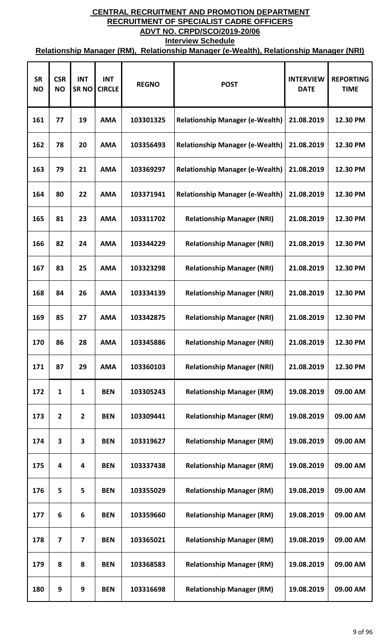| <b>SR</b><br><b>NO</b> | <b>CSR</b><br><b>NO</b> | <b>INT</b><br><b>SRNO</b> | <b>INT</b><br><b>CIRCLE</b> | <b>REGNO</b> | <b>POST</b>                            | <b>INTERVIEW</b><br><b>DATE</b> | <b>REPORTING</b><br><b>TIME</b> |
|------------------------|-------------------------|---------------------------|-----------------------------|--------------|----------------------------------------|---------------------------------|---------------------------------|
| 161                    | 77                      | 19                        | <b>AMA</b>                  | 103301325    | <b>Relationship Manager (e-Wealth)</b> | 21.08.2019                      | 12.30 PM                        |
| 162                    | 78                      | 20                        | <b>AMA</b>                  | 103356493    | <b>Relationship Manager (e-Wealth)</b> | 21.08.2019                      | 12.30 PM                        |
| 163                    | 79                      | 21                        | <b>AMA</b>                  | 103369297    | <b>Relationship Manager (e-Wealth)</b> | 21.08.2019                      | 12.30 PM                        |
| 164                    | 80                      | 22                        | <b>AMA</b>                  | 103371941    | <b>Relationship Manager (e-Wealth)</b> | 21.08.2019                      | 12.30 PM                        |
| 165                    | 81                      | 23                        | <b>AMA</b>                  | 103311702    | <b>Relationship Manager (NRI)</b>      | 21.08.2019                      | 12.30 PM                        |
| 166                    | 82                      | 24                        | <b>AMA</b>                  | 103344229    | <b>Relationship Manager (NRI)</b>      | 21.08.2019                      | 12.30 PM                        |
| 167                    | 83                      | 25                        | <b>AMA</b>                  | 103323298    | <b>Relationship Manager (NRI)</b>      | 21.08.2019                      | 12.30 PM                        |
| 168                    | 84                      | 26                        | <b>AMA</b>                  | 103334139    | <b>Relationship Manager (NRI)</b>      | 21.08.2019                      | 12.30 PM                        |
| 169                    | 85                      | 27                        | <b>AMA</b>                  | 103342875    | <b>Relationship Manager (NRI)</b>      | 21.08.2019                      | 12.30 PM                        |
| 170                    | 86                      | 28                        | <b>AMA</b>                  | 103345886    | <b>Relationship Manager (NRI)</b>      | 21.08.2019                      | 12.30 PM                        |
| 171                    | 87                      | 29                        | <b>AMA</b>                  | 103360103    | <b>Relationship Manager (NRI)</b>      | 21.08.2019                      | 12.30 PM                        |
| 172                    | $\mathbf{1}$            | 1                         | <b>BEN</b>                  | 103305243    | <b>Relationship Manager (RM)</b>       | 19.08.2019                      | 09.00 AM                        |
| 173                    | $\overline{2}$          | $\mathbf{2}$              | <b>BEN</b>                  | 103309441    | <b>Relationship Manager (RM)</b>       | 19.08.2019                      | 09.00 AM                        |
| 174                    | 3                       | 3                         | <b>BEN</b>                  | 103319627    | <b>Relationship Manager (RM)</b>       | 19.08.2019                      | 09.00 AM                        |
| 175                    | 4                       | $\overline{\mathbf{4}}$   | <b>BEN</b>                  | 103337438    | <b>Relationship Manager (RM)</b>       | 19.08.2019                      | 09.00 AM                        |
| 176                    | 5                       | 5                         | <b>BEN</b>                  | 103355029    | <b>Relationship Manager (RM)</b>       | 19.08.2019                      | 09.00 AM                        |
| 177                    | 6                       | 6                         | <b>BEN</b>                  | 103359660    | <b>Relationship Manager (RM)</b>       | 19.08.2019                      | 09.00 AM                        |
| 178                    | $\overline{\mathbf{z}}$ | $\overline{7}$            | <b>BEN</b>                  | 103365021    | <b>Relationship Manager (RM)</b>       | 19.08.2019                      | 09.00 AM                        |
| 179                    | 8                       | 8                         | <b>BEN</b>                  | 103368583    | <b>Relationship Manager (RM)</b>       | 19.08.2019                      | 09.00 AM                        |
| 180                    | 9                       | 9                         | <b>BEN</b>                  | 103316698    | <b>Relationship Manager (RM)</b>       | 19.08.2019                      | 09.00 AM                        |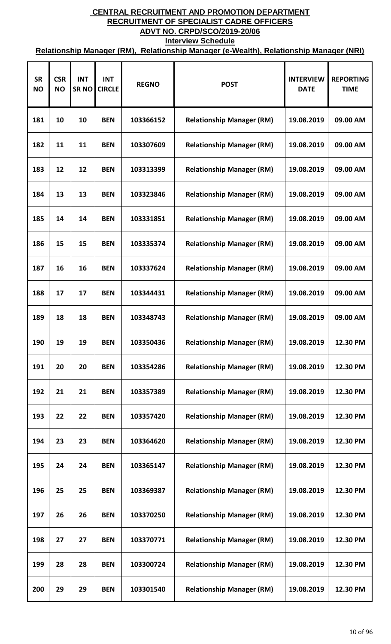| <b>SR</b><br><b>NO</b> | <b>CSR</b><br><b>NO</b> | <b>INT</b><br><b>SRNO</b> | <b>INT</b><br><b>CIRCLE</b> | <b>REGNO</b> | <b>POST</b>                      | <b>INTERVIEW</b><br><b>DATE</b> | <b>REPORTING</b><br><b>TIME</b> |
|------------------------|-------------------------|---------------------------|-----------------------------|--------------|----------------------------------|---------------------------------|---------------------------------|
| 181                    | 10                      | 10                        | <b>BEN</b>                  | 103366152    | <b>Relationship Manager (RM)</b> | 19.08.2019                      | 09.00 AM                        |
| 182                    | 11                      | 11                        | <b>BEN</b>                  | 103307609    | <b>Relationship Manager (RM)</b> | 19.08.2019                      | 09.00 AM                        |
| 183                    | 12                      | 12                        | <b>BEN</b>                  | 103313399    | <b>Relationship Manager (RM)</b> | 19.08.2019                      | 09.00 AM                        |
| 184                    | 13                      | 13                        | <b>BEN</b>                  | 103323846    | <b>Relationship Manager (RM)</b> | 19.08.2019                      | 09.00 AM                        |
| 185                    | 14                      | 14                        | <b>BEN</b>                  | 103331851    | <b>Relationship Manager (RM)</b> | 19.08.2019                      | 09.00 AM                        |
| 186                    | 15                      | 15                        | <b>BEN</b>                  | 103335374    | <b>Relationship Manager (RM)</b> | 19.08.2019                      | 09.00 AM                        |
| 187                    | 16                      | 16                        | <b>BEN</b>                  | 103337624    | <b>Relationship Manager (RM)</b> | 19.08.2019                      | 09.00 AM                        |
| 188                    | 17                      | 17                        | <b>BEN</b>                  | 103344431    | <b>Relationship Manager (RM)</b> | 19.08.2019                      | 09.00 AM                        |
| 189                    | 18                      | 18                        | <b>BEN</b>                  | 103348743    | <b>Relationship Manager (RM)</b> | 19.08.2019                      | 09.00 AM                        |
| 190                    | 19                      | 19                        | <b>BEN</b>                  | 103350436    | <b>Relationship Manager (RM)</b> | 19.08.2019                      | 12.30 PM                        |
| 191                    | 20                      | 20                        | <b>BEN</b>                  | 103354286    | <b>Relationship Manager (RM)</b> | 19.08.2019                      | 12.30 PM                        |
| 192                    | 21                      | 21                        | <b>BEN</b>                  | 103357389    | <b>Relationship Manager (RM)</b> | 19.08.2019                      | 12.30 PM                        |
| 193                    | 22                      | 22                        | <b>BEN</b>                  | 103357420    | <b>Relationship Manager (RM)</b> | 19.08.2019                      | 12.30 PM                        |
| 194                    | 23                      | 23                        | <b>BEN</b>                  | 103364620    | <b>Relationship Manager (RM)</b> | 19.08.2019                      | 12.30 PM                        |
| 195                    | 24                      | 24                        | <b>BEN</b>                  | 103365147    | <b>Relationship Manager (RM)</b> | 19.08.2019                      | 12.30 PM                        |
| 196                    | 25                      | 25                        | <b>BEN</b>                  | 103369387    | <b>Relationship Manager (RM)</b> | 19.08.2019                      | 12.30 PM                        |
| 197                    | 26                      | 26                        | <b>BEN</b>                  | 103370250    | <b>Relationship Manager (RM)</b> | 19.08.2019                      | 12.30 PM                        |
| 198                    | 27                      | 27                        | <b>BEN</b>                  | 103370771    | <b>Relationship Manager (RM)</b> | 19.08.2019                      | 12.30 PM                        |
| 199                    | 28                      | 28                        | <b>BEN</b>                  | 103300724    | <b>Relationship Manager (RM)</b> | 19.08.2019                      | 12.30 PM                        |
| 200                    | 29                      | 29                        | <b>BEN</b>                  | 103301540    | <b>Relationship Manager (RM)</b> | 19.08.2019                      | 12.30 PM                        |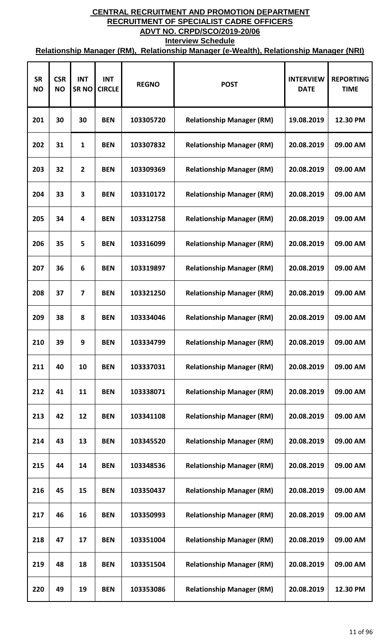| <b>SR</b><br><b>NO</b> | <b>CSR</b><br><b>NO</b> | <b>INT</b><br><b>SRNO</b> | <b>INT</b><br><b>CIRCLE</b> | <b>REGNO</b> | <b>POST</b>                      | <b>INTERVIEW</b><br><b>DATE</b> | <b>REPORTING</b><br><b>TIME</b> |
|------------------------|-------------------------|---------------------------|-----------------------------|--------------|----------------------------------|---------------------------------|---------------------------------|
| 201                    | 30                      | 30                        | <b>BEN</b>                  | 103305720    | <b>Relationship Manager (RM)</b> | 19.08.2019                      | 12.30 PM                        |
| 202                    | 31                      | $\mathbf{1}$              | <b>BEN</b>                  | 103307832    | <b>Relationship Manager (RM)</b> | 20.08.2019                      | 09.00 AM                        |
| 203                    | 32                      | $\mathbf{2}$              | <b>BEN</b>                  | 103309369    | <b>Relationship Manager (RM)</b> | 20.08.2019                      | 09.00 AM                        |
| 204                    | 33                      | 3                         | <b>BEN</b>                  | 103310172    | <b>Relationship Manager (RM)</b> | 20.08.2019                      | 09.00 AM                        |
| 205                    | 34                      | 4                         | <b>BEN</b>                  | 103312758    | <b>Relationship Manager (RM)</b> | 20.08.2019                      | 09.00 AM                        |
| 206                    | 35                      | 5                         | <b>BEN</b>                  | 103316099    | <b>Relationship Manager (RM)</b> | 20.08.2019                      | 09.00 AM                        |
| 207                    | 36                      | 6                         | <b>BEN</b>                  | 103319897    | <b>Relationship Manager (RM)</b> | 20.08.2019                      | 09.00 AM                        |
| 208                    | 37                      | $\overline{7}$            | <b>BEN</b>                  | 103321250    | <b>Relationship Manager (RM)</b> | 20.08.2019                      | 09.00 AM                        |
| 209                    | 38                      | 8                         | <b>BEN</b>                  | 103334046    | <b>Relationship Manager (RM)</b> | 20.08.2019                      | 09.00 AM                        |
| 210                    | 39                      | 9                         | <b>BEN</b>                  | 103334799    | <b>Relationship Manager (RM)</b> | 20.08.2019                      | 09.00 AM                        |
| 211                    | 40                      | 10                        | <b>BEN</b>                  | 103337031    | <b>Relationship Manager (RM)</b> | 20.08.2019                      | 09.00 AM                        |
| 212                    | 41                      | 11                        | <b>BEN</b>                  | 103338071    | <b>Relationship Manager (RM)</b> | 20.08.2019                      | 09.00 AM                        |
| 213                    | 42                      | 12                        | <b>BEN</b>                  | 103341108    | <b>Relationship Manager (RM)</b> | 20.08.2019                      | 09.00 AM                        |
| 214                    | 43                      | 13                        | <b>BEN</b>                  | 103345520    | <b>Relationship Manager (RM)</b> | 20.08.2019                      | 09.00 AM                        |
| 215                    | 44                      | 14                        | <b>BEN</b>                  | 103348536    | <b>Relationship Manager (RM)</b> | 20.08.2019                      | 09.00 AM                        |
| 216                    | 45                      | 15                        | <b>BEN</b>                  | 103350437    | <b>Relationship Manager (RM)</b> | 20.08.2019                      | 09.00 AM                        |
| 217                    | 46                      | 16                        | <b>BEN</b>                  | 103350993    | <b>Relationship Manager (RM)</b> | 20.08.2019                      | 09.00 AM                        |
| 218                    | 47                      | 17                        | <b>BEN</b>                  | 103351004    | <b>Relationship Manager (RM)</b> | 20.08.2019                      | 09.00 AM                        |
| 219                    | 48                      | 18                        | <b>BEN</b>                  | 103351504    | <b>Relationship Manager (RM)</b> | 20.08.2019                      | 09.00 AM                        |
| 220                    | 49                      | 19                        | <b>BEN</b>                  | 103353086    | <b>Relationship Manager (RM)</b> | 20.08.2019                      | 12.30 PM                        |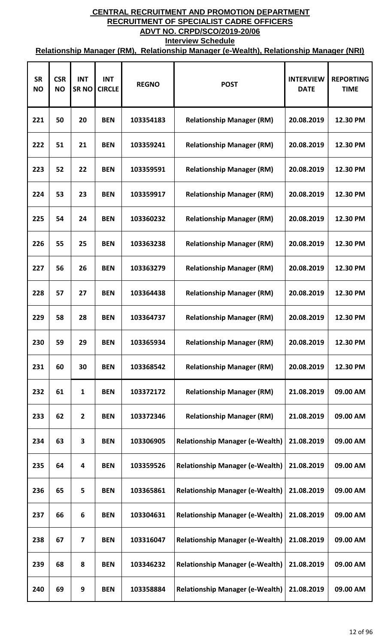| <b>SR</b><br><b>NO</b> | <b>CSR</b><br><b>NO</b> | <b>INT</b><br><b>SRNO</b> | <b>INT</b><br><b>CIRCLE</b> | <b>REGNO</b> | <b>POST</b>                            | <b>INTERVIEW</b><br><b>DATE</b> | <b>REPORTING</b><br><b>TIME</b> |
|------------------------|-------------------------|---------------------------|-----------------------------|--------------|----------------------------------------|---------------------------------|---------------------------------|
| 221                    | 50                      | 20                        | <b>BEN</b>                  | 103354183    | <b>Relationship Manager (RM)</b>       | 20.08.2019                      | 12.30 PM                        |
| 222                    | 51                      | 21                        | <b>BEN</b>                  | 103359241    | <b>Relationship Manager (RM)</b>       | 20.08.2019                      | 12.30 PM                        |
| 223                    | 52                      | 22                        | <b>BEN</b>                  | 103359591    | <b>Relationship Manager (RM)</b>       | 20.08.2019                      | 12.30 PM                        |
| 224                    | 53                      | 23                        | <b>BEN</b>                  | 103359917    | <b>Relationship Manager (RM)</b>       | 20.08.2019                      | 12.30 PM                        |
| 225                    | 54                      | 24                        | <b>BEN</b>                  | 103360232    | <b>Relationship Manager (RM)</b>       | 20.08.2019                      | 12.30 PM                        |
| 226                    | 55                      | 25                        | <b>BEN</b>                  | 103363238    | <b>Relationship Manager (RM)</b>       | 20.08.2019                      | 12.30 PM                        |
| 227                    | 56                      | 26                        | <b>BEN</b>                  | 103363279    | <b>Relationship Manager (RM)</b>       | 20.08.2019                      | 12.30 PM                        |
| 228                    | 57                      | 27                        | <b>BEN</b>                  | 103364438    | <b>Relationship Manager (RM)</b>       | 20.08.2019                      | 12.30 PM                        |
| 229                    | 58                      | 28                        | <b>BEN</b>                  | 103364737    | <b>Relationship Manager (RM)</b>       | 20.08.2019                      | 12.30 PM                        |
| 230                    | 59                      | 29                        | <b>BEN</b>                  | 103365934    | <b>Relationship Manager (RM)</b>       | 20.08.2019                      | 12.30 PM                        |
| 231                    | 60                      | 30                        | <b>BEN</b>                  | 103368542    | <b>Relationship Manager (RM)</b>       | 20.08.2019                      | 12.30 PM                        |
| 232                    | 61                      | 1                         | <b>BEN</b>                  | 103372172    | <b>Relationship Manager (RM)</b>       | 21.08.2019                      | 09.00 AM                        |
| 233                    | 62                      | $\mathbf{2}$              | <b>BEN</b>                  | 103372346    | <b>Relationship Manager (RM)</b>       | 21.08.2019                      | 09.00 AM                        |
| 234                    | 63                      | 3                         | <b>BEN</b>                  | 103306905    | <b>Relationship Manager (e-Wealth)</b> | 21.08.2019                      | 09.00 AM                        |
| 235                    | 64                      | 4                         | <b>BEN</b>                  | 103359526    | <b>Relationship Manager (e-Wealth)</b> | 21.08.2019                      | 09.00 AM                        |
| 236                    | 65                      | 5                         | <b>BEN</b>                  | 103365861    | <b>Relationship Manager (e-Wealth)</b> | 21.08.2019                      | 09.00 AM                        |
| 237                    | 66                      | 6                         | <b>BEN</b>                  | 103304631    | <b>Relationship Manager (e-Wealth)</b> | 21.08.2019                      | 09.00 AM                        |
| 238                    | 67                      | 7                         | <b>BEN</b>                  | 103316047    | <b>Relationship Manager (e-Wealth)</b> | 21.08.2019                      | 09.00 AM                        |
| 239                    | 68                      | 8                         | <b>BEN</b>                  | 103346232    | <b>Relationship Manager (e-Wealth)</b> | 21.08.2019                      | 09.00 AM                        |
| 240                    | 69                      | 9                         | <b>BEN</b>                  | 103358884    | <b>Relationship Manager (e-Wealth)</b> | 21.08.2019                      | 09.00 AM                        |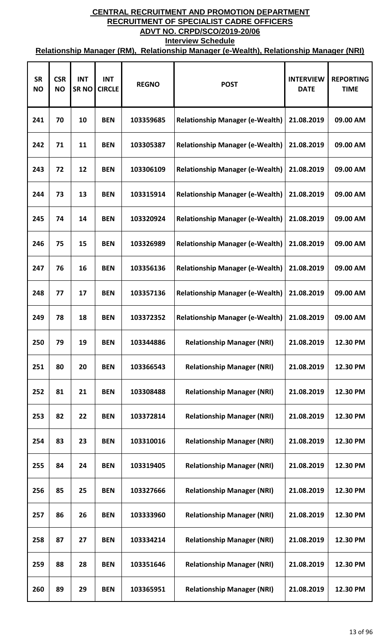| <b>SR</b><br><b>NO</b> | <b>CSR</b><br><b>NO</b> | <b>INT</b><br><b>SRNO</b> | <b>INT</b><br><b>CIRCLE</b> | <b>REGNO</b> | <b>POST</b>                            | <b>INTERVIEW</b><br><b>DATE</b> | <b>REPORTING</b><br><b>TIME</b> |
|------------------------|-------------------------|---------------------------|-----------------------------|--------------|----------------------------------------|---------------------------------|---------------------------------|
| 241                    | 70                      | 10                        | <b>BEN</b>                  | 103359685    | <b>Relationship Manager (e-Wealth)</b> | 21.08.2019                      | 09.00 AM                        |
| 242                    | 71                      | 11                        | <b>BEN</b>                  | 103305387    | <b>Relationship Manager (e-Wealth)</b> | 21.08.2019                      | 09.00 AM                        |
| 243                    | 72                      | 12                        | <b>BEN</b>                  | 103306109    | <b>Relationship Manager (e-Wealth)</b> | 21.08.2019                      | 09.00 AM                        |
| 244                    | 73                      | 13                        | <b>BEN</b>                  | 103315914    | <b>Relationship Manager (e-Wealth)</b> | 21.08.2019                      | 09.00 AM                        |
| 245                    | 74                      | 14                        | <b>BEN</b>                  | 103320924    | <b>Relationship Manager (e-Wealth)</b> | 21.08.2019                      | 09.00 AM                        |
| 246                    | 75                      | 15                        | <b>BEN</b>                  | 103326989    | <b>Relationship Manager (e-Wealth)</b> | 21.08.2019                      | 09.00 AM                        |
| 247                    | 76                      | 16                        | <b>BEN</b>                  | 103356136    | <b>Relationship Manager (e-Wealth)</b> | 21.08.2019                      | 09.00 AM                        |
| 248                    | 77                      | 17                        | <b>BEN</b>                  | 103357136    | <b>Relationship Manager (e-Wealth)</b> | 21.08.2019                      | 09.00 AM                        |
| 249                    | 78                      | 18                        | <b>BEN</b>                  | 103372352    | <b>Relationship Manager (e-Wealth)</b> | 21.08.2019                      | 09.00 AM                        |
| 250                    | 79                      | 19                        | <b>BEN</b>                  | 103344886    | <b>Relationship Manager (NRI)</b>      | 21.08.2019                      | 12.30 PM                        |
| 251                    | 80                      | 20                        | <b>BEN</b>                  | 103366543    | <b>Relationship Manager (NRI)</b>      | 21.08.2019                      | 12.30 PM                        |
| 252                    | 81                      | 21                        | <b>BEN</b>                  | 103308488    | <b>Relationship Manager (NRI)</b>      | 21.08.2019                      | 12.30 PM                        |
| 253                    | 82                      | 22                        | <b>BEN</b>                  | 103372814    | <b>Relationship Manager (NRI)</b>      | 21.08.2019                      | 12.30 PM                        |
| 254                    | 83                      | 23                        | <b>BEN</b>                  | 103310016    | <b>Relationship Manager (NRI)</b>      | 21.08.2019                      | 12.30 PM                        |
| 255                    | 84                      | 24                        | <b>BEN</b>                  | 103319405    | <b>Relationship Manager (NRI)</b>      | 21.08.2019                      | 12.30 PM                        |
| 256                    | 85                      | 25                        | <b>BEN</b>                  | 103327666    | <b>Relationship Manager (NRI)</b>      | 21.08.2019                      | 12.30 PM                        |
| 257                    | 86                      | 26                        | <b>BEN</b>                  | 103333960    | <b>Relationship Manager (NRI)</b>      | 21.08.2019                      | 12.30 PM                        |
| 258                    | 87                      | 27                        | <b>BEN</b>                  | 103334214    | <b>Relationship Manager (NRI)</b>      | 21.08.2019                      | 12.30 PM                        |
| 259                    | 88                      | 28                        | <b>BEN</b>                  | 103351646    | <b>Relationship Manager (NRI)</b>      | 21.08.2019                      | 12.30 PM                        |
| 260                    | 89                      | 29                        | <b>BEN</b>                  | 103365951    | <b>Relationship Manager (NRI)</b>      | 21.08.2019                      | 12.30 PM                        |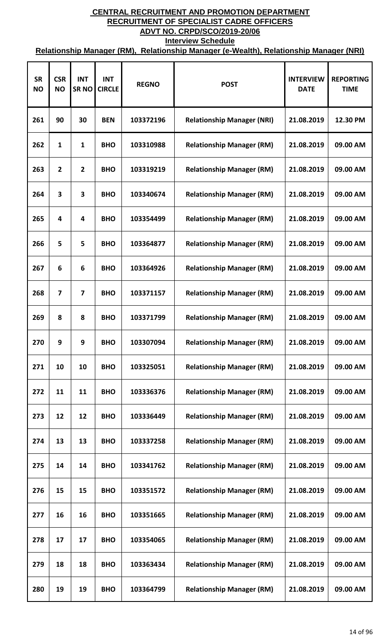| <b>SR</b><br><b>NO</b> | <b>CSR</b><br><b>NO</b> | <b>INT</b><br><b>SRNO</b> | <b>INT</b><br><b>CIRCLE</b> | <b>REGNO</b> | <b>POST</b>                       | <b>INTERVIEW</b><br><b>DATE</b> | <b>REPORTING</b><br><b>TIME</b> |
|------------------------|-------------------------|---------------------------|-----------------------------|--------------|-----------------------------------|---------------------------------|---------------------------------|
| 261                    | 90                      | 30                        | <b>BEN</b>                  | 103372196    | <b>Relationship Manager (NRI)</b> | 21.08.2019                      | 12.30 PM                        |
| 262                    | 1                       | $\mathbf{1}$              | <b>BHO</b>                  | 103310988    | <b>Relationship Manager (RM)</b>  | 21.08.2019                      | 09.00 AM                        |
| 263                    | $\overline{2}$          | $\mathbf{2}$              | <b>BHO</b>                  | 103319219    | <b>Relationship Manager (RM)</b>  | 21.08.2019                      | 09.00 AM                        |
| 264                    | 3                       | 3                         | <b>BHO</b>                  | 103340674    | <b>Relationship Manager (RM)</b>  | 21.08.2019                      | 09.00 AM                        |
| 265                    | 4                       | 4                         | <b>BHO</b>                  | 103354499    | <b>Relationship Manager (RM)</b>  | 21.08.2019                      | 09.00 AM                        |
| 266                    | 5                       | 5                         | <b>BHO</b>                  | 103364877    | <b>Relationship Manager (RM)</b>  | 21.08.2019                      | 09.00 AM                        |
| 267                    | 6                       | 6                         | <b>BHO</b>                  | 103364926    | <b>Relationship Manager (RM)</b>  | 21.08.2019                      | 09.00 AM                        |
| 268                    | $\overline{7}$          | $\overline{7}$            | <b>BHO</b>                  | 103371157    | <b>Relationship Manager (RM)</b>  | 21.08.2019                      | 09.00 AM                        |
| 269                    | 8                       | 8                         | <b>BHO</b>                  | 103371799    | <b>Relationship Manager (RM)</b>  | 21.08.2019                      | 09.00 AM                        |
| 270                    | 9                       | 9                         | <b>BHO</b>                  | 103307094    | <b>Relationship Manager (RM)</b>  | 21.08.2019                      | 09.00 AM                        |
| 271                    | 10                      | 10                        | <b>BHO</b>                  | 103325051    | <b>Relationship Manager (RM)</b>  | 21.08.2019                      | 09.00 AM                        |
| 272                    | 11                      | 11                        | <b>BHO</b>                  | 103336376    | <b>Relationship Manager (RM)</b>  | 21.08.2019                      | 09.00 AM                        |
| 273                    | 12                      | 12                        | <b>BHO</b>                  | 103336449    | <b>Relationship Manager (RM)</b>  | 21.08.2019                      | 09.00 AM                        |
| 274                    | 13                      | 13                        | <b>BHO</b>                  | 103337258    | <b>Relationship Manager (RM)</b>  | 21.08.2019                      | 09.00 AM                        |
| 275                    | 14                      | 14                        | <b>BHO</b>                  | 103341762    | <b>Relationship Manager (RM)</b>  | 21.08.2019                      | 09.00 AM                        |
| 276                    | 15                      | 15                        | <b>BHO</b>                  | 103351572    | <b>Relationship Manager (RM)</b>  | 21.08.2019                      | 09.00 AM                        |
| 277                    | 16                      | 16                        | <b>BHO</b>                  | 103351665    | <b>Relationship Manager (RM)</b>  | 21.08.2019                      | 09.00 AM                        |
| 278                    | 17                      | 17                        | <b>BHO</b>                  | 103354065    | <b>Relationship Manager (RM)</b>  | 21.08.2019                      | 09.00 AM                        |
| 279                    | 18                      | 18                        | <b>BHO</b>                  | 103363434    | <b>Relationship Manager (RM)</b>  | 21.08.2019                      | 09.00 AM                        |
| 280                    | 19                      | 19                        | <b>BHO</b>                  | 103364799    | <b>Relationship Manager (RM)</b>  | 21.08.2019                      | 09.00 AM                        |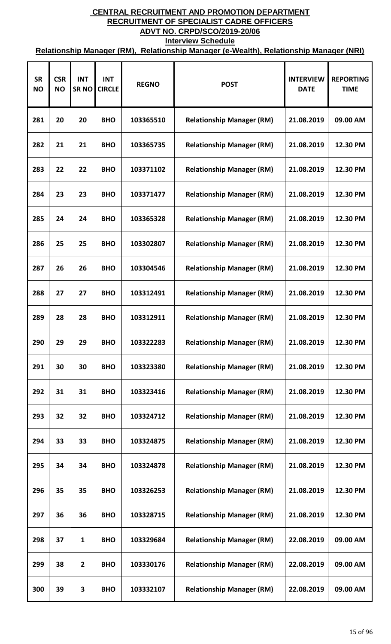| <b>SR</b><br><b>NO</b> | <b>CSR</b><br><b>NO</b> | <b>INT</b><br>SR <sub>NO</sub> | <b>INT</b><br><b>CIRCLE</b> | <b>REGNO</b> | <b>POST</b>                      | <b>INTERVIEW</b><br><b>DATE</b> | <b>REPORTING</b><br><b>TIME</b> |
|------------------------|-------------------------|--------------------------------|-----------------------------|--------------|----------------------------------|---------------------------------|---------------------------------|
| 281                    | 20                      | 20                             | <b>BHO</b>                  | 103365510    | <b>Relationship Manager (RM)</b> | 21.08.2019                      | 09.00 AM                        |
| 282                    | 21                      | 21                             | <b>BHO</b>                  | 103365735    | <b>Relationship Manager (RM)</b> | 21.08.2019                      | 12.30 PM                        |
| 283                    | 22                      | 22                             | <b>BHO</b>                  | 103371102    | <b>Relationship Manager (RM)</b> | 21.08.2019                      | 12.30 PM                        |
| 284                    | 23                      | 23                             | <b>BHO</b>                  | 103371477    | <b>Relationship Manager (RM)</b> | 21.08.2019                      | 12.30 PM                        |
| 285                    | 24                      | 24                             | <b>BHO</b>                  | 103365328    | <b>Relationship Manager (RM)</b> | 21.08.2019                      | 12.30 PM                        |
| 286                    | 25                      | 25                             | <b>BHO</b>                  | 103302807    | <b>Relationship Manager (RM)</b> | 21.08.2019                      | 12.30 PM                        |
| 287                    | 26                      | 26                             | <b>BHO</b>                  | 103304546    | <b>Relationship Manager (RM)</b> | 21.08.2019                      | 12.30 PM                        |
| 288                    | 27                      | 27                             | <b>BHO</b>                  | 103312491    | <b>Relationship Manager (RM)</b> | 21.08.2019                      | 12.30 PM                        |
| 289                    | 28                      | 28                             | <b>BHO</b>                  | 103312911    | <b>Relationship Manager (RM)</b> | 21.08.2019                      | 12.30 PM                        |
| 290                    | 29                      | 29                             | <b>BHO</b>                  | 103322283    | <b>Relationship Manager (RM)</b> | 21.08.2019                      | 12.30 PM                        |
| 291                    | 30                      | 30                             | <b>BHO</b>                  | 103323380    | <b>Relationship Manager (RM)</b> | 21.08.2019                      | 12.30 PM                        |
| 292                    | 31                      | 31                             | <b>BHO</b>                  | 103323416    | <b>Relationship Manager (RM)</b> | 21.08.2019                      | 12.30 PM                        |
| 293                    | 32                      | 32                             | <b>BHO</b>                  | 103324712    | <b>Relationship Manager (RM)</b> | 21.08.2019                      | 12.30 PM                        |
| 294                    | 33                      | 33                             | <b>BHO</b>                  | 103324875    | <b>Relationship Manager (RM)</b> | 21.08.2019                      | 12.30 PM                        |
| 295                    | 34                      | 34                             | <b>BHO</b>                  | 103324878    | <b>Relationship Manager (RM)</b> | 21.08.2019                      | 12.30 PM                        |
| 296                    | 35                      | 35                             | <b>BHO</b>                  | 103326253    | <b>Relationship Manager (RM)</b> | 21.08.2019                      | 12.30 PM                        |
| 297                    | 36                      | 36                             | <b>BHO</b>                  | 103328715    | <b>Relationship Manager (RM)</b> | 21.08.2019                      | 12.30 PM                        |
| 298                    | 37                      | $\mathbf{1}$                   | <b>BHO</b>                  | 103329684    | <b>Relationship Manager (RM)</b> | 22.08.2019                      | 09.00 AM                        |
| 299                    | 38                      | $\mathbf{2}$                   | <b>BHO</b>                  | 103330176    | <b>Relationship Manager (RM)</b> | 22.08.2019                      | 09.00 AM                        |
| 300                    | 39                      | 3                              | <b>BHO</b>                  | 103332107    | <b>Relationship Manager (RM)</b> | 22.08.2019                      | 09.00 AM                        |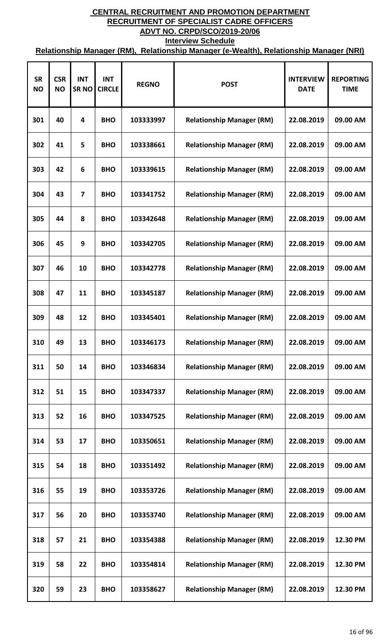| <b>SR</b><br><b>NO</b> | <b>CSR</b><br><b>NO</b> | <b>INT</b><br><b>SRNO</b> | <b>INT</b><br><b>CIRCLE</b> | <b>REGNO</b> | <b>POST</b>                      | <b>INTERVIEW</b><br><b>DATE</b> | <b>REPORTING</b><br><b>TIME</b> |
|------------------------|-------------------------|---------------------------|-----------------------------|--------------|----------------------------------|---------------------------------|---------------------------------|
| 301                    | 40                      | 4                         | <b>BHO</b>                  | 103333997    | <b>Relationship Manager (RM)</b> | 22.08.2019                      | 09.00 AM                        |
| 302                    | 41                      | 5                         | <b>BHO</b>                  | 103338661    | <b>Relationship Manager (RM)</b> | 22.08.2019                      | 09.00 AM                        |
| 303                    | 42                      | 6                         | <b>BHO</b>                  | 103339615    | <b>Relationship Manager (RM)</b> | 22.08.2019                      | 09.00 AM                        |
| 304                    | 43                      | $\overline{7}$            | <b>BHO</b>                  | 103341752    | <b>Relationship Manager (RM)</b> | 22.08.2019                      | 09.00 AM                        |
| 305                    | 44                      | 8                         | <b>BHO</b>                  | 103342648    | <b>Relationship Manager (RM)</b> | 22.08.2019                      | 09.00 AM                        |
| 306                    | 45                      | 9                         | <b>BHO</b>                  | 103342705    | <b>Relationship Manager (RM)</b> | 22.08.2019                      | 09.00 AM                        |
| 307                    | 46                      | 10                        | <b>BHO</b>                  | 103342778    | <b>Relationship Manager (RM)</b> | 22.08.2019                      | 09.00 AM                        |
| 308                    | 47                      | 11                        | <b>BHO</b>                  | 103345187    | <b>Relationship Manager (RM)</b> | 22.08.2019                      | 09.00 AM                        |
| 309                    | 48                      | 12                        | <b>BHO</b>                  | 103345401    | <b>Relationship Manager (RM)</b> | 22.08.2019                      | 09.00 AM                        |
| 310                    | 49                      | 13                        | <b>BHO</b>                  | 103346173    | <b>Relationship Manager (RM)</b> | 22.08.2019                      | 09.00 AM                        |
| 311                    | 50                      | 14                        | <b>BHO</b>                  | 103346834    | <b>Relationship Manager (RM)</b> | 22.08.2019                      | 09.00 AM                        |
| 312                    | 51                      | 15                        | <b>BHO</b>                  | 103347337    | <b>Relationship Manager (RM)</b> | 22.08.2019                      | 09.00 AM                        |
| 313                    | 52                      | 16                        | <b>BHO</b>                  | 103347525    | <b>Relationship Manager (RM)</b> | 22.08.2019                      | 09.00 AM                        |
| 314                    | 53                      | 17                        | <b>BHO</b>                  | 103350651    | <b>Relationship Manager (RM)</b> | 22.08.2019                      | 09.00 AM                        |
| 315                    | 54                      | 18                        | <b>BHO</b>                  | 103351492    | <b>Relationship Manager (RM)</b> | 22.08.2019                      | 09.00 AM                        |
| 316                    | 55                      | 19                        | <b>BHO</b>                  | 103353726    | <b>Relationship Manager (RM)</b> | 22.08.2019                      | 09.00 AM                        |
| 317                    | 56                      | 20                        | <b>BHO</b>                  | 103353740    | <b>Relationship Manager (RM)</b> | 22.08.2019                      | 09.00 AM                        |
| 318                    | 57                      | 21                        | <b>BHO</b>                  | 103354388    | <b>Relationship Manager (RM)</b> | 22.08.2019                      | 12.30 PM                        |
| 319                    | 58                      | 22                        | <b>BHO</b>                  | 103354814    | <b>Relationship Manager (RM)</b> | 22.08.2019                      | 12.30 PM                        |
| 320                    | 59                      | 23                        | <b>BHO</b>                  | 103358627    | <b>Relationship Manager (RM)</b> | 22.08.2019                      | 12.30 PM                        |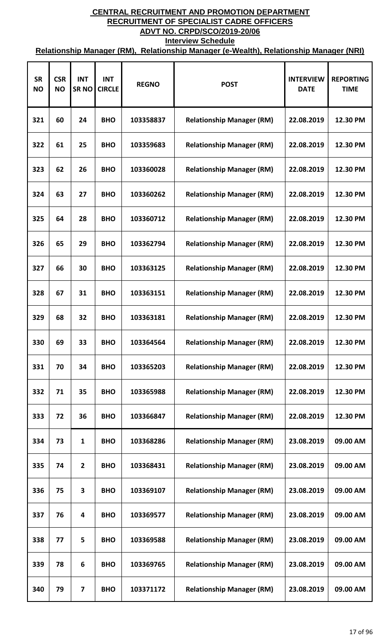| <b>SR</b><br><b>NO</b> | <b>CSR</b><br><b>NO</b> | <b>INT</b><br><b>SRNO</b> | <b>INT</b><br><b>CIRCLE</b> | <b>REGNO</b> | <b>POST</b>                      | <b>INTERVIEW</b><br><b>DATE</b> | <b>REPORTING</b><br><b>TIME</b> |
|------------------------|-------------------------|---------------------------|-----------------------------|--------------|----------------------------------|---------------------------------|---------------------------------|
| 321                    | 60                      | 24                        | <b>BHO</b>                  | 103358837    | <b>Relationship Manager (RM)</b> | 22.08.2019                      | 12.30 PM                        |
| 322                    | 61                      | 25                        | <b>BHO</b>                  | 103359683    | <b>Relationship Manager (RM)</b> | 22.08.2019                      | 12.30 PM                        |
| 323                    | 62                      | 26                        | <b>BHO</b>                  | 103360028    | <b>Relationship Manager (RM)</b> | 22.08.2019                      | 12.30 PM                        |
| 324                    | 63                      | 27                        | <b>BHO</b>                  | 103360262    | <b>Relationship Manager (RM)</b> | 22.08.2019                      | 12.30 PM                        |
| 325                    | 64                      | 28                        | <b>BHO</b>                  | 103360712    | <b>Relationship Manager (RM)</b> | 22.08.2019                      | 12.30 PM                        |
| 326                    | 65                      | 29                        | <b>BHO</b>                  | 103362794    | <b>Relationship Manager (RM)</b> | 22.08.2019                      | 12.30 PM                        |
| 327                    | 66                      | 30                        | <b>BHO</b>                  | 103363125    | <b>Relationship Manager (RM)</b> | 22.08.2019                      | 12.30 PM                        |
| 328                    | 67                      | 31                        | <b>BHO</b>                  | 103363151    | <b>Relationship Manager (RM)</b> | 22.08.2019                      | 12.30 PM                        |
| 329                    | 68                      | 32                        | <b>BHO</b>                  | 103363181    | <b>Relationship Manager (RM)</b> | 22.08.2019                      | 12.30 PM                        |
| 330                    | 69                      | 33                        | <b>BHO</b>                  | 103364564    | <b>Relationship Manager (RM)</b> | 22.08.2019                      | 12.30 PM                        |
| 331                    | 70                      | 34                        | <b>BHO</b>                  | 103365203    | <b>Relationship Manager (RM)</b> | 22.08.2019                      | 12.30 PM                        |
| 332                    | 71                      | 35                        | <b>BHO</b>                  | 103365988    | <b>Relationship Manager (RM)</b> | 22.08.2019                      | 12.30 PM                        |
| 333                    | 72                      | 36                        | <b>BHO</b>                  | 103366847    | <b>Relationship Manager (RM)</b> | 22.08.2019                      | 12.30 PM                        |
| 334                    | 73                      | 1                         | <b>BHO</b>                  | 103368286    | <b>Relationship Manager (RM)</b> | 23.08.2019                      | 09.00 AM                        |
| 335                    | 74                      | $\mathbf{2}$              | <b>BHO</b>                  | 103368431    | <b>Relationship Manager (RM)</b> | 23.08.2019                      | 09.00 AM                        |
| 336                    | 75                      | 3                         | <b>BHO</b>                  | 103369107    | <b>Relationship Manager (RM)</b> | 23.08.2019                      | 09.00 AM                        |
| 337                    | 76                      | 4                         | <b>BHO</b>                  | 103369577    | <b>Relationship Manager (RM)</b> | 23.08.2019                      | 09.00 AM                        |
| 338                    | 77                      | 5                         | <b>BHO</b>                  | 103369588    | <b>Relationship Manager (RM)</b> | 23.08.2019                      | 09.00 AM                        |
| 339                    | 78                      | 6                         | <b>BHO</b>                  | 103369765    | <b>Relationship Manager (RM)</b> | 23.08.2019                      | 09.00 AM                        |
| 340                    | 79                      | 7                         | <b>BHO</b>                  | 103371172    | <b>Relationship Manager (RM)</b> | 23.08.2019                      | 09.00 AM                        |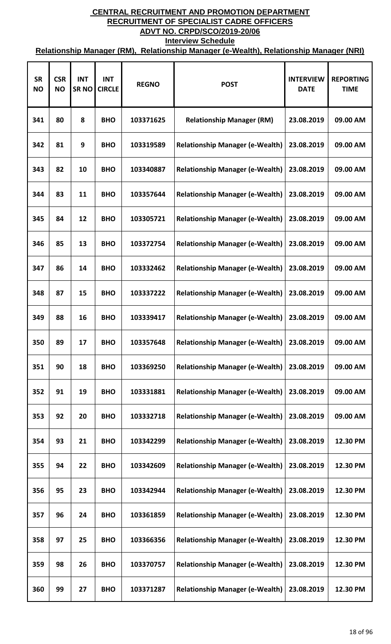| <b>SR</b><br><b>NO</b> | <b>CSR</b><br><b>NO</b> | <b>INT</b><br>SR <sub>NO</sub> | <b>INT</b><br><b>CIRCLE</b> | <b>REGNO</b> | <b>POST</b>                            | <b>INTERVIEW</b><br><b>DATE</b> | <b>REPORTING</b><br><b>TIME</b> |
|------------------------|-------------------------|--------------------------------|-----------------------------|--------------|----------------------------------------|---------------------------------|---------------------------------|
| 341                    | 80                      | 8                              | <b>BHO</b>                  | 103371625    | <b>Relationship Manager (RM)</b>       | 23.08.2019                      | 09.00 AM                        |
| 342                    | 81                      | 9                              | <b>BHO</b>                  | 103319589    | <b>Relationship Manager (e-Wealth)</b> | 23.08.2019                      | 09.00 AM                        |
| 343                    | 82                      | 10                             | <b>BHO</b>                  | 103340887    | <b>Relationship Manager (e-Wealth)</b> | 23.08.2019                      | 09.00 AM                        |
| 344                    | 83                      | 11                             | <b>BHO</b>                  | 103357644    | <b>Relationship Manager (e-Wealth)</b> | 23.08.2019                      | 09.00 AM                        |
| 345                    | 84                      | 12                             | <b>BHO</b>                  | 103305721    | <b>Relationship Manager (e-Wealth)</b> | 23.08.2019                      | 09.00 AM                        |
| 346                    | 85                      | 13                             | <b>BHO</b>                  | 103372754    | <b>Relationship Manager (e-Wealth)</b> | 23.08.2019                      | 09.00 AM                        |
| 347                    | 86                      | 14                             | <b>BHO</b>                  | 103332462    | <b>Relationship Manager (e-Wealth)</b> | 23.08.2019                      | 09.00 AM                        |
| 348                    | 87                      | 15                             | <b>BHO</b>                  | 103337222    | <b>Relationship Manager (e-Wealth)</b> | 23.08.2019                      | 09.00 AM                        |
| 349                    | 88                      | 16                             | <b>BHO</b>                  | 103339417    | <b>Relationship Manager (e-Wealth)</b> | 23.08.2019                      | 09.00 AM                        |
| 350                    | 89                      | 17                             | <b>BHO</b>                  | 103357648    | <b>Relationship Manager (e-Wealth)</b> | 23.08.2019                      | 09.00 AM                        |
| 351                    | 90                      | 18                             | <b>BHO</b>                  | 103369250    | <b>Relationship Manager (e-Wealth)</b> | 23.08.2019                      | 09.00 AM                        |
| 352                    | 91                      | 19                             | <b>BHO</b>                  | 103331881    | <b>Relationship Manager (e-Wealth)</b> | 23.08.2019                      | 09.00 AM                        |
| 353                    | 92                      | 20                             | <b>BHO</b>                  | 103332718    | <b>Relationship Manager (e-Wealth)</b> | 23.08.2019                      | 09.00 AM                        |
| 354                    | 93                      | 21                             | <b>BHO</b>                  | 103342299    | <b>Relationship Manager (e-Wealth)</b> | 23.08.2019                      | 12.30 PM                        |
| 355                    | 94                      | 22                             | <b>BHO</b>                  | 103342609    | <b>Relationship Manager (e-Wealth)</b> | 23.08.2019                      | 12.30 PM                        |
| 356                    | 95                      | 23                             | <b>BHO</b>                  | 103342944    | <b>Relationship Manager (e-Wealth)</b> | 23.08.2019                      | 12.30 PM                        |
| 357                    | 96                      | 24                             | <b>BHO</b>                  | 103361859    | <b>Relationship Manager (e-Wealth)</b> | 23.08.2019                      | 12.30 PM                        |
| 358                    | 97                      | 25                             | <b>BHO</b>                  | 103366356    | <b>Relationship Manager (e-Wealth)</b> | 23.08.2019                      | 12.30 PM                        |
| 359                    | 98                      | 26                             | <b>BHO</b>                  | 103370757    | <b>Relationship Manager (e-Wealth)</b> | 23.08.2019                      | 12.30 PM                        |
| 360                    | 99                      | 27                             | <b>BHO</b>                  | 103371287    | <b>Relationship Manager (e-Wealth)</b> | 23.08.2019                      | 12.30 PM                        |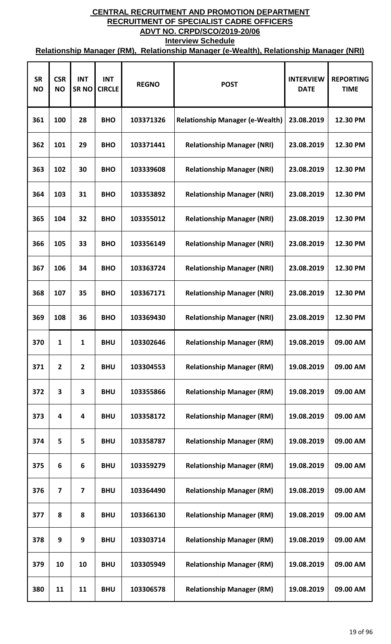| <b>SR</b><br><b>NO</b> | <b>CSR</b><br><b>NO</b> | <b>INT</b><br><b>SRNO</b> | <b>INT</b><br><b>CIRCLE</b> | <b>REGNO</b> | <b>POST</b>                            | <b>INTERVIEW</b><br><b>DATE</b> | <b>REPORTING</b><br><b>TIME</b> |
|------------------------|-------------------------|---------------------------|-----------------------------|--------------|----------------------------------------|---------------------------------|---------------------------------|
| 361                    | 100                     | 28                        | <b>BHO</b>                  | 103371326    | <b>Relationship Manager (e-Wealth)</b> | 23.08.2019                      | 12.30 PM                        |
| 362                    | 101                     | 29                        | <b>BHO</b>                  | 103371441    | <b>Relationship Manager (NRI)</b>      | 23.08.2019                      | 12.30 PM                        |
| 363                    | 102                     | 30                        | <b>BHO</b>                  | 103339608    | <b>Relationship Manager (NRI)</b>      | 23.08.2019                      | 12.30 PM                        |
| 364                    | 103                     | 31                        | <b>BHO</b>                  | 103353892    | <b>Relationship Manager (NRI)</b>      | 23.08.2019                      | 12.30 PM                        |
| 365                    | 104                     | 32                        | <b>BHO</b>                  | 103355012    | <b>Relationship Manager (NRI)</b>      | 23.08.2019                      | 12.30 PM                        |
| 366                    | 105                     | 33                        | <b>BHO</b>                  | 103356149    | <b>Relationship Manager (NRI)</b>      | 23.08.2019                      | 12.30 PM                        |
| 367                    | 106                     | 34                        | <b>BHO</b>                  | 103363724    | <b>Relationship Manager (NRI)</b>      | 23.08.2019                      | 12.30 PM                        |
| 368                    | 107                     | 35                        | <b>BHO</b>                  | 103367171    | <b>Relationship Manager (NRI)</b>      | 23.08.2019                      | 12.30 PM                        |
| 369                    | 108                     | 36                        | <b>BHO</b>                  | 103369430    | <b>Relationship Manager (NRI)</b>      | 23.08.2019                      | 12.30 PM                        |
| 370                    | 1                       | 1                         | <b>BHU</b>                  | 103302646    | <b>Relationship Manager (RM)</b>       | 19.08.2019                      | 09.00 AM                        |
| 371                    | $\overline{2}$          | $\overline{2}$            | <b>BHU</b>                  | 103304553    | <b>Relationship Manager (RM)</b>       | 19.08.2019                      | 09.00 AM                        |
| 372                    | 3                       | 3                         | <b>BHU</b>                  | 103355866    | <b>Relationship Manager (RM)</b>       | 19.08.2019                      | 09.00 AM                        |
| 373                    | 4                       | 4                         | <b>BHU</b>                  | 103358172    | <b>Relationship Manager (RM)</b>       | 19.08.2019                      | 09.00 AM                        |
| 374                    | 5                       | 5                         | <b>BHU</b>                  | 103358787    | <b>Relationship Manager (RM)</b>       | 19.08.2019                      | 09.00 AM                        |
| 375                    | 6                       | 6                         | <b>BHU</b>                  | 103359279    | <b>Relationship Manager (RM)</b>       | 19.08.2019                      | 09.00 AM                        |
| 376                    | 7                       | $\overline{7}$            | <b>BHU</b>                  | 103364490    | <b>Relationship Manager (RM)</b>       | 19.08.2019                      | 09.00 AM                        |
| 377                    | 8                       | 8                         | <b>BHU</b>                  | 103366130    | <b>Relationship Manager (RM)</b>       | 19.08.2019                      | 09.00 AM                        |
| 378                    | 9                       | 9                         | <b>BHU</b>                  | 103303714    | <b>Relationship Manager (RM)</b>       | 19.08.2019                      | 09.00 AM                        |
| 379                    | 10                      | 10                        | <b>BHU</b>                  | 103305949    | <b>Relationship Manager (RM)</b>       | 19.08.2019                      | 09.00 AM                        |
| 380                    | 11                      | 11                        | <b>BHU</b>                  | 103306578    | <b>Relationship Manager (RM)</b>       | 19.08.2019                      | 09.00 AM                        |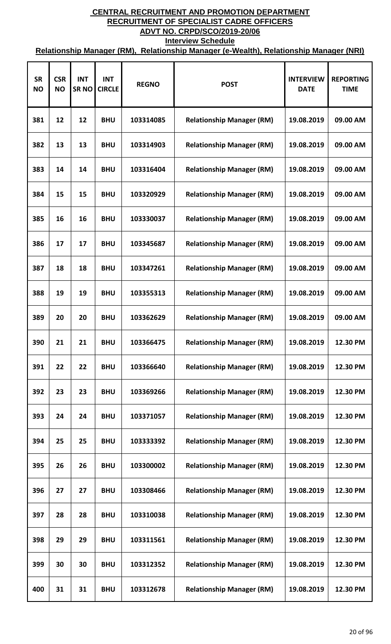| <b>SR</b><br><b>NO</b> | <b>CSR</b><br><b>NO</b> | <b>INT</b><br><b>SRNO</b> | <b>INT</b><br><b>CIRCLE</b> | <b>REGNO</b> | <b>POST</b>                      | <b>INTERVIEW</b><br><b>DATE</b> | <b>REPORTING</b><br><b>TIME</b> |
|------------------------|-------------------------|---------------------------|-----------------------------|--------------|----------------------------------|---------------------------------|---------------------------------|
| 381                    | 12                      | 12                        | <b>BHU</b>                  | 103314085    | <b>Relationship Manager (RM)</b> | 19.08.2019                      | 09.00 AM                        |
| 382                    | 13                      | 13                        | <b>BHU</b>                  | 103314903    | <b>Relationship Manager (RM)</b> | 19.08.2019                      | 09.00 AM                        |
| 383                    | 14                      | 14                        | <b>BHU</b>                  | 103316404    | <b>Relationship Manager (RM)</b> | 19.08.2019                      | 09.00 AM                        |
| 384                    | 15                      | 15                        | <b>BHU</b>                  | 103320929    | <b>Relationship Manager (RM)</b> | 19.08.2019                      | 09.00 AM                        |
| 385                    | 16                      | 16                        | <b>BHU</b>                  | 103330037    | <b>Relationship Manager (RM)</b> | 19.08.2019                      | 09.00 AM                        |
| 386                    | 17                      | 17                        | <b>BHU</b>                  | 103345687    | <b>Relationship Manager (RM)</b> | 19.08.2019                      | 09.00 AM                        |
| 387                    | 18                      | 18                        | <b>BHU</b>                  | 103347261    | <b>Relationship Manager (RM)</b> | 19.08.2019                      | 09.00 AM                        |
| 388                    | 19                      | 19                        | <b>BHU</b>                  | 103355313    | <b>Relationship Manager (RM)</b> | 19.08.2019                      | 09.00 AM                        |
| 389                    | 20                      | 20                        | <b>BHU</b>                  | 103362629    | <b>Relationship Manager (RM)</b> | 19.08.2019                      | 09.00 AM                        |
| 390                    | 21                      | 21                        | <b>BHU</b>                  | 103366475    | <b>Relationship Manager (RM)</b> | 19.08.2019                      | 12.30 PM                        |
| 391                    | 22                      | 22                        | <b>BHU</b>                  | 103366640    | <b>Relationship Manager (RM)</b> | 19.08.2019                      | 12.30 PM                        |
| 392                    | 23                      | 23                        | <b>BHU</b>                  | 103369266    | <b>Relationship Manager (RM)</b> | 19.08.2019                      | 12.30 PM                        |
| 393                    | 24                      | 24                        | <b>BHU</b>                  | 103371057    | <b>Relationship Manager (RM)</b> | 19.08.2019                      | 12.30 PM                        |
| 394                    | 25                      | 25                        | <b>BHU</b>                  | 103333392    | <b>Relationship Manager (RM)</b> | 19.08.2019                      | 12.30 PM                        |
| 395                    | 26                      | 26                        | <b>BHU</b>                  | 103300002    | <b>Relationship Manager (RM)</b> | 19.08.2019                      | 12.30 PM                        |
| 396                    | 27                      | 27                        | <b>BHU</b>                  | 103308466    | <b>Relationship Manager (RM)</b> | 19.08.2019                      | 12.30 PM                        |
| 397                    | 28                      | 28                        | <b>BHU</b>                  | 103310038    | <b>Relationship Manager (RM)</b> | 19.08.2019                      | 12.30 PM                        |
| 398                    | 29                      | 29                        | <b>BHU</b>                  | 103311561    | <b>Relationship Manager (RM)</b> | 19.08.2019                      | 12.30 PM                        |
| 399                    | 30                      | 30                        | <b>BHU</b>                  | 103312352    | <b>Relationship Manager (RM)</b> | 19.08.2019                      | 12.30 PM                        |
| 400                    | 31                      | 31                        | <b>BHU</b>                  | 103312678    | <b>Relationship Manager (RM)</b> | 19.08.2019                      | 12.30 PM                        |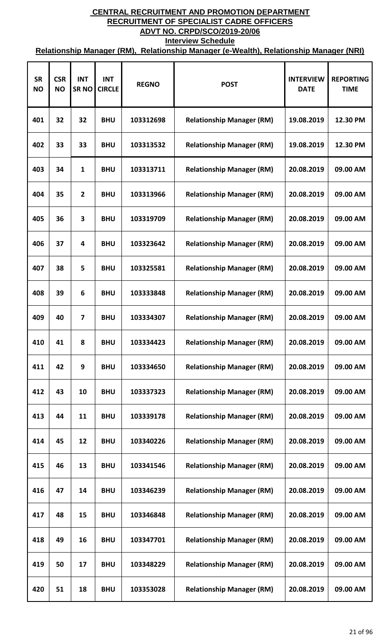| <b>SR</b><br><b>NO</b> | <b>CSR</b><br><b>NO</b> | <b>INT</b><br><b>SRNO</b> | <b>INT</b><br><b>CIRCLE</b> | <b>REGNO</b> | <b>POST</b>                      | <b>INTERVIEW</b><br><b>DATE</b> | <b>REPORTING</b><br><b>TIME</b> |
|------------------------|-------------------------|---------------------------|-----------------------------|--------------|----------------------------------|---------------------------------|---------------------------------|
| 401                    | 32                      | 32                        | <b>BHU</b>                  | 103312698    | <b>Relationship Manager (RM)</b> | 19.08.2019                      | 12.30 PM                        |
| 402                    | 33                      | 33                        | <b>BHU</b>                  | 103313532    | <b>Relationship Manager (RM)</b> | 19.08.2019                      | 12.30 PM                        |
| 403                    | 34                      | $\mathbf{1}$              | <b>BHU</b>                  | 103313711    | <b>Relationship Manager (RM)</b> | 20.08.2019                      | 09.00 AM                        |
| 404                    | 35                      | $\mathbf{2}$              | <b>BHU</b>                  | 103313966    | <b>Relationship Manager (RM)</b> | 20.08.2019                      | 09.00 AM                        |
| 405                    | 36                      | 3                         | <b>BHU</b>                  | 103319709    | <b>Relationship Manager (RM)</b> | 20.08.2019                      | 09.00 AM                        |
| 406                    | 37                      | 4                         | <b>BHU</b>                  | 103323642    | <b>Relationship Manager (RM)</b> | 20.08.2019                      | 09.00 AM                        |
| 407                    | 38                      | 5                         | <b>BHU</b>                  | 103325581    | <b>Relationship Manager (RM)</b> | 20.08.2019                      | 09.00 AM                        |
| 408                    | 39                      | 6                         | <b>BHU</b>                  | 103333848    | <b>Relationship Manager (RM)</b> | 20.08.2019                      | 09.00 AM                        |
| 409                    | 40                      | 7                         | <b>BHU</b>                  | 103334307    | <b>Relationship Manager (RM)</b> | 20.08.2019                      | 09.00 AM                        |
| 410                    | 41                      | 8                         | <b>BHU</b>                  | 103334423    | <b>Relationship Manager (RM)</b> | 20.08.2019                      | 09.00 AM                        |
| 411                    | 42                      | 9                         | <b>BHU</b>                  | 103334650    | <b>Relationship Manager (RM)</b> | 20.08.2019                      | 09.00 AM                        |
| 412                    | 43                      | 10                        | <b>BHU</b>                  | 103337323    | <b>Relationship Manager (RM)</b> | 20.08.2019                      | 09.00 AM                        |
| 413                    | 44                      | 11                        | <b>BHU</b>                  | 103339178    | <b>Relationship Manager (RM)</b> | 20.08.2019                      | 09.00 AM                        |
| 414                    | 45                      | 12                        | <b>BHU</b>                  | 103340226    | <b>Relationship Manager (RM)</b> | 20.08.2019                      | 09.00 AM                        |
| 415                    | 46                      | 13                        | <b>BHU</b>                  | 103341546    | <b>Relationship Manager (RM)</b> | 20.08.2019                      | 09.00 AM                        |
| 416                    | 47                      | 14                        | <b>BHU</b>                  | 103346239    | <b>Relationship Manager (RM)</b> | 20.08.2019                      | 09.00 AM                        |
| 417                    | 48                      | 15                        | <b>BHU</b>                  | 103346848    | <b>Relationship Manager (RM)</b> | 20.08.2019                      | 09.00 AM                        |
| 418                    | 49                      | 16                        | <b>BHU</b>                  | 103347701    | <b>Relationship Manager (RM)</b> | 20.08.2019                      | 09.00 AM                        |
| 419                    | 50                      | 17                        | <b>BHU</b>                  | 103348229    | <b>Relationship Manager (RM)</b> | 20.08.2019                      | 09.00 AM                        |
| 420                    | 51                      | 18                        | <b>BHU</b>                  | 103353028    | <b>Relationship Manager (RM)</b> | 20.08.2019                      | 09.00 AM                        |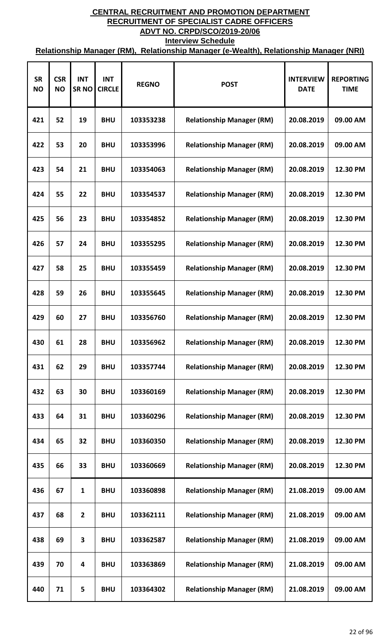| <b>SR</b><br><b>NO</b> | <b>CSR</b><br><b>NO</b> | <b>INT</b><br><b>SRNO</b> | <b>INT</b><br><b>CIRCLE</b> | <b>REGNO</b> | <b>POST</b>                      | <b>INTERVIEW</b><br><b>DATE</b> | <b>REPORTING</b><br><b>TIME</b> |
|------------------------|-------------------------|---------------------------|-----------------------------|--------------|----------------------------------|---------------------------------|---------------------------------|
| 421                    | 52                      | 19                        | <b>BHU</b>                  | 103353238    | <b>Relationship Manager (RM)</b> | 20.08.2019                      | 09.00 AM                        |
| 422                    | 53                      | 20                        | <b>BHU</b>                  | 103353996    | <b>Relationship Manager (RM)</b> | 20.08.2019                      | 09.00 AM                        |
| 423                    | 54                      | 21                        | <b>BHU</b>                  | 103354063    | <b>Relationship Manager (RM)</b> | 20.08.2019                      | 12.30 PM                        |
| 424                    | 55                      | 22                        | <b>BHU</b>                  | 103354537    | <b>Relationship Manager (RM)</b> | 20.08.2019                      | 12.30 PM                        |
| 425                    | 56                      | 23                        | <b>BHU</b>                  | 103354852    | <b>Relationship Manager (RM)</b> | 20.08.2019                      | 12.30 PM                        |
| 426                    | 57                      | 24                        | <b>BHU</b>                  | 103355295    | <b>Relationship Manager (RM)</b> | 20.08.2019                      | 12.30 PM                        |
| 427                    | 58                      | 25                        | <b>BHU</b>                  | 103355459    | <b>Relationship Manager (RM)</b> | 20.08.2019                      | 12.30 PM                        |
| 428                    | 59                      | 26                        | <b>BHU</b>                  | 103355645    | <b>Relationship Manager (RM)</b> | 20.08.2019                      | 12.30 PM                        |
| 429                    | 60                      | 27                        | <b>BHU</b>                  | 103356760    | <b>Relationship Manager (RM)</b> | 20.08.2019                      | 12.30 PM                        |
| 430                    | 61                      | 28                        | <b>BHU</b>                  | 103356962    | <b>Relationship Manager (RM)</b> | 20.08.2019                      | 12.30 PM                        |
| 431                    | 62                      | 29                        | <b>BHU</b>                  | 103357744    | <b>Relationship Manager (RM)</b> | 20.08.2019                      | 12.30 PM                        |
| 432                    | 63                      | 30                        | <b>BHU</b>                  | 103360169    | <b>Relationship Manager (RM)</b> | 20.08.2019                      | 12.30 PM                        |
| 433                    | 64                      | 31                        | <b>BHU</b>                  | 103360296    | <b>Relationship Manager (RM)</b> | 20.08.2019                      | 12.30 PM                        |
| 434                    | 65                      | 32                        | <b>BHU</b>                  | 103360350    | <b>Relationship Manager (RM)</b> | 20.08.2019                      | 12.30 PM                        |
| 435                    | 66                      | 33                        | <b>BHU</b>                  | 103360669    | <b>Relationship Manager (RM)</b> | 20.08.2019                      | 12.30 PM                        |
| 436                    | 67                      | $\mathbf{1}$              | <b>BHU</b>                  | 103360898    | <b>Relationship Manager (RM)</b> | 21.08.2019                      | 09.00 AM                        |
| 437                    | 68                      | $\overline{2}$            | <b>BHU</b>                  | 103362111    | <b>Relationship Manager (RM)</b> | 21.08.2019                      | 09.00 AM                        |
| 438                    | 69                      | 3                         | <b>BHU</b>                  | 103362587    | <b>Relationship Manager (RM)</b> | 21.08.2019                      | 09.00 AM                        |
| 439                    | 70                      | 4                         | <b>BHU</b>                  | 103363869    | <b>Relationship Manager (RM)</b> | 21.08.2019                      | 09.00 AM                        |
| 440                    | 71                      | 5                         | <b>BHU</b>                  | 103364302    | <b>Relationship Manager (RM)</b> | 21.08.2019                      | 09.00 AM                        |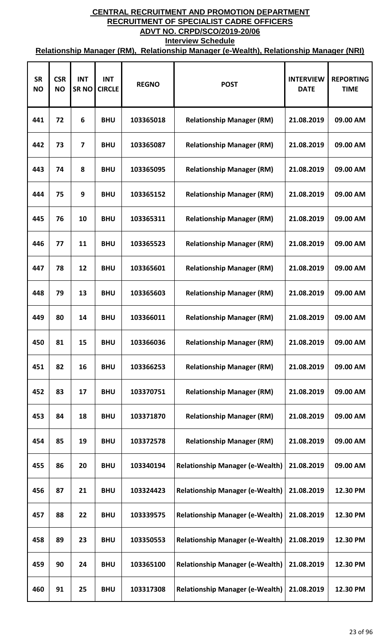| <b>SR</b><br><b>NO</b> | <b>CSR</b><br><b>NO</b> | <b>INT</b><br><b>SRNO</b> | <b>INT</b><br><b>CIRCLE</b> | <b>REGNO</b> | <b>POST</b>                            | <b>INTERVIEW</b><br><b>DATE</b> | <b>REPORTING</b><br><b>TIME</b> |
|------------------------|-------------------------|---------------------------|-----------------------------|--------------|----------------------------------------|---------------------------------|---------------------------------|
| 441                    | 72                      | 6                         | <b>BHU</b>                  | 103365018    | <b>Relationship Manager (RM)</b>       | 21.08.2019                      | 09.00 AM                        |
| 442                    | 73                      | $\overline{7}$            | <b>BHU</b>                  | 103365087    | <b>Relationship Manager (RM)</b>       | 21.08.2019                      | 09.00 AM                        |
| 443                    | 74                      | 8                         | <b>BHU</b>                  | 103365095    | <b>Relationship Manager (RM)</b>       | 21.08.2019                      | 09.00 AM                        |
| 444                    | 75                      | 9                         | <b>BHU</b>                  | 103365152    | <b>Relationship Manager (RM)</b>       | 21.08.2019                      | 09.00 AM                        |
| 445                    | 76                      | 10                        | <b>BHU</b>                  | 103365311    | <b>Relationship Manager (RM)</b>       | 21.08.2019                      | 09.00 AM                        |
| 446                    | 77                      | 11                        | <b>BHU</b>                  | 103365523    | <b>Relationship Manager (RM)</b>       | 21.08.2019                      | 09.00 AM                        |
| 447                    | 78                      | 12                        | <b>BHU</b>                  | 103365601    | <b>Relationship Manager (RM)</b>       | 21.08.2019                      | 09.00 AM                        |
| 448                    | 79                      | 13                        | <b>BHU</b>                  | 103365603    | <b>Relationship Manager (RM)</b>       | 21.08.2019                      | 09.00 AM                        |
| 449                    | 80                      | 14                        | <b>BHU</b>                  | 103366011    | <b>Relationship Manager (RM)</b>       | 21.08.2019                      | 09.00 AM                        |
| 450                    | 81                      | 15                        | <b>BHU</b>                  | 103366036    | <b>Relationship Manager (RM)</b>       | 21.08.2019                      | 09.00 AM                        |
| 451                    | 82                      | 16                        | <b>BHU</b>                  | 103366253    | <b>Relationship Manager (RM)</b>       | 21.08.2019                      | 09.00 AM                        |
| 452                    | 83                      | 17                        | <b>BHU</b>                  | 103370751    | <b>Relationship Manager (RM)</b>       | 21.08.2019                      | 09.00 AM                        |
| 453                    | 84                      | 18                        | <b>BHU</b>                  | 103371870    | <b>Relationship Manager (RM)</b>       | 21.08.2019                      | 09.00 AM                        |
| 454                    | 85                      | 19                        | <b>BHU</b>                  | 103372578    | <b>Relationship Manager (RM)</b>       | 21.08.2019                      | 09.00 AM                        |
| 455                    | 86                      | 20                        | <b>BHU</b>                  | 103340194    | <b>Relationship Manager (e-Wealth)</b> | 21.08.2019                      | 09.00 AM                        |
| 456                    | 87                      | 21                        | <b>BHU</b>                  | 103324423    | <b>Relationship Manager (e-Wealth)</b> | 21.08.2019                      | 12.30 PM                        |
| 457                    | 88                      | 22                        | <b>BHU</b>                  | 103339575    | <b>Relationship Manager (e-Wealth)</b> | 21.08.2019                      | 12.30 PM                        |
| 458                    | 89                      | 23                        | <b>BHU</b>                  | 103350553    | <b>Relationship Manager (e-Wealth)</b> | 21.08.2019                      | 12.30 PM                        |
| 459                    | 90                      | 24                        | <b>BHU</b>                  | 103365100    | <b>Relationship Manager (e-Wealth)</b> | 21.08.2019                      | 12.30 PM                        |
| 460                    | 91                      | 25                        | <b>BHU</b>                  | 103317308    | <b>Relationship Manager (e-Wealth)</b> | 21.08.2019                      | 12.30 PM                        |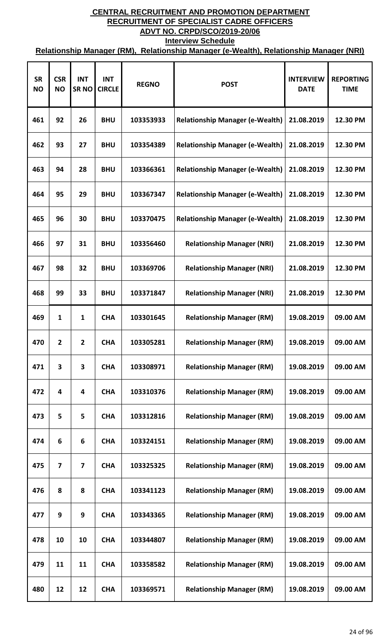| <b>SR</b><br><b>NO</b> | <b>CSR</b><br><b>NO</b> | <b>INT</b><br><b>SRNO</b> | <b>INT</b><br><b>CIRCLE</b> | <b>REGNO</b> | <b>POST</b>                            | <b>INTERVIEW</b><br><b>DATE</b> | <b>REPORTING</b><br><b>TIME</b> |
|------------------------|-------------------------|---------------------------|-----------------------------|--------------|----------------------------------------|---------------------------------|---------------------------------|
| 461                    | 92                      | 26                        | <b>BHU</b>                  | 103353933    | <b>Relationship Manager (e-Wealth)</b> | 21.08.2019                      | 12.30 PM                        |
| 462                    | 93                      | 27                        | <b>BHU</b>                  | 103354389    | <b>Relationship Manager (e-Wealth)</b> | 21.08.2019                      | 12.30 PM                        |
| 463                    | 94                      | 28                        | <b>BHU</b>                  | 103366361    | <b>Relationship Manager (e-Wealth)</b> | 21.08.2019                      | 12.30 PM                        |
| 464                    | 95                      | 29                        | <b>BHU</b>                  | 103367347    | <b>Relationship Manager (e-Wealth)</b> | 21.08.2019                      | 12.30 PM                        |
| 465                    | 96                      | 30                        | <b>BHU</b>                  | 103370475    | <b>Relationship Manager (e-Wealth)</b> | 21.08.2019                      | 12.30 PM                        |
| 466                    | 97                      | 31                        | <b>BHU</b>                  | 103356460    | <b>Relationship Manager (NRI)</b>      | 21.08.2019                      | 12.30 PM                        |
| 467                    | 98                      | 32                        | <b>BHU</b>                  | 103369706    | <b>Relationship Manager (NRI)</b>      | 21.08.2019                      | 12.30 PM                        |
| 468                    | 99                      | 33                        | <b>BHU</b>                  | 103371847    | <b>Relationship Manager (NRI)</b>      | 21.08.2019                      | 12.30 PM                        |
| 469                    | 1                       | 1                         | <b>CHA</b>                  | 103301645    | <b>Relationship Manager (RM)</b>       | 19.08.2019                      | 09.00 AM                        |
| 470                    | $\overline{2}$          | 2                         | <b>CHA</b>                  | 103305281    | <b>Relationship Manager (RM)</b>       | 19.08.2019                      | 09.00 AM                        |
| 471                    | 3                       | 3                         | <b>CHA</b>                  | 103308971    | <b>Relationship Manager (RM)</b>       | 19.08.2019                      | 09.00 AM                        |
| 472                    | 4                       | 4                         | <b>CHA</b>                  | 103310376    | <b>Relationship Manager (RM)</b>       | 19.08.2019                      | 09.00 AM                        |
| 473                    | 5                       | 5                         | <b>CHA</b>                  | 103312816    | <b>Relationship Manager (RM)</b>       | 19.08.2019                      | 09.00 AM                        |
| 474                    | 6                       | 6                         | <b>CHA</b>                  | 103324151    | <b>Relationship Manager (RM)</b>       | 19.08.2019                      | 09.00 AM                        |
| 475                    | $\overline{7}$          | $\overline{7}$            | <b>CHA</b>                  | 103325325    | <b>Relationship Manager (RM)</b>       | 19.08.2019                      | 09.00 AM                        |
| 476                    | 8                       | 8                         | <b>CHA</b>                  | 103341123    | <b>Relationship Manager (RM)</b>       | 19.08.2019                      | 09.00 AM                        |
| 477                    | 9                       | 9                         | <b>CHA</b>                  | 103343365    | <b>Relationship Manager (RM)</b>       | 19.08.2019                      | 09.00 AM                        |
| 478                    | 10                      | 10                        | <b>CHA</b>                  | 103344807    | <b>Relationship Manager (RM)</b>       | 19.08.2019                      | 09.00 AM                        |
| 479                    | 11                      | 11                        | <b>CHA</b>                  | 103358582    | <b>Relationship Manager (RM)</b>       | 19.08.2019                      | 09.00 AM                        |
| 480                    | 12                      | 12                        | <b>CHA</b>                  | 103369571    | <b>Relationship Manager (RM)</b>       | 19.08.2019                      | 09.00 AM                        |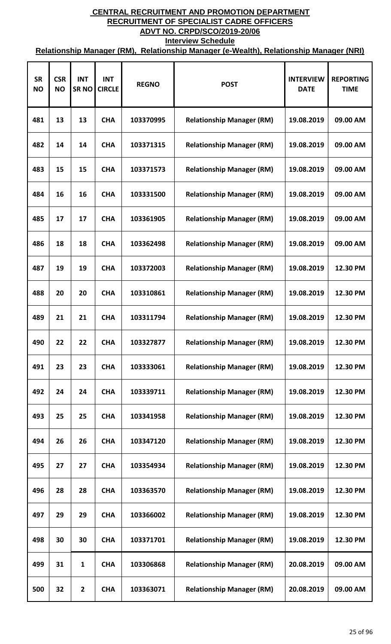| <b>SR</b><br><b>NO</b> | <b>CSR</b><br><b>NO</b> | <b>INT</b><br><b>SRNO</b> | <b>INT</b><br><b>CIRCLE</b> | <b>REGNO</b> | <b>POST</b>                      | <b>INTERVIEW</b><br><b>DATE</b> | <b>REPORTING</b><br><b>TIME</b> |
|------------------------|-------------------------|---------------------------|-----------------------------|--------------|----------------------------------|---------------------------------|---------------------------------|
| 481                    | 13                      | 13                        | <b>CHA</b>                  | 103370995    | <b>Relationship Manager (RM)</b> | 19.08.2019                      | 09.00 AM                        |
| 482                    | 14                      | 14                        | <b>CHA</b>                  | 103371315    | <b>Relationship Manager (RM)</b> | 19.08.2019                      | 09.00 AM                        |
| 483                    | 15                      | 15                        | <b>CHA</b>                  | 103371573    | <b>Relationship Manager (RM)</b> | 19.08.2019                      | 09.00 AM                        |
| 484                    | 16                      | 16                        | <b>CHA</b>                  | 103331500    | <b>Relationship Manager (RM)</b> | 19.08.2019                      | 09.00 AM                        |
| 485                    | 17                      | 17                        | <b>CHA</b>                  | 103361905    | <b>Relationship Manager (RM)</b> | 19.08.2019                      | 09.00 AM                        |
| 486                    | 18                      | 18                        | <b>CHA</b>                  | 103362498    | <b>Relationship Manager (RM)</b> | 19.08.2019                      | 09.00 AM                        |
| 487                    | 19                      | 19                        | <b>CHA</b>                  | 103372003    | <b>Relationship Manager (RM)</b> | 19.08.2019                      | 12.30 PM                        |
| 488                    | 20                      | 20                        | <b>CHA</b>                  | 103310861    | <b>Relationship Manager (RM)</b> | 19.08.2019                      | 12.30 PM                        |
| 489                    | 21                      | 21                        | <b>CHA</b>                  | 103311794    | <b>Relationship Manager (RM)</b> | 19.08.2019                      | 12.30 PM                        |
| 490                    | 22                      | 22                        | <b>CHA</b>                  | 103327877    | <b>Relationship Manager (RM)</b> | 19.08.2019                      | 12.30 PM                        |
| 491                    | 23                      | 23                        | <b>CHA</b>                  | 103333061    | <b>Relationship Manager (RM)</b> | 19.08.2019                      | 12.30 PM                        |
| 492                    | 24                      | 24                        | <b>CHA</b>                  | 103339711    | <b>Relationship Manager (RM)</b> | 19.08.2019                      | 12.30 PM                        |
| 493                    | 25                      | 25                        | <b>CHA</b>                  | 103341958    | <b>Relationship Manager (RM)</b> | 19.08.2019                      | 12.30 PM                        |
| 494                    | 26                      | 26                        | <b>CHA</b>                  | 103347120    | <b>Relationship Manager (RM)</b> | 19.08.2019                      | 12.30 PM                        |
| 495                    | 27                      | 27                        | <b>CHA</b>                  | 103354934    | <b>Relationship Manager (RM)</b> | 19.08.2019                      | 12.30 PM                        |
| 496                    | 28                      | 28                        | <b>CHA</b>                  | 103363570    | <b>Relationship Manager (RM)</b> | 19.08.2019                      | 12.30 PM                        |
| 497                    | 29                      | 29                        | <b>CHA</b>                  | 103366002    | <b>Relationship Manager (RM)</b> | 19.08.2019                      | 12.30 PM                        |
| 498                    | 30                      | 30                        | <b>CHA</b>                  | 103371701    | <b>Relationship Manager (RM)</b> | 19.08.2019                      | 12.30 PM                        |
| 499                    | 31                      | $\mathbf{1}$              | <b>CHA</b>                  | 103306868    | <b>Relationship Manager (RM)</b> | 20.08.2019                      | 09.00 AM                        |
| 500                    | 32                      | $\mathbf{2}$              | <b>CHA</b>                  | 103363071    | <b>Relationship Manager (RM)</b> | 20.08.2019                      | 09.00 AM                        |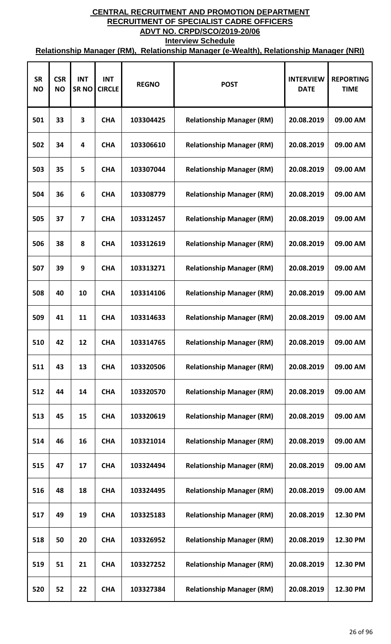| <b>SR</b><br><b>NO</b> | <b>CSR</b><br><b>NO</b> | <b>INT</b><br><b>SRNO</b> | <b>INT</b><br><b>CIRCLE</b> | <b>REGNO</b> | <b>POST</b>                      | <b>INTERVIEW</b><br><b>DATE</b> | <b>REPORTING</b><br><b>TIME</b> |
|------------------------|-------------------------|---------------------------|-----------------------------|--------------|----------------------------------|---------------------------------|---------------------------------|
| 501                    | 33                      | 3                         | <b>CHA</b>                  | 103304425    | <b>Relationship Manager (RM)</b> | 20.08.2019                      | 09.00 AM                        |
| 502                    | 34                      | 4                         | <b>CHA</b>                  | 103306610    | <b>Relationship Manager (RM)</b> | 20.08.2019                      | 09.00 AM                        |
| 503                    | 35                      | 5                         | <b>CHA</b>                  | 103307044    | <b>Relationship Manager (RM)</b> | 20.08.2019                      | 09.00 AM                        |
| 504                    | 36                      | 6                         | <b>CHA</b>                  | 103308779    | <b>Relationship Manager (RM)</b> | 20.08.2019                      | 09.00 AM                        |
| 505                    | 37                      | 7                         | <b>CHA</b>                  | 103312457    | <b>Relationship Manager (RM)</b> | 20.08.2019                      | 09.00 AM                        |
| 506                    | 38                      | 8                         | <b>CHA</b>                  | 103312619    | <b>Relationship Manager (RM)</b> | 20.08.2019                      | 09.00 AM                        |
| 507                    | 39                      | 9                         | <b>CHA</b>                  | 103313271    | <b>Relationship Manager (RM)</b> | 20.08.2019                      | 09.00 AM                        |
| 508                    | 40                      | 10                        | <b>CHA</b>                  | 103314106    | <b>Relationship Manager (RM)</b> | 20.08.2019                      | 09.00 AM                        |
| 509                    | 41                      | 11                        | <b>CHA</b>                  | 103314633    | <b>Relationship Manager (RM)</b> | 20.08.2019                      | 09.00 AM                        |
| 510                    | 42                      | 12                        | <b>CHA</b>                  | 103314765    | <b>Relationship Manager (RM)</b> | 20.08.2019                      | 09.00 AM                        |
| 511                    | 43                      | 13                        | <b>CHA</b>                  | 103320506    | <b>Relationship Manager (RM)</b> | 20.08.2019                      | 09.00 AM                        |
| 512                    | 44                      | 14                        | <b>CHA</b>                  | 103320570    | <b>Relationship Manager (RM)</b> | 20.08.2019                      | 09.00 AM                        |
| 513                    | 45                      | 15                        | <b>CHA</b>                  | 103320619    | <b>Relationship Manager (RM)</b> | 20.08.2019                      | 09.00 AM                        |
| 514                    | 46                      | 16                        | <b>CHA</b>                  | 103321014    | <b>Relationship Manager (RM)</b> | 20.08.2019                      | 09.00 AM                        |
| 515                    | 47                      | 17                        | <b>CHA</b>                  | 103324494    | <b>Relationship Manager (RM)</b> | 20.08.2019                      | 09.00 AM                        |
| 516                    | 48                      | 18                        | <b>CHA</b>                  | 103324495    | <b>Relationship Manager (RM)</b> | 20.08.2019                      | 09.00 AM                        |
| 517                    | 49                      | 19                        | <b>CHA</b>                  | 103325183    | <b>Relationship Manager (RM)</b> | 20.08.2019                      | 12.30 PM                        |
| 518                    | 50                      | 20                        | <b>CHA</b>                  | 103326952    | <b>Relationship Manager (RM)</b> | 20.08.2019                      | 12.30 PM                        |
| 519                    | 51                      | 21                        | <b>CHA</b>                  | 103327252    | <b>Relationship Manager (RM)</b> | 20.08.2019                      | 12.30 PM                        |
| 520                    | 52                      | 22                        | <b>CHA</b>                  | 103327384    | <b>Relationship Manager (RM)</b> | 20.08.2019                      | 12.30 PM                        |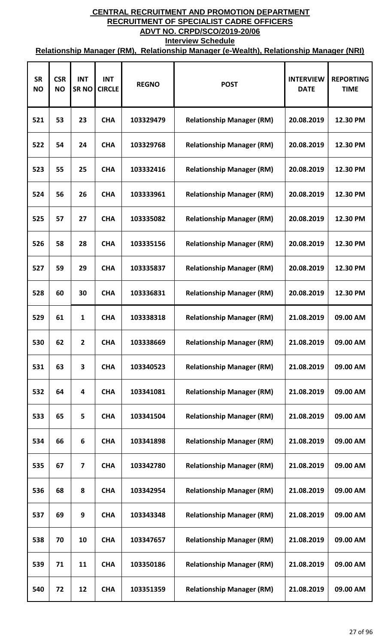| <b>SR</b><br><b>NO</b> | <b>CSR</b><br><b>NO</b> | <b>INT</b><br><b>SRNO</b> | <b>INT</b><br><b>CIRCLE</b> | <b>REGNO</b> | <b>POST</b>                      | <b>INTERVIEW</b><br><b>DATE</b> | <b>REPORTING</b><br><b>TIME</b> |
|------------------------|-------------------------|---------------------------|-----------------------------|--------------|----------------------------------|---------------------------------|---------------------------------|
| 521                    | 53                      | 23                        | <b>CHA</b>                  | 103329479    | <b>Relationship Manager (RM)</b> | 20.08.2019                      | 12.30 PM                        |
| 522                    | 54                      | 24                        | <b>CHA</b>                  | 103329768    | <b>Relationship Manager (RM)</b> | 20.08.2019                      | 12.30 PM                        |
| 523                    | 55                      | 25                        | <b>CHA</b>                  | 103332416    | <b>Relationship Manager (RM)</b> | 20.08.2019                      | 12.30 PM                        |
| 524                    | 56                      | 26                        | <b>CHA</b>                  | 103333961    | <b>Relationship Manager (RM)</b> | 20.08.2019                      | 12.30 PM                        |
| 525                    | 57                      | 27                        | <b>CHA</b>                  | 103335082    | <b>Relationship Manager (RM)</b> | 20.08.2019                      | 12.30 PM                        |
| 526                    | 58                      | 28                        | <b>CHA</b>                  | 103335156    | <b>Relationship Manager (RM)</b> | 20.08.2019                      | 12.30 PM                        |
| 527                    | 59                      | 29                        | <b>CHA</b>                  | 103335837    | <b>Relationship Manager (RM)</b> | 20.08.2019                      | 12.30 PM                        |
| 528                    | 60                      | 30                        | <b>CHA</b>                  | 103336831    | <b>Relationship Manager (RM)</b> | 20.08.2019                      | 12.30 PM                        |
| 529                    | 61                      | $\mathbf{1}$              | <b>CHA</b>                  | 103338318    | <b>Relationship Manager (RM)</b> | 21.08.2019                      | 09.00 AM                        |
| 530                    | 62                      | 2                         | <b>CHA</b>                  | 103338669    | <b>Relationship Manager (RM)</b> | 21.08.2019                      | 09.00 AM                        |
| 531                    | 63                      | 3                         | <b>CHA</b>                  | 103340523    | <b>Relationship Manager (RM)</b> | 21.08.2019                      | 09.00 AM                        |
| 532                    | 64                      | 4                         | <b>CHA</b>                  | 103341081    | <b>Relationship Manager (RM)</b> | 21.08.2019                      | 09.00 AM                        |
| 533                    | 65                      | 5                         | <b>CHA</b>                  | 103341504    | <b>Relationship Manager (RM)</b> | 21.08.2019                      | 09.00 AM                        |
| 534                    | 66                      | 6                         | <b>CHA</b>                  | 103341898    | <b>Relationship Manager (RM)</b> | 21.08.2019                      | 09.00 AM                        |
| 535                    | 67                      | $\overline{\mathbf{z}}$   | <b>CHA</b>                  | 103342780    | <b>Relationship Manager (RM)</b> | 21.08.2019                      | 09.00 AM                        |
| 536                    | 68                      | 8                         | <b>CHA</b>                  | 103342954    | <b>Relationship Manager (RM)</b> | 21.08.2019                      | 09.00 AM                        |
| 537                    | 69                      | 9                         | <b>CHA</b>                  | 103343348    | <b>Relationship Manager (RM)</b> | 21.08.2019                      | 09.00 AM                        |
| 538                    | 70                      | 10                        | <b>CHA</b>                  | 103347657    | <b>Relationship Manager (RM)</b> | 21.08.2019                      | 09.00 AM                        |
| 539                    | 71                      | 11                        | <b>CHA</b>                  | 103350186    | <b>Relationship Manager (RM)</b> | 21.08.2019                      | 09.00 AM                        |
| 540                    | 72                      | 12                        | <b>CHA</b>                  | 103351359    | <b>Relationship Manager (RM)</b> | 21.08.2019                      | 09.00 AM                        |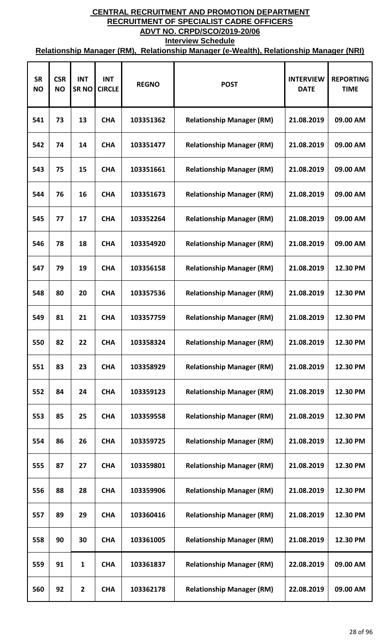| <b>SR</b><br><b>NO</b> | <b>CSR</b><br><b>NO</b> | <b>INT</b><br><b>SRNO</b> | <b>INT</b><br><b>CIRCLE</b> | <b>REGNO</b> | <b>POST</b>                      | <b>INTERVIEW</b><br><b>DATE</b> | <b>REPORTING</b><br><b>TIME</b> |
|------------------------|-------------------------|---------------------------|-----------------------------|--------------|----------------------------------|---------------------------------|---------------------------------|
| 541                    | 73                      | 13                        | <b>CHA</b>                  | 103351362    | <b>Relationship Manager (RM)</b> | 21.08.2019                      | 09.00 AM                        |
| 542                    | 74                      | 14                        | <b>CHA</b>                  | 103351477    | <b>Relationship Manager (RM)</b> | 21.08.2019                      | 09.00 AM                        |
| 543                    | 75                      | 15                        | <b>CHA</b>                  | 103351661    | <b>Relationship Manager (RM)</b> | 21.08.2019                      | 09.00 AM                        |
| 544                    | 76                      | 16                        | <b>CHA</b>                  | 103351673    | <b>Relationship Manager (RM)</b> | 21.08.2019                      | 09.00 AM                        |
| 545                    | 77                      | 17                        | <b>CHA</b>                  | 103352264    | <b>Relationship Manager (RM)</b> | 21.08.2019                      | 09.00 AM                        |
| 546                    | 78                      | 18                        | <b>CHA</b>                  | 103354920    | <b>Relationship Manager (RM)</b> | 21.08.2019                      | 09.00 AM                        |
| 547                    | 79                      | 19                        | <b>CHA</b>                  | 103356158    | <b>Relationship Manager (RM)</b> | 21.08.2019                      | 12.30 PM                        |
| 548                    | 80                      | 20                        | <b>CHA</b>                  | 103357536    | <b>Relationship Manager (RM)</b> | 21.08.2019                      | 12.30 PM                        |
| 549                    | 81                      | 21                        | <b>CHA</b>                  | 103357759    | <b>Relationship Manager (RM)</b> | 21.08.2019                      | 12.30 PM                        |
| 550                    | 82                      | 22                        | <b>CHA</b>                  | 103358324    | <b>Relationship Manager (RM)</b> | 21.08.2019                      | 12.30 PM                        |
| 551                    | 83                      | 23                        | <b>CHA</b>                  | 103358929    | <b>Relationship Manager (RM)</b> | 21.08.2019                      | 12.30 PM                        |
| 552                    | 84                      | 24                        | <b>CHA</b>                  | 103359123    | <b>Relationship Manager (RM)</b> | 21.08.2019                      | 12.30 PM                        |
| 553                    | 85                      | 25                        | <b>CHA</b>                  | 103359558    | <b>Relationship Manager (RM)</b> | 21.08.2019                      | 12.30 PM                        |
| 554                    | 86                      | 26                        | <b>CHA</b>                  | 103359725    | <b>Relationship Manager (RM)</b> | 21.08.2019                      | 12.30 PM                        |
| 555                    | 87                      | 27                        | <b>CHA</b>                  | 103359801    | <b>Relationship Manager (RM)</b> | 21.08.2019                      | 12.30 PM                        |
| 556                    | 88                      | 28                        | <b>CHA</b>                  | 103359906    | <b>Relationship Manager (RM)</b> | 21.08.2019                      | 12.30 PM                        |
| 557                    | 89                      | 29                        | <b>CHA</b>                  | 103360416    | <b>Relationship Manager (RM)</b> | 21.08.2019                      | 12.30 PM                        |
| 558                    | 90                      | 30                        | <b>CHA</b>                  | 103361005    | <b>Relationship Manager (RM)</b> | 21.08.2019                      | 12.30 PM                        |
| 559                    | 91                      | $\mathbf{1}$              | <b>CHA</b>                  | 103361837    | <b>Relationship Manager (RM)</b> | 22.08.2019                      | 09.00 AM                        |
| 560                    | 92                      | $\overline{2}$            | <b>CHA</b>                  | 103362178    | <b>Relationship Manager (RM)</b> | 22.08.2019                      | 09.00 AM                        |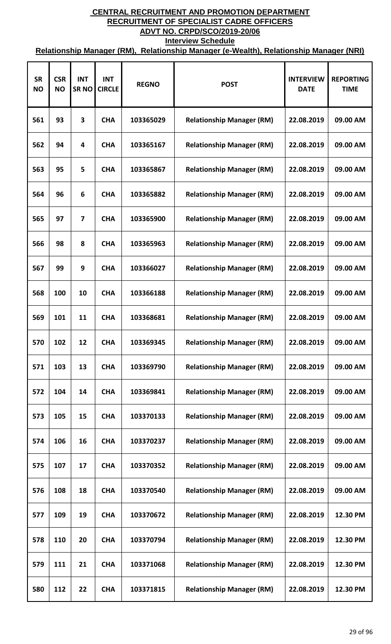| <b>SR</b><br><b>NO</b> | <b>CSR</b><br><b>NO</b> | <b>INT</b><br><b>SRNO</b> | <b>INT</b><br><b>CIRCLE</b> | <b>REGNO</b> | <b>POST</b>                      | <b>INTERVIEW</b><br><b>DATE</b> | <b>REPORTING</b><br><b>TIME</b> |
|------------------------|-------------------------|---------------------------|-----------------------------|--------------|----------------------------------|---------------------------------|---------------------------------|
| 561                    | 93                      | 3                         | <b>CHA</b>                  | 103365029    | <b>Relationship Manager (RM)</b> | 22.08.2019                      | 09.00 AM                        |
| 562                    | 94                      | 4                         | <b>CHA</b>                  | 103365167    | <b>Relationship Manager (RM)</b> | 22.08.2019                      | 09.00 AM                        |
| 563                    | 95                      | 5                         | <b>CHA</b>                  | 103365867    | <b>Relationship Manager (RM)</b> | 22.08.2019                      | 09.00 AM                        |
| 564                    | 96                      | 6                         | <b>CHA</b>                  | 103365882    | <b>Relationship Manager (RM)</b> | 22.08.2019                      | 09.00 AM                        |
| 565                    | 97                      | 7                         | <b>CHA</b>                  | 103365900    | <b>Relationship Manager (RM)</b> | 22.08.2019                      | 09.00 AM                        |
| 566                    | 98                      | 8                         | <b>CHA</b>                  | 103365963    | <b>Relationship Manager (RM)</b> | 22.08.2019                      | 09.00 AM                        |
| 567                    | 99                      | 9                         | <b>CHA</b>                  | 103366027    | <b>Relationship Manager (RM)</b> | 22.08.2019                      | 09.00 AM                        |
| 568                    | 100                     | 10                        | <b>CHA</b>                  | 103366188    | <b>Relationship Manager (RM)</b> | 22.08.2019                      | 09.00 AM                        |
| 569                    | 101                     | 11                        | <b>CHA</b>                  | 103368681    | <b>Relationship Manager (RM)</b> | 22.08.2019                      | 09.00 AM                        |
| 570                    | 102                     | 12                        | <b>CHA</b>                  | 103369345    | <b>Relationship Manager (RM)</b> | 22.08.2019                      | 09.00 AM                        |
| 571                    | 103                     | 13                        | <b>CHA</b>                  | 103369790    | <b>Relationship Manager (RM)</b> | 22.08.2019                      | 09.00 AM                        |
| 572                    | 104                     | 14                        | <b>CHA</b>                  | 103369841    | <b>Relationship Manager (RM)</b> | 22.08.2019                      | 09.00 AM                        |
| 573                    | 105                     | 15                        | <b>CHA</b>                  | 103370133    | <b>Relationship Manager (RM)</b> | 22.08.2019                      | 09.00 AM                        |
| 574                    | 106                     | 16                        | <b>CHA</b>                  | 103370237    | <b>Relationship Manager (RM)</b> | 22.08.2019                      | 09.00 AM                        |
| 575                    | 107                     | 17                        | <b>CHA</b>                  | 103370352    | <b>Relationship Manager (RM)</b> | 22.08.2019                      | 09.00 AM                        |
| 576                    | 108                     | 18                        | <b>CHA</b>                  | 103370540    | <b>Relationship Manager (RM)</b> | 22.08.2019                      | 09.00 AM                        |
| 577                    | 109                     | 19                        | <b>CHA</b>                  | 103370672    | <b>Relationship Manager (RM)</b> | 22.08.2019                      | 12.30 PM                        |
| 578                    | 110                     | 20                        | <b>CHA</b>                  | 103370794    | <b>Relationship Manager (RM)</b> | 22.08.2019                      | 12.30 PM                        |
| 579                    | 111                     | 21                        | <b>CHA</b>                  | 103371068    | <b>Relationship Manager (RM)</b> | 22.08.2019                      | 12.30 PM                        |
| 580                    | 112                     | 22                        | <b>CHA</b>                  | 103371815    | <b>Relationship Manager (RM)</b> | 22.08.2019                      | 12.30 PM                        |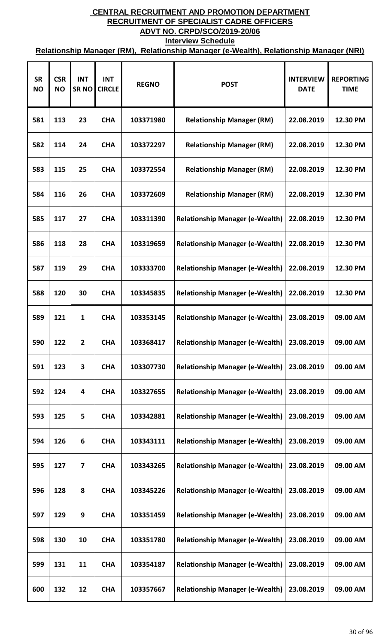| <b>SR</b><br><b>NO</b> | <b>CSR</b><br><b>NO</b> | <b>INT</b><br><b>SRNO</b> | <b>INT</b><br><b>CIRCLE</b> | <b>REGNO</b> | <b>POST</b>                            | <b>INTERVIEW</b><br><b>DATE</b> | <b>REPORTING</b><br><b>TIME</b> |
|------------------------|-------------------------|---------------------------|-----------------------------|--------------|----------------------------------------|---------------------------------|---------------------------------|
| 581                    | 113                     | 23                        | <b>CHA</b>                  | 103371980    | <b>Relationship Manager (RM)</b>       | 22.08.2019                      | 12.30 PM                        |
| 582                    | 114                     | 24                        | <b>CHA</b>                  | 103372297    | <b>Relationship Manager (RM)</b>       | 22.08.2019                      | 12.30 PM                        |
| 583                    | 115                     | 25                        | <b>CHA</b>                  | 103372554    | <b>Relationship Manager (RM)</b>       | 22.08.2019                      | 12.30 PM                        |
| 584                    | 116                     | 26                        | <b>CHA</b>                  | 103372609    | <b>Relationship Manager (RM)</b>       | 22.08.2019                      | 12.30 PM                        |
| 585                    | 117                     | 27                        | <b>CHA</b>                  | 103311390    | <b>Relationship Manager (e-Wealth)</b> | 22.08.2019                      | 12.30 PM                        |
| 586                    | 118                     | 28                        | <b>CHA</b>                  | 103319659    | <b>Relationship Manager (e-Wealth)</b> | 22.08.2019                      | 12.30 PM                        |
| 587                    | 119                     | 29                        | <b>CHA</b>                  | 103333700    | <b>Relationship Manager (e-Wealth)</b> | 22.08.2019                      | 12.30 PM                        |
| 588                    | 120                     | 30                        | <b>CHA</b>                  | 103345835    | <b>Relationship Manager (e-Wealth)</b> | 22.08.2019                      | 12.30 PM                        |
| 589                    | 121                     | 1                         | <b>CHA</b>                  | 103353145    | <b>Relationship Manager (e-Wealth)</b> | 23.08.2019                      | 09.00 AM                        |
| 590                    | 122                     | 2                         | <b>CHA</b>                  | 103368417    | <b>Relationship Manager (e-Wealth)</b> | 23.08.2019                      | 09.00 AM                        |
| 591                    | 123                     | 3                         | <b>CHA</b>                  | 103307730    | <b>Relationship Manager (e-Wealth)</b> | 23.08.2019                      | 09.00 AM                        |
| 592                    | 124                     | 4                         | <b>CHA</b>                  | 103327655    | <b>Relationship Manager (e-Wealth)</b> | 23.08.2019                      | 09.00 AM                        |
| 593                    | 125                     | 5                         | <b>CHA</b>                  | 103342881    | <b>Relationship Manager (e-Wealth)</b> | 23.08.2019                      | 09.00 AM                        |
| 594                    | 126                     | 6                         | <b>CHA</b>                  | 103343111    | <b>Relationship Manager (e-Wealth)</b> | 23.08.2019                      | 09.00 AM                        |
| 595                    | 127                     | $\overline{7}$            | <b>CHA</b>                  | 103343265    | <b>Relationship Manager (e-Wealth)</b> | 23.08.2019                      | 09.00 AM                        |
| 596                    | 128                     | 8                         | <b>CHA</b>                  | 103345226    | <b>Relationship Manager (e-Wealth)</b> | 23.08.2019                      | 09.00 AM                        |
| 597                    | 129                     | 9                         | <b>CHA</b>                  | 103351459    | <b>Relationship Manager (e-Wealth)</b> | 23.08.2019                      | 09.00 AM                        |
| 598                    | 130                     | 10                        | <b>CHA</b>                  | 103351780    | <b>Relationship Manager (e-Wealth)</b> | 23.08.2019                      | 09.00 AM                        |
| 599                    | 131                     | 11                        | <b>CHA</b>                  | 103354187    | <b>Relationship Manager (e-Wealth)</b> | 23.08.2019                      | 09.00 AM                        |
| 600                    | 132                     | 12                        | <b>CHA</b>                  | 103357667    | <b>Relationship Manager (e-Wealth)</b> | 23.08.2019                      | 09.00 AM                        |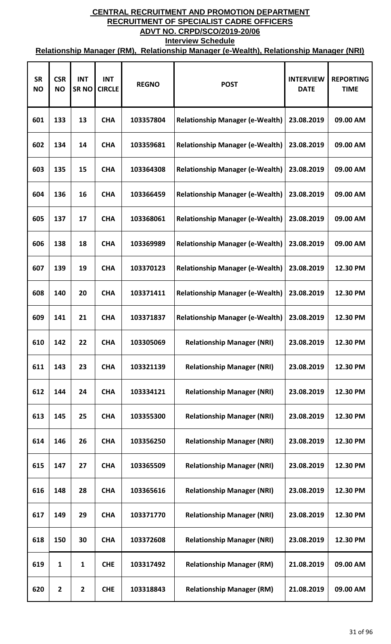| <b>SR</b><br><b>NO</b> | <b>CSR</b><br><b>NO</b> | <b>INT</b><br><b>SRNO</b> | <b>INT</b><br><b>CIRCLE</b> | <b>REGNO</b> | <b>POST</b>                            | <b>INTERVIEW</b><br><b>DATE</b> | <b>REPORTING</b><br><b>TIME</b> |
|------------------------|-------------------------|---------------------------|-----------------------------|--------------|----------------------------------------|---------------------------------|---------------------------------|
| 601                    | 133                     | 13                        | <b>CHA</b>                  | 103357804    | <b>Relationship Manager (e-Wealth)</b> | 23.08.2019                      | 09.00 AM                        |
| 602                    | 134                     | 14                        | <b>CHA</b>                  | 103359681    | <b>Relationship Manager (e-Wealth)</b> | 23.08.2019                      | 09.00 AM                        |
| 603                    | 135                     | 15                        | <b>CHA</b>                  | 103364308    | <b>Relationship Manager (e-Wealth)</b> | 23.08.2019                      | 09.00 AM                        |
| 604                    | 136                     | 16                        | <b>CHA</b>                  | 103366459    | <b>Relationship Manager (e-Wealth)</b> | 23.08.2019                      | 09.00 AM                        |
| 605                    | 137                     | 17                        | <b>CHA</b>                  | 103368061    | <b>Relationship Manager (e-Wealth)</b> | 23.08.2019                      | 09.00 AM                        |
| 606                    | 138                     | 18                        | <b>CHA</b>                  | 103369989    | <b>Relationship Manager (e-Wealth)</b> | 23.08.2019                      | 09.00 AM                        |
| 607                    | 139                     | 19                        | <b>CHA</b>                  | 103370123    | <b>Relationship Manager (e-Wealth)</b> | 23.08.2019                      | 12.30 PM                        |
| 608                    | 140                     | 20                        | <b>CHA</b>                  | 103371411    | <b>Relationship Manager (e-Wealth)</b> | 23.08.2019                      | 12.30 PM                        |
| 609                    | 141                     | 21                        | <b>CHA</b>                  | 103371837    | <b>Relationship Manager (e-Wealth)</b> | 23.08.2019                      | 12.30 PM                        |
| 610                    | 142                     | 22                        | <b>CHA</b>                  | 103305069    | <b>Relationship Manager (NRI)</b>      | 23.08.2019                      | 12.30 PM                        |
| 611                    | 143                     | 23                        | <b>CHA</b>                  | 103321139    | <b>Relationship Manager (NRI)</b>      | 23.08.2019                      | 12.30 PM                        |
| 612                    | 144                     | 24                        | <b>CHA</b>                  | 103334121    | <b>Relationship Manager (NRI)</b>      | 23.08.2019                      | 12.30 PM                        |
| 613                    | 145                     | 25                        | <b>CHA</b>                  | 103355300    | <b>Relationship Manager (NRI)</b>      | 23.08.2019                      | 12.30 PM                        |
| 614                    | 146                     | 26                        | <b>CHA</b>                  | 103356250    | <b>Relationship Manager (NRI)</b>      | 23.08.2019                      | 12.30 PM                        |
| 615                    | 147                     | 27                        | <b>CHA</b>                  | 103365509    | <b>Relationship Manager (NRI)</b>      | 23.08.2019                      | 12.30 PM                        |
| 616                    | 148                     | 28                        | <b>CHA</b>                  | 103365616    | <b>Relationship Manager (NRI)</b>      | 23.08.2019                      | 12.30 PM                        |
| 617                    | 149                     | 29                        | <b>CHA</b>                  | 103371770    | <b>Relationship Manager (NRI)</b>      | 23.08.2019                      | 12.30 PM                        |
| 618                    | 150                     | 30                        | <b>CHA</b>                  | 103372608    | <b>Relationship Manager (NRI)</b>      | 23.08.2019                      | 12.30 PM                        |
| 619                    | 1                       | 1                         | <b>CHE</b>                  | 103317492    | <b>Relationship Manager (RM)</b>       | 21.08.2019                      | 09.00 AM                        |
| 620                    | $\overline{2}$          | $\mathbf{2}$              | <b>CHE</b>                  | 103318843    | <b>Relationship Manager (RM)</b>       | 21.08.2019                      | 09.00 AM                        |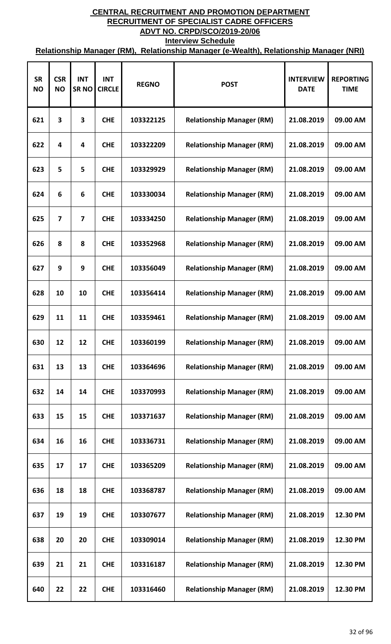| <b>SR</b><br><b>NO</b> | <b>CSR</b><br><b>NO</b> | <b>INT</b><br><b>SRNO</b> | <b>INT</b><br><b>CIRCLE</b> | <b>REGNO</b> | <b>POST</b>                      | <b>INTERVIEW</b><br><b>DATE</b> | <b>REPORTING</b><br><b>TIME</b> |
|------------------------|-------------------------|---------------------------|-----------------------------|--------------|----------------------------------|---------------------------------|---------------------------------|
| 621                    | 3                       | 3                         | <b>CHE</b>                  | 103322125    | <b>Relationship Manager (RM)</b> | 21.08.2019                      | 09.00 AM                        |
| 622                    | 4                       | 4                         | <b>CHE</b>                  | 103322209    | <b>Relationship Manager (RM)</b> | 21.08.2019                      | 09.00 AM                        |
| 623                    | 5                       | 5                         | <b>CHE</b>                  | 103329929    | <b>Relationship Manager (RM)</b> | 21.08.2019                      | 09.00 AM                        |
| 624                    | 6                       | 6                         | <b>CHE</b>                  | 103330034    | <b>Relationship Manager (RM)</b> | 21.08.2019                      | 09.00 AM                        |
| 625                    | $\overline{\mathbf{z}}$ | 7                         | <b>CHE</b>                  | 103334250    | <b>Relationship Manager (RM)</b> | 21.08.2019                      | 09.00 AM                        |
| 626                    | 8                       | 8                         | <b>CHE</b>                  | 103352968    | <b>Relationship Manager (RM)</b> | 21.08.2019                      | 09.00 AM                        |
| 627                    | 9                       | 9                         | <b>CHE</b>                  | 103356049    | <b>Relationship Manager (RM)</b> | 21.08.2019                      | 09.00 AM                        |
| 628                    | 10                      | 10                        | <b>CHE</b>                  | 103356414    | <b>Relationship Manager (RM)</b> | 21.08.2019                      | 09.00 AM                        |
| 629                    | 11                      | 11                        | <b>CHE</b>                  | 103359461    | <b>Relationship Manager (RM)</b> | 21.08.2019                      | 09.00 AM                        |
| 630                    | 12                      | 12                        | <b>CHE</b>                  | 103360199    | <b>Relationship Manager (RM)</b> | 21.08.2019                      | 09.00 AM                        |
| 631                    | 13                      | 13                        | <b>CHE</b>                  | 103364696    | <b>Relationship Manager (RM)</b> | 21.08.2019                      | 09.00 AM                        |
| 632                    | 14                      | 14                        | <b>CHE</b>                  | 103370993    | <b>Relationship Manager (RM)</b> | 21.08.2019                      | 09.00 AM                        |
| 633                    | 15                      | 15                        | <b>CHE</b>                  | 103371637    | <b>Relationship Manager (RM)</b> | 21.08.2019                      | 09.00 AM                        |
| 634                    | 16                      | 16                        | <b>CHE</b>                  | 103336731    | <b>Relationship Manager (RM)</b> | 21.08.2019                      | 09.00 AM                        |
| 635                    | 17                      | 17                        | <b>CHE</b>                  | 103365209    | <b>Relationship Manager (RM)</b> | 21.08.2019                      | 09.00 AM                        |
| 636                    | 18                      | 18                        | <b>CHE</b>                  | 103368787    | <b>Relationship Manager (RM)</b> | 21.08.2019                      | 09.00 AM                        |
| 637                    | 19                      | 19                        | <b>CHE</b>                  | 103307677    | <b>Relationship Manager (RM)</b> | 21.08.2019                      | 12.30 PM                        |
| 638                    | 20                      | 20                        | <b>CHE</b>                  | 103309014    | <b>Relationship Manager (RM)</b> | 21.08.2019                      | 12.30 PM                        |
| 639                    | 21                      | 21                        | <b>CHE</b>                  | 103316187    | <b>Relationship Manager (RM)</b> | 21.08.2019                      | 12.30 PM                        |
| 640                    | 22                      | 22                        | <b>CHE</b>                  | 103316460    | <b>Relationship Manager (RM)</b> | 21.08.2019                      | 12.30 PM                        |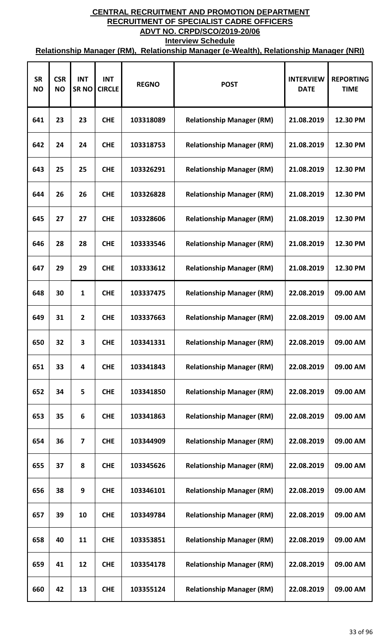| <b>SR</b><br><b>NO</b> | <b>CSR</b><br><b>NO</b> | <b>INT</b><br><b>SRNO</b> | <b>INT</b><br><b>CIRCLE</b> | <b>REGNO</b> | <b>POST</b>                      | <b>INTERVIEW</b><br><b>DATE</b> | <b>REPORTING</b><br><b>TIME</b> |
|------------------------|-------------------------|---------------------------|-----------------------------|--------------|----------------------------------|---------------------------------|---------------------------------|
| 641                    | 23                      | 23                        | <b>CHE</b>                  | 103318089    | <b>Relationship Manager (RM)</b> | 21.08.2019                      | 12.30 PM                        |
| 642                    | 24                      | 24                        | <b>CHE</b>                  | 103318753    | <b>Relationship Manager (RM)</b> | 21.08.2019                      | 12.30 PM                        |
| 643                    | 25                      | 25                        | <b>CHE</b>                  | 103326291    | <b>Relationship Manager (RM)</b> | 21.08.2019                      | 12.30 PM                        |
| 644                    | 26                      | 26                        | <b>CHE</b>                  | 103326828    | <b>Relationship Manager (RM)</b> | 21.08.2019                      | 12.30 PM                        |
| 645                    | 27                      | 27                        | <b>CHE</b>                  | 103328606    | <b>Relationship Manager (RM)</b> | 21.08.2019                      | 12.30 PM                        |
| 646                    | 28                      | 28                        | <b>CHE</b>                  | 103333546    | <b>Relationship Manager (RM)</b> | 21.08.2019                      | 12.30 PM                        |
| 647                    | 29                      | 29                        | <b>CHE</b>                  | 103333612    | <b>Relationship Manager (RM)</b> | 21.08.2019                      | 12.30 PM                        |
| 648                    | 30                      | 1                         | <b>CHE</b>                  | 103337475    | <b>Relationship Manager (RM)</b> | 22.08.2019                      | 09.00 AM                        |
| 649                    | 31                      | $\overline{2}$            | <b>CHE</b>                  | 103337663    | <b>Relationship Manager (RM)</b> | 22.08.2019                      | 09.00 AM                        |
| 650                    | 32                      | 3                         | <b>CHE</b>                  | 103341331    | <b>Relationship Manager (RM)</b> | 22.08.2019                      | 09.00 AM                        |
| 651                    | 33                      | 4                         | <b>CHE</b>                  | 103341843    | <b>Relationship Manager (RM)</b> | 22.08.2019                      | 09.00 AM                        |
| 652                    | 34                      | 5                         | <b>CHE</b>                  | 103341850    | <b>Relationship Manager (RM)</b> | 22.08.2019                      | 09.00 AM                        |
| 653                    | 35                      | 6                         | <b>CHE</b>                  | 103341863    | <b>Relationship Manager (RM)</b> | 22.08.2019                      | 09.00 AM                        |
| 654                    | 36                      | $\overline{7}$            | <b>CHE</b>                  | 103344909    | <b>Relationship Manager (RM)</b> | 22.08.2019                      | 09.00 AM                        |
| 655                    | 37                      | 8                         | <b>CHE</b>                  | 103345626    | <b>Relationship Manager (RM)</b> | 22.08.2019                      | 09.00 AM                        |
| 656                    | 38                      | 9                         | <b>CHE</b>                  | 103346101    | <b>Relationship Manager (RM)</b> | 22.08.2019                      | 09.00 AM                        |
| 657                    | 39                      | 10                        | <b>CHE</b>                  | 103349784    | <b>Relationship Manager (RM)</b> | 22.08.2019                      | 09.00 AM                        |
| 658                    | 40                      | 11                        | <b>CHE</b>                  | 103353851    | <b>Relationship Manager (RM)</b> | 22.08.2019                      | 09.00 AM                        |
| 659                    | 41                      | 12                        | <b>CHE</b>                  | 103354178    | <b>Relationship Manager (RM)</b> | 22.08.2019                      | 09.00 AM                        |
| 660                    | 42                      | 13                        | <b>CHE</b>                  | 103355124    | <b>Relationship Manager (RM)</b> | 22.08.2019                      | 09.00 AM                        |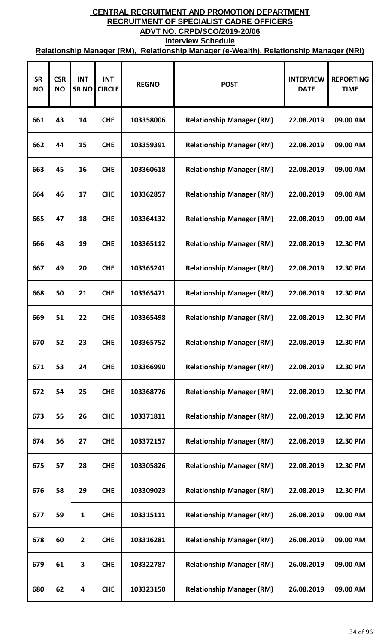| <b>SR</b><br><b>NO</b> | <b>CSR</b><br><b>NO</b> | <b>INT</b><br><b>SRNO</b> | <b>INT</b><br><b>CIRCLE</b> | <b>REGNO</b> | <b>POST</b>                      | <b>INTERVIEW</b><br><b>DATE</b> | <b>REPORTING</b><br><b>TIME</b> |
|------------------------|-------------------------|---------------------------|-----------------------------|--------------|----------------------------------|---------------------------------|---------------------------------|
| 661                    | 43                      | 14                        | <b>CHE</b>                  | 103358006    | <b>Relationship Manager (RM)</b> | 22.08.2019                      | 09.00 AM                        |
| 662                    | 44                      | 15                        | <b>CHE</b>                  | 103359391    | <b>Relationship Manager (RM)</b> | 22.08.2019                      | 09.00 AM                        |
| 663                    | 45                      | 16                        | <b>CHE</b>                  | 103360618    | <b>Relationship Manager (RM)</b> | 22.08.2019                      | 09.00 AM                        |
| 664                    | 46                      | 17                        | <b>CHE</b>                  | 103362857    | <b>Relationship Manager (RM)</b> | 22.08.2019                      | 09.00 AM                        |
| 665                    | 47                      | 18                        | <b>CHE</b>                  | 103364132    | <b>Relationship Manager (RM)</b> | 22.08.2019                      | 09.00 AM                        |
| 666                    | 48                      | 19                        | <b>CHE</b>                  | 103365112    | <b>Relationship Manager (RM)</b> | 22.08.2019                      | 12.30 PM                        |
| 667                    | 49                      | 20                        | <b>CHE</b>                  | 103365241    | <b>Relationship Manager (RM)</b> | 22.08.2019                      | 12.30 PM                        |
| 668                    | 50                      | 21                        | <b>CHE</b>                  | 103365471    | <b>Relationship Manager (RM)</b> | 22.08.2019                      | 12.30 PM                        |
| 669                    | 51                      | 22                        | <b>CHE</b>                  | 103365498    | <b>Relationship Manager (RM)</b> | 22.08.2019                      | 12.30 PM                        |
| 670                    | 52                      | 23                        | <b>CHE</b>                  | 103365752    | <b>Relationship Manager (RM)</b> | 22.08.2019                      | 12.30 PM                        |
| 671                    | 53                      | 24                        | <b>CHE</b>                  | 103366990    | <b>Relationship Manager (RM)</b> | 22.08.2019                      | 12.30 PM                        |
| 672                    | 54                      | 25                        | <b>CHE</b>                  | 103368776    | <b>Relationship Manager (RM)</b> | 22.08.2019                      | 12.30 PM                        |
| 673                    | 55                      | 26                        | <b>CHE</b>                  | 103371811    | <b>Relationship Manager (RM)</b> | 22.08.2019                      | 12.30 PM                        |
| 674                    | 56                      | 27                        | <b>CHE</b>                  | 103372157    | <b>Relationship Manager (RM)</b> | 22.08.2019                      | 12.30 PM                        |
| 675                    | 57                      | 28                        | <b>CHE</b>                  | 103305826    | <b>Relationship Manager (RM)</b> | 22.08.2019                      | 12.30 PM                        |
| 676                    | 58                      | 29                        | <b>CHE</b>                  | 103309023    | <b>Relationship Manager (RM)</b> | 22.08.2019                      | 12.30 PM                        |
| 677                    | 59                      | 1                         | <b>CHE</b>                  | 103315111    | <b>Relationship Manager (RM)</b> | 26.08.2019                      | 09.00 AM                        |
| 678                    | 60                      | $\overline{2}$            | <b>CHE</b>                  | 103316281    | <b>Relationship Manager (RM)</b> | 26.08.2019                      | 09.00 AM                        |
| 679                    | 61                      | 3                         | <b>CHE</b>                  | 103322787    | <b>Relationship Manager (RM)</b> | 26.08.2019                      | 09.00 AM                        |
| 680                    | 62                      | 4                         | <b>CHE</b>                  | 103323150    | <b>Relationship Manager (RM)</b> | 26.08.2019                      | 09.00 AM                        |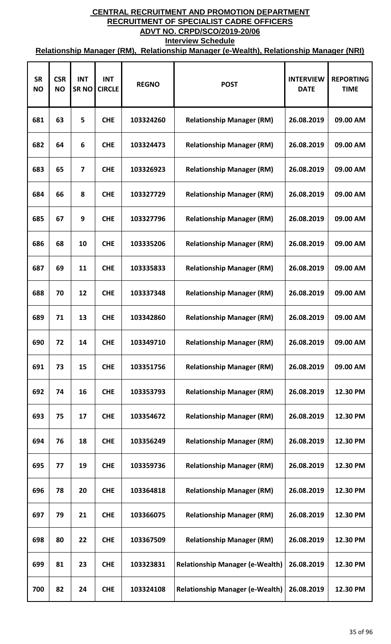| <b>SR</b><br><b>NO</b> | <b>CSR</b><br><b>NO</b> | <b>INT</b><br><b>SRNO</b> | <b>INT</b><br><b>CIRCLE</b> | <b>REGNO</b> | <b>POST</b>                            | <b>INTERVIEW</b><br><b>DATE</b> | <b>REPORTING</b><br><b>TIME</b> |
|------------------------|-------------------------|---------------------------|-----------------------------|--------------|----------------------------------------|---------------------------------|---------------------------------|
| 681                    | 63                      | 5                         | <b>CHE</b>                  | 103324260    | <b>Relationship Manager (RM)</b>       | 26.08.2019                      | 09.00 AM                        |
| 682                    | 64                      | 6                         | <b>CHE</b>                  | 103324473    | <b>Relationship Manager (RM)</b>       | 26.08.2019                      | 09.00 AM                        |
| 683                    | 65                      | 7                         | <b>CHE</b>                  | 103326923    | <b>Relationship Manager (RM)</b>       | 26.08.2019                      | 09.00 AM                        |
| 684                    | 66                      | 8                         | <b>CHE</b>                  | 103327729    | <b>Relationship Manager (RM)</b>       | 26.08.2019                      | 09.00 AM                        |
| 685                    | 67                      | 9                         | <b>CHE</b>                  | 103327796    | <b>Relationship Manager (RM)</b>       | 26.08.2019                      | 09.00 AM                        |
| 686                    | 68                      | 10                        | <b>CHE</b>                  | 103335206    | <b>Relationship Manager (RM)</b>       | 26.08.2019                      | 09.00 AM                        |
| 687                    | 69                      | 11                        | <b>CHE</b>                  | 103335833    | <b>Relationship Manager (RM)</b>       | 26.08.2019                      | 09.00 AM                        |
| 688                    | 70                      | 12                        | <b>CHE</b>                  | 103337348    | <b>Relationship Manager (RM)</b>       | 26.08.2019                      | 09.00 AM                        |
| 689                    | 71                      | 13                        | <b>CHE</b>                  | 103342860    | <b>Relationship Manager (RM)</b>       | 26.08.2019                      | 09.00 AM                        |
| 690                    | 72                      | 14                        | <b>CHE</b>                  | 103349710    | <b>Relationship Manager (RM)</b>       | 26.08.2019                      | 09.00 AM                        |
| 691                    | 73                      | 15                        | <b>CHE</b>                  | 103351756    | <b>Relationship Manager (RM)</b>       | 26.08.2019                      | 09.00 AM                        |
| 692                    | 74                      | 16                        | <b>CHE</b>                  | 103353793    | <b>Relationship Manager (RM)</b>       | 26.08.2019                      | 12.30 PM                        |
| 693                    | 75                      | 17                        | <b>CHE</b>                  | 103354672    | <b>Relationship Manager (RM)</b>       | 26.08.2019                      | 12.30 PM                        |
| 694                    | 76                      | 18                        | <b>CHE</b>                  | 103356249    | <b>Relationship Manager (RM)</b>       | 26.08.2019                      | 12.30 PM                        |
| 695                    | 77                      | 19                        | <b>CHE</b>                  | 103359736    | <b>Relationship Manager (RM)</b>       | 26.08.2019                      | 12.30 PM                        |
| 696                    | 78                      | 20                        | <b>CHE</b>                  | 103364818    | <b>Relationship Manager (RM)</b>       | 26.08.2019                      | 12.30 PM                        |
| 697                    | 79                      | 21                        | <b>CHE</b>                  | 103366075    | <b>Relationship Manager (RM)</b>       | 26.08.2019                      | 12.30 PM                        |
| 698                    | 80                      | 22                        | <b>CHE</b>                  | 103367509    | <b>Relationship Manager (RM)</b>       | 26.08.2019                      | 12.30 PM                        |
| 699                    | 81                      | 23                        | <b>CHE</b>                  | 103323831    | <b>Relationship Manager (e-Wealth)</b> | 26.08.2019                      | 12.30 PM                        |
| 700                    | 82                      | 24                        | <b>CHE</b>                  | 103324108    | <b>Relationship Manager (e-Wealth)</b> | 26.08.2019                      | 12.30 PM                        |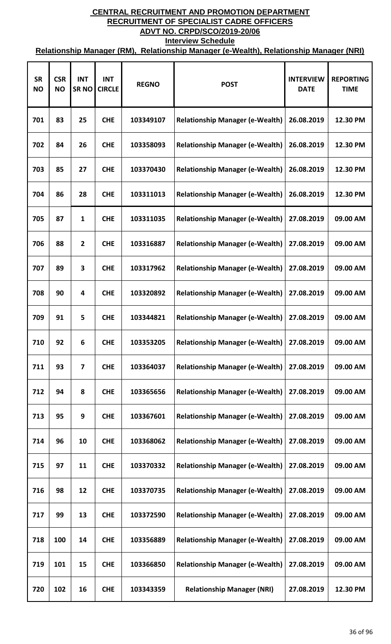| <b>SR</b><br><b>NO</b> | <b>CSR</b><br><b>NO</b> | <b>INT</b><br><b>SRNO</b> | <b>INT</b><br><b>CIRCLE</b> | <b>REGNO</b> | <b>POST</b>                            | <b>INTERVIEW</b><br><b>DATE</b> | <b>REPORTING</b><br><b>TIME</b> |
|------------------------|-------------------------|---------------------------|-----------------------------|--------------|----------------------------------------|---------------------------------|---------------------------------|
| 701                    | 83                      | 25                        | <b>CHE</b>                  | 103349107    | <b>Relationship Manager (e-Wealth)</b> | 26.08.2019                      | 12.30 PM                        |
| 702                    | 84                      | 26                        | <b>CHE</b>                  | 103358093    | <b>Relationship Manager (e-Wealth)</b> | 26.08.2019                      | 12.30 PM                        |
| 703                    | 85                      | 27                        | <b>CHE</b>                  | 103370430    | <b>Relationship Manager (e-Wealth)</b> | 26.08.2019                      | 12.30 PM                        |
| 704                    | 86                      | 28                        | <b>CHE</b>                  | 103311013    | <b>Relationship Manager (e-Wealth)</b> | 26.08.2019                      | 12.30 PM                        |
| 705                    | 87                      | 1                         | <b>CHE</b>                  | 103311035    | <b>Relationship Manager (e-Wealth)</b> | 27.08.2019                      | 09.00 AM                        |
| 706                    | 88                      | $\mathbf{2}$              | <b>CHE</b>                  | 103316887    | <b>Relationship Manager (e-Wealth)</b> | 27.08.2019                      | 09.00 AM                        |
| 707                    | 89                      | 3                         | <b>CHE</b>                  | 103317962    | <b>Relationship Manager (e-Wealth)</b> | 27.08.2019                      | 09.00 AM                        |
| 708                    | 90                      | 4                         | <b>CHE</b>                  | 103320892    | <b>Relationship Manager (e-Wealth)</b> | 27.08.2019                      | 09.00 AM                        |
| 709                    | 91                      | 5                         | <b>CHE</b>                  | 103344821    | <b>Relationship Manager (e-Wealth)</b> | 27.08.2019                      | 09.00 AM                        |
| 710                    | 92                      | 6                         | <b>CHE</b>                  | 103353205    | <b>Relationship Manager (e-Wealth)</b> | 27.08.2019                      | 09.00 AM                        |
| 711                    | 93                      | 7                         | <b>CHE</b>                  | 103364037    | <b>Relationship Manager (e-Wealth)</b> | 27.08.2019                      | 09.00 AM                        |
| 712                    | 94                      | 8                         | <b>CHE</b>                  | 103365656    | <b>Relationship Manager (e-Wealth)</b> | 27.08.2019                      | 09.00 AM                        |
| 713                    | 95                      | 9                         | <b>CHE</b>                  | 103367601    | <b>Relationship Manager (e-Wealth)</b> | 27.08.2019                      | 09.00 AM                        |
| 714                    | 96                      | 10                        | <b>CHE</b>                  | 103368062    | <b>Relationship Manager (e-Wealth)</b> | 27.08.2019                      | 09.00 AM                        |
| 715                    | 97                      | 11                        | <b>CHE</b>                  | 103370332    | <b>Relationship Manager (e-Wealth)</b> | 27.08.2019                      | 09.00 AM                        |
| 716                    | 98                      | 12                        | <b>CHE</b>                  | 103370735    | <b>Relationship Manager (e-Wealth)</b> | 27.08.2019                      | 09.00 AM                        |
| 717                    | 99                      | 13                        | <b>CHE</b>                  | 103372590    | <b>Relationship Manager (e-Wealth)</b> | 27.08.2019                      | 09.00 AM                        |
| 718                    | 100                     | 14                        | <b>CHE</b>                  | 103356889    | <b>Relationship Manager (e-Wealth)</b> | 27.08.2019                      | 09.00 AM                        |
| 719                    | 101                     | 15                        | <b>CHE</b>                  | 103366850    | <b>Relationship Manager (e-Wealth)</b> | 27.08.2019                      | 09.00 AM                        |
| 720                    | 102                     | 16                        | <b>CHE</b>                  | 103343359    | <b>Relationship Manager (NRI)</b>      | 27.08.2019                      | 12.30 PM                        |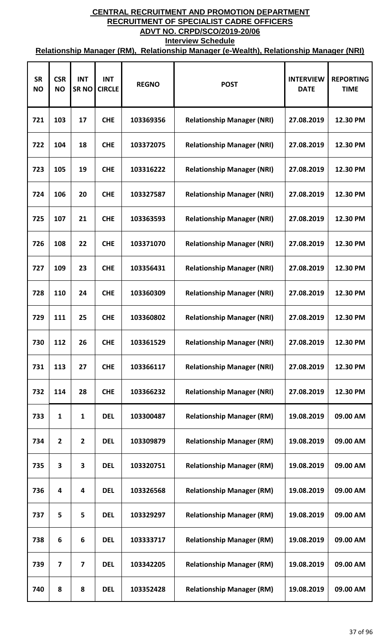| <b>SR</b><br><b>NO</b> | <b>CSR</b><br><b>NO</b> | <b>INT</b><br><b>SRNO</b> | <b>INT</b><br><b>CIRCLE</b> | <b>REGNO</b> | <b>POST</b>                       | <b>INTERVIEW</b><br><b>DATE</b> | <b>REPORTING</b><br><b>TIME</b> |
|------------------------|-------------------------|---------------------------|-----------------------------|--------------|-----------------------------------|---------------------------------|---------------------------------|
| 721                    | 103                     | 17                        | <b>CHE</b>                  | 103369356    | <b>Relationship Manager (NRI)</b> | 27.08.2019                      | 12.30 PM                        |
| 722                    | 104                     | 18                        | <b>CHE</b>                  | 103372075    | <b>Relationship Manager (NRI)</b> | 27.08.2019                      | 12.30 PM                        |
| 723                    | 105                     | 19                        | <b>CHE</b>                  | 103316222    | <b>Relationship Manager (NRI)</b> | 27.08.2019                      | 12.30 PM                        |
| 724                    | 106                     | 20                        | <b>CHE</b>                  | 103327587    | <b>Relationship Manager (NRI)</b> | 27.08.2019                      | 12.30 PM                        |
| 725                    | 107                     | 21                        | <b>CHE</b>                  | 103363593    | <b>Relationship Manager (NRI)</b> | 27.08.2019                      | 12.30 PM                        |
| 726                    | 108                     | 22                        | <b>CHE</b>                  | 103371070    | <b>Relationship Manager (NRI)</b> | 27.08.2019                      | 12.30 PM                        |
| 727                    | 109                     | 23                        | <b>CHE</b>                  | 103356431    | <b>Relationship Manager (NRI)</b> | 27.08.2019                      | 12.30 PM                        |
| 728                    | 110                     | 24                        | <b>CHE</b>                  | 103360309    | <b>Relationship Manager (NRI)</b> | 27.08.2019                      | 12.30 PM                        |
| 729                    | 111                     | 25                        | <b>CHE</b>                  | 103360802    | <b>Relationship Manager (NRI)</b> | 27.08.2019                      | 12.30 PM                        |
| 730                    | 112                     | 26                        | <b>CHE</b>                  | 103361529    | <b>Relationship Manager (NRI)</b> | 27.08.2019                      | 12.30 PM                        |
| 731                    | 113                     | 27                        | <b>CHE</b>                  | 103366117    | <b>Relationship Manager (NRI)</b> | 27.08.2019                      | 12.30 PM                        |
| 732                    | 114                     | 28                        | <b>CHE</b>                  | 103366232    | <b>Relationship Manager (NRI)</b> | 27.08.2019                      | 12.30 PM                        |
| 733                    | 1                       | $\mathbf{1}$              | <b>DEL</b>                  | 103300487    | <b>Relationship Manager (RM)</b>  | 19.08.2019                      | 09.00 AM                        |
| 734                    | $\overline{2}$          | $\mathbf{2}$              | <b>DEL</b>                  | 103309879    | <b>Relationship Manager (RM)</b>  | 19.08.2019                      | 09.00 AM                        |
| 735                    | 3                       | 3                         | <b>DEL</b>                  | 103320751    | <b>Relationship Manager (RM)</b>  | 19.08.2019                      | 09.00 AM                        |
| 736                    | $\overline{\mathbf{4}}$ | 4                         | <b>DEL</b>                  | 103326568    | <b>Relationship Manager (RM)</b>  | 19.08.2019                      | 09.00 AM                        |
| 737                    | 5                       | 5                         | <b>DEL</b>                  | 103329297    | <b>Relationship Manager (RM)</b>  | 19.08.2019                      | 09.00 AM                        |
| 738                    | 6                       | 6                         | <b>DEL</b>                  | 103333717    | <b>Relationship Manager (RM)</b>  | 19.08.2019                      | 09.00 AM                        |
| 739                    | $\overline{\mathbf{z}}$ | 7                         | <b>DEL</b>                  | 103342205    | <b>Relationship Manager (RM)</b>  | 19.08.2019                      | 09.00 AM                        |
| 740                    | 8                       | 8                         | <b>DEL</b>                  | 103352428    | <b>Relationship Manager (RM)</b>  | 19.08.2019                      | 09.00 AM                        |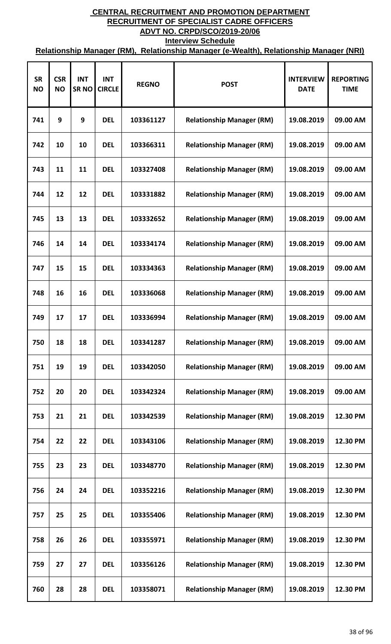| <b>SR</b><br><b>NO</b> | <b>CSR</b><br><b>NO</b> | <b>INT</b><br><b>SRNO</b> | <b>INT</b><br><b>CIRCLE</b> | <b>REGNO</b> | <b>POST</b>                      | <b>INTERVIEW</b><br><b>DATE</b> | <b>REPORTING</b><br><b>TIME</b> |
|------------------------|-------------------------|---------------------------|-----------------------------|--------------|----------------------------------|---------------------------------|---------------------------------|
| 741                    | 9                       | 9                         | <b>DEL</b>                  | 103361127    | <b>Relationship Manager (RM)</b> | 19.08.2019                      | 09.00 AM                        |
| 742                    | 10                      | 10                        | <b>DEL</b>                  | 103366311    | <b>Relationship Manager (RM)</b> | 19.08.2019                      | 09.00 AM                        |
| 743                    | 11                      | 11                        | <b>DEL</b>                  | 103327408    | <b>Relationship Manager (RM)</b> | 19.08.2019                      | 09.00 AM                        |
| 744                    | 12                      | 12                        | <b>DEL</b>                  | 103331882    | <b>Relationship Manager (RM)</b> | 19.08.2019                      | 09.00 AM                        |
| 745                    | 13                      | 13                        | <b>DEL</b>                  | 103332652    | <b>Relationship Manager (RM)</b> | 19.08.2019                      | 09.00 AM                        |
| 746                    | 14                      | 14                        | <b>DEL</b>                  | 103334174    | <b>Relationship Manager (RM)</b> | 19.08.2019                      | 09.00 AM                        |
| 747                    | 15                      | 15                        | <b>DEL</b>                  | 103334363    | <b>Relationship Manager (RM)</b> | 19.08.2019                      | 09.00 AM                        |
| 748                    | 16                      | 16                        | <b>DEL</b>                  | 103336068    | <b>Relationship Manager (RM)</b> | 19.08.2019                      | 09.00 AM                        |
| 749                    | 17                      | 17                        | <b>DEL</b>                  | 103336994    | <b>Relationship Manager (RM)</b> | 19.08.2019                      | 09.00 AM                        |
| 750                    | 18                      | 18                        | <b>DEL</b>                  | 103341287    | <b>Relationship Manager (RM)</b> | 19.08.2019                      | 09.00 AM                        |
| 751                    | 19                      | 19                        | <b>DEL</b>                  | 103342050    | <b>Relationship Manager (RM)</b> | 19.08.2019                      | 09.00 AM                        |
| 752                    | 20                      | 20                        | <b>DEL</b>                  | 103342324    | <b>Relationship Manager (RM)</b> | 19.08.2019                      | 09.00 AM                        |
| 753                    | 21                      | 21                        | <b>DEL</b>                  | 103342539    | <b>Relationship Manager (RM)</b> | 19.08.2019                      | 12.30 PM                        |
| 754                    | 22                      | 22                        | <b>DEL</b>                  | 103343106    | <b>Relationship Manager (RM)</b> | 19.08.2019                      | 12.30 PM                        |
| 755                    | 23                      | 23                        | <b>DEL</b>                  | 103348770    | <b>Relationship Manager (RM)</b> | 19.08.2019                      | 12.30 PM                        |
| 756                    | 24                      | 24                        | <b>DEL</b>                  | 103352216    | <b>Relationship Manager (RM)</b> | 19.08.2019                      | 12.30 PM                        |
| 757                    | 25                      | 25                        | <b>DEL</b>                  | 103355406    | <b>Relationship Manager (RM)</b> | 19.08.2019                      | 12.30 PM                        |
| 758                    | 26                      | 26                        | <b>DEL</b>                  | 103355971    | <b>Relationship Manager (RM)</b> | 19.08.2019                      | 12.30 PM                        |
| 759                    | 27                      | 27                        | <b>DEL</b>                  | 103356126    | <b>Relationship Manager (RM)</b> | 19.08.2019                      | 12.30 PM                        |
| 760                    | 28                      | 28                        | <b>DEL</b>                  | 103358071    | <b>Relationship Manager (RM)</b> | 19.08.2019                      | 12.30 PM                        |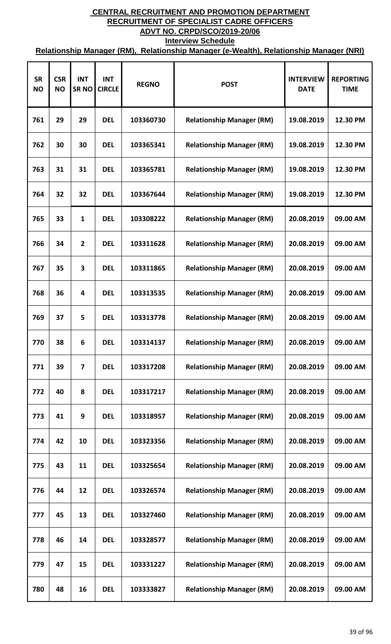| <b>SR</b><br><b>NO</b> | <b>CSR</b><br><b>NO</b> | <b>INT</b><br><b>SRNO</b> | <b>INT</b><br><b>CIRCLE</b> | <b>REGNO</b> | <b>POST</b>                      | <b>INTERVIEW</b><br><b>DATE</b> | <b>REPORTING</b><br><b>TIME</b> |
|------------------------|-------------------------|---------------------------|-----------------------------|--------------|----------------------------------|---------------------------------|---------------------------------|
| 761                    | 29                      | 29                        | <b>DEL</b>                  | 103360730    | <b>Relationship Manager (RM)</b> | 19.08.2019                      | 12.30 PM                        |
| 762                    | 30                      | 30                        | <b>DEL</b>                  | 103365341    | <b>Relationship Manager (RM)</b> | 19.08.2019                      | 12.30 PM                        |
| 763                    | 31                      | 31                        | <b>DEL</b>                  | 103365781    | <b>Relationship Manager (RM)</b> | 19.08.2019                      | 12.30 PM                        |
| 764                    | 32                      | 32                        | <b>DEL</b>                  | 103367644    | <b>Relationship Manager (RM)</b> | 19.08.2019                      | 12.30 PM                        |
| 765                    | 33                      | 1                         | <b>DEL</b>                  | 103308222    | <b>Relationship Manager (RM)</b> | 20.08.2019                      | 09.00 AM                        |
| 766                    | 34                      | $\overline{2}$            | <b>DEL</b>                  | 103311628    | <b>Relationship Manager (RM)</b> | 20.08.2019                      | 09.00 AM                        |
| 767                    | 35                      | 3                         | <b>DEL</b>                  | 103311865    | <b>Relationship Manager (RM)</b> | 20.08.2019                      | 09.00 AM                        |
| 768                    | 36                      | 4                         | <b>DEL</b>                  | 103313535    | <b>Relationship Manager (RM)</b> | 20.08.2019                      | 09.00 AM                        |
| 769                    | 37                      | 5                         | <b>DEL</b>                  | 103313778    | <b>Relationship Manager (RM)</b> | 20.08.2019                      | 09.00 AM                        |
| 770                    | 38                      | 6                         | <b>DEL</b>                  | 103314137    | <b>Relationship Manager (RM)</b> | 20.08.2019                      | 09.00 AM                        |
| 771                    | 39                      | $\overline{\mathbf{z}}$   | <b>DEL</b>                  | 103317208    | <b>Relationship Manager (RM)</b> | 20.08.2019                      | 09.00 AM                        |
| 772                    | 40                      | 8                         | <b>DEL</b>                  | 103317217    | <b>Relationship Manager (RM)</b> | 20.08.2019                      | 09.00 AM                        |
| 773                    | 41                      | 9                         | <b>DEL</b>                  | 103318957    | <b>Relationship Manager (RM)</b> | 20.08.2019                      | 09.00 AM                        |
| 774                    | 42                      | 10                        | <b>DEL</b>                  | 103323356    | <b>Relationship Manager (RM)</b> | 20.08.2019                      | 09.00 AM                        |
| 775                    | 43                      | 11                        | <b>DEL</b>                  | 103325654    | <b>Relationship Manager (RM)</b> | 20.08.2019                      | 09.00 AM                        |
| 776                    | 44                      | 12                        | <b>DEL</b>                  | 103326574    | <b>Relationship Manager (RM)</b> | 20.08.2019                      | 09.00 AM                        |
| 777                    | 45                      | 13                        | <b>DEL</b>                  | 103327460    | <b>Relationship Manager (RM)</b> | 20.08.2019                      | 09.00 AM                        |
| 778                    | 46                      | 14                        | <b>DEL</b>                  | 103328577    | <b>Relationship Manager (RM)</b> | 20.08.2019                      | 09.00 AM                        |
| 779                    | 47                      | 15                        | <b>DEL</b>                  | 103331227    | <b>Relationship Manager (RM)</b> | 20.08.2019                      | 09.00 AM                        |
| 780                    | 48                      | 16                        | <b>DEL</b>                  | 103333827    | <b>Relationship Manager (RM)</b> | 20.08.2019                      | 09.00 AM                        |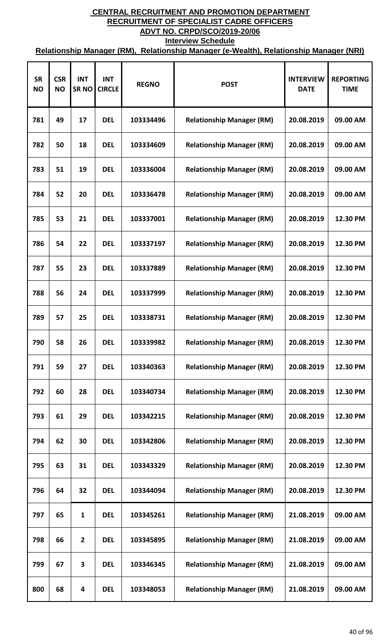| <b>SR</b><br><b>NO</b> | <b>CSR</b><br><b>NO</b> | <b>INT</b><br><b>SRNO</b> | <b>INT</b><br><b>CIRCLE</b> | <b>REGNO</b> | <b>POST</b>                      | <b>INTERVIEW</b><br><b>DATE</b> | <b>REPORTING</b><br><b>TIME</b> |
|------------------------|-------------------------|---------------------------|-----------------------------|--------------|----------------------------------|---------------------------------|---------------------------------|
| 781                    | 49                      | 17                        | <b>DEL</b>                  | 103334496    | <b>Relationship Manager (RM)</b> | 20.08.2019                      | 09.00 AM                        |
| 782                    | 50                      | 18                        | <b>DEL</b>                  | 103334609    | <b>Relationship Manager (RM)</b> | 20.08.2019                      | 09.00 AM                        |
| 783                    | 51                      | 19                        | <b>DEL</b>                  | 103336004    | <b>Relationship Manager (RM)</b> | 20.08.2019                      | 09.00 AM                        |
| 784                    | 52                      | 20                        | <b>DEL</b>                  | 103336478    | <b>Relationship Manager (RM)</b> | 20.08.2019                      | 09.00 AM                        |
| 785                    | 53                      | 21                        | <b>DEL</b>                  | 103337001    | <b>Relationship Manager (RM)</b> | 20.08.2019                      | 12.30 PM                        |
| 786                    | 54                      | 22                        | <b>DEL</b>                  | 103337197    | <b>Relationship Manager (RM)</b> | 20.08.2019                      | 12.30 PM                        |
| 787                    | 55                      | 23                        | <b>DEL</b>                  | 103337889    | <b>Relationship Manager (RM)</b> | 20.08.2019                      | 12.30 PM                        |
| 788                    | 56                      | 24                        | <b>DEL</b>                  | 103337999    | <b>Relationship Manager (RM)</b> | 20.08.2019                      | 12.30 PM                        |
| 789                    | 57                      | 25                        | <b>DEL</b>                  | 103338731    | <b>Relationship Manager (RM)</b> | 20.08.2019                      | 12.30 PM                        |
| 790                    | 58                      | 26                        | <b>DEL</b>                  | 103339982    | <b>Relationship Manager (RM)</b> | 20.08.2019                      | 12.30 PM                        |
| 791                    | 59                      | 27                        | <b>DEL</b>                  | 103340363    | <b>Relationship Manager (RM)</b> | 20.08.2019                      | 12.30 PM                        |
| 792                    | 60                      | 28                        | <b>DEL</b>                  | 103340734    | <b>Relationship Manager (RM)</b> | 20.08.2019                      | 12.30 PM                        |
| 793                    | 61                      | 29                        | <b>DEL</b>                  | 103342215    | <b>Relationship Manager (RM)</b> | 20.08.2019                      | 12.30 PM                        |
| 794                    | 62                      | 30                        | <b>DEL</b>                  | 103342806    | <b>Relationship Manager (RM)</b> | 20.08.2019                      | 12.30 PM                        |
| 795                    | 63                      | 31                        | <b>DEL</b>                  | 103343329    | <b>Relationship Manager (RM)</b> | 20.08.2019                      | 12.30 PM                        |
| 796                    | 64                      | 32                        | <b>DEL</b>                  | 103344094    | <b>Relationship Manager (RM)</b> | 20.08.2019                      | 12.30 PM                        |
| 797                    | 65                      | 1                         | <b>DEL</b>                  | 103345261    | <b>Relationship Manager (RM)</b> | 21.08.2019                      | 09.00 AM                        |
| 798                    | 66                      | $\overline{2}$            | <b>DEL</b>                  | 103345895    | <b>Relationship Manager (RM)</b> | 21.08.2019                      | 09.00 AM                        |
| 799                    | 67                      | 3                         | <b>DEL</b>                  | 103346345    | <b>Relationship Manager (RM)</b> | 21.08.2019                      | 09.00 AM                        |
| 800                    | 68                      | 4                         | <b>DEL</b>                  | 103348053    | <b>Relationship Manager (RM)</b> | 21.08.2019                      | 09.00 AM                        |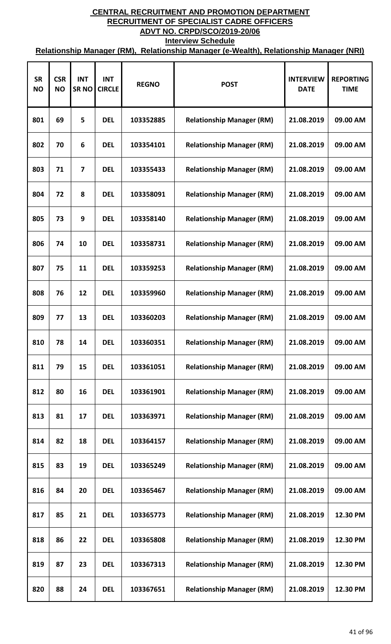| <b>SR</b><br><b>NO</b> | <b>CSR</b><br><b>NO</b> | <b>INT</b><br><b>SRNO</b> | <b>INT</b><br><b>CIRCLE</b> | <b>REGNO</b> | <b>POST</b>                      | <b>INTERVIEW</b><br><b>DATE</b> | <b>REPORTING</b><br><b>TIME</b> |
|------------------------|-------------------------|---------------------------|-----------------------------|--------------|----------------------------------|---------------------------------|---------------------------------|
| 801                    | 69                      | 5                         | <b>DEL</b>                  | 103352885    | <b>Relationship Manager (RM)</b> | 21.08.2019                      | 09.00 AM                        |
| 802                    | 70                      | 6                         | <b>DEL</b>                  | 103354101    | <b>Relationship Manager (RM)</b> | 21.08.2019                      | 09.00 AM                        |
| 803                    | 71                      | 7                         | <b>DEL</b>                  | 103355433    | <b>Relationship Manager (RM)</b> | 21.08.2019                      | 09.00 AM                        |
| 804                    | 72                      | 8                         | <b>DEL</b>                  | 103358091    | <b>Relationship Manager (RM)</b> | 21.08.2019                      | 09.00 AM                        |
| 805                    | 73                      | 9                         | <b>DEL</b>                  | 103358140    | <b>Relationship Manager (RM)</b> | 21.08.2019                      | 09.00 AM                        |
| 806                    | 74                      | 10                        | <b>DEL</b>                  | 103358731    | <b>Relationship Manager (RM)</b> | 21.08.2019                      | 09.00 AM                        |
| 807                    | 75                      | 11                        | <b>DEL</b>                  | 103359253    | <b>Relationship Manager (RM)</b> | 21.08.2019                      | 09.00 AM                        |
| 808                    | 76                      | 12                        | <b>DEL</b>                  | 103359960    | <b>Relationship Manager (RM)</b> | 21.08.2019                      | 09.00 AM                        |
| 809                    | 77                      | 13                        | <b>DEL</b>                  | 103360203    | <b>Relationship Manager (RM)</b> | 21.08.2019                      | 09.00 AM                        |
| 810                    | 78                      | 14                        | <b>DEL</b>                  | 103360351    | <b>Relationship Manager (RM)</b> | 21.08.2019                      | 09.00 AM                        |
| 811                    | 79                      | 15                        | <b>DEL</b>                  | 103361051    | <b>Relationship Manager (RM)</b> | 21.08.2019                      | 09.00 AM                        |
| 812                    | 80                      | 16                        | <b>DEL</b>                  | 103361901    | <b>Relationship Manager (RM)</b> | 21.08.2019                      | 09.00 AM                        |
| 813                    | 81                      | 17                        | <b>DEL</b>                  | 103363971    | <b>Relationship Manager (RM)</b> | 21.08.2019                      | 09.00 AM                        |
| 814                    | 82                      | 18                        | <b>DEL</b>                  | 103364157    | <b>Relationship Manager (RM)</b> | 21.08.2019                      | 09.00 AM                        |
| 815                    | 83                      | 19                        | <b>DEL</b>                  | 103365249    | <b>Relationship Manager (RM)</b> | 21.08.2019                      | 09.00 AM                        |
| 816                    | 84                      | 20                        | <b>DEL</b>                  | 103365467    | <b>Relationship Manager (RM)</b> | 21.08.2019                      | 09.00 AM                        |
| 817                    | 85                      | 21                        | <b>DEL</b>                  | 103365773    | <b>Relationship Manager (RM)</b> | 21.08.2019                      | 12.30 PM                        |
| 818                    | 86                      | 22                        | <b>DEL</b>                  | 103365808    | <b>Relationship Manager (RM)</b> | 21.08.2019                      | 12.30 PM                        |
| 819                    | 87                      | 23                        | <b>DEL</b>                  | 103367313    | <b>Relationship Manager (RM)</b> | 21.08.2019                      | 12.30 PM                        |
| 820                    | 88                      | 24                        | <b>DEL</b>                  | 103367651    | <b>Relationship Manager (RM)</b> | 21.08.2019                      | 12.30 PM                        |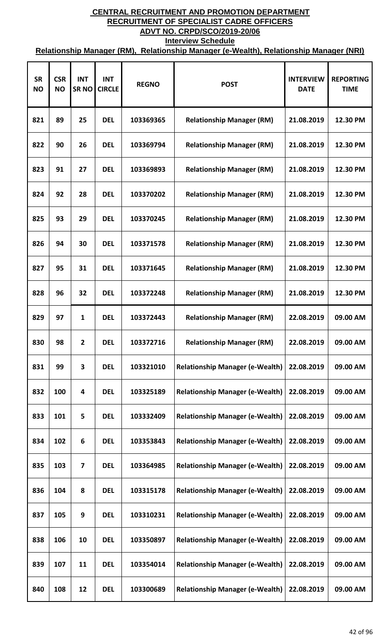| <b>SR</b><br><b>NO</b> | <b>CSR</b><br><b>NO</b> | <b>INT</b><br><b>SRNO</b> | <b>INT</b><br><b>CIRCLE</b> | <b>REGNO</b> | <b>POST</b>                            | <b>INTERVIEW</b><br><b>DATE</b> | <b>REPORTING</b><br><b>TIME</b> |
|------------------------|-------------------------|---------------------------|-----------------------------|--------------|----------------------------------------|---------------------------------|---------------------------------|
| 821                    | 89                      | 25                        | <b>DEL</b>                  | 103369365    | <b>Relationship Manager (RM)</b>       | 21.08.2019                      | 12.30 PM                        |
| 822                    | 90                      | 26                        | <b>DEL</b>                  | 103369794    | <b>Relationship Manager (RM)</b>       | 21.08.2019                      | 12.30 PM                        |
| 823                    | 91                      | 27                        | <b>DEL</b>                  | 103369893    | <b>Relationship Manager (RM)</b>       | 21.08.2019                      | 12.30 PM                        |
| 824                    | 92                      | 28                        | <b>DEL</b>                  | 103370202    | <b>Relationship Manager (RM)</b>       | 21.08.2019                      | 12.30 PM                        |
| 825                    | 93                      | 29                        | <b>DEL</b>                  | 103370245    | <b>Relationship Manager (RM)</b>       | 21.08.2019                      | 12.30 PM                        |
| 826                    | 94                      | 30                        | <b>DEL</b>                  | 103371578    | <b>Relationship Manager (RM)</b>       | 21.08.2019                      | 12.30 PM                        |
| 827                    | 95                      | 31                        | <b>DEL</b>                  | 103371645    | <b>Relationship Manager (RM)</b>       | 21.08.2019                      | 12.30 PM                        |
| 828                    | 96                      | 32                        | <b>DEL</b>                  | 103372248    | <b>Relationship Manager (RM)</b>       | 21.08.2019                      | 12.30 PM                        |
| 829                    | 97                      | $\mathbf{1}$              | <b>DEL</b>                  | 103372443    | <b>Relationship Manager (RM)</b>       | 22.08.2019                      | 09.00 AM                        |
| 830                    | 98                      | $\mathbf{2}$              | <b>DEL</b>                  | 103372716    | <b>Relationship Manager (RM)</b>       | 22.08.2019                      | 09.00 AM                        |
| 831                    | 99                      | 3                         | <b>DEL</b>                  | 103321010    | <b>Relationship Manager (e-Wealth)</b> | 22.08.2019                      | 09.00 AM                        |
| 832                    | 100                     | 4                         | <b>DEL</b>                  | 103325189    | <b>Relationship Manager (e-Wealth)</b> | 22.08.2019                      | 09.00 AM                        |
| 833                    | 101                     | 5                         | <b>DEL</b>                  | 103332409    | <b>Relationship Manager (e-Wealth)</b> | 22.08.2019                      | 09.00 AM                        |
| 834                    | 102                     | 6                         | <b>DEL</b>                  | 103353843    | <b>Relationship Manager (e-Wealth)</b> | 22.08.2019                      | 09.00 AM                        |
| 835                    | 103                     | 7                         | <b>DEL</b>                  | 103364985    | <b>Relationship Manager (e-Wealth)</b> | 22.08.2019                      | 09.00 AM                        |
| 836                    | 104                     | 8                         | <b>DEL</b>                  | 103315178    | <b>Relationship Manager (e-Wealth)</b> | 22.08.2019                      | 09.00 AM                        |
| 837                    | 105                     | 9                         | <b>DEL</b>                  | 103310231    | <b>Relationship Manager (e-Wealth)</b> | 22.08.2019                      | 09.00 AM                        |
| 838                    | 106                     | 10                        | <b>DEL</b>                  | 103350897    | <b>Relationship Manager (e-Wealth)</b> | 22.08.2019                      | 09.00 AM                        |
| 839                    | 107                     | 11                        | <b>DEL</b>                  | 103354014    | <b>Relationship Manager (e-Wealth)</b> | 22.08.2019                      | 09.00 AM                        |
| 840                    | 108                     | 12                        | <b>DEL</b>                  | 103300689    | <b>Relationship Manager (e-Wealth)</b> | 22.08.2019                      | 09.00 AM                        |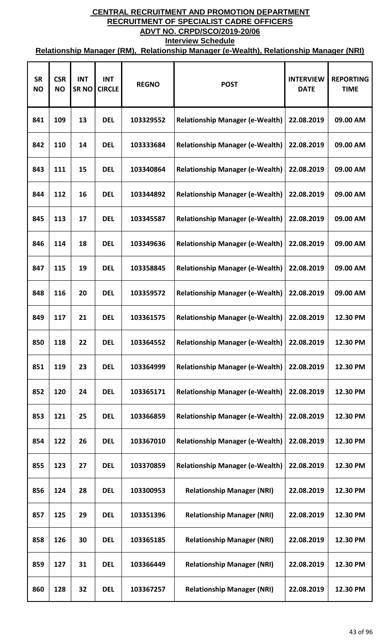| <b>SR</b><br><b>NO</b> | <b>CSR</b><br><b>NO</b> | <b>INT</b><br><b>SRNO</b> | <b>INT</b><br><b>CIRCLE</b> | <b>REGNO</b> | <b>POST</b>                            | <b>INTERVIEW</b><br><b>DATE</b> | <b>REPORTING</b><br><b>TIME</b> |
|------------------------|-------------------------|---------------------------|-----------------------------|--------------|----------------------------------------|---------------------------------|---------------------------------|
| 841                    | 109                     | 13                        | <b>DEL</b>                  | 103329552    | <b>Relationship Manager (e-Wealth)</b> | 22.08.2019                      | 09.00 AM                        |
| 842                    | 110                     | 14                        | <b>DEL</b>                  | 103333684    | <b>Relationship Manager (e-Wealth)</b> | 22.08.2019                      | 09.00 AM                        |
| 843                    | 111                     | 15                        | <b>DEL</b>                  | 103340864    | <b>Relationship Manager (e-Wealth)</b> | 22.08.2019                      | 09.00 AM                        |
| 844                    | 112                     | 16                        | <b>DEL</b>                  | 103344892    | <b>Relationship Manager (e-Wealth)</b> | 22.08.2019                      | 09.00 AM                        |
| 845                    | 113                     | 17                        | <b>DEL</b>                  | 103345587    | <b>Relationship Manager (e-Wealth)</b> | 22.08.2019                      | 09.00 AM                        |
| 846                    | 114                     | 18                        | <b>DEL</b>                  | 103349636    | <b>Relationship Manager (e-Wealth)</b> | 22.08.2019                      | 09.00 AM                        |
| 847                    | 115                     | 19                        | <b>DEL</b>                  | 103358845    | <b>Relationship Manager (e-Wealth)</b> | 22.08.2019                      | 09.00 AM                        |
| 848                    | 116                     | 20                        | <b>DEL</b>                  | 103359572    | <b>Relationship Manager (e-Wealth)</b> | 22.08.2019                      | 09.00 AM                        |
| 849                    | 117                     | 21                        | <b>DEL</b>                  | 103361575    | <b>Relationship Manager (e-Wealth)</b> | 22.08.2019                      | 12.30 PM                        |
| 850                    | 118                     | 22                        | <b>DEL</b>                  | 103364552    | <b>Relationship Manager (e-Wealth)</b> | 22.08.2019                      | 12.30 PM                        |
| 851                    | 119                     | 23                        | <b>DEL</b>                  | 103364999    | <b>Relationship Manager (e-Wealth)</b> | 22.08.2019                      | 12.30 PM                        |
| 852                    | 120                     | 24                        | <b>DEL</b>                  | 103365171    | <b>Relationship Manager (e-Wealth)</b> | 22.08.2019                      | 12.30 PM                        |
| 853                    | 121                     | 25                        | <b>DEL</b>                  | 103366859    | <b>Relationship Manager (e-Wealth)</b> | 22.08.2019                      | 12.30 PM                        |
| 854                    | 122                     | 26                        | <b>DEL</b>                  | 103367010    | <b>Relationship Manager (e-Wealth)</b> | 22.08.2019                      | 12.30 PM                        |
| 855                    | 123                     | 27                        | <b>DEL</b>                  | 103370859    | <b>Relationship Manager (e-Wealth)</b> | 22.08.2019                      | 12.30 PM                        |
| 856                    | 124                     | 28                        | <b>DEL</b>                  | 103300953    | <b>Relationship Manager (NRI)</b>      | 22.08.2019                      | 12.30 PM                        |
| 857                    | 125                     | 29                        | <b>DEL</b>                  | 103351396    | <b>Relationship Manager (NRI)</b>      | 22.08.2019                      | 12.30 PM                        |
| 858                    | 126                     | 30                        | <b>DEL</b>                  | 103365185    | <b>Relationship Manager (NRI)</b>      | 22.08.2019                      | 12.30 PM                        |
| 859                    | 127                     | 31                        | <b>DEL</b>                  | 103366449    | <b>Relationship Manager (NRI)</b>      | 22.08.2019                      | 12.30 PM                        |
| 860                    | 128                     | 32                        | <b>DEL</b>                  | 103367257    | <b>Relationship Manager (NRI)</b>      | 22.08.2019                      | 12.30 PM                        |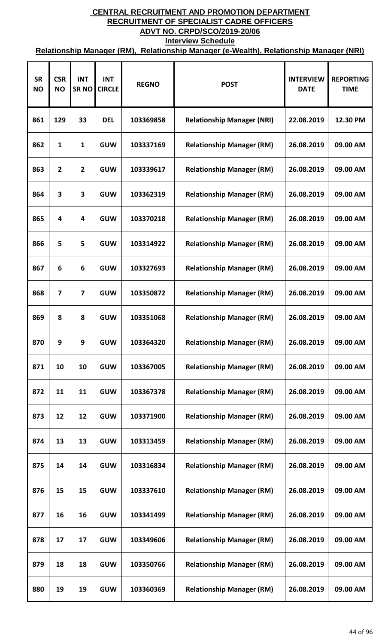| <b>SR</b><br><b>NO</b> | <b>CSR</b><br><b>NO</b> | <b>INT</b><br><b>SRNO</b> | <b>INT</b><br><b>CIRCLE</b> | <b>REGNO</b> | <b>POST</b>                       | <b>INTERVIEW</b><br><b>DATE</b> | <b>REPORTING</b><br><b>TIME</b> |
|------------------------|-------------------------|---------------------------|-----------------------------|--------------|-----------------------------------|---------------------------------|---------------------------------|
| 861                    | 129                     | 33                        | <b>DEL</b>                  | 103369858    | <b>Relationship Manager (NRI)</b> | 22.08.2019                      | 12.30 PM                        |
| 862                    | 1                       | 1                         | <b>GUW</b>                  | 103337169    | <b>Relationship Manager (RM)</b>  | 26.08.2019                      | 09.00 AM                        |
| 863                    | $\overline{2}$          | $\overline{2}$            | <b>GUW</b>                  | 103339617    | <b>Relationship Manager (RM)</b>  | 26.08.2019                      | 09.00 AM                        |
| 864                    | 3                       | 3                         | <b>GUW</b>                  | 103362319    | <b>Relationship Manager (RM)</b>  | 26.08.2019                      | 09.00 AM                        |
| 865                    | 4                       | 4                         | <b>GUW</b>                  | 103370218    | <b>Relationship Manager (RM)</b>  | 26.08.2019                      | 09.00 AM                        |
| 866                    | 5                       | 5                         | <b>GUW</b>                  | 103314922    | <b>Relationship Manager (RM)</b>  | 26.08.2019                      | 09.00 AM                        |
| 867                    | 6                       | 6                         | <b>GUW</b>                  | 103327693    | <b>Relationship Manager (RM)</b>  | 26.08.2019                      | 09.00 AM                        |
| 868                    | 7                       | $\overline{\mathbf{z}}$   | <b>GUW</b>                  | 103350872    | <b>Relationship Manager (RM)</b>  | 26.08.2019                      | 09.00 AM                        |
| 869                    | 8                       | 8                         | <b>GUW</b>                  | 103351068    | <b>Relationship Manager (RM)</b>  | 26.08.2019                      | 09.00 AM                        |
| 870                    | 9                       | 9                         | <b>GUW</b>                  | 103364320    | <b>Relationship Manager (RM)</b>  | 26.08.2019                      | 09.00 AM                        |
| 871                    | 10                      | 10                        | <b>GUW</b>                  | 103367005    | <b>Relationship Manager (RM)</b>  | 26.08.2019                      | 09.00 AM                        |
| 872                    | 11                      | 11                        | <b>GUW</b>                  | 103367378    | <b>Relationship Manager (RM)</b>  | 26.08.2019                      | 09.00 AM                        |
| 873                    | 12                      | 12                        | <b>GUW</b>                  | 103371900    | <b>Relationship Manager (RM)</b>  | 26.08.2019                      | 09.00 AM                        |
| 874                    | 13                      | 13                        | <b>GUW</b>                  | 103313459    | <b>Relationship Manager (RM)</b>  | 26.08.2019                      | 09.00 AM                        |
| 875                    | 14                      | 14                        | <b>GUW</b>                  | 103316834    | <b>Relationship Manager (RM)</b>  | 26.08.2019                      | 09.00 AM                        |
| 876                    | 15                      | 15                        | <b>GUW</b>                  | 103337610    | <b>Relationship Manager (RM)</b>  | 26.08.2019                      | 09.00 AM                        |
| 877                    | 16                      | 16                        | <b>GUW</b>                  | 103341499    | <b>Relationship Manager (RM)</b>  | 26.08.2019                      | 09.00 AM                        |
| 878                    | 17                      | 17                        | <b>GUW</b>                  | 103349606    | <b>Relationship Manager (RM)</b>  | 26.08.2019                      | 09.00 AM                        |
| 879                    | 18                      | 18                        | <b>GUW</b>                  | 103350766    | <b>Relationship Manager (RM)</b>  | 26.08.2019                      | 09.00 AM                        |
| 880                    | 19                      | 19                        | <b>GUW</b>                  | 103360369    | <b>Relationship Manager (RM)</b>  | 26.08.2019                      | 09.00 AM                        |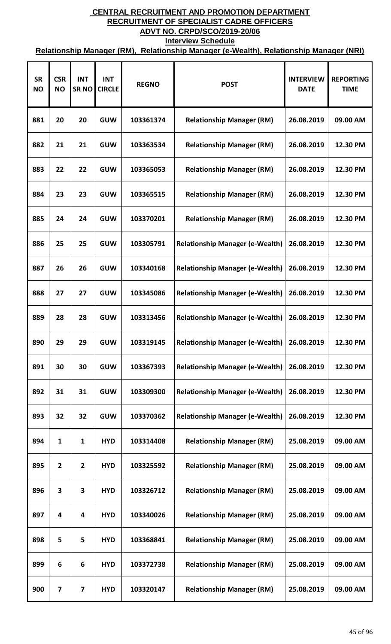| <b>SR</b><br><b>NO</b> | <b>CSR</b><br><b>NO</b> | <b>INT</b><br><b>SRNO</b> | <b>INT</b><br><b>CIRCLE</b> | <b>REGNO</b> | <b>POST</b>                            | <b>INTERVIEW</b><br><b>DATE</b> | <b>REPORTING</b><br><b>TIME</b> |
|------------------------|-------------------------|---------------------------|-----------------------------|--------------|----------------------------------------|---------------------------------|---------------------------------|
| 881                    | 20                      | 20                        | <b>GUW</b>                  | 103361374    | <b>Relationship Manager (RM)</b>       | 26.08.2019                      | 09.00 AM                        |
| 882                    | 21                      | 21                        | <b>GUW</b>                  | 103363534    | <b>Relationship Manager (RM)</b>       | 26.08.2019                      | 12.30 PM                        |
| 883                    | 22                      | 22                        | <b>GUW</b>                  | 103365053    | <b>Relationship Manager (RM)</b>       | 26.08.2019                      | 12.30 PM                        |
| 884                    | 23                      | 23                        | <b>GUW</b>                  | 103365515    | <b>Relationship Manager (RM)</b>       | 26.08.2019                      | 12.30 PM                        |
| 885                    | 24                      | 24                        | <b>GUW</b>                  | 103370201    | <b>Relationship Manager (RM)</b>       | 26.08.2019                      | 12.30 PM                        |
| 886                    | 25                      | 25                        | <b>GUW</b>                  | 103305791    | <b>Relationship Manager (e-Wealth)</b> | 26.08.2019                      | 12.30 PM                        |
| 887                    | 26                      | 26                        | <b>GUW</b>                  | 103340168    | <b>Relationship Manager (e-Wealth)</b> | 26.08.2019                      | 12.30 PM                        |
| 888                    | 27                      | 27                        | <b>GUW</b>                  | 103345086    | <b>Relationship Manager (e-Wealth)</b> | 26.08.2019                      | 12.30 PM                        |
| 889                    | 28                      | 28                        | <b>GUW</b>                  | 103313456    | <b>Relationship Manager (e-Wealth)</b> | 26.08.2019                      | 12.30 PM                        |
| 890                    | 29                      | 29                        | <b>GUW</b>                  | 103319145    | <b>Relationship Manager (e-Wealth)</b> | 26.08.2019                      | 12.30 PM                        |
| 891                    | 30                      | 30                        | <b>GUW</b>                  | 103367393    | <b>Relationship Manager (e-Wealth)</b> | 26.08.2019                      | 12.30 PM                        |
| 892                    | 31                      | 31                        | <b>GUW</b>                  | 103309300    | <b>Relationship Manager (e-Wealth)</b> | 26.08.2019                      | 12.30 PM                        |
| 893                    | 32                      | 32                        | <b>GUW</b>                  | 103370362    | <b>Relationship Manager (e-Wealth)</b> | 26.08.2019                      | 12.30 PM                        |
| 894                    | 1                       | 1                         | <b>HYD</b>                  | 103314408    | <b>Relationship Manager (RM)</b>       | 25.08.2019                      | 09.00 AM                        |
| 895                    | $\overline{2}$          | $\overline{2}$            | <b>HYD</b>                  | 103325592    | <b>Relationship Manager (RM)</b>       | 25.08.2019                      | 09.00 AM                        |
| 896                    | 3                       | 3                         | <b>HYD</b>                  | 103326712    | <b>Relationship Manager (RM)</b>       | 25.08.2019                      | 09.00 AM                        |
| 897                    | 4                       | 4                         | <b>HYD</b>                  | 103340026    | <b>Relationship Manager (RM)</b>       | 25.08.2019                      | 09.00 AM                        |
| 898                    | 5                       | 5                         | <b>HYD</b>                  | 103368841    | <b>Relationship Manager (RM)</b>       | 25.08.2019                      | 09.00 AM                        |
| 899                    | 6                       | 6                         | <b>HYD</b>                  | 103372738    | <b>Relationship Manager (RM)</b>       | 25.08.2019                      | 09.00 AM                        |
| 900                    | 7                       | 7                         | <b>HYD</b>                  | 103320147    | <b>Relationship Manager (RM)</b>       | 25.08.2019                      | 09.00 AM                        |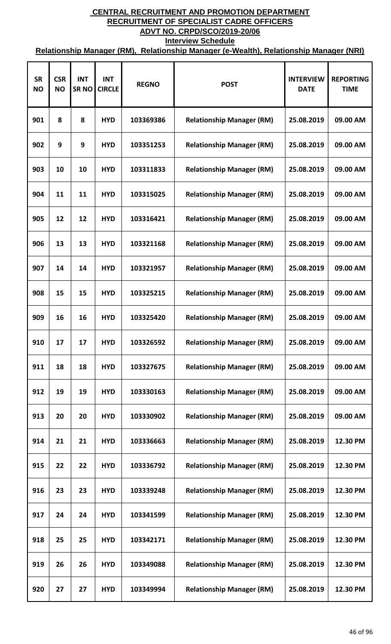| <b>SR</b><br><b>NO</b> | <b>CSR</b><br><b>NO</b> | <b>INT</b><br><b>SRNO</b> | <b>INT</b><br><b>CIRCLE</b> | <b>REGNO</b> | <b>POST</b>                      | <b>INTERVIEW</b><br><b>DATE</b> | <b>REPORTING</b><br><b>TIME</b> |
|------------------------|-------------------------|---------------------------|-----------------------------|--------------|----------------------------------|---------------------------------|---------------------------------|
| 901                    | 8                       | 8                         | <b>HYD</b>                  | 103369386    | <b>Relationship Manager (RM)</b> | 25.08.2019                      | 09.00 AM                        |
| 902                    | 9                       | 9                         | <b>HYD</b>                  | 103351253    | <b>Relationship Manager (RM)</b> | 25.08.2019                      | 09.00 AM                        |
| 903                    | 10                      | 10                        | <b>HYD</b>                  | 103311833    | <b>Relationship Manager (RM)</b> | 25.08.2019                      | 09.00 AM                        |
| 904                    | 11                      | 11                        | <b>HYD</b>                  | 103315025    | <b>Relationship Manager (RM)</b> | 25.08.2019                      | 09.00 AM                        |
| 905                    | 12                      | 12                        | <b>HYD</b>                  | 103316421    | <b>Relationship Manager (RM)</b> | 25.08.2019                      | 09.00 AM                        |
| 906                    | 13                      | 13                        | <b>HYD</b>                  | 103321168    | <b>Relationship Manager (RM)</b> | 25.08.2019                      | 09.00 AM                        |
| 907                    | 14                      | 14                        | <b>HYD</b>                  | 103321957    | <b>Relationship Manager (RM)</b> | 25.08.2019                      | 09.00 AM                        |
| 908                    | 15                      | 15                        | <b>HYD</b>                  | 103325215    | <b>Relationship Manager (RM)</b> | 25.08.2019                      | 09.00 AM                        |
| 909                    | 16                      | 16                        | <b>HYD</b>                  | 103325420    | <b>Relationship Manager (RM)</b> | 25.08.2019                      | 09.00 AM                        |
| 910                    | 17                      | 17                        | <b>HYD</b>                  | 103326592    | <b>Relationship Manager (RM)</b> | 25.08.2019                      | 09.00 AM                        |
| 911                    | 18                      | 18                        | <b>HYD</b>                  | 103327675    | <b>Relationship Manager (RM)</b> | 25.08.2019                      | 09.00 AM                        |
| 912                    | 19                      | 19                        | <b>HYD</b>                  | 103330163    | <b>Relationship Manager (RM)</b> | 25.08.2019                      | 09.00 AM                        |
| 913                    | 20                      | 20                        | <b>HYD</b>                  | 103330902    | <b>Relationship Manager (RM)</b> | 25.08.2019                      | 09.00 AM                        |
| 914                    | 21                      | 21                        | <b>HYD</b>                  | 103336663    | <b>Relationship Manager (RM)</b> | 25.08.2019                      | 12.30 PM                        |
| 915                    | 22                      | 22                        | <b>HYD</b>                  | 103336792    | <b>Relationship Manager (RM)</b> | 25.08.2019                      | 12.30 PM                        |
| 916                    | 23                      | 23                        | <b>HYD</b>                  | 103339248    | <b>Relationship Manager (RM)</b> | 25.08.2019                      | 12.30 PM                        |
| 917                    | 24                      | 24                        | <b>HYD</b>                  | 103341599    | <b>Relationship Manager (RM)</b> | 25.08.2019                      | 12.30 PM                        |
| 918                    | 25                      | 25                        | <b>HYD</b>                  | 103342171    | <b>Relationship Manager (RM)</b> | 25.08.2019                      | 12.30 PM                        |
| 919                    | 26                      | 26                        | <b>HYD</b>                  | 103349088    | <b>Relationship Manager (RM)</b> | 25.08.2019                      | 12.30 PM                        |
| 920                    | 27                      | 27                        | <b>HYD</b>                  | 103349994    | <b>Relationship Manager (RM)</b> | 25.08.2019                      | 12.30 PM                        |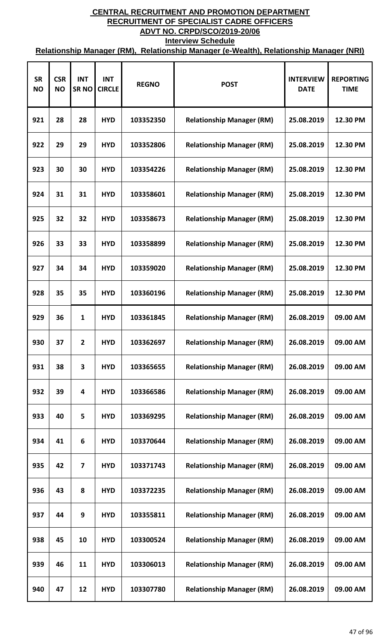| <b>SR</b><br><b>NO</b> | <b>CSR</b><br><b>NO</b> | <b>INT</b><br><b>SRNO</b> | <b>INT</b><br><b>CIRCLE</b> | <b>REGNO</b> | <b>POST</b>                      | <b>INTERVIEW</b><br><b>DATE</b> | <b>REPORTING</b><br><b>TIME</b> |
|------------------------|-------------------------|---------------------------|-----------------------------|--------------|----------------------------------|---------------------------------|---------------------------------|
| 921                    | 28                      | 28                        | <b>HYD</b>                  | 103352350    | <b>Relationship Manager (RM)</b> | 25.08.2019                      | 12.30 PM                        |
| 922                    | 29                      | 29                        | <b>HYD</b>                  | 103352806    | <b>Relationship Manager (RM)</b> | 25.08.2019                      | 12.30 PM                        |
| 923                    | 30                      | 30                        | <b>HYD</b>                  | 103354226    | <b>Relationship Manager (RM)</b> | 25.08.2019                      | 12.30 PM                        |
| 924                    | 31                      | 31                        | <b>HYD</b>                  | 103358601    | <b>Relationship Manager (RM)</b> | 25.08.2019                      | 12.30 PM                        |
| 925                    | 32                      | 32                        | <b>HYD</b>                  | 103358673    | <b>Relationship Manager (RM)</b> | 25.08.2019                      | 12.30 PM                        |
| 926                    | 33                      | 33                        | <b>HYD</b>                  | 103358899    | <b>Relationship Manager (RM)</b> | 25.08.2019                      | 12.30 PM                        |
| 927                    | 34                      | 34                        | <b>HYD</b>                  | 103359020    | <b>Relationship Manager (RM)</b> | 25.08.2019                      | 12.30 PM                        |
| 928                    | 35                      | 35                        | <b>HYD</b>                  | 103360196    | <b>Relationship Manager (RM)</b> | 25.08.2019                      | 12.30 PM                        |
| 929                    | 36                      | $\mathbf{1}$              | <b>HYD</b>                  | 103361845    | <b>Relationship Manager (RM)</b> | 26.08.2019                      | 09.00 AM                        |
| 930                    | 37                      | $\mathbf{2}$              | <b>HYD</b>                  | 103362697    | <b>Relationship Manager (RM)</b> | 26.08.2019                      | 09.00 AM                        |
| 931                    | 38                      | 3                         | <b>HYD</b>                  | 103365655    | <b>Relationship Manager (RM)</b> | 26.08.2019                      | 09.00 AM                        |
| 932                    | 39                      | 4                         | <b>HYD</b>                  | 103366586    | <b>Relationship Manager (RM)</b> | 26.08.2019                      | 09.00 AM                        |
| 933                    | 40                      | 5                         | <b>HYD</b>                  | 103369295    | <b>Relationship Manager (RM)</b> | 26.08.2019                      | 09.00 AM                        |
| 934                    | 41                      | 6                         | <b>HYD</b>                  | 103370644    | <b>Relationship Manager (RM)</b> | 26.08.2019                      | 09.00 AM                        |
| 935                    | 42                      | $\overline{\mathbf{z}}$   | <b>HYD</b>                  | 103371743    | <b>Relationship Manager (RM)</b> | 26.08.2019                      | 09.00 AM                        |
| 936                    | 43                      | 8                         | <b>HYD</b>                  | 103372235    | <b>Relationship Manager (RM)</b> | 26.08.2019                      | 09.00 AM                        |
| 937                    | 44                      | 9                         | <b>HYD</b>                  | 103355811    | <b>Relationship Manager (RM)</b> | 26.08.2019                      | 09.00 AM                        |
| 938                    | 45                      | 10                        | <b>HYD</b>                  | 103300524    | <b>Relationship Manager (RM)</b> | 26.08.2019                      | 09.00 AM                        |
| 939                    | 46                      | 11                        | <b>HYD</b>                  | 103306013    | <b>Relationship Manager (RM)</b> | 26.08.2019                      | 09.00 AM                        |
| 940                    | 47                      | 12                        | <b>HYD</b>                  | 103307780    | <b>Relationship Manager (RM)</b> | 26.08.2019                      | 09.00 AM                        |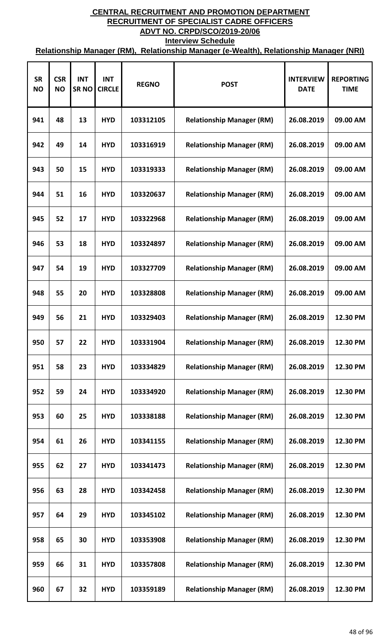| <b>SR</b><br><b>NO</b> | <b>CSR</b><br><b>NO</b> | <b>INT</b><br><b>SRNO</b> | <b>INT</b><br><b>CIRCLE</b> | <b>REGNO</b> | <b>POST</b>                      | <b>INTERVIEW</b><br><b>DATE</b> | <b>REPORTING</b><br><b>TIME</b> |
|------------------------|-------------------------|---------------------------|-----------------------------|--------------|----------------------------------|---------------------------------|---------------------------------|
| 941                    | 48                      | 13                        | <b>HYD</b>                  | 103312105    | <b>Relationship Manager (RM)</b> | 26.08.2019                      | 09.00 AM                        |
| 942                    | 49                      | 14                        | <b>HYD</b>                  | 103316919    | <b>Relationship Manager (RM)</b> | 26.08.2019                      | 09.00 AM                        |
| 943                    | 50                      | 15                        | <b>HYD</b>                  | 103319333    | <b>Relationship Manager (RM)</b> | 26.08.2019                      | 09.00 AM                        |
| 944                    | 51                      | 16                        | <b>HYD</b>                  | 103320637    | <b>Relationship Manager (RM)</b> | 26.08.2019                      | 09.00 AM                        |
| 945                    | 52                      | 17                        | <b>HYD</b>                  | 103322968    | <b>Relationship Manager (RM)</b> | 26.08.2019                      | 09.00 AM                        |
| 946                    | 53                      | 18                        | <b>HYD</b>                  | 103324897    | <b>Relationship Manager (RM)</b> | 26.08.2019                      | 09.00 AM                        |
| 947                    | 54                      | 19                        | <b>HYD</b>                  | 103327709    | <b>Relationship Manager (RM)</b> | 26.08.2019                      | 09.00 AM                        |
| 948                    | 55                      | 20                        | <b>HYD</b>                  | 103328808    | <b>Relationship Manager (RM)</b> | 26.08.2019                      | 09.00 AM                        |
| 949                    | 56                      | 21                        | <b>HYD</b>                  | 103329403    | <b>Relationship Manager (RM)</b> | 26.08.2019                      | 12.30 PM                        |
| 950                    | 57                      | 22                        | <b>HYD</b>                  | 103331904    | <b>Relationship Manager (RM)</b> | 26.08.2019                      | 12.30 PM                        |
| 951                    | 58                      | 23                        | <b>HYD</b>                  | 103334829    | <b>Relationship Manager (RM)</b> | 26.08.2019                      | 12.30 PM                        |
| 952                    | 59                      | 24                        | <b>HYD</b>                  | 103334920    | <b>Relationship Manager (RM)</b> | 26.08.2019                      | 12.30 PM                        |
| 953                    | 60                      | 25                        | <b>HYD</b>                  | 103338188    | <b>Relationship Manager (RM)</b> | 26.08.2019                      | 12.30 PM                        |
| 954                    | 61                      | 26                        | <b>HYD</b>                  | 103341155    | <b>Relationship Manager (RM)</b> | 26.08.2019                      | 12.30 PM                        |
| 955                    | 62                      | 27                        | <b>HYD</b>                  | 103341473    | <b>Relationship Manager (RM)</b> | 26.08.2019                      | 12.30 PM                        |
| 956                    | 63                      | 28                        | <b>HYD</b>                  | 103342458    | <b>Relationship Manager (RM)</b> | 26.08.2019                      | 12.30 PM                        |
| 957                    | 64                      | 29                        | <b>HYD</b>                  | 103345102    | <b>Relationship Manager (RM)</b> | 26.08.2019                      | 12.30 PM                        |
| 958                    | 65                      | 30                        | <b>HYD</b>                  | 103353908    | <b>Relationship Manager (RM)</b> | 26.08.2019                      | 12.30 PM                        |
| 959                    | 66                      | 31                        | <b>HYD</b>                  | 103357808    | <b>Relationship Manager (RM)</b> | 26.08.2019                      | 12.30 PM                        |
| 960                    | 67                      | 32                        | <b>HYD</b>                  | 103359189    | <b>Relationship Manager (RM)</b> | 26.08.2019                      | 12.30 PM                        |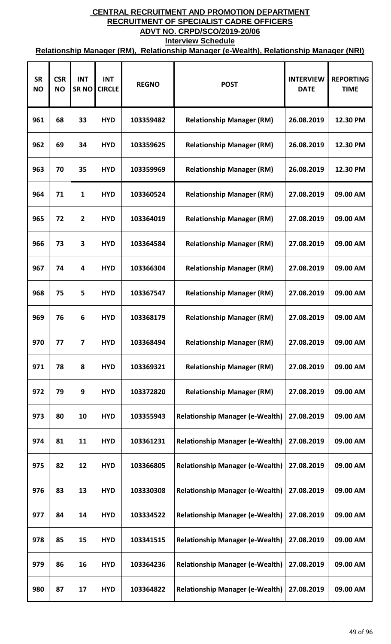| <b>SR</b><br><b>NO</b> | <b>CSR</b><br><b>NO</b> | <b>INT</b><br><b>SRNO</b> | <b>INT</b><br><b>CIRCLE</b> | <b>REGNO</b> | <b>POST</b>                            | <b>INTERVIEW</b><br><b>DATE</b> | <b>REPORTING</b><br><b>TIME</b> |
|------------------------|-------------------------|---------------------------|-----------------------------|--------------|----------------------------------------|---------------------------------|---------------------------------|
| 961                    | 68                      | 33                        | <b>HYD</b>                  | 103359482    | <b>Relationship Manager (RM)</b>       | 26.08.2019                      | 12.30 PM                        |
| 962                    | 69                      | 34                        | <b>HYD</b>                  | 103359625    | <b>Relationship Manager (RM)</b>       | 26.08.2019                      | 12.30 PM                        |
| 963                    | 70                      | 35                        | <b>HYD</b>                  | 103359969    | <b>Relationship Manager (RM)</b>       | 26.08.2019                      | 12.30 PM                        |
| 964                    | 71                      | $\mathbf{1}$              | <b>HYD</b>                  | 103360524    | <b>Relationship Manager (RM)</b>       | 27.08.2019                      | 09.00 AM                        |
| 965                    | 72                      | $\overline{2}$            | <b>HYD</b>                  | 103364019    | <b>Relationship Manager (RM)</b>       | 27.08.2019                      | 09.00 AM                        |
| 966                    | 73                      | 3                         | <b>HYD</b>                  | 103364584    | <b>Relationship Manager (RM)</b>       | 27.08.2019                      | 09.00 AM                        |
| 967                    | 74                      | 4                         | <b>HYD</b>                  | 103366304    | <b>Relationship Manager (RM)</b>       | 27.08.2019                      | 09.00 AM                        |
| 968                    | 75                      | 5                         | <b>HYD</b>                  | 103367547    | <b>Relationship Manager (RM)</b>       | 27.08.2019                      | 09.00 AM                        |
| 969                    | 76                      | 6                         | <b>HYD</b>                  | 103368179    | <b>Relationship Manager (RM)</b>       | 27.08.2019                      | 09.00 AM                        |
| 970                    | 77                      | 7                         | <b>HYD</b>                  | 103368494    | <b>Relationship Manager (RM)</b>       | 27.08.2019                      | 09.00 AM                        |
| 971                    | 78                      | 8                         | <b>HYD</b>                  | 103369321    | <b>Relationship Manager (RM)</b>       | 27.08.2019                      | 09.00 AM                        |
| 972                    | 79                      | 9                         | <b>HYD</b>                  | 103372820    | <b>Relationship Manager (RM)</b>       | 27.08.2019                      | 09.00 AM                        |
| 973                    | 80                      | 10                        | <b>HYD</b>                  | 103355943    | <b>Relationship Manager (e-Wealth)</b> | 27.08.2019                      | 09.00 AM                        |
| 974                    | 81                      | 11                        | <b>HYD</b>                  | 103361231    | <b>Relationship Manager (e-Wealth)</b> | 27.08.2019                      | 09.00 AM                        |
| 975                    | 82                      | 12                        | <b>HYD</b>                  | 103366805    | <b>Relationship Manager (e-Wealth)</b> | 27.08.2019                      | 09.00 AM                        |
| 976                    | 83                      | 13                        | <b>HYD</b>                  | 103330308    | <b>Relationship Manager (e-Wealth)</b> | 27.08.2019                      | 09.00 AM                        |
| 977                    | 84                      | 14                        | <b>HYD</b>                  | 103334522    | <b>Relationship Manager (e-Wealth)</b> | 27.08.2019                      | 09.00 AM                        |
| 978                    | 85                      | 15                        | <b>HYD</b>                  | 103341515    | <b>Relationship Manager (e-Wealth)</b> | 27.08.2019                      | 09.00 AM                        |
| 979                    | 86                      | 16                        | <b>HYD</b>                  | 103364236    | <b>Relationship Manager (e-Wealth)</b> | 27.08.2019                      | 09.00 AM                        |
| 980                    | 87                      | 17                        | <b>HYD</b>                  | 103364822    | <b>Relationship Manager (e-Wealth)</b> | 27.08.2019                      | 09.00 AM                        |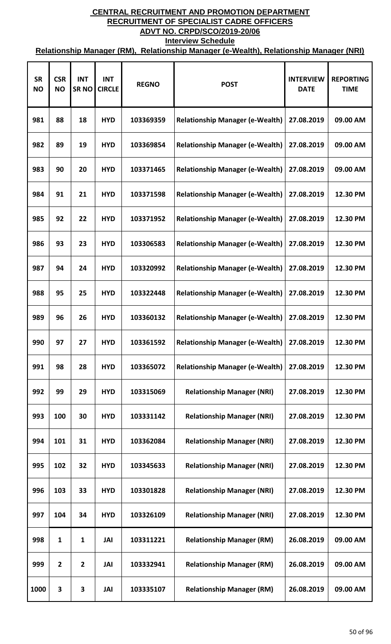| <b>SR</b><br><b>NO</b> | <b>CSR</b><br><b>NO</b> | <b>INT</b><br><b>SRNO</b> | <b>INT</b><br><b>CIRCLE</b> | <b>REGNO</b> | <b>POST</b>                            | <b>INTERVIEW</b><br><b>DATE</b> | <b>REPORTING</b><br><b>TIME</b> |
|------------------------|-------------------------|---------------------------|-----------------------------|--------------|----------------------------------------|---------------------------------|---------------------------------|
| 981                    | 88                      | 18                        | <b>HYD</b>                  | 103369359    | <b>Relationship Manager (e-Wealth)</b> | 27.08.2019                      | 09.00 AM                        |
| 982                    | 89                      | 19                        | <b>HYD</b>                  | 103369854    | <b>Relationship Manager (e-Wealth)</b> | 27.08.2019                      | 09.00 AM                        |
| 983                    | 90                      | 20                        | <b>HYD</b>                  | 103371465    | <b>Relationship Manager (e-Wealth)</b> | 27.08.2019                      | 09.00 AM                        |
| 984                    | 91                      | 21                        | <b>HYD</b>                  | 103371598    | <b>Relationship Manager (e-Wealth)</b> | 27.08.2019                      | 12.30 PM                        |
| 985                    | 92                      | 22                        | <b>HYD</b>                  | 103371952    | <b>Relationship Manager (e-Wealth)</b> | 27.08.2019                      | 12.30 PM                        |
| 986                    | 93                      | 23                        | <b>HYD</b>                  | 103306583    | <b>Relationship Manager (e-Wealth)</b> | 27.08.2019                      | 12.30 PM                        |
| 987                    | 94                      | 24                        | <b>HYD</b>                  | 103320992    | <b>Relationship Manager (e-Wealth)</b> | 27.08.2019                      | 12.30 PM                        |
| 988                    | 95                      | 25                        | <b>HYD</b>                  | 103322448    | <b>Relationship Manager (e-Wealth)</b> | 27.08.2019                      | 12.30 PM                        |
| 989                    | 96                      | 26                        | <b>HYD</b>                  | 103360132    | <b>Relationship Manager (e-Wealth)</b> | 27.08.2019                      | 12.30 PM                        |
| 990                    | 97                      | 27                        | <b>HYD</b>                  | 103361592    | <b>Relationship Manager (e-Wealth)</b> | 27.08.2019                      | 12.30 PM                        |
| 991                    | 98                      | 28                        | <b>HYD</b>                  | 103365072    | <b>Relationship Manager (e-Wealth)</b> | 27.08.2019                      | 12.30 PM                        |
| 992                    | 99                      | 29                        | <b>HYD</b>                  | 103315069    | <b>Relationship Manager (NRI)</b>      | 27.08.2019                      | 12.30 PM                        |
| 993                    | 100                     | 30                        | <b>HYD</b>                  | 103331142    | <b>Relationship Manager (NRI)</b>      | 27.08.2019                      | 12.30 PM                        |
| 994                    | 101                     | 31                        | <b>HYD</b>                  | 103362084    | <b>Relationship Manager (NRI)</b>      | 27.08.2019                      | 12.30 PM                        |
| 995                    | 102                     | 32                        | <b>HYD</b>                  | 103345633    | <b>Relationship Manager (NRI)</b>      | 27.08.2019                      | 12.30 PM                        |
| 996                    | 103                     | 33                        | <b>HYD</b>                  | 103301828    | <b>Relationship Manager (NRI)</b>      | 27.08.2019                      | 12.30 PM                        |
| 997                    | 104                     | 34                        | <b>HYD</b>                  | 103326109    | <b>Relationship Manager (NRI)</b>      | 27.08.2019                      | 12.30 PM                        |
| 998                    | 1                       | 1                         | JAI                         | 103311221    | <b>Relationship Manager (RM)</b>       | 26.08.2019                      | 09.00 AM                        |
| 999                    | $\overline{2}$          | $\overline{2}$            | JAI                         | 103332941    | <b>Relationship Manager (RM)</b>       | 26.08.2019                      | 09.00 AM                        |
| 1000                   | 3                       | 3                         | JAI                         | 103335107    | <b>Relationship Manager (RM)</b>       | 26.08.2019                      | 09.00 AM                        |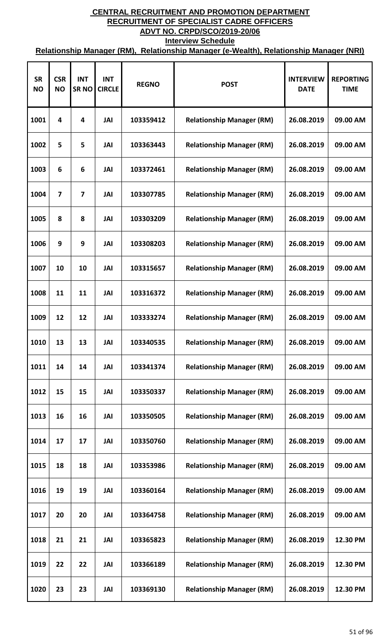| <b>SR</b><br><b>NO</b> | <b>CSR</b><br><b>NO</b> | <b>INT</b><br><b>SRNO</b> | <b>INT</b><br><b>CIRCLE</b> | <b>REGNO</b> | <b>POST</b>                      | <b>INTERVIEW</b><br><b>DATE</b> | <b>REPORTING</b><br><b>TIME</b> |
|------------------------|-------------------------|---------------------------|-----------------------------|--------------|----------------------------------|---------------------------------|---------------------------------|
| 1001                   | 4                       | 4                         | JAI                         | 103359412    | <b>Relationship Manager (RM)</b> | 26.08.2019                      | 09.00 AM                        |
| 1002                   | 5                       | 5                         | JAI                         | 103363443    | <b>Relationship Manager (RM)</b> | 26.08.2019                      | 09.00 AM                        |
| 1003                   | 6                       | 6                         | JAI                         | 103372461    | <b>Relationship Manager (RM)</b> | 26.08.2019                      | 09.00 AM                        |
| 1004                   | 7                       | $\overline{7}$            | JAI                         | 103307785    | <b>Relationship Manager (RM)</b> | 26.08.2019                      | 09.00 AM                        |
| 1005                   | 8                       | 8                         | JAI                         | 103303209    | <b>Relationship Manager (RM)</b> | 26.08.2019                      | 09.00 AM                        |
| 1006                   | 9                       | 9                         | JAI                         | 103308203    | <b>Relationship Manager (RM)</b> | 26.08.2019                      | 09.00 AM                        |
| 1007                   | 10                      | 10                        | JAI                         | 103315657    | <b>Relationship Manager (RM)</b> | 26.08.2019                      | 09.00 AM                        |
| 1008                   | 11                      | 11                        | JAI                         | 103316372    | <b>Relationship Manager (RM)</b> | 26.08.2019                      | 09.00 AM                        |
| 1009                   | 12                      | 12                        | JAI                         | 103333274    | <b>Relationship Manager (RM)</b> | 26.08.2019                      | 09.00 AM                        |
| 1010                   | 13                      | 13                        | JAI                         | 103340535    | <b>Relationship Manager (RM)</b> | 26.08.2019                      | 09.00 AM                        |
| 1011                   | 14                      | 14                        | JAI                         | 103341374    | <b>Relationship Manager (RM)</b> | 26.08.2019                      | 09.00 AM                        |
| 1012                   | 15                      | 15                        | JAI                         | 103350337    | <b>Relationship Manager (RM)</b> | 26.08.2019                      | 09.00 AM                        |
| 1013                   | 16                      | 16                        | JAI                         | 103350505    | <b>Relationship Manager (RM)</b> | 26.08.2019                      | 09.00 AM                        |
| 1014                   | 17                      | 17                        | JAI                         | 103350760    | <b>Relationship Manager (RM)</b> | 26.08.2019                      | 09.00 AM                        |
| 1015                   | 18                      | 18                        | JAI                         | 103353986    | <b>Relationship Manager (RM)</b> | 26.08.2019                      | 09.00 AM                        |
| 1016                   | 19                      | 19                        | JAI                         | 103360164    | <b>Relationship Manager (RM)</b> | 26.08.2019                      | 09.00 AM                        |
| 1017                   | 20                      | 20                        | <b>JAI</b>                  | 103364758    | <b>Relationship Manager (RM)</b> | 26.08.2019                      | 09.00 AM                        |
| 1018                   | 21                      | 21                        | JAI                         | 103365823    | <b>Relationship Manager (RM)</b> | 26.08.2019                      | 12.30 PM                        |
| 1019                   | 22                      | 22                        | JAI                         | 103366189    | <b>Relationship Manager (RM)</b> | 26.08.2019                      | 12.30 PM                        |
| 1020                   | 23                      | 23                        | JAI                         | 103369130    | <b>Relationship Manager (RM)</b> | 26.08.2019                      | 12.30 PM                        |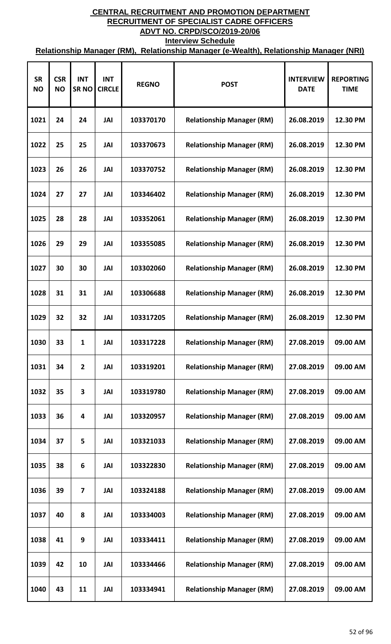| <b>SR</b><br><b>NO</b> | <b>CSR</b><br><b>NO</b> | <b>INT</b><br><b>SRNO</b> | <b>INT</b><br><b>CIRCLE</b> | <b>REGNO</b> | <b>POST</b>                      | <b>INTERVIEW</b><br><b>DATE</b> | <b>REPORTING</b><br><b>TIME</b> |
|------------------------|-------------------------|---------------------------|-----------------------------|--------------|----------------------------------|---------------------------------|---------------------------------|
| 1021                   | 24                      | 24                        | JAI                         | 103370170    | <b>Relationship Manager (RM)</b> | 26.08.2019                      | 12.30 PM                        |
| 1022                   | 25                      | 25                        | JAI                         | 103370673    | <b>Relationship Manager (RM)</b> | 26.08.2019                      | 12.30 PM                        |
| 1023                   | 26                      | 26                        | JAI                         | 103370752    | <b>Relationship Manager (RM)</b> | 26.08.2019                      | 12.30 PM                        |
| 1024                   | 27                      | 27                        | JAI                         | 103346402    | <b>Relationship Manager (RM)</b> | 26.08.2019                      | 12.30 PM                        |
| 1025                   | 28                      | 28                        | JAI                         | 103352061    | <b>Relationship Manager (RM)</b> | 26.08.2019                      | 12.30 PM                        |
| 1026                   | 29                      | 29                        | JAI                         | 103355085    | <b>Relationship Manager (RM)</b> | 26.08.2019                      | 12.30 PM                        |
| 1027                   | 30                      | 30                        | JAI                         | 103302060    | <b>Relationship Manager (RM)</b> | 26.08.2019                      | 12.30 PM                        |
| 1028                   | 31                      | 31                        | JAI                         | 103306688    | <b>Relationship Manager (RM)</b> | 26.08.2019                      | 12.30 PM                        |
| 1029                   | 32                      | 32                        | JAI                         | 103317205    | <b>Relationship Manager (RM)</b> | 26.08.2019                      | 12.30 PM                        |
| 1030                   | 33                      | 1                         | JAI                         | 103317228    | <b>Relationship Manager (RM)</b> | 27.08.2019                      | 09.00 AM                        |
| 1031                   | 34                      | $\overline{2}$            | JAI                         | 103319201    | <b>Relationship Manager (RM)</b> | 27.08.2019                      | 09.00 AM                        |
| 1032                   | 35                      | 3                         | JAI                         | 103319780    | <b>Relationship Manager (RM)</b> | 27.08.2019                      | 09.00 AM                        |
| 1033                   | 36                      | 4                         | JAI                         | 103320957    | <b>Relationship Manager (RM)</b> | 27.08.2019                      | 09.00 AM                        |
| 1034                   | 37                      | 5                         | JAI                         | 103321033    | <b>Relationship Manager (RM)</b> | 27.08.2019                      | 09.00 AM                        |
| 1035                   | 38                      | 6                         | JAI                         | 103322830    | <b>Relationship Manager (RM)</b> | 27.08.2019                      | 09.00 AM                        |
| 1036                   | 39                      | 7                         | JAI                         | 103324188    | <b>Relationship Manager (RM)</b> | 27.08.2019                      | 09.00 AM                        |
| 1037                   | 40                      | 8                         | JAI                         | 103334003    | <b>Relationship Manager (RM)</b> | 27.08.2019                      | 09.00 AM                        |
| 1038                   | 41                      | 9                         | JAI                         | 103334411    | <b>Relationship Manager (RM)</b> | 27.08.2019                      | 09.00 AM                        |
| 1039                   | 42                      | 10                        | JAI                         | 103334466    | <b>Relationship Manager (RM)</b> | 27.08.2019                      | 09.00 AM                        |
| 1040                   | 43                      | 11                        | JAI                         | 103334941    | <b>Relationship Manager (RM)</b> | 27.08.2019                      | 09.00 AM                        |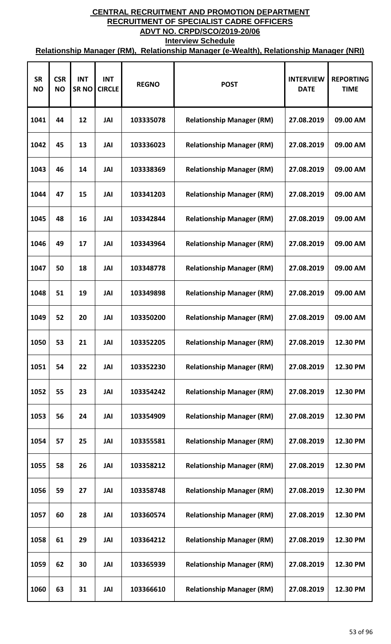| <b>SR</b><br><b>NO</b> | <b>CSR</b><br><b>NO</b> | <b>INT</b><br><b>SRNO</b> | <b>INT</b><br><b>CIRCLE</b> | <b>REGNO</b> | <b>POST</b>                      | <b>INTERVIEW</b><br><b>DATE</b> | <b>REPORTING</b><br><b>TIME</b> |
|------------------------|-------------------------|---------------------------|-----------------------------|--------------|----------------------------------|---------------------------------|---------------------------------|
| 1041                   | 44                      | 12                        | JAI                         | 103335078    | <b>Relationship Manager (RM)</b> | 27.08.2019                      | 09.00 AM                        |
| 1042                   | 45                      | 13                        | JAI                         | 103336023    | <b>Relationship Manager (RM)</b> | 27.08.2019                      | 09.00 AM                        |
| 1043                   | 46                      | 14                        | JAI                         | 103338369    | <b>Relationship Manager (RM)</b> | 27.08.2019                      | 09.00 AM                        |
| 1044                   | 47                      | 15                        | JAI                         | 103341203    | <b>Relationship Manager (RM)</b> | 27.08.2019                      | 09.00 AM                        |
| 1045                   | 48                      | 16                        | JAI                         | 103342844    | <b>Relationship Manager (RM)</b> | 27.08.2019                      | 09.00 AM                        |
| 1046                   | 49                      | 17                        | JAI                         | 103343964    | <b>Relationship Manager (RM)</b> | 27.08.2019                      | 09.00 AM                        |
| 1047                   | 50                      | 18                        | JAI                         | 103348778    | <b>Relationship Manager (RM)</b> | 27.08.2019                      | 09.00 AM                        |
| 1048                   | 51                      | 19                        | JAI                         | 103349898    | <b>Relationship Manager (RM)</b> | 27.08.2019                      | 09.00 AM                        |
| 1049                   | 52                      | 20                        | JAI                         | 103350200    | <b>Relationship Manager (RM)</b> | 27.08.2019                      | 09.00 AM                        |
| 1050                   | 53                      | 21                        | JAI                         | 103352205    | <b>Relationship Manager (RM)</b> | 27.08.2019                      | 12.30 PM                        |
| 1051                   | 54                      | 22                        | JAI                         | 103352230    | <b>Relationship Manager (RM)</b> | 27.08.2019                      | 12.30 PM                        |
| 1052                   | 55                      | 23                        | JAI                         | 103354242    | <b>Relationship Manager (RM)</b> | 27.08.2019                      | 12.30 PM                        |
| 1053                   | 56                      | 24                        | JAI                         | 103354909    | <b>Relationship Manager (RM)</b> | 27.08.2019                      | 12.30 PM                        |
| 1054                   | 57                      | 25                        | JAI                         | 103355581    | <b>Relationship Manager (RM)</b> | 27.08.2019                      | 12.30 PM                        |
| 1055                   | 58                      | 26                        | JAI                         | 103358212    | <b>Relationship Manager (RM)</b> | 27.08.2019                      | 12.30 PM                        |
| 1056                   | 59                      | 27                        | JAI                         | 103358748    | <b>Relationship Manager (RM)</b> | 27.08.2019                      | 12.30 PM                        |
| 1057                   | 60                      | 28                        | JAI                         | 103360574    | <b>Relationship Manager (RM)</b> | 27.08.2019                      | 12.30 PM                        |
| 1058                   | 61                      | 29                        | JAI                         | 103364212    | <b>Relationship Manager (RM)</b> | 27.08.2019                      | 12.30 PM                        |
| 1059                   | 62                      | 30                        | JAI                         | 103365939    | <b>Relationship Manager (RM)</b> | 27.08.2019                      | 12.30 PM                        |
| 1060                   | 63                      | 31                        | JAI                         | 103366610    | <b>Relationship Manager (RM)</b> | 27.08.2019                      | 12.30 PM                        |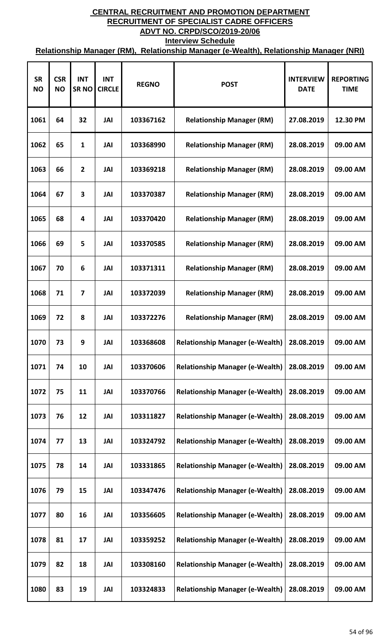| <b>SR</b><br><b>NO</b> | <b>CSR</b><br><b>NO</b> | <b>INT</b><br><b>SRNO</b> | <b>INT</b><br><b>CIRCLE</b> | <b>REGNO</b> | <b>POST</b>                            | <b>INTERVIEW</b><br><b>DATE</b> | <b>REPORTING</b><br><b>TIME</b> |
|------------------------|-------------------------|---------------------------|-----------------------------|--------------|----------------------------------------|---------------------------------|---------------------------------|
| 1061                   | 64                      | 32                        | JAI                         | 103367162    | <b>Relationship Manager (RM)</b>       | 27.08.2019                      | 12.30 PM                        |
| 1062                   | 65                      | 1                         | JAI                         | 103368990    | <b>Relationship Manager (RM)</b>       | 28.08.2019                      | 09.00 AM                        |
| 1063                   | 66                      | $\overline{2}$            | JAI                         | 103369218    | <b>Relationship Manager (RM)</b>       | 28.08.2019                      | 09.00 AM                        |
| 1064                   | 67                      | 3                         | JAI                         | 103370387    | <b>Relationship Manager (RM)</b>       | 28.08.2019                      | 09.00 AM                        |
| 1065                   | 68                      | 4                         | JAI                         | 103370420    | <b>Relationship Manager (RM)</b>       | 28.08.2019                      | 09.00 AM                        |
| 1066                   | 69                      | 5                         | JAI                         | 103370585    | <b>Relationship Manager (RM)</b>       | 28.08.2019                      | 09.00 AM                        |
| 1067                   | 70                      | 6                         | JAI                         | 103371311    | <b>Relationship Manager (RM)</b>       | 28.08.2019                      | 09.00 AM                        |
| 1068                   | 71                      | $\overline{\mathbf{z}}$   | JAI                         | 103372039    | <b>Relationship Manager (RM)</b>       | 28.08.2019                      | 09.00 AM                        |
| 1069                   | 72                      | 8                         | JAI                         | 103372276    | <b>Relationship Manager (RM)</b>       | 28.08.2019                      | 09.00 AM                        |
| 1070                   | 73                      | 9                         | JAI                         | 103368608    | <b>Relationship Manager (e-Wealth)</b> | 28.08.2019                      | 09.00 AM                        |
| 1071                   | 74                      | 10                        | JAI                         | 103370606    | <b>Relationship Manager (e-Wealth)</b> | 28.08.2019                      | 09.00 AM                        |
| 1072                   | 75                      | 11                        | JAI                         | 103370766    | <b>Relationship Manager (e-Wealth)</b> | 28.08.2019                      | 09.00 AM                        |
| 1073                   | 76                      | 12                        | JAI                         | 103311827    | <b>Relationship Manager (e-Wealth)</b> | 28.08.2019                      | 09.00 AM                        |
| 1074                   | 77                      | 13                        | JAI                         | 103324792    | <b>Relationship Manager (e-Wealth)</b> | 28.08.2019                      | 09.00 AM                        |
| 1075                   | 78                      | 14                        | JAI                         | 103331865    | <b>Relationship Manager (e-Wealth)</b> | 28.08.2019                      | 09.00 AM                        |
| 1076                   | 79                      | 15                        | JAI                         | 103347476    | <b>Relationship Manager (e-Wealth)</b> | 28.08.2019                      | 09.00 AM                        |
| 1077                   | 80                      | 16                        | JAI                         | 103356605    | <b>Relationship Manager (e-Wealth)</b> | 28.08.2019                      | 09.00 AM                        |
| 1078                   | 81                      | 17                        | JAI                         | 103359252    | <b>Relationship Manager (e-Wealth)</b> | 28.08.2019                      | 09.00 AM                        |
| 1079                   | 82                      | 18                        | JAI                         | 103308160    | <b>Relationship Manager (e-Wealth)</b> | 28.08.2019                      | 09.00 AM                        |
| 1080                   | 83                      | 19                        | JAI                         | 103324833    | <b>Relationship Manager (e-Wealth)</b> | 28.08.2019                      | 09.00 AM                        |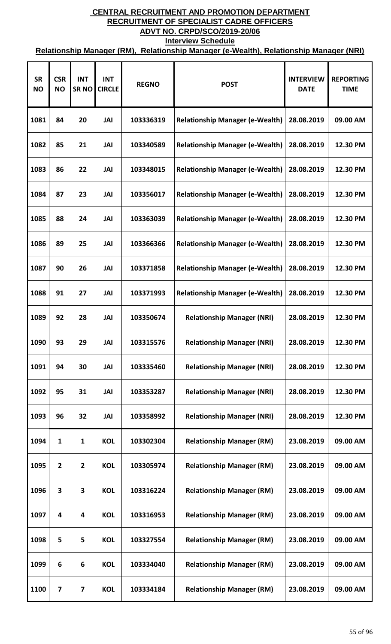| <b>SR</b><br><b>NO</b> | <b>CSR</b><br><b>NO</b> | <b>INT</b><br>SR <sub>NO</sub> | <b>INT</b><br><b>CIRCLE</b> | <b>REGNO</b> | <b>POST</b>                            | <b>INTERVIEW</b><br><b>DATE</b> | <b>REPORTING</b><br><b>TIME</b> |
|------------------------|-------------------------|--------------------------------|-----------------------------|--------------|----------------------------------------|---------------------------------|---------------------------------|
| 1081                   | 84                      | 20                             | JAI                         | 103336319    | <b>Relationship Manager (e-Wealth)</b> | 28.08.2019                      | 09.00 AM                        |
| 1082                   | 85                      | 21                             | JAI                         | 103340589    | <b>Relationship Manager (e-Wealth)</b> | 28.08.2019                      | 12.30 PM                        |
| 1083                   | 86                      | 22                             | JAI                         | 103348015    | <b>Relationship Manager (e-Wealth)</b> | 28.08.2019                      | 12.30 PM                        |
| 1084                   | 87                      | 23                             | JAI                         | 103356017    | <b>Relationship Manager (e-Wealth)</b> | 28.08.2019                      | 12.30 PM                        |
| 1085                   | 88                      | 24                             | JAI                         | 103363039    | <b>Relationship Manager (e-Wealth)</b> | 28.08.2019                      | 12.30 PM                        |
| 1086                   | 89                      | 25                             | JAI                         | 103366366    | <b>Relationship Manager (e-Wealth)</b> | 28.08.2019                      | 12.30 PM                        |
| 1087                   | 90                      | 26                             | JAI                         | 103371858    | <b>Relationship Manager (e-Wealth)</b> | 28.08.2019                      | 12.30 PM                        |
| 1088                   | 91                      | 27                             | JAI                         | 103371993    | <b>Relationship Manager (e-Wealth)</b> | 28.08.2019                      | 12.30 PM                        |
| 1089                   | 92                      | 28                             | JAI                         | 103350674    | <b>Relationship Manager (NRI)</b>      | 28.08.2019                      | 12.30 PM                        |
| 1090                   | 93                      | 29                             | JAI                         | 103315576    | <b>Relationship Manager (NRI)</b>      | 28.08.2019                      | 12.30 PM                        |
| 1091                   | 94                      | 30                             | JAI                         | 103335460    | <b>Relationship Manager (NRI)</b>      | 28.08.2019                      | 12.30 PM                        |
| 1092                   | 95                      | 31                             | JAI                         | 103353287    | <b>Relationship Manager (NRI)</b>      | 28.08.2019                      | 12.30 PM                        |
| 1093                   | 96                      | 32                             | JAI                         | 103358992    | <b>Relationship Manager (NRI)</b>      | 28.08.2019                      | 12.30 PM                        |
| 1094                   | 1                       | 1                              | <b>KOL</b>                  | 103302304    | <b>Relationship Manager (RM)</b>       | 23.08.2019                      | 09.00 AM                        |
| 1095                   | $\overline{2}$          | $\overline{2}$                 | <b>KOL</b>                  | 103305974    | <b>Relationship Manager (RM)</b>       | 23.08.2019                      | 09.00 AM                        |
| 1096                   | 3                       | 3                              | <b>KOL</b>                  | 103316224    | <b>Relationship Manager (RM)</b>       | 23.08.2019                      | 09.00 AM                        |
| 1097                   | 4                       | 4                              | <b>KOL</b>                  | 103316953    | <b>Relationship Manager (RM)</b>       | 23.08.2019                      | 09.00 AM                        |
| 1098                   | 5                       | 5                              | <b>KOL</b>                  | 103327554    | <b>Relationship Manager (RM)</b>       | 23.08.2019                      | 09.00 AM                        |
| 1099                   | 6                       | 6                              | <b>KOL</b>                  | 103334040    | <b>Relationship Manager (RM)</b>       | 23.08.2019                      | 09.00 AM                        |
| 1100                   | 7                       | 7                              | <b>KOL</b>                  | 103334184    | <b>Relationship Manager (RM)</b>       | 23.08.2019                      | 09.00 AM                        |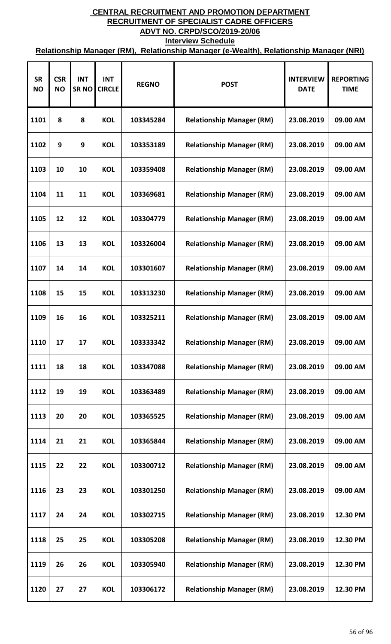| <b>SR</b><br><b>NO</b> | <b>CSR</b><br><b>NO</b> | <b>INT</b><br><b>SRNO</b> | <b>INT</b><br><b>CIRCLE</b> | <b>REGNO</b> | <b>POST</b>                      | <b>INTERVIEW</b><br><b>DATE</b> | <b>REPORTING</b><br><b>TIME</b> |
|------------------------|-------------------------|---------------------------|-----------------------------|--------------|----------------------------------|---------------------------------|---------------------------------|
| 1101                   | 8                       | 8                         | <b>KOL</b>                  | 103345284    | <b>Relationship Manager (RM)</b> | 23.08.2019                      | 09.00 AM                        |
| 1102                   | 9                       | 9                         | <b>KOL</b>                  | 103353189    | <b>Relationship Manager (RM)</b> | 23.08.2019                      | 09.00 AM                        |
| 1103                   | 10                      | 10                        | <b>KOL</b>                  | 103359408    | <b>Relationship Manager (RM)</b> | 23.08.2019                      | 09.00 AM                        |
| 1104                   | 11                      | 11                        | <b>KOL</b>                  | 103369681    | <b>Relationship Manager (RM)</b> | 23.08.2019                      | 09.00 AM                        |
| 1105                   | 12                      | 12                        | <b>KOL</b>                  | 103304779    | <b>Relationship Manager (RM)</b> | 23.08.2019                      | 09.00 AM                        |
| 1106                   | 13                      | 13                        | <b>KOL</b>                  | 103326004    | <b>Relationship Manager (RM)</b> | 23.08.2019                      | 09.00 AM                        |
| 1107                   | 14                      | 14                        | <b>KOL</b>                  | 103301607    | <b>Relationship Manager (RM)</b> | 23.08.2019                      | 09.00 AM                        |
| 1108                   | 15                      | 15                        | <b>KOL</b>                  | 103313230    | <b>Relationship Manager (RM)</b> | 23.08.2019                      | 09.00 AM                        |
| 1109                   | 16                      | 16                        | <b>KOL</b>                  | 103325211    | <b>Relationship Manager (RM)</b> | 23.08.2019                      | 09.00 AM                        |
| 1110                   | 17                      | 17                        | <b>KOL</b>                  | 103333342    | <b>Relationship Manager (RM)</b> | 23.08.2019                      | 09.00 AM                        |
| 1111                   | 18                      | 18                        | <b>KOL</b>                  | 103347088    | <b>Relationship Manager (RM)</b> | 23.08.2019                      | 09.00 AM                        |
| 1112                   | 19                      | 19                        | <b>KOL</b>                  | 103363489    | <b>Relationship Manager (RM)</b> | 23.08.2019                      | 09.00 AM                        |
| 1113                   | 20                      | 20                        | <b>KOL</b>                  | 103365525    | <b>Relationship Manager (RM)</b> | 23.08.2019                      | 09.00 AM                        |
| 1114                   | 21                      | 21                        | <b>KOL</b>                  | 103365844    | <b>Relationship Manager (RM)</b> | 23.08.2019                      | 09.00 AM                        |
| 1115                   | 22                      | 22                        | <b>KOL</b>                  | 103300712    | <b>Relationship Manager (RM)</b> | 23.08.2019                      | 09.00 AM                        |
| 1116                   | 23                      | 23                        | <b>KOL</b>                  | 103301250    | <b>Relationship Manager (RM)</b> | 23.08.2019                      | 09.00 AM                        |
| 1117                   | 24                      | 24                        | <b>KOL</b>                  | 103302715    | <b>Relationship Manager (RM)</b> | 23.08.2019                      | 12.30 PM                        |
| 1118                   | 25                      | 25                        | <b>KOL</b>                  | 103305208    | <b>Relationship Manager (RM)</b> | 23.08.2019                      | 12.30 PM                        |
| 1119                   | 26                      | 26                        | <b>KOL</b>                  | 103305940    | <b>Relationship Manager (RM)</b> | 23.08.2019                      | 12.30 PM                        |
| 1120                   | 27                      | 27                        | <b>KOL</b>                  | 103306172    | <b>Relationship Manager (RM)</b> | 23.08.2019                      | 12.30 PM                        |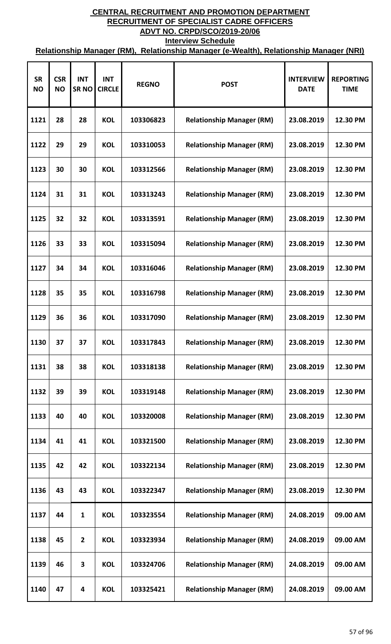| <b>SR</b><br><b>NO</b> | <b>CSR</b><br><b>NO</b> | <b>INT</b><br><b>SRNO</b> | <b>INT</b><br><b>CIRCLE</b> | <b>REGNO</b> | <b>POST</b>                      | <b>INTERVIEW</b><br><b>DATE</b> | <b>REPORTING</b><br><b>TIME</b> |
|------------------------|-------------------------|---------------------------|-----------------------------|--------------|----------------------------------|---------------------------------|---------------------------------|
| 1121                   | 28                      | 28                        | <b>KOL</b>                  | 103306823    | <b>Relationship Manager (RM)</b> | 23.08.2019                      | 12.30 PM                        |
| 1122                   | 29                      | 29                        | <b>KOL</b>                  | 103310053    | <b>Relationship Manager (RM)</b> | 23.08.2019                      | 12.30 PM                        |
| 1123                   | 30                      | 30                        | <b>KOL</b>                  | 103312566    | <b>Relationship Manager (RM)</b> | 23.08.2019                      | 12.30 PM                        |
| 1124                   | 31                      | 31                        | <b>KOL</b>                  | 103313243    | <b>Relationship Manager (RM)</b> | 23.08.2019                      | 12.30 PM                        |
| 1125                   | 32                      | 32                        | <b>KOL</b>                  | 103313591    | <b>Relationship Manager (RM)</b> | 23.08.2019                      | 12.30 PM                        |
| 1126                   | 33                      | 33                        | <b>KOL</b>                  | 103315094    | <b>Relationship Manager (RM)</b> | 23.08.2019                      | 12.30 PM                        |
| 1127                   | 34                      | 34                        | <b>KOL</b>                  | 103316046    | <b>Relationship Manager (RM)</b> | 23.08.2019                      | 12.30 PM                        |
| 1128                   | 35                      | 35                        | <b>KOL</b>                  | 103316798    | <b>Relationship Manager (RM)</b> | 23.08.2019                      | 12.30 PM                        |
| 1129                   | 36                      | 36                        | <b>KOL</b>                  | 103317090    | <b>Relationship Manager (RM)</b> | 23.08.2019                      | 12.30 PM                        |
| 1130                   | 37                      | 37                        | <b>KOL</b>                  | 103317843    | <b>Relationship Manager (RM)</b> | 23.08.2019                      | 12.30 PM                        |
| 1131                   | 38                      | 38                        | <b>KOL</b>                  | 103318138    | <b>Relationship Manager (RM)</b> | 23.08.2019                      | 12.30 PM                        |
| 1132                   | 39                      | 39                        | <b>KOL</b>                  | 103319148    | <b>Relationship Manager (RM)</b> | 23.08.2019                      | 12.30 PM                        |
| 1133                   | 40                      | 40                        | <b>KOL</b>                  | 103320008    | <b>Relationship Manager (RM)</b> | 23.08.2019                      | 12.30 PM                        |
| 1134                   | 41                      | 41                        | <b>KOL</b>                  | 103321500    | <b>Relationship Manager (RM)</b> | 23.08.2019                      | 12.30 PM                        |
| 1135                   | 42                      | 42                        | <b>KOL</b>                  | 103322134    | <b>Relationship Manager (RM)</b> | 23.08.2019                      | 12.30 PM                        |
| 1136                   | 43                      | 43                        | <b>KOL</b>                  | 103322347    | <b>Relationship Manager (RM)</b> | 23.08.2019                      | 12.30 PM                        |
| 1137                   | 44                      | $\mathbf{1}$              | <b>KOL</b>                  | 103323554    | <b>Relationship Manager (RM)</b> | 24.08.2019                      | 09.00 AM                        |
| 1138                   | 45                      | $\overline{2}$            | <b>KOL</b>                  | 103323934    | <b>Relationship Manager (RM)</b> | 24.08.2019                      | 09.00 AM                        |
| 1139                   | 46                      | 3                         | <b>KOL</b>                  | 103324706    | <b>Relationship Manager (RM)</b> | 24.08.2019                      | 09.00 AM                        |
| 1140                   | 47                      | 4                         | <b>KOL</b>                  | 103325421    | <b>Relationship Manager (RM)</b> | 24.08.2019                      | 09.00 AM                        |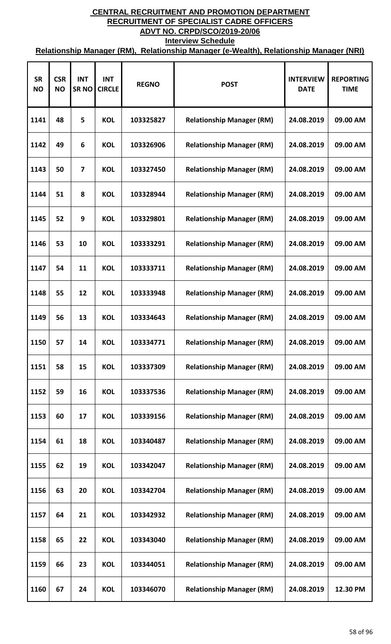| <b>SR</b><br><b>NO</b> | <b>CSR</b><br><b>NO</b> | <b>INT</b><br><b>SRNO</b> | <b>INT</b><br><b>CIRCLE</b> | <b>REGNO</b> | <b>POST</b>                      | <b>INTERVIEW</b><br><b>DATE</b> | <b>REPORTING</b><br><b>TIME</b> |
|------------------------|-------------------------|---------------------------|-----------------------------|--------------|----------------------------------|---------------------------------|---------------------------------|
| 1141                   | 48                      | 5                         | <b>KOL</b>                  | 103325827    | <b>Relationship Manager (RM)</b> | 24.08.2019                      | 09.00 AM                        |
| 1142                   | 49                      | 6                         | <b>KOL</b>                  | 103326906    | <b>Relationship Manager (RM)</b> | 24.08.2019                      | 09.00 AM                        |
| 1143                   | 50                      | 7                         | <b>KOL</b>                  | 103327450    | <b>Relationship Manager (RM)</b> | 24.08.2019                      | 09.00 AM                        |
| 1144                   | 51                      | 8                         | <b>KOL</b>                  | 103328944    | <b>Relationship Manager (RM)</b> | 24.08.2019                      | 09.00 AM                        |
| 1145                   | 52                      | 9                         | <b>KOL</b>                  | 103329801    | <b>Relationship Manager (RM)</b> | 24.08.2019                      | 09.00 AM                        |
| 1146                   | 53                      | 10                        | <b>KOL</b>                  | 103333291    | <b>Relationship Manager (RM)</b> | 24.08.2019                      | 09.00 AM                        |
| 1147                   | 54                      | 11                        | <b>KOL</b>                  | 103333711    | <b>Relationship Manager (RM)</b> | 24.08.2019                      | 09.00 AM                        |
| 1148                   | 55                      | 12                        | <b>KOL</b>                  | 103333948    | <b>Relationship Manager (RM)</b> | 24.08.2019                      | 09.00 AM                        |
| 1149                   | 56                      | 13                        | <b>KOL</b>                  | 103334643    | <b>Relationship Manager (RM)</b> | 24.08.2019                      | 09.00 AM                        |
| 1150                   | 57                      | 14                        | <b>KOL</b>                  | 103334771    | <b>Relationship Manager (RM)</b> | 24.08.2019                      | 09.00 AM                        |
| 1151                   | 58                      | 15                        | <b>KOL</b>                  | 103337309    | <b>Relationship Manager (RM)</b> | 24.08.2019                      | 09.00 AM                        |
| 1152                   | 59                      | 16                        | <b>KOL</b>                  | 103337536    | <b>Relationship Manager (RM)</b> | 24.08.2019                      | 09.00 AM                        |
| 1153                   | 60                      | 17                        | <b>KOL</b>                  | 103339156    | <b>Relationship Manager (RM)</b> | 24.08.2019                      | 09.00 AM                        |
| 1154                   | 61                      | 18                        | <b>KOL</b>                  | 103340487    | <b>Relationship Manager (RM)</b> | 24.08.2019                      | 09.00 AM                        |
| 1155                   | 62                      | 19                        | <b>KOL</b>                  | 103342047    | <b>Relationship Manager (RM)</b> | 24.08.2019                      | 09.00 AM                        |
| 1156                   | 63                      | 20                        | <b>KOL</b>                  | 103342704    | <b>Relationship Manager (RM)</b> | 24.08.2019                      | 09.00 AM                        |
| 1157                   | 64                      | 21                        | <b>KOL</b>                  | 103342932    | <b>Relationship Manager (RM)</b> | 24.08.2019                      | 09.00 AM                        |
| 1158                   | 65                      | 22                        | <b>KOL</b>                  | 103343040    | <b>Relationship Manager (RM)</b> | 24.08.2019                      | 09.00 AM                        |
| 1159                   | 66                      | 23                        | <b>KOL</b>                  | 103344051    | <b>Relationship Manager (RM)</b> | 24.08.2019                      | 09.00 AM                        |
| 1160                   | 67                      | 24                        | <b>KOL</b>                  | 103346070    | <b>Relationship Manager (RM)</b> | 24.08.2019                      | 12.30 PM                        |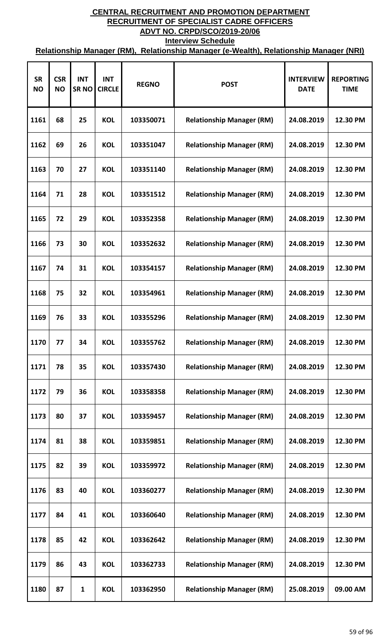| <b>SR</b><br><b>NO</b> | <b>CSR</b><br><b>NO</b> | <b>INT</b><br><b>SRNO</b> | <b>INT</b><br><b>CIRCLE</b> | <b>REGNO</b> | <b>POST</b>                      | <b>INTERVIEW</b><br><b>DATE</b> | <b>REPORTING</b><br><b>TIME</b> |
|------------------------|-------------------------|---------------------------|-----------------------------|--------------|----------------------------------|---------------------------------|---------------------------------|
| 1161                   | 68                      | 25                        | <b>KOL</b>                  | 103350071    | <b>Relationship Manager (RM)</b> | 24.08.2019                      | 12.30 PM                        |
| 1162                   | 69                      | 26                        | <b>KOL</b>                  | 103351047    | <b>Relationship Manager (RM)</b> | 24.08.2019                      | 12.30 PM                        |
| 1163                   | 70                      | 27                        | <b>KOL</b>                  | 103351140    | <b>Relationship Manager (RM)</b> | 24.08.2019                      | 12.30 PM                        |
| 1164                   | 71                      | 28                        | <b>KOL</b>                  | 103351512    | <b>Relationship Manager (RM)</b> | 24.08.2019                      | 12.30 PM                        |
| 1165                   | 72                      | 29                        | <b>KOL</b>                  | 103352358    | <b>Relationship Manager (RM)</b> | 24.08.2019                      | 12.30 PM                        |
| 1166                   | 73                      | 30                        | <b>KOL</b>                  | 103352632    | <b>Relationship Manager (RM)</b> | 24.08.2019                      | 12.30 PM                        |
| 1167                   | 74                      | 31                        | <b>KOL</b>                  | 103354157    | <b>Relationship Manager (RM)</b> | 24.08.2019                      | 12.30 PM                        |
| 1168                   | 75                      | 32                        | <b>KOL</b>                  | 103354961    | <b>Relationship Manager (RM)</b> | 24.08.2019                      | 12.30 PM                        |
| 1169                   | 76                      | 33                        | <b>KOL</b>                  | 103355296    | <b>Relationship Manager (RM)</b> | 24.08.2019                      | 12.30 PM                        |
| 1170                   | 77                      | 34                        | <b>KOL</b>                  | 103355762    | <b>Relationship Manager (RM)</b> | 24.08.2019                      | 12.30 PM                        |
| 1171                   | 78                      | 35                        | <b>KOL</b>                  | 103357430    | <b>Relationship Manager (RM)</b> | 24.08.2019                      | 12.30 PM                        |
| 1172                   | 79                      | 36                        | <b>KOL</b>                  | 103358358    | <b>Relationship Manager (RM)</b> | 24.08.2019                      | 12.30 PM                        |
| 1173                   | 80                      | 37                        | <b>KOL</b>                  | 103359457    | <b>Relationship Manager (RM)</b> | 24.08.2019                      | 12.30 PM                        |
| 1174                   | 81                      | 38                        | <b>KOL</b>                  | 103359851    | <b>Relationship Manager (RM)</b> | 24.08.2019                      | 12.30 PM                        |
| 1175                   | 82                      | 39                        | <b>KOL</b>                  | 103359972    | <b>Relationship Manager (RM)</b> | 24.08.2019                      | 12.30 PM                        |
| 1176                   | 83                      | 40                        | <b>KOL</b>                  | 103360277    | <b>Relationship Manager (RM)</b> | 24.08.2019                      | 12.30 PM                        |
| 1177                   | 84                      | 41                        | <b>KOL</b>                  | 103360640    | <b>Relationship Manager (RM)</b> | 24.08.2019                      | 12.30 PM                        |
| 1178                   | 85                      | 42                        | <b>KOL</b>                  | 103362642    | <b>Relationship Manager (RM)</b> | 24.08.2019                      | 12.30 PM                        |
| 1179                   | 86                      | 43                        | <b>KOL</b>                  | 103362733    | <b>Relationship Manager (RM)</b> | 24.08.2019                      | 12.30 PM                        |
| 1180                   | 87                      | $\mathbf{1}$              | <b>KOL</b>                  | 103362950    | <b>Relationship Manager (RM)</b> | 25.08.2019                      | 09.00 AM                        |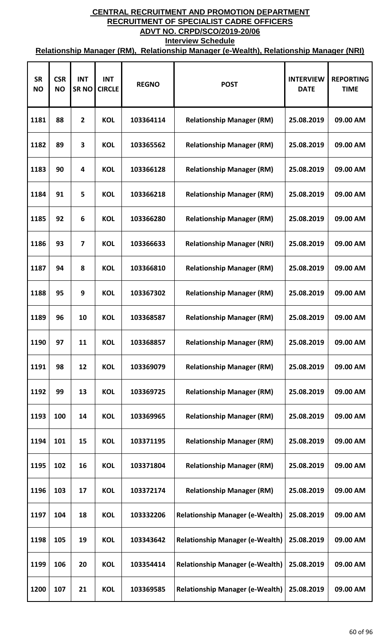| <b>SR</b><br><b>NO</b> | <b>CSR</b><br><b>NO</b> | <b>INT</b><br><b>SRNO</b> | <b>INT</b><br><b>CIRCLE</b> | <b>REGNO</b> | <b>POST</b>                            | <b>INTERVIEW</b><br><b>DATE</b> | <b>REPORTING</b><br><b>TIME</b> |
|------------------------|-------------------------|---------------------------|-----------------------------|--------------|----------------------------------------|---------------------------------|---------------------------------|
| 1181                   | 88                      | $\overline{2}$            | <b>KOL</b>                  | 103364114    | <b>Relationship Manager (RM)</b>       | 25.08.2019                      | 09.00 AM                        |
| 1182                   | 89                      | 3                         | <b>KOL</b>                  | 103365562    | <b>Relationship Manager (RM)</b>       | 25.08.2019                      | 09.00 AM                        |
| 1183                   | 90                      | 4                         | <b>KOL</b>                  | 103366128    | <b>Relationship Manager (RM)</b>       | 25.08.2019                      | 09.00 AM                        |
| 1184                   | 91                      | 5                         | <b>KOL</b>                  | 103366218    | <b>Relationship Manager (RM)</b>       | 25.08.2019                      | 09.00 AM                        |
| 1185                   | 92                      | 6                         | <b>KOL</b>                  | 103366280    | <b>Relationship Manager (RM)</b>       | 25.08.2019                      | 09.00 AM                        |
| 1186                   | 93                      | $\overline{\mathbf{z}}$   | <b>KOL</b>                  | 103366633    | <b>Relationship Manager (NRI)</b>      | 25.08.2019                      | 09.00 AM                        |
| 1187                   | 94                      | 8                         | <b>KOL</b>                  | 103366810    | <b>Relationship Manager (RM)</b>       | 25.08.2019                      | 09.00 AM                        |
| 1188                   | 95                      | 9                         | <b>KOL</b>                  | 103367302    | <b>Relationship Manager (RM)</b>       | 25.08.2019                      | 09.00 AM                        |
| 1189                   | 96                      | 10                        | <b>KOL</b>                  | 103368587    | <b>Relationship Manager (RM)</b>       | 25.08.2019                      | 09.00 AM                        |
| 1190                   | 97                      | 11                        | <b>KOL</b>                  | 103368857    | <b>Relationship Manager (RM)</b>       | 25.08.2019                      | 09.00 AM                        |
| 1191                   | 98                      | 12                        | <b>KOL</b>                  | 103369079    | <b>Relationship Manager (RM)</b>       | 25.08.2019                      | 09.00 AM                        |
| 1192                   | 99                      | 13                        | <b>KOL</b>                  | 103369725    | <b>Relationship Manager (RM)</b>       | 25.08.2019                      | 09.00 AM                        |
| 1193                   | 100                     | 14                        | <b>KOL</b>                  | 103369965    | <b>Relationship Manager (RM)</b>       | 25.08.2019                      | 09.00 AM                        |
| 1194                   | 101                     | 15                        | <b>KOL</b>                  | 103371195    | <b>Relationship Manager (RM)</b>       | 25.08.2019                      | 09.00 AM                        |
| 1195                   | 102                     | 16                        | <b>KOL</b>                  | 103371804    | <b>Relationship Manager (RM)</b>       | 25.08.2019                      | 09.00 AM                        |
| 1196                   | 103                     | 17                        | <b>KOL</b>                  | 103372174    | <b>Relationship Manager (RM)</b>       | 25.08.2019                      | 09.00 AM                        |
| 1197                   | 104                     | 18                        | <b>KOL</b>                  | 103332206    | <b>Relationship Manager (e-Wealth)</b> | 25.08.2019                      | 09.00 AM                        |
| 1198                   | 105                     | 19                        | <b>KOL</b>                  | 103343642    | <b>Relationship Manager (e-Wealth)</b> | 25.08.2019                      | 09.00 AM                        |
| 1199                   | 106                     | 20                        | <b>KOL</b>                  | 103354414    | <b>Relationship Manager (e-Wealth)</b> | 25.08.2019                      | 09.00 AM                        |
| 1200                   | 107                     | 21                        | <b>KOL</b>                  | 103369585    | <b>Relationship Manager (e-Wealth)</b> | 25.08.2019                      | 09.00 AM                        |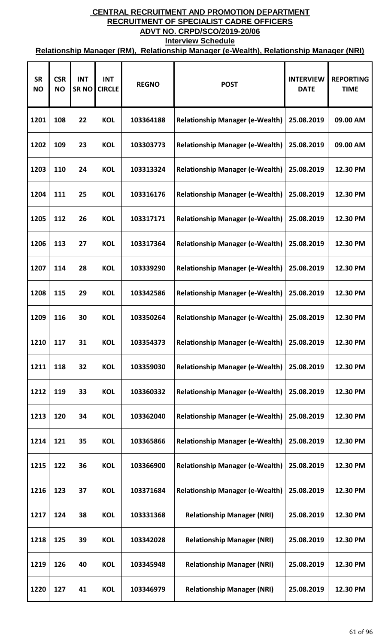| <b>SR</b><br><b>NO</b> | <b>CSR</b><br><b>NO</b> | <b>INT</b><br><b>SRNO</b> | <b>INT</b><br><b>CIRCLE</b> | <b>REGNO</b> | <b>POST</b>                            | <b>INTERVIEW</b><br><b>DATE</b> | <b>REPORTING</b><br><b>TIME</b> |
|------------------------|-------------------------|---------------------------|-----------------------------|--------------|----------------------------------------|---------------------------------|---------------------------------|
| 1201                   | 108                     | 22                        | <b>KOL</b>                  | 103364188    | <b>Relationship Manager (e-Wealth)</b> | 25.08.2019                      | 09.00 AM                        |
| 1202                   | 109                     | 23                        | <b>KOL</b>                  | 103303773    | <b>Relationship Manager (e-Wealth)</b> | 25.08.2019                      | 09.00 AM                        |
| 1203                   | 110                     | 24                        | <b>KOL</b>                  | 103313324    | <b>Relationship Manager (e-Wealth)</b> | 25.08.2019                      | 12.30 PM                        |
| 1204                   | 111                     | 25                        | <b>KOL</b>                  | 103316176    | <b>Relationship Manager (e-Wealth)</b> | 25.08.2019                      | 12.30 PM                        |
| 1205                   | 112                     | 26                        | <b>KOL</b>                  | 103317171    | <b>Relationship Manager (e-Wealth)</b> | 25.08.2019                      | 12.30 PM                        |
| 1206                   | 113                     | 27                        | <b>KOL</b>                  | 103317364    | <b>Relationship Manager (e-Wealth)</b> | 25.08.2019                      | 12.30 PM                        |
| 1207                   | 114                     | 28                        | <b>KOL</b>                  | 103339290    | <b>Relationship Manager (e-Wealth)</b> | 25.08.2019                      | 12.30 PM                        |
| 1208                   | 115                     | 29                        | <b>KOL</b>                  | 103342586    | <b>Relationship Manager (e-Wealth)</b> | 25.08.2019                      | 12.30 PM                        |
| 1209                   | 116                     | 30                        | <b>KOL</b>                  | 103350264    | <b>Relationship Manager (e-Wealth)</b> | 25.08.2019                      | 12.30 PM                        |
| 1210                   | 117                     | 31                        | <b>KOL</b>                  | 103354373    | <b>Relationship Manager (e-Wealth)</b> | 25.08.2019                      | 12.30 PM                        |
| 1211                   | 118                     | 32                        | <b>KOL</b>                  | 103359030    | <b>Relationship Manager (e-Wealth)</b> | 25.08.2019                      | 12.30 PM                        |
| 1212                   | 119                     | 33                        | <b>KOL</b>                  | 103360332    | <b>Relationship Manager (e-Wealth)</b> | 25.08.2019                      | 12.30 PM                        |
| 1213                   | 120                     | 34                        | <b>KOL</b>                  | 103362040    | <b>Relationship Manager (e-Wealth)</b> | 25.08.2019                      | 12.30 PM                        |
| 1214                   | 121                     | 35                        | <b>KOL</b>                  | 103365866    | <b>Relationship Manager (e-Wealth)</b> | 25.08.2019                      | 12.30 PM                        |
| 1215                   | 122                     | 36                        | <b>KOL</b>                  | 103366900    | <b>Relationship Manager (e-Wealth)</b> | 25.08.2019                      | 12.30 PM                        |
| 1216                   | 123                     | 37                        | <b>KOL</b>                  | 103371684    | <b>Relationship Manager (e-Wealth)</b> | 25.08.2019                      | 12.30 PM                        |
| 1217                   | 124                     | 38                        | <b>KOL</b>                  | 103331368    | <b>Relationship Manager (NRI)</b>      | 25.08.2019                      | 12.30 PM                        |
| 1218                   | 125                     | 39                        | <b>KOL</b>                  | 103342028    | <b>Relationship Manager (NRI)</b>      | 25.08.2019                      | 12.30 PM                        |
| 1219                   | 126                     | 40                        | <b>KOL</b>                  | 103345948    | <b>Relationship Manager (NRI)</b>      | 25.08.2019                      | 12.30 PM                        |
| 1220                   | 127                     | 41                        | <b>KOL</b>                  | 103346979    | <b>Relationship Manager (NRI)</b>      | 25.08.2019                      | 12.30 PM                        |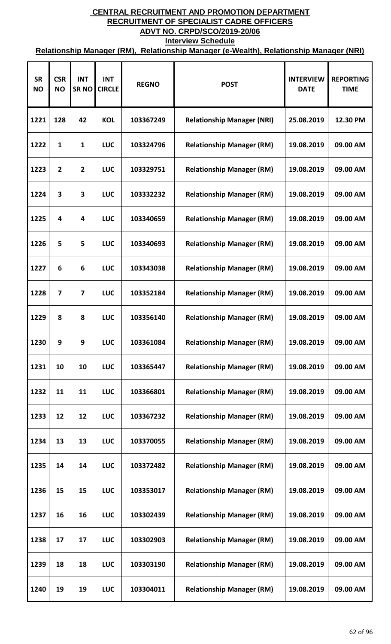| <b>SR</b><br><b>NO</b> | <b>CSR</b><br><b>NO</b> | <b>INT</b><br><b>SRNO</b> | <b>INT</b><br><b>CIRCLE</b> | <b>REGNO</b> | <b>POST</b>                       | <b>INTERVIEW</b><br><b>DATE</b> | <b>REPORTING</b><br><b>TIME</b> |
|------------------------|-------------------------|---------------------------|-----------------------------|--------------|-----------------------------------|---------------------------------|---------------------------------|
| 1221                   | 128                     | 42                        | <b>KOL</b>                  | 103367249    | <b>Relationship Manager (NRI)</b> | 25.08.2019                      | 12.30 PM                        |
| 1222                   | $\mathbf{1}$            | $\mathbf{1}$              | <b>LUC</b>                  | 103324796    | <b>Relationship Manager (RM)</b>  | 19.08.2019                      | 09.00 AM                        |
| 1223                   | $\overline{2}$          | $\overline{2}$            | <b>LUC</b>                  | 103329751    | <b>Relationship Manager (RM)</b>  | 19.08.2019                      | 09.00 AM                        |
| 1224                   | 3                       | 3                         | <b>LUC</b>                  | 103332232    | <b>Relationship Manager (RM)</b>  | 19.08.2019                      | 09.00 AM                        |
| 1225                   | $\overline{\mathbf{4}}$ | 4                         | <b>LUC</b>                  | 103340659    | <b>Relationship Manager (RM)</b>  | 19.08.2019                      | 09.00 AM                        |
| 1226                   | 5                       | 5                         | <b>LUC</b>                  | 103340693    | <b>Relationship Manager (RM)</b>  | 19.08.2019                      | 09.00 AM                        |
| 1227                   | 6                       | 6                         | <b>LUC</b>                  | 103343038    | <b>Relationship Manager (RM)</b>  | 19.08.2019                      | 09.00 AM                        |
| 1228                   | $\overline{7}$          | 7                         | <b>LUC</b>                  | 103352184    | <b>Relationship Manager (RM)</b>  | 19.08.2019                      | 09.00 AM                        |
| 1229                   | 8                       | 8                         | <b>LUC</b>                  | 103356140    | <b>Relationship Manager (RM)</b>  | 19.08.2019                      | 09.00 AM                        |
| 1230                   | 9                       | 9                         | <b>LUC</b>                  | 103361084    | <b>Relationship Manager (RM)</b>  | 19.08.2019                      | 09.00 AM                        |
| 1231                   | 10                      | 10                        | <b>LUC</b>                  | 103365447    | <b>Relationship Manager (RM)</b>  | 19.08.2019                      | 09.00 AM                        |
| 1232                   | 11                      | 11                        | <b>LUC</b>                  | 103366801    | <b>Relationship Manager (RM)</b>  | 19.08.2019                      | 09.00 AM                        |
| 1233                   | 12                      | 12                        | <b>LUC</b>                  | 103367232    | <b>Relationship Manager (RM)</b>  | 19.08.2019                      | 09.00 AM                        |
| 1234                   | 13                      | 13                        | <b>LUC</b>                  | 103370055    | <b>Relationship Manager (RM)</b>  | 19.08.2019                      | 09.00 AM                        |
| 1235                   | 14                      | 14                        | <b>LUC</b>                  | 103372482    | <b>Relationship Manager (RM)</b>  | 19.08.2019                      | 09.00 AM                        |
| 1236                   | 15                      | 15                        | <b>LUC</b>                  | 103353017    | <b>Relationship Manager (RM)</b>  | 19.08.2019                      | 09.00 AM                        |
| 1237                   | 16                      | 16                        | <b>LUC</b>                  | 103302439    | <b>Relationship Manager (RM)</b>  | 19.08.2019                      | 09.00 AM                        |
| 1238                   | 17                      | 17                        | <b>LUC</b>                  | 103302903    | <b>Relationship Manager (RM)</b>  | 19.08.2019                      | 09.00 AM                        |
| 1239                   | 18                      | 18                        | <b>LUC</b>                  | 103303190    | <b>Relationship Manager (RM)</b>  | 19.08.2019                      | 09.00 AM                        |
| 1240                   | 19                      | 19                        | <b>LUC</b>                  | 103304011    | <b>Relationship Manager (RM)</b>  | 19.08.2019                      | 09.00 AM                        |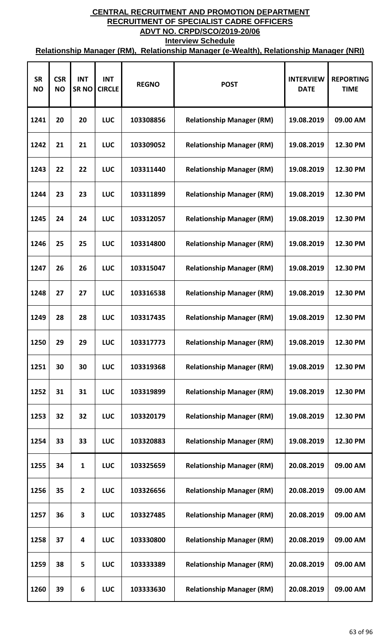| <b>SR</b><br><b>NO</b> | <b>CSR</b><br><b>NO</b> | <b>INT</b><br><b>SRNO</b> | <b>INT</b><br><b>CIRCLE</b> | <b>REGNO</b> | <b>POST</b>                      | <b>INTERVIEW</b><br><b>DATE</b> | <b>REPORTING</b><br><b>TIME</b> |
|------------------------|-------------------------|---------------------------|-----------------------------|--------------|----------------------------------|---------------------------------|---------------------------------|
| 1241                   | 20                      | 20                        | <b>LUC</b>                  | 103308856    | <b>Relationship Manager (RM)</b> | 19.08.2019                      | 09.00 AM                        |
| 1242                   | 21                      | 21                        | <b>LUC</b>                  | 103309052    | <b>Relationship Manager (RM)</b> | 19.08.2019                      | 12.30 PM                        |
| 1243                   | 22                      | 22                        | <b>LUC</b>                  | 103311440    | <b>Relationship Manager (RM)</b> | 19.08.2019                      | 12.30 PM                        |
| 1244                   | 23                      | 23                        | <b>LUC</b>                  | 103311899    | <b>Relationship Manager (RM)</b> | 19.08.2019                      | 12.30 PM                        |
| 1245                   | 24                      | 24                        | <b>LUC</b>                  | 103312057    | <b>Relationship Manager (RM)</b> | 19.08.2019                      | 12.30 PM                        |
| 1246                   | 25                      | 25                        | <b>LUC</b>                  | 103314800    | <b>Relationship Manager (RM)</b> | 19.08.2019                      | 12.30 PM                        |
| 1247                   | 26                      | 26                        | <b>LUC</b>                  | 103315047    | <b>Relationship Manager (RM)</b> | 19.08.2019                      | 12.30 PM                        |
| 1248                   | 27                      | 27                        | <b>LUC</b>                  | 103316538    | <b>Relationship Manager (RM)</b> | 19.08.2019                      | 12.30 PM                        |
| 1249                   | 28                      | 28                        | <b>LUC</b>                  | 103317435    | <b>Relationship Manager (RM)</b> | 19.08.2019                      | 12.30 PM                        |
| 1250                   | 29                      | 29                        | <b>LUC</b>                  | 103317773    | <b>Relationship Manager (RM)</b> | 19.08.2019                      | 12.30 PM                        |
| 1251                   | 30                      | 30                        | <b>LUC</b>                  | 103319368    | <b>Relationship Manager (RM)</b> | 19.08.2019                      | 12.30 PM                        |
| 1252                   | 31                      | 31                        | <b>LUC</b>                  | 103319899    | <b>Relationship Manager (RM)</b> | 19.08.2019                      | 12.30 PM                        |
| 1253                   | 32                      | 32                        | <b>LUC</b>                  | 103320179    | <b>Relationship Manager (RM)</b> | 19.08.2019                      | 12.30 PM                        |
| 1254                   | 33                      | 33                        | <b>LUC</b>                  | 103320883    | <b>Relationship Manager (RM)</b> | 19.08.2019                      | 12.30 PM                        |
| 1255                   | 34                      | 1                         | <b>LUC</b>                  | 103325659    | <b>Relationship Manager (RM)</b> | 20.08.2019                      | 09.00 AM                        |
| 1256                   | 35                      | $\overline{2}$            | <b>LUC</b>                  | 103326656    | <b>Relationship Manager (RM)</b> | 20.08.2019                      | 09.00 AM                        |
| 1257                   | 36                      | 3                         | <b>LUC</b>                  | 103327485    | <b>Relationship Manager (RM)</b> | 20.08.2019                      | 09.00 AM                        |
| 1258                   | 37                      | 4                         | LUC                         | 103330800    | <b>Relationship Manager (RM)</b> | 20.08.2019                      | 09.00 AM                        |
| 1259                   | 38                      | 5                         | <b>LUC</b>                  | 103333389    | <b>Relationship Manager (RM)</b> | 20.08.2019                      | 09.00 AM                        |
| 1260                   | 39                      | 6                         | <b>LUC</b>                  | 103333630    | <b>Relationship Manager (RM)</b> | 20.08.2019                      | 09.00 AM                        |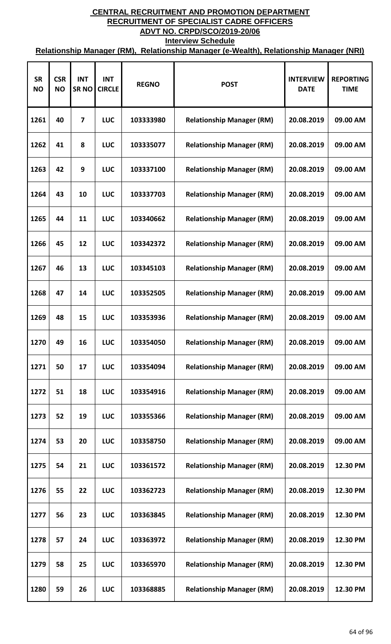| <b>SR</b><br><b>NO</b> | <b>CSR</b><br><b>NO</b> | <b>INT</b><br><b>SRNO</b> | <b>INT</b><br><b>CIRCLE</b> | <b>REGNO</b> | <b>POST</b>                      | <b>INTERVIEW</b><br><b>DATE</b> | <b>REPORTING</b><br><b>TIME</b> |
|------------------------|-------------------------|---------------------------|-----------------------------|--------------|----------------------------------|---------------------------------|---------------------------------|
| 1261                   | 40                      | 7                         | <b>LUC</b>                  | 103333980    | <b>Relationship Manager (RM)</b> | 20.08.2019                      | 09.00 AM                        |
| 1262                   | 41                      | 8                         | <b>LUC</b>                  | 103335077    | <b>Relationship Manager (RM)</b> | 20.08.2019                      | 09.00 AM                        |
| 1263                   | 42                      | 9                         | <b>LUC</b>                  | 103337100    | <b>Relationship Manager (RM)</b> | 20.08.2019                      | 09.00 AM                        |
| 1264                   | 43                      | 10                        | <b>LUC</b>                  | 103337703    | <b>Relationship Manager (RM)</b> | 20.08.2019                      | 09.00 AM                        |
| 1265                   | 44                      | 11                        | <b>LUC</b>                  | 103340662    | <b>Relationship Manager (RM)</b> | 20.08.2019                      | 09.00 AM                        |
| 1266                   | 45                      | 12                        | <b>LUC</b>                  | 103342372    | <b>Relationship Manager (RM)</b> | 20.08.2019                      | 09.00 AM                        |
| 1267                   | 46                      | 13                        | <b>LUC</b>                  | 103345103    | <b>Relationship Manager (RM)</b> | 20.08.2019                      | 09.00 AM                        |
| 1268                   | 47                      | 14                        | <b>LUC</b>                  | 103352505    | <b>Relationship Manager (RM)</b> | 20.08.2019                      | 09.00 AM                        |
| 1269                   | 48                      | 15                        | <b>LUC</b>                  | 103353936    | <b>Relationship Manager (RM)</b> | 20.08.2019                      | 09.00 AM                        |
| 1270                   | 49                      | 16                        | <b>LUC</b>                  | 103354050    | <b>Relationship Manager (RM)</b> | 20.08.2019                      | 09.00 AM                        |
| 1271                   | 50                      | 17                        | <b>LUC</b>                  | 103354094    | <b>Relationship Manager (RM)</b> | 20.08.2019                      | 09.00 AM                        |
| 1272                   | 51                      | 18                        | <b>LUC</b>                  | 103354916    | <b>Relationship Manager (RM)</b> | 20.08.2019                      | 09.00 AM                        |
| 1273                   | 52                      | 19                        | <b>LUC</b>                  | 103355366    | <b>Relationship Manager (RM)</b> | 20.08.2019                      | 09.00 AM                        |
| 1274                   | 53                      | 20                        | <b>LUC</b>                  | 103358750    | <b>Relationship Manager (RM)</b> | 20.08.2019                      | 09.00 AM                        |
| 1275                   | 54                      | 21                        | <b>LUC</b>                  | 103361572    | <b>Relationship Manager (RM)</b> | 20.08.2019                      | 12.30 PM                        |
| 1276                   | 55                      | 22                        | <b>LUC</b>                  | 103362723    | <b>Relationship Manager (RM)</b> | 20.08.2019                      | 12.30 PM                        |
| 1277                   | 56                      | 23                        | <b>LUC</b>                  | 103363845    | <b>Relationship Manager (RM)</b> | 20.08.2019                      | 12.30 PM                        |
| 1278                   | 57                      | 24                        | <b>LUC</b>                  | 103363972    | <b>Relationship Manager (RM)</b> | 20.08.2019                      | 12.30 PM                        |
| 1279                   | 58                      | 25                        | <b>LUC</b>                  | 103365970    | <b>Relationship Manager (RM)</b> | 20.08.2019                      | 12.30 PM                        |
| 1280                   | 59                      | 26                        | LUC                         | 103368885    | <b>Relationship Manager (RM)</b> | 20.08.2019                      | 12.30 PM                        |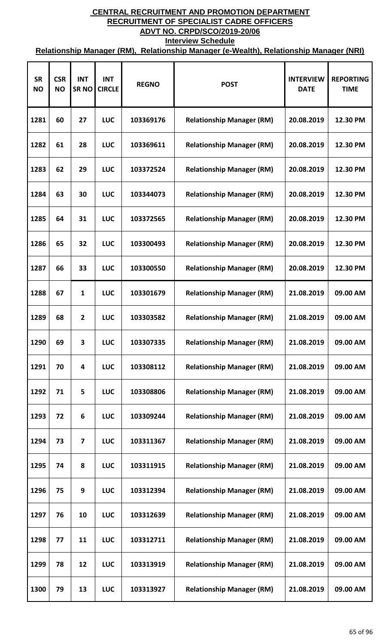| <b>SR</b><br><b>NO</b> | <b>CSR</b><br><b>NO</b> | <b>INT</b><br><b>SRNO</b> | <b>INT</b><br><b>CIRCLE</b> | <b>REGNO</b> | <b>POST</b>                      | <b>INTERVIEW</b><br><b>DATE</b> | <b>REPORTING</b><br><b>TIME</b> |
|------------------------|-------------------------|---------------------------|-----------------------------|--------------|----------------------------------|---------------------------------|---------------------------------|
| 1281                   | 60                      | 27                        | <b>LUC</b>                  | 103369176    | <b>Relationship Manager (RM)</b> | 20.08.2019                      | 12.30 PM                        |
| 1282                   | 61                      | 28                        | <b>LUC</b>                  | 103369611    | <b>Relationship Manager (RM)</b> | 20.08.2019                      | 12.30 PM                        |
| 1283                   | 62                      | 29                        | <b>LUC</b>                  | 103372524    | <b>Relationship Manager (RM)</b> | 20.08.2019                      | 12.30 PM                        |
| 1284                   | 63                      | 30                        | <b>LUC</b>                  | 103344073    | <b>Relationship Manager (RM)</b> | 20.08.2019                      | 12.30 PM                        |
| 1285                   | 64                      | 31                        | <b>LUC</b>                  | 103372565    | <b>Relationship Manager (RM)</b> | 20.08.2019                      | 12.30 PM                        |
| 1286                   | 65                      | 32                        | <b>LUC</b>                  | 103300493    | <b>Relationship Manager (RM)</b> | 20.08.2019                      | 12.30 PM                        |
| 1287                   | 66                      | 33                        | <b>LUC</b>                  | 103300550    | <b>Relationship Manager (RM)</b> | 20.08.2019                      | 12.30 PM                        |
| 1288                   | 67                      | 1                         | <b>LUC</b>                  | 103301679    | <b>Relationship Manager (RM)</b> | 21.08.2019                      | 09.00 AM                        |
| 1289                   | 68                      | $\overline{2}$            | <b>LUC</b>                  | 103303582    | <b>Relationship Manager (RM)</b> | 21.08.2019                      | 09.00 AM                        |
| 1290                   | 69                      | 3                         | <b>LUC</b>                  | 103307335    | <b>Relationship Manager (RM)</b> | 21.08.2019                      | 09.00 AM                        |
| 1291                   | 70                      | 4                         | <b>LUC</b>                  | 103308112    | <b>Relationship Manager (RM)</b> | 21.08.2019                      | 09.00 AM                        |
| 1292                   | 71                      | 5                         | <b>LUC</b>                  | 103308806    | <b>Relationship Manager (RM)</b> | 21.08.2019                      | 09.00 AM                        |
| 1293                   | 72                      | 6                         | <b>LUC</b>                  | 103309244    | <b>Relationship Manager (RM)</b> | 21.08.2019                      | 09.00 AM                        |
| 1294                   | 73                      | 7                         | <b>LUC</b>                  | 103311367    | <b>Relationship Manager (RM)</b> | 21.08.2019                      | 09.00 AM                        |
| 1295                   | 74                      | 8                         | <b>LUC</b>                  | 103311915    | <b>Relationship Manager (RM)</b> | 21.08.2019                      | 09.00 AM                        |
| 1296                   | 75                      | 9                         | <b>LUC</b>                  | 103312394    | <b>Relationship Manager (RM)</b> | 21.08.2019                      | 09.00 AM                        |
| 1297                   | 76                      | 10                        | <b>LUC</b>                  | 103312639    | <b>Relationship Manager (RM)</b> | 21.08.2019                      | 09.00 AM                        |
| 1298                   | 77                      | 11                        | LUC                         | 103312711    | <b>Relationship Manager (RM)</b> | 21.08.2019                      | 09.00 AM                        |
| 1299                   | 78                      | 12                        | <b>LUC</b>                  | 103313919    | <b>Relationship Manager (RM)</b> | 21.08.2019                      | 09.00 AM                        |
| 1300                   | 79                      | 13                        | <b>LUC</b>                  | 103313927    | <b>Relationship Manager (RM)</b> | 21.08.2019                      | 09.00 AM                        |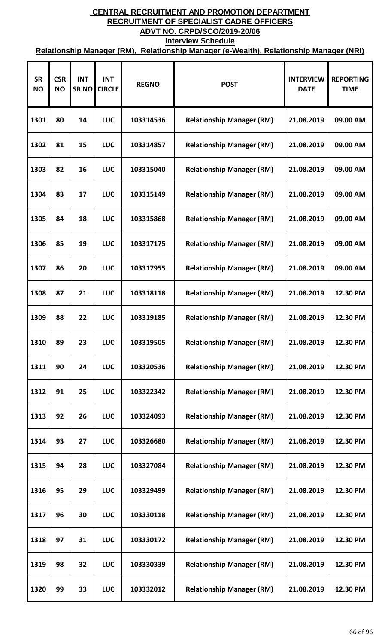| <b>SR</b><br><b>NO</b> | <b>CSR</b><br><b>NO</b> | <b>INT</b><br><b>SRNO</b> | <b>INT</b><br><b>CIRCLE</b> | <b>REGNO</b> | <b>POST</b>                      | <b>INTERVIEW</b><br><b>DATE</b> | <b>REPORTING</b><br><b>TIME</b> |
|------------------------|-------------------------|---------------------------|-----------------------------|--------------|----------------------------------|---------------------------------|---------------------------------|
| 1301                   | 80                      | 14                        | <b>LUC</b>                  | 103314536    | <b>Relationship Manager (RM)</b> | 21.08.2019                      | 09.00 AM                        |
| 1302                   | 81                      | 15                        | <b>LUC</b>                  | 103314857    | <b>Relationship Manager (RM)</b> | 21.08.2019                      | 09.00 AM                        |
| 1303                   | 82                      | 16                        | <b>LUC</b>                  | 103315040    | <b>Relationship Manager (RM)</b> | 21.08.2019                      | 09.00 AM                        |
| 1304                   | 83                      | 17                        | <b>LUC</b>                  | 103315149    | <b>Relationship Manager (RM)</b> | 21.08.2019                      | 09.00 AM                        |
| 1305                   | 84                      | 18                        | <b>LUC</b>                  | 103315868    | <b>Relationship Manager (RM)</b> | 21.08.2019                      | 09.00 AM                        |
| 1306                   | 85                      | 19                        | <b>LUC</b>                  | 103317175    | <b>Relationship Manager (RM)</b> | 21.08.2019                      | 09.00 AM                        |
| 1307                   | 86                      | 20                        | <b>LUC</b>                  | 103317955    | <b>Relationship Manager (RM)</b> | 21.08.2019                      | 09.00 AM                        |
| 1308                   | 87                      | 21                        | <b>LUC</b>                  | 103318118    | <b>Relationship Manager (RM)</b> | 21.08.2019                      | 12.30 PM                        |
| 1309                   | 88                      | 22                        | <b>LUC</b>                  | 103319185    | <b>Relationship Manager (RM)</b> | 21.08.2019                      | 12.30 PM                        |
| 1310                   | 89                      | 23                        | <b>LUC</b>                  | 103319505    | <b>Relationship Manager (RM)</b> | 21.08.2019                      | 12.30 PM                        |
| 1311                   | 90                      | 24                        | <b>LUC</b>                  | 103320536    | <b>Relationship Manager (RM)</b> | 21.08.2019                      | 12.30 PM                        |
| 1312                   | 91                      | 25                        | <b>LUC</b>                  | 103322342    | <b>Relationship Manager (RM)</b> | 21.08.2019                      | 12.30 PM                        |
| 1313                   | 92                      | 26                        | <b>LUC</b>                  | 103324093    | <b>Relationship Manager (RM)</b> | 21.08.2019                      | 12.30 PM                        |
| 1314                   | 93                      | 27                        | <b>LUC</b>                  | 103326680    | <b>Relationship Manager (RM)</b> | 21.08.2019                      | 12.30 PM                        |
| 1315                   | 94                      | 28                        | <b>LUC</b>                  | 103327084    | <b>Relationship Manager (RM)</b> | 21.08.2019                      | 12.30 PM                        |
| 1316                   | 95                      | 29                        | <b>LUC</b>                  | 103329499    | <b>Relationship Manager (RM)</b> | 21.08.2019                      | 12.30 PM                        |
| 1317                   | 96                      | 30                        | <b>LUC</b>                  | 103330118    | <b>Relationship Manager (RM)</b> | 21.08.2019                      | 12.30 PM                        |
| 1318                   | 97                      | 31                        | LUC                         | 103330172    | <b>Relationship Manager (RM)</b> | 21.08.2019                      | 12.30 PM                        |
| 1319                   | 98                      | 32                        | <b>LUC</b>                  | 103330339    | <b>Relationship Manager (RM)</b> | 21.08.2019                      | 12.30 PM                        |
| 1320                   | 99                      | 33                        | <b>LUC</b>                  | 103332012    | <b>Relationship Manager (RM)</b> | 21.08.2019                      | 12.30 PM                        |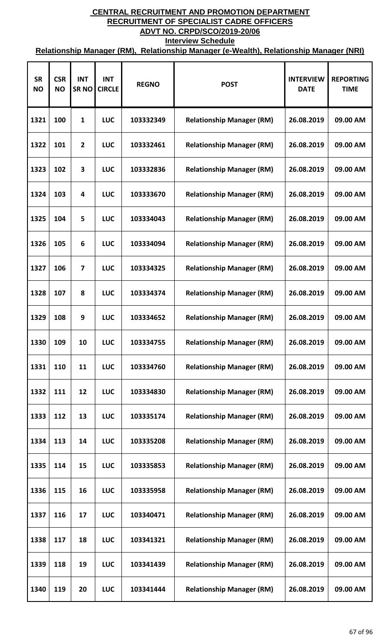| <b>SR</b><br><b>NO</b> | <b>CSR</b><br><b>NO</b> | <b>INT</b><br><b>SRNO</b> | <b>INT</b><br><b>CIRCLE</b> | <b>REGNO</b> | <b>POST</b>                      | <b>INTERVIEW</b><br><b>DATE</b> | <b>REPORTING</b><br><b>TIME</b> |
|------------------------|-------------------------|---------------------------|-----------------------------|--------------|----------------------------------|---------------------------------|---------------------------------|
| 1321                   | 100                     | 1                         | <b>LUC</b>                  | 103332349    | <b>Relationship Manager (RM)</b> | 26.08.2019                      | 09.00 AM                        |
| 1322                   | 101                     | $\overline{2}$            | <b>LUC</b>                  | 103332461    | <b>Relationship Manager (RM)</b> | 26.08.2019                      | 09.00 AM                        |
| 1323                   | 102                     | 3                         | <b>LUC</b>                  | 103332836    | <b>Relationship Manager (RM)</b> | 26.08.2019                      | 09.00 AM                        |
| 1324                   | 103                     | 4                         | <b>LUC</b>                  | 103333670    | <b>Relationship Manager (RM)</b> | 26.08.2019                      | 09.00 AM                        |
| 1325                   | 104                     | 5                         | <b>LUC</b>                  | 103334043    | <b>Relationship Manager (RM)</b> | 26.08.2019                      | 09.00 AM                        |
| 1326                   | 105                     | 6                         | <b>LUC</b>                  | 103334094    | <b>Relationship Manager (RM)</b> | 26.08.2019                      | 09.00 AM                        |
| 1327                   | 106                     | 7                         | <b>LUC</b>                  | 103334325    | <b>Relationship Manager (RM)</b> | 26.08.2019                      | 09.00 AM                        |
| 1328                   | 107                     | 8                         | <b>LUC</b>                  | 103334374    | <b>Relationship Manager (RM)</b> | 26.08.2019                      | 09.00 AM                        |
| 1329                   | 108                     | 9                         | <b>LUC</b>                  | 103334652    | <b>Relationship Manager (RM)</b> | 26.08.2019                      | 09.00 AM                        |
| 1330                   | 109                     | 10                        | <b>LUC</b>                  | 103334755    | <b>Relationship Manager (RM)</b> | 26.08.2019                      | 09.00 AM                        |
| 1331                   | 110                     | 11                        | <b>LUC</b>                  | 103334760    | <b>Relationship Manager (RM)</b> | 26.08.2019                      | 09.00 AM                        |
| 1332                   | 111                     | 12                        | <b>LUC</b>                  | 103334830    | <b>Relationship Manager (RM)</b> | 26.08.2019                      | 09.00 AM                        |
| 1333                   | 112                     | 13                        | <b>LUC</b>                  | 103335174    | <b>Relationship Manager (RM)</b> | 26.08.2019                      | 09.00 AM                        |
| 1334                   | 113                     | 14                        | <b>LUC</b>                  | 103335208    | <b>Relationship Manager (RM)</b> | 26.08.2019                      | 09.00 AM                        |
| 1335                   | 114                     | 15                        | <b>LUC</b>                  | 103335853    | <b>Relationship Manager (RM)</b> | 26.08.2019                      | 09.00 AM                        |
| 1336                   | 115                     | 16                        | <b>LUC</b>                  | 103335958    | <b>Relationship Manager (RM)</b> | 26.08.2019                      | 09.00 AM                        |
| 1337                   | 116                     | 17                        | <b>LUC</b>                  | 103340471    | <b>Relationship Manager (RM)</b> | 26.08.2019                      | 09.00 AM                        |
| 1338                   | 117                     | 18                        | <b>LUC</b>                  | 103341321    | <b>Relationship Manager (RM)</b> | 26.08.2019                      | 09.00 AM                        |
| 1339                   | 118                     | 19                        | <b>LUC</b>                  | 103341439    | <b>Relationship Manager (RM)</b> | 26.08.2019                      | 09.00 AM                        |
| 1340                   | 119                     | 20                        | LUC                         | 103341444    | <b>Relationship Manager (RM)</b> | 26.08.2019                      | 09.00 AM                        |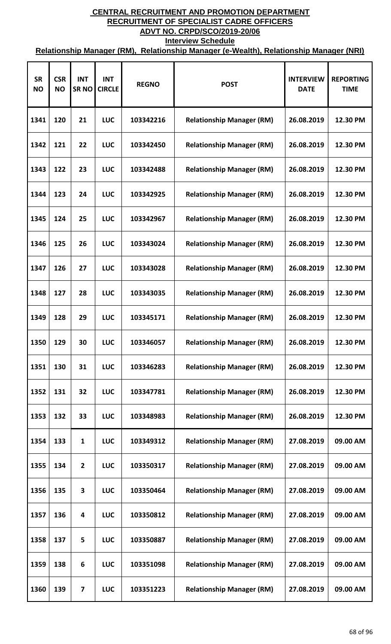| <b>SR</b><br><b>NO</b> | <b>CSR</b><br><b>NO</b> | <b>INT</b><br><b>SRNO</b> | <b>INT</b><br><b>CIRCLE</b> | <b>REGNO</b> | <b>POST</b>                      | <b>INTERVIEW</b><br><b>DATE</b> | <b>REPORTING</b><br><b>TIME</b> |
|------------------------|-------------------------|---------------------------|-----------------------------|--------------|----------------------------------|---------------------------------|---------------------------------|
| 1341                   | 120                     | 21                        | <b>LUC</b>                  | 103342216    | <b>Relationship Manager (RM)</b> | 26.08.2019                      | 12.30 PM                        |
| 1342                   | 121                     | 22                        | <b>LUC</b>                  | 103342450    | <b>Relationship Manager (RM)</b> | 26.08.2019                      | 12.30 PM                        |
| 1343                   | 122                     | 23                        | <b>LUC</b>                  | 103342488    | <b>Relationship Manager (RM)</b> | 26.08.2019                      | 12.30 PM                        |
| 1344                   | 123                     | 24                        | <b>LUC</b>                  | 103342925    | <b>Relationship Manager (RM)</b> | 26.08.2019                      | 12.30 PM                        |
| 1345                   | 124                     | 25                        | <b>LUC</b>                  | 103342967    | <b>Relationship Manager (RM)</b> | 26.08.2019                      | 12.30 PM                        |
| 1346                   | 125                     | 26                        | <b>LUC</b>                  | 103343024    | <b>Relationship Manager (RM)</b> | 26.08.2019                      | 12.30 PM                        |
| 1347                   | 126                     | 27                        | <b>LUC</b>                  | 103343028    | <b>Relationship Manager (RM)</b> | 26.08.2019                      | 12.30 PM                        |
| 1348                   | 127                     | 28                        | <b>LUC</b>                  | 103343035    | <b>Relationship Manager (RM)</b> | 26.08.2019                      | 12.30 PM                        |
| 1349                   | 128                     | 29                        | <b>LUC</b>                  | 103345171    | <b>Relationship Manager (RM)</b> | 26.08.2019                      | 12.30 PM                        |
| 1350                   | 129                     | 30                        | <b>LUC</b>                  | 103346057    | <b>Relationship Manager (RM)</b> | 26.08.2019                      | 12.30 PM                        |
| 1351                   | 130                     | 31                        | <b>LUC</b>                  | 103346283    | <b>Relationship Manager (RM)</b> | 26.08.2019                      | 12.30 PM                        |
| 1352                   | 131                     | 32                        | <b>LUC</b>                  | 103347781    | <b>Relationship Manager (RM)</b> | 26.08.2019                      | 12.30 PM                        |
| 1353                   | 132                     | 33                        | <b>LUC</b>                  | 103348983    | <b>Relationship Manager (RM)</b> | 26.08.2019                      | 12.30 PM                        |
| 1354                   | 133                     | 1                         | <b>LUC</b>                  | 103349312    | <b>Relationship Manager (RM)</b> | 27.08.2019                      | 09.00 AM                        |
| 1355                   | 134                     | $\mathbf{2}$              | <b>LUC</b>                  | 103350317    | <b>Relationship Manager (RM)</b> | 27.08.2019                      | 09.00 AM                        |
| 1356                   | 135                     | 3                         | <b>LUC</b>                  | 103350464    | <b>Relationship Manager (RM)</b> | 27.08.2019                      | 09.00 AM                        |
| 1357                   | 136                     | 4                         | <b>LUC</b>                  | 103350812    | <b>Relationship Manager (RM)</b> | 27.08.2019                      | 09.00 AM                        |
| 1358                   | 137                     | 5                         | <b>LUC</b>                  | 103350887    | <b>Relationship Manager (RM)</b> | 27.08.2019                      | 09.00 AM                        |
| 1359                   | 138                     | 6                         | <b>LUC</b>                  | 103351098    | <b>Relationship Manager (RM)</b> | 27.08.2019                      | 09.00 AM                        |
| 1360                   | 139                     | $\overline{7}$            | <b>LUC</b>                  | 103351223    | <b>Relationship Manager (RM)</b> | 27.08.2019                      | 09.00 AM                        |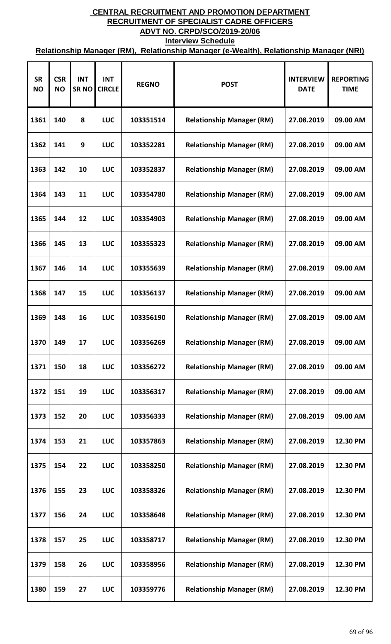| <b>SR</b><br><b>NO</b> | <b>CSR</b><br><b>NO</b> | <b>INT</b><br><b>SRNO</b> | <b>INT</b><br><b>CIRCLE</b> | <b>REGNO</b> | <b>POST</b>                      | <b>INTERVIEW</b><br><b>DATE</b> | <b>REPORTING</b><br><b>TIME</b> |
|------------------------|-------------------------|---------------------------|-----------------------------|--------------|----------------------------------|---------------------------------|---------------------------------|
| 1361                   | 140                     | 8                         | <b>LUC</b>                  | 103351514    | <b>Relationship Manager (RM)</b> | 27.08.2019                      | 09.00 AM                        |
| 1362                   | 141                     | 9                         | <b>LUC</b>                  | 103352281    | <b>Relationship Manager (RM)</b> | 27.08.2019                      | 09.00 AM                        |
| 1363                   | 142                     | 10                        | <b>LUC</b>                  | 103352837    | <b>Relationship Manager (RM)</b> | 27.08.2019                      | 09.00 AM                        |
| 1364                   | 143                     | 11                        | <b>LUC</b>                  | 103354780    | <b>Relationship Manager (RM)</b> | 27.08.2019                      | 09.00 AM                        |
| 1365                   | 144                     | 12                        | <b>LUC</b>                  | 103354903    | <b>Relationship Manager (RM)</b> | 27.08.2019                      | 09.00 AM                        |
| 1366                   | 145                     | 13                        | <b>LUC</b>                  | 103355323    | <b>Relationship Manager (RM)</b> | 27.08.2019                      | 09.00 AM                        |
| 1367                   | 146                     | 14                        | <b>LUC</b>                  | 103355639    | <b>Relationship Manager (RM)</b> | 27.08.2019                      | 09.00 AM                        |
| 1368                   | 147                     | 15                        | <b>LUC</b>                  | 103356137    | <b>Relationship Manager (RM)</b> | 27.08.2019                      | 09.00 AM                        |
| 1369                   | 148                     | 16                        | <b>LUC</b>                  | 103356190    | <b>Relationship Manager (RM)</b> | 27.08.2019                      | 09.00 AM                        |
| 1370                   | 149                     | 17                        | <b>LUC</b>                  | 103356269    | <b>Relationship Manager (RM)</b> | 27.08.2019                      | 09.00 AM                        |
| 1371                   | 150                     | 18                        | <b>LUC</b>                  | 103356272    | <b>Relationship Manager (RM)</b> | 27.08.2019                      | 09.00 AM                        |
| 1372                   | 151                     | 19                        | <b>LUC</b>                  | 103356317    | <b>Relationship Manager (RM)</b> | 27.08.2019                      | 09.00 AM                        |
| 1373                   | 152                     | 20                        | <b>LUC</b>                  | 103356333    | <b>Relationship Manager (RM)</b> | 27.08.2019                      | 09.00 AM                        |
| 1374                   | 153                     | 21                        | <b>LUC</b>                  | 103357863    | <b>Relationship Manager (RM)</b> | 27.08.2019                      | 12.30 PM                        |
| 1375                   | 154                     | 22                        | <b>LUC</b>                  | 103358250    | <b>Relationship Manager (RM)</b> | 27.08.2019                      | 12.30 PM                        |
| 1376                   | 155                     | 23                        | <b>LUC</b>                  | 103358326    | <b>Relationship Manager (RM)</b> | 27.08.2019                      | 12.30 PM                        |
| 1377                   | 156                     | 24                        | <b>LUC</b>                  | 103358648    | <b>Relationship Manager (RM)</b> | 27.08.2019                      | 12.30 PM                        |
| 1378                   | 157                     | 25                        | <b>LUC</b>                  | 103358717    | <b>Relationship Manager (RM)</b> | 27.08.2019                      | 12.30 PM                        |
| 1379                   | 158                     | 26                        | <b>LUC</b>                  | 103358956    | <b>Relationship Manager (RM)</b> | 27.08.2019                      | 12.30 PM                        |
| 1380                   | 159                     | 27                        | <b>LUC</b>                  | 103359776    | <b>Relationship Manager (RM)</b> | 27.08.2019                      | 12.30 PM                        |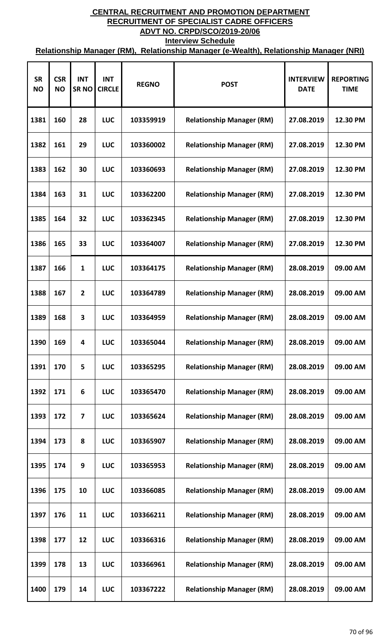| <b>SR</b><br><b>NO</b> | <b>CSR</b><br><b>NO</b> | <b>INT</b><br><b>SRNO</b> | <b>INT</b><br><b>CIRCLE</b> | <b>REGNO</b> | <b>POST</b>                      | <b>INTERVIEW</b><br><b>DATE</b> | <b>REPORTING</b><br><b>TIME</b> |
|------------------------|-------------------------|---------------------------|-----------------------------|--------------|----------------------------------|---------------------------------|---------------------------------|
| 1381                   | 160                     | 28                        | <b>LUC</b>                  | 103359919    | <b>Relationship Manager (RM)</b> | 27.08.2019                      | 12.30 PM                        |
| 1382                   | 161                     | 29                        | <b>LUC</b>                  | 103360002    | <b>Relationship Manager (RM)</b> | 27.08.2019                      | 12.30 PM                        |
| 1383                   | 162                     | 30                        | <b>LUC</b>                  | 103360693    | <b>Relationship Manager (RM)</b> | 27.08.2019                      | 12.30 PM                        |
| 1384                   | 163                     | 31                        | <b>LUC</b>                  | 103362200    | <b>Relationship Manager (RM)</b> | 27.08.2019                      | 12.30 PM                        |
| 1385                   | 164                     | 32                        | <b>LUC</b>                  | 103362345    | <b>Relationship Manager (RM)</b> | 27.08.2019                      | 12.30 PM                        |
| 1386                   | 165                     | 33                        | <b>LUC</b>                  | 103364007    | <b>Relationship Manager (RM)</b> | 27.08.2019                      | 12.30 PM                        |
| 1387                   | 166                     | 1                         | <b>LUC</b>                  | 103364175    | <b>Relationship Manager (RM)</b> | 28.08.2019                      | 09.00 AM                        |
| 1388                   | 167                     | $\overline{2}$            | <b>LUC</b>                  | 103364789    | <b>Relationship Manager (RM)</b> | 28.08.2019                      | 09.00 AM                        |
| 1389                   | 168                     | 3                         | <b>LUC</b>                  | 103364959    | <b>Relationship Manager (RM)</b> | 28.08.2019                      | 09.00 AM                        |
| 1390                   | 169                     | 4                         | <b>LUC</b>                  | 103365044    | <b>Relationship Manager (RM)</b> | 28.08.2019                      | 09.00 AM                        |
| 1391                   | 170                     | 5                         | <b>LUC</b>                  | 103365295    | <b>Relationship Manager (RM)</b> | 28.08.2019                      | 09.00 AM                        |
| 1392                   | 171                     | 6                         | <b>LUC</b>                  | 103365470    | <b>Relationship Manager (RM)</b> | 28.08.2019                      | 09.00 AM                        |
| 1393                   | 172                     | 7                         | <b>LUC</b>                  | 103365624    | <b>Relationship Manager (RM)</b> | 28.08.2019                      | 09.00 AM                        |
| 1394                   | 173                     | 8                         | <b>LUC</b>                  | 103365907    | <b>Relationship Manager (RM)</b> | 28.08.2019                      | 09.00 AM                        |
| 1395                   | 174                     | 9                         | <b>LUC</b>                  | 103365953    | <b>Relationship Manager (RM)</b> | 28.08.2019                      | 09.00 AM                        |
| 1396                   | 175                     | 10                        | <b>LUC</b>                  | 103366085    | <b>Relationship Manager (RM)</b> | 28.08.2019                      | 09.00 AM                        |
| 1397                   | 176                     | 11                        | <b>LUC</b>                  | 103366211    | <b>Relationship Manager (RM)</b> | 28.08.2019                      | 09.00 AM                        |
| 1398                   | 177                     | 12                        | <b>LUC</b>                  | 103366316    | <b>Relationship Manager (RM)</b> | 28.08.2019                      | 09.00 AM                        |
| 1399                   | 178                     | 13                        | <b>LUC</b>                  | 103366961    | <b>Relationship Manager (RM)</b> | 28.08.2019                      | 09.00 AM                        |
| 1400                   | 179                     | 14                        | <b>LUC</b>                  | 103367222    | <b>Relationship Manager (RM)</b> | 28.08.2019                      | 09.00 AM                        |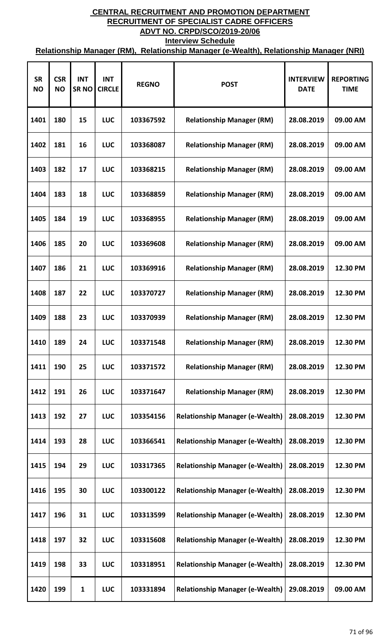| <b>SR</b><br><b>NO</b> | <b>CSR</b><br><b>NO</b> | <b>INT</b><br><b>SRNO</b> | <b>INT</b><br><b>CIRCLE</b> | <b>REGNO</b> | <b>POST</b>                            | <b>INTERVIEW</b><br><b>DATE</b> | <b>REPORTING</b><br><b>TIME</b> |
|------------------------|-------------------------|---------------------------|-----------------------------|--------------|----------------------------------------|---------------------------------|---------------------------------|
| 1401                   | 180                     | 15                        | <b>LUC</b>                  | 103367592    | <b>Relationship Manager (RM)</b>       | 28.08.2019                      | 09.00 AM                        |
| 1402                   | 181                     | 16                        | <b>LUC</b>                  | 103368087    | <b>Relationship Manager (RM)</b>       | 28.08.2019                      | 09.00 AM                        |
| 1403                   | 182                     | 17                        | <b>LUC</b>                  | 103368215    | <b>Relationship Manager (RM)</b>       | 28.08.2019                      | 09.00 AM                        |
| 1404                   | 183                     | 18                        | <b>LUC</b>                  | 103368859    | <b>Relationship Manager (RM)</b>       | 28.08.2019                      | 09.00 AM                        |
| 1405                   | 184                     | 19                        | <b>LUC</b>                  | 103368955    | <b>Relationship Manager (RM)</b>       | 28.08.2019                      | 09.00 AM                        |
| 1406                   | 185                     | 20                        | <b>LUC</b>                  | 103369608    | <b>Relationship Manager (RM)</b>       | 28.08.2019                      | 09.00 AM                        |
| 1407                   | 186                     | 21                        | <b>LUC</b>                  | 103369916    | <b>Relationship Manager (RM)</b>       | 28.08.2019                      | 12.30 PM                        |
| 1408                   | 187                     | 22                        | <b>LUC</b>                  | 103370727    | <b>Relationship Manager (RM)</b>       | 28.08.2019                      | 12.30 PM                        |
| 1409                   | 188                     | 23                        | <b>LUC</b>                  | 103370939    | <b>Relationship Manager (RM)</b>       | 28.08.2019                      | 12.30 PM                        |
| 1410                   | 189                     | 24                        | <b>LUC</b>                  | 103371548    | <b>Relationship Manager (RM)</b>       | 28.08.2019                      | 12.30 PM                        |
| 1411                   | 190                     | 25                        | <b>LUC</b>                  | 103371572    | <b>Relationship Manager (RM)</b>       | 28.08.2019                      | 12.30 PM                        |
| 1412                   | 191                     | 26                        | LUC                         | 103371647    | <b>Relationship Manager (RM)</b>       | 28.08.2019                      | 12.30 PM                        |
| 1413                   | 192                     | 27                        | <b>LUC</b>                  | 103354156    | <b>Relationship Manager (e-Wealth)</b> | 28.08.2019                      | 12.30 PM                        |
| 1414                   | 193                     | 28                        | <b>LUC</b>                  | 103366541    | <b>Relationship Manager (e-Wealth)</b> | 28.08.2019                      | 12.30 PM                        |
| 1415                   | 194                     | 29                        | <b>LUC</b>                  | 103317365    | <b>Relationship Manager (e-Wealth)</b> | 28.08.2019                      | 12.30 PM                        |
| 1416                   | 195                     | 30                        | <b>LUC</b>                  | 103300122    | <b>Relationship Manager (e-Wealth)</b> | 28.08.2019                      | 12.30 PM                        |
| 1417                   | 196                     | 31                        | LUC                         | 103313599    | <b>Relationship Manager (e-Wealth)</b> | 28.08.2019                      | 12.30 PM                        |
| 1418                   | 197                     | 32                        | <b>LUC</b>                  | 103315608    | <b>Relationship Manager (e-Wealth)</b> | 28.08.2019                      | 12.30 PM                        |
| 1419                   | 198                     | 33                        | LUC                         | 103318951    | <b>Relationship Manager (e-Wealth)</b> | 28.08.2019                      | 12.30 PM                        |
| 1420                   | 199                     | 1                         | <b>LUC</b>                  | 103331894    | <b>Relationship Manager (e-Wealth)</b> | 29.08.2019                      | 09.00 AM                        |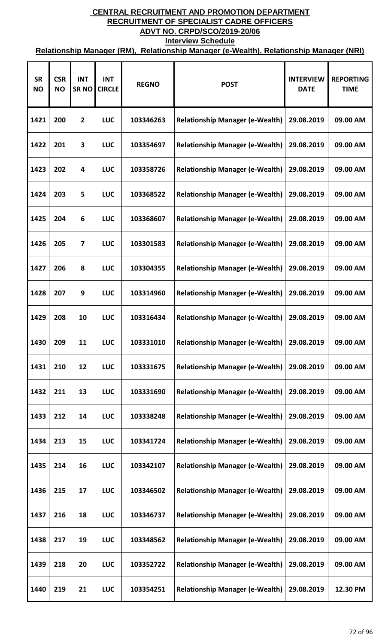| <b>SR</b><br><b>NO</b> | <b>CSR</b><br><b>NO</b> | <b>INT</b><br><b>SRNO</b> | <b>INT</b><br><b>CIRCLE</b> | <b>REGNO</b> | <b>POST</b>                            | <b>INTERVIEW</b><br><b>DATE</b> | <b>REPORTING</b><br><b>TIME</b> |
|------------------------|-------------------------|---------------------------|-----------------------------|--------------|----------------------------------------|---------------------------------|---------------------------------|
| 1421                   | 200                     | $\overline{2}$            | LUC                         | 103346263    | <b>Relationship Manager (e-Wealth)</b> | 29.08.2019                      | 09.00 AM                        |
| 1422                   | 201                     | 3                         | LUC                         | 103354697    | <b>Relationship Manager (e-Wealth)</b> | 29.08.2019                      | 09.00 AM                        |
| 1423                   | 202                     | 4                         | LUC                         | 103358726    | <b>Relationship Manager (e-Wealth)</b> | 29.08.2019                      | 09.00 AM                        |
| 1424                   | 203                     | 5                         | <b>LUC</b>                  | 103368522    | <b>Relationship Manager (e-Wealth)</b> | 29.08.2019                      | 09.00 AM                        |
| 1425                   | 204                     | 6                         | LUC                         | 103368607    | <b>Relationship Manager (e-Wealth)</b> | 29.08.2019                      | 09.00 AM                        |
| 1426                   | 205                     | 7                         | <b>LUC</b>                  | 103301583    | <b>Relationship Manager (e-Wealth)</b> | 29.08.2019                      | 09.00 AM                        |
| 1427                   | 206                     | 8                         | LUC                         | 103304355    | <b>Relationship Manager (e-Wealth)</b> | 29.08.2019                      | 09.00 AM                        |
| 1428                   | 207                     | 9                         | <b>LUC</b>                  | 103314960    | <b>Relationship Manager (e-Wealth)</b> | 29.08.2019                      | 09.00 AM                        |
| 1429                   | 208                     | 10                        | <b>LUC</b>                  | 103316434    | <b>Relationship Manager (e-Wealth)</b> | 29.08.2019                      | 09.00 AM                        |
| 1430                   | 209                     | 11                        | LUC                         | 103331010    | <b>Relationship Manager (e-Wealth)</b> | 29.08.2019                      | 09.00 AM                        |
| 1431                   | 210                     | 12                        | <b>LUC</b>                  | 103331675    | <b>Relationship Manager (e-Wealth)</b> | 29.08.2019                      | 09.00 AM                        |
| 1432                   | 211                     | 13                        | <b>LUC</b>                  | 103331690    | <b>Relationship Manager (e-Wealth)</b> | 29.08.2019                      | 09.00 AM                        |
| 1433                   | 212                     | 14                        | <b>LUC</b>                  | 103338248    | <b>Relationship Manager (e-Wealth)</b> | 29.08.2019                      | 09.00 AM                        |
| 1434                   | 213                     | 15                        | <b>LUC</b>                  | 103341724    | <b>Relationship Manager (e-Wealth)</b> | 29.08.2019                      | 09.00 AM                        |
| 1435                   | 214                     | 16                        | <b>LUC</b>                  | 103342107    | <b>Relationship Manager (e-Wealth)</b> | 29.08.2019                      | 09.00 AM                        |
| 1436                   | 215                     | 17                        | <b>LUC</b>                  | 103346502    | <b>Relationship Manager (e-Wealth)</b> | 29.08.2019                      | 09.00 AM                        |
| 1437                   | 216                     | 18                        | <b>LUC</b>                  | 103346737    | <b>Relationship Manager (e-Wealth)</b> | 29.08.2019                      | 09.00 AM                        |
| 1438                   | 217                     | 19                        | LUC                         | 103348562    | <b>Relationship Manager (e-Wealth)</b> | 29.08.2019                      | 09.00 AM                        |
| 1439                   | 218                     | 20                        | <b>LUC</b>                  | 103352722    | <b>Relationship Manager (e-Wealth)</b> | 29.08.2019                      | 09.00 AM                        |
| 1440                   | 219                     | 21                        | <b>LUC</b>                  | 103354251    | <b>Relationship Manager (e-Wealth)</b> | 29.08.2019                      | 12.30 PM                        |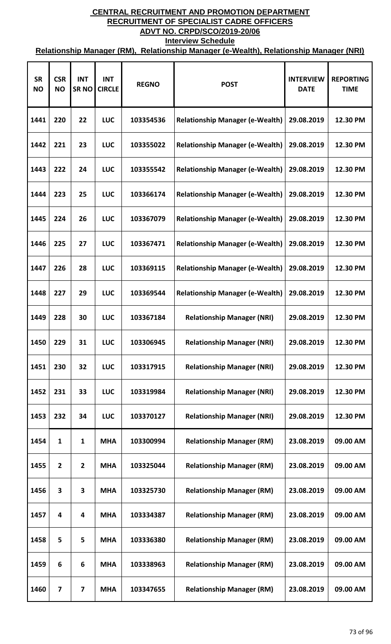| <b>SR</b><br><b>NO</b> | <b>CSR</b><br><b>NO</b> | <b>INT</b><br><b>SRNO</b> | <b>INT</b><br><b>CIRCLE</b> | <b>REGNO</b> | <b>POST</b>                            | <b>INTERVIEW</b><br><b>DATE</b> | <b>REPORTING</b><br><b>TIME</b> |
|------------------------|-------------------------|---------------------------|-----------------------------|--------------|----------------------------------------|---------------------------------|---------------------------------|
| 1441                   | 220                     | 22                        | <b>LUC</b>                  | 103354536    | <b>Relationship Manager (e-Wealth)</b> | 29.08.2019                      | 12.30 PM                        |
| 1442                   | 221                     | 23                        | <b>LUC</b>                  | 103355022    | <b>Relationship Manager (e-Wealth)</b> | 29.08.2019                      | 12.30 PM                        |
| 1443                   | 222                     | 24                        | <b>LUC</b>                  | 103355542    | <b>Relationship Manager (e-Wealth)</b> | 29.08.2019                      | 12.30 PM                        |
| 1444                   | 223                     | 25                        | <b>LUC</b>                  | 103366174    | <b>Relationship Manager (e-Wealth)</b> | 29.08.2019                      | 12.30 PM                        |
| 1445                   | 224                     | 26                        | <b>LUC</b>                  | 103367079    | <b>Relationship Manager (e-Wealth)</b> | 29.08.2019                      | 12.30 PM                        |
| 1446                   | 225                     | 27                        | <b>LUC</b>                  | 103367471    | <b>Relationship Manager (e-Wealth)</b> | 29.08.2019                      | 12.30 PM                        |
| 1447                   | 226                     | 28                        | <b>LUC</b>                  | 103369115    | <b>Relationship Manager (e-Wealth)</b> | 29.08.2019                      | 12.30 PM                        |
| 1448                   | 227                     | 29                        | <b>LUC</b>                  | 103369544    | <b>Relationship Manager (e-Wealth)</b> | 29.08.2019                      | 12.30 PM                        |
| 1449                   | 228                     | 30                        | <b>LUC</b>                  | 103367184    | <b>Relationship Manager (NRI)</b>      | 29.08.2019                      | 12.30 PM                        |
| 1450                   | 229                     | 31                        | <b>LUC</b>                  | 103306945    | <b>Relationship Manager (NRI)</b>      | 29.08.2019                      | 12.30 PM                        |
| 1451                   | 230                     | 32                        | <b>LUC</b>                  | 103317915    | <b>Relationship Manager (NRI)</b>      | 29.08.2019                      | 12.30 PM                        |
| 1452                   | 231                     | 33                        | <b>LUC</b>                  | 103319984    | <b>Relationship Manager (NRI)</b>      | 29.08.2019                      | 12.30 PM                        |
| 1453                   | 232                     | 34                        | <b>LUC</b>                  | 103370127    | <b>Relationship Manager (NRI)</b>      | 29.08.2019                      | 12.30 PM                        |
| 1454                   | $\mathbf{1}$            | $\mathbf{1}$              | <b>MHA</b>                  | 103300994    | <b>Relationship Manager (RM)</b>       | 23.08.2019                      | 09.00 AM                        |
| 1455                   | $\overline{2}$          | $\overline{2}$            | <b>MHA</b>                  | 103325044    | <b>Relationship Manager (RM)</b>       | 23.08.2019                      | 09.00 AM                        |
| 1456                   | 3                       | 3                         | <b>MHA</b>                  | 103325730    | <b>Relationship Manager (RM)</b>       | 23.08.2019                      | 09.00 AM                        |
| 1457                   | 4                       | 4                         | <b>MHA</b>                  | 103334387    | <b>Relationship Manager (RM)</b>       | 23.08.2019                      | 09.00 AM                        |
| 1458                   | 5                       | 5                         | <b>MHA</b>                  | 103336380    | <b>Relationship Manager (RM)</b>       | 23.08.2019                      | 09.00 AM                        |
| 1459                   | 6                       | 6                         | <b>MHA</b>                  | 103338963    | <b>Relationship Manager (RM)</b>       | 23.08.2019                      | 09.00 AM                        |
| 1460                   | $\overline{\mathbf{z}}$ | 7                         | <b>MHA</b>                  | 103347655    | <b>Relationship Manager (RM)</b>       | 23.08.2019                      | 09.00 AM                        |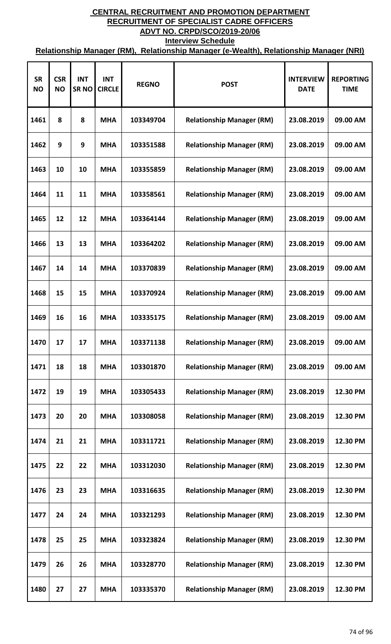| <b>SR</b><br><b>NO</b> | <b>CSR</b><br><b>NO</b> | <b>INT</b><br><b>SRNO</b> | <b>INT</b><br><b>CIRCLE</b> | <b>REGNO</b> | <b>POST</b>                      | <b>INTERVIEW</b><br><b>DATE</b> | <b>REPORTING</b><br><b>TIME</b> |
|------------------------|-------------------------|---------------------------|-----------------------------|--------------|----------------------------------|---------------------------------|---------------------------------|
| 1461                   | 8                       | 8                         | <b>MHA</b>                  | 103349704    | <b>Relationship Manager (RM)</b> | 23.08.2019                      | 09.00 AM                        |
| 1462                   | 9                       | 9                         | <b>MHA</b>                  | 103351588    | <b>Relationship Manager (RM)</b> | 23.08.2019                      | 09.00 AM                        |
| 1463                   | 10                      | 10                        | <b>MHA</b>                  | 103355859    | <b>Relationship Manager (RM)</b> | 23.08.2019                      | 09.00 AM                        |
| 1464                   | 11                      | 11                        | <b>MHA</b>                  | 103358561    | <b>Relationship Manager (RM)</b> | 23.08.2019                      | 09.00 AM                        |
| 1465                   | 12                      | 12                        | <b>MHA</b>                  | 103364144    | <b>Relationship Manager (RM)</b> | 23.08.2019                      | 09.00 AM                        |
| 1466                   | 13                      | 13                        | <b>MHA</b>                  | 103364202    | <b>Relationship Manager (RM)</b> | 23.08.2019                      | 09.00 AM                        |
| 1467                   | 14                      | 14                        | <b>MHA</b>                  | 103370839    | <b>Relationship Manager (RM)</b> | 23.08.2019                      | 09.00 AM                        |
| 1468                   | 15                      | 15                        | <b>MHA</b>                  | 103370924    | <b>Relationship Manager (RM)</b> | 23.08.2019                      | 09.00 AM                        |
| 1469                   | 16                      | 16                        | <b>MHA</b>                  | 103335175    | <b>Relationship Manager (RM)</b> | 23.08.2019                      | 09.00 AM                        |
| 1470                   | 17                      | 17                        | <b>MHA</b>                  | 103371138    | <b>Relationship Manager (RM)</b> | 23.08.2019                      | 09.00 AM                        |
| 1471                   | 18                      | 18                        | <b>MHA</b>                  | 103301870    | <b>Relationship Manager (RM)</b> | 23.08.2019                      | 09.00 AM                        |
| 1472                   | 19                      | 19                        | <b>MHA</b>                  | 103305433    | <b>Relationship Manager (RM)</b> | 23.08.2019                      | 12.30 PM                        |
| 1473                   | 20                      | 20                        | <b>MHA</b>                  | 103308058    | <b>Relationship Manager (RM)</b> | 23.08.2019                      | 12.30 PM                        |
| 1474                   | 21                      | 21                        | <b>MHA</b>                  | 103311721    | <b>Relationship Manager (RM)</b> | 23.08.2019                      | 12.30 PM                        |
| 1475                   | 22                      | 22                        | <b>MHA</b>                  | 103312030    | <b>Relationship Manager (RM)</b> | 23.08.2019                      | 12.30 PM                        |
| 1476                   | 23                      | 23                        | <b>MHA</b>                  | 103316635    | <b>Relationship Manager (RM)</b> | 23.08.2019                      | 12.30 PM                        |
| 1477                   | 24                      | 24                        | <b>MHA</b>                  | 103321293    | <b>Relationship Manager (RM)</b> | 23.08.2019                      | 12.30 PM                        |
| 1478                   | 25                      | 25                        | <b>MHA</b>                  | 103323824    | <b>Relationship Manager (RM)</b> | 23.08.2019                      | 12.30 PM                        |
| 1479                   | 26                      | 26                        | <b>MHA</b>                  | 103328770    | <b>Relationship Manager (RM)</b> | 23.08.2019                      | 12.30 PM                        |
| 1480                   | 27                      | 27                        | <b>MHA</b>                  | 103335370    | <b>Relationship Manager (RM)</b> | 23.08.2019                      | 12.30 PM                        |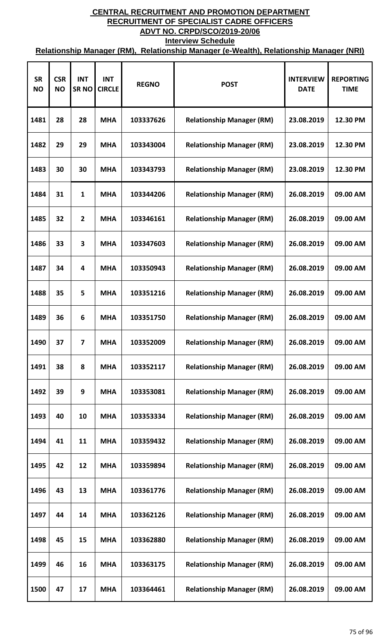| <b>SR</b><br><b>NO</b> | <b>CSR</b><br><b>NO</b> | <b>INT</b><br><b>SRNO</b> | <b>INT</b><br><b>CIRCLE</b> | <b>REGNO</b> | <b>POST</b>                      | <b>INTERVIEW</b><br><b>DATE</b> | <b>REPORTING</b><br><b>TIME</b> |
|------------------------|-------------------------|---------------------------|-----------------------------|--------------|----------------------------------|---------------------------------|---------------------------------|
| 1481                   | 28                      | 28                        | <b>MHA</b>                  | 103337626    | <b>Relationship Manager (RM)</b> | 23.08.2019                      | 12.30 PM                        |
| 1482                   | 29                      | 29                        | <b>MHA</b>                  | 103343004    | <b>Relationship Manager (RM)</b> | 23.08.2019                      | 12.30 PM                        |
| 1483                   | 30                      | 30                        | <b>MHA</b>                  | 103343793    | <b>Relationship Manager (RM)</b> | 23.08.2019                      | 12.30 PM                        |
| 1484                   | 31                      | $\mathbf{1}$              | <b>MHA</b>                  | 103344206    | <b>Relationship Manager (RM)</b> | 26.08.2019                      | 09.00 AM                        |
| 1485                   | 32                      | $\overline{2}$            | <b>MHA</b>                  | 103346161    | <b>Relationship Manager (RM)</b> | 26.08.2019                      | 09.00 AM                        |
| 1486                   | 33                      | 3                         | <b>MHA</b>                  | 103347603    | <b>Relationship Manager (RM)</b> | 26.08.2019                      | 09.00 AM                        |
| 1487                   | 34                      | 4                         | <b>MHA</b>                  | 103350943    | <b>Relationship Manager (RM)</b> | 26.08.2019                      | 09.00 AM                        |
| 1488                   | 35                      | 5                         | <b>MHA</b>                  | 103351216    | <b>Relationship Manager (RM)</b> | 26.08.2019                      | 09.00 AM                        |
| 1489                   | 36                      | 6                         | <b>MHA</b>                  | 103351750    | <b>Relationship Manager (RM)</b> | 26.08.2019                      | 09.00 AM                        |
| 1490                   | 37                      | 7                         | <b>MHA</b>                  | 103352009    | <b>Relationship Manager (RM)</b> | 26.08.2019                      | 09.00 AM                        |
| 1491                   | 38                      | 8                         | <b>MHA</b>                  | 103352117    | <b>Relationship Manager (RM)</b> | 26.08.2019                      | 09.00 AM                        |
| 1492                   | 39                      | 9                         | <b>MHA</b>                  | 103353081    | <b>Relationship Manager (RM)</b> | 26.08.2019                      | 09.00 AM                        |
| 1493                   | 40                      | 10                        | <b>MHA</b>                  | 103353334    | <b>Relationship Manager (RM)</b> | 26.08.2019                      | 09.00 AM                        |
| 1494                   | 41                      | 11                        | <b>MHA</b>                  | 103359432    | <b>Relationship Manager (RM)</b> | 26.08.2019                      | 09.00 AM                        |
| 1495                   | 42                      | 12                        | <b>MHA</b>                  | 103359894    | <b>Relationship Manager (RM)</b> | 26.08.2019                      | 09.00 AM                        |
| 1496                   | 43                      | 13                        | <b>MHA</b>                  | 103361776    | <b>Relationship Manager (RM)</b> | 26.08.2019                      | 09.00 AM                        |
| 1497                   | 44                      | 14                        | <b>MHA</b>                  | 103362126    | <b>Relationship Manager (RM)</b> | 26.08.2019                      | 09.00 AM                        |
| 1498                   | 45                      | 15                        | <b>MHA</b>                  | 103362880    | <b>Relationship Manager (RM)</b> | 26.08.2019                      | 09.00 AM                        |
| 1499                   | 46                      | 16                        | <b>MHA</b>                  | 103363175    | <b>Relationship Manager (RM)</b> | 26.08.2019                      | 09.00 AM                        |
| 1500                   | 47                      | 17                        | <b>MHA</b>                  | 103364461    | <b>Relationship Manager (RM)</b> | 26.08.2019                      | 09.00 AM                        |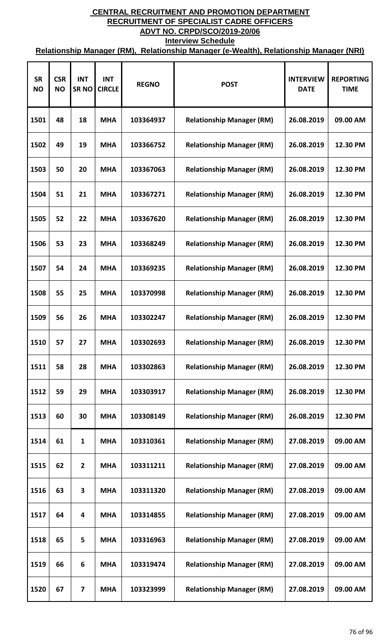| <b>SR</b><br><b>NO</b> | <b>CSR</b><br><b>NO</b> | <b>INT</b><br><b>SRNO</b> | <b>INT</b><br><b>CIRCLE</b> | <b>REGNO</b> | <b>POST</b>                      | <b>INTERVIEW</b><br><b>DATE</b> | <b>REPORTING</b><br><b>TIME</b> |
|------------------------|-------------------------|---------------------------|-----------------------------|--------------|----------------------------------|---------------------------------|---------------------------------|
| 1501                   | 48                      | 18                        | <b>MHA</b>                  | 103364937    | <b>Relationship Manager (RM)</b> | 26.08.2019                      | 09.00 AM                        |
| 1502                   | 49                      | 19                        | <b>MHA</b>                  | 103366752    | <b>Relationship Manager (RM)</b> | 26.08.2019                      | 12.30 PM                        |
| 1503                   | 50                      | 20                        | <b>MHA</b>                  | 103367063    | <b>Relationship Manager (RM)</b> | 26.08.2019                      | 12.30 PM                        |
| 1504                   | 51                      | 21                        | <b>MHA</b>                  | 103367271    | <b>Relationship Manager (RM)</b> | 26.08.2019                      | 12.30 PM                        |
| 1505                   | 52                      | 22                        | <b>MHA</b>                  | 103367620    | <b>Relationship Manager (RM)</b> | 26.08.2019                      | 12.30 PM                        |
| 1506                   | 53                      | 23                        | <b>MHA</b>                  | 103368249    | <b>Relationship Manager (RM)</b> | 26.08.2019                      | 12.30 PM                        |
| 1507                   | 54                      | 24                        | <b>MHA</b>                  | 103369235    | <b>Relationship Manager (RM)</b> | 26.08.2019                      | 12.30 PM                        |
| 1508                   | 55                      | 25                        | <b>MHA</b>                  | 103370998    | <b>Relationship Manager (RM)</b> | 26.08.2019                      | 12.30 PM                        |
| 1509                   | 56                      | 26                        | <b>MHA</b>                  | 103302247    | <b>Relationship Manager (RM)</b> | 26.08.2019                      | 12.30 PM                        |
| 1510                   | 57                      | 27                        | <b>MHA</b>                  | 103302693    | <b>Relationship Manager (RM)</b> | 26.08.2019                      | 12.30 PM                        |
| 1511                   | 58                      | 28                        | <b>MHA</b>                  | 103302863    | <b>Relationship Manager (RM)</b> | 26.08.2019                      | 12.30 PM                        |
| 1512                   | 59                      | 29                        | <b>MHA</b>                  | 103303917    | <b>Relationship Manager (RM)</b> | 26.08.2019                      | 12.30 PM                        |
| 1513                   | 60                      | 30                        | <b>MHA</b>                  | 103308149    | <b>Relationship Manager (RM)</b> | 26.08.2019                      | 12.30 PM                        |
| 1514                   | 61                      | 1                         | <b>MHA</b>                  | 103310361    | <b>Relationship Manager (RM)</b> | 27.08.2019                      | 09.00 AM                        |
| 1515                   | 62                      | $\mathbf{2}$              | <b>MHA</b>                  | 103311211    | <b>Relationship Manager (RM)</b> | 27.08.2019                      | 09.00 AM                        |
| 1516                   | 63                      | 3                         | <b>MHA</b>                  | 103311320    | <b>Relationship Manager (RM)</b> | 27.08.2019                      | 09.00 AM                        |
| 1517                   | 64                      | 4                         | <b>MHA</b>                  | 103314855    | <b>Relationship Manager (RM)</b> | 27.08.2019                      | 09.00 AM                        |
| 1518                   | 65                      | 5                         | <b>MHA</b>                  | 103316963    | <b>Relationship Manager (RM)</b> | 27.08.2019                      | 09.00 AM                        |
| 1519                   | 66                      | 6                         | <b>MHA</b>                  | 103319474    | <b>Relationship Manager (RM)</b> | 27.08.2019                      | 09.00 AM                        |
| 1520                   | 67                      | 7                         | <b>MHA</b>                  | 103323999    | <b>Relationship Manager (RM)</b> | 27.08.2019                      | 09.00 AM                        |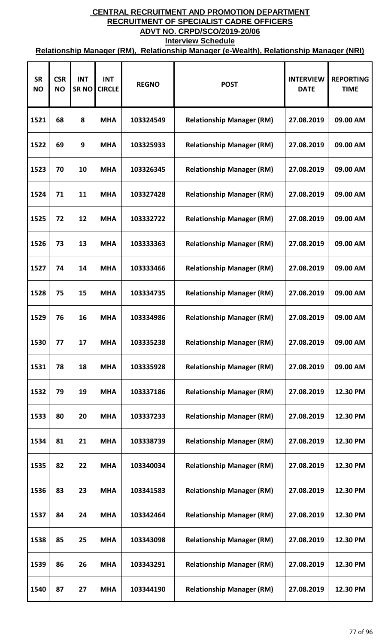| <b>SR</b><br><b>NO</b> | <b>CSR</b><br><b>NO</b> | <b>INT</b><br><b>SRNO</b> | <b>INT</b><br><b>CIRCLE</b> | <b>REGNO</b> | <b>POST</b>                      | <b>INTERVIEW</b><br><b>DATE</b> | <b>REPORTING</b><br><b>TIME</b> |
|------------------------|-------------------------|---------------------------|-----------------------------|--------------|----------------------------------|---------------------------------|---------------------------------|
| 1521                   | 68                      | 8                         | <b>MHA</b>                  | 103324549    | <b>Relationship Manager (RM)</b> | 27.08.2019                      | 09.00 AM                        |
| 1522                   | 69                      | 9                         | <b>MHA</b>                  | 103325933    | <b>Relationship Manager (RM)</b> | 27.08.2019                      | 09.00 AM                        |
| 1523                   | 70                      | 10                        | <b>MHA</b>                  | 103326345    | <b>Relationship Manager (RM)</b> | 27.08.2019                      | 09.00 AM                        |
| 1524                   | 71                      | 11                        | <b>MHA</b>                  | 103327428    | <b>Relationship Manager (RM)</b> | 27.08.2019                      | 09.00 AM                        |
| 1525                   | 72                      | 12                        | <b>MHA</b>                  | 103332722    | <b>Relationship Manager (RM)</b> | 27.08.2019                      | 09.00 AM                        |
| 1526                   | 73                      | 13                        | <b>MHA</b>                  | 103333363    | <b>Relationship Manager (RM)</b> | 27.08.2019                      | 09.00 AM                        |
| 1527                   | 74                      | 14                        | <b>MHA</b>                  | 103333466    | <b>Relationship Manager (RM)</b> | 27.08.2019                      | 09.00 AM                        |
| 1528                   | 75                      | 15                        | <b>MHA</b>                  | 103334735    | <b>Relationship Manager (RM)</b> | 27.08.2019                      | 09.00 AM                        |
| 1529                   | 76                      | 16                        | <b>MHA</b>                  | 103334986    | <b>Relationship Manager (RM)</b> | 27.08.2019                      | 09.00 AM                        |
| 1530                   | 77                      | 17                        | <b>MHA</b>                  | 103335238    | <b>Relationship Manager (RM)</b> | 27.08.2019                      | 09.00 AM                        |
| 1531                   | 78                      | 18                        | <b>MHA</b>                  | 103335928    | <b>Relationship Manager (RM)</b> | 27.08.2019                      | 09.00 AM                        |
| 1532                   | 79                      | 19                        | <b>MHA</b>                  | 103337186    | <b>Relationship Manager (RM)</b> | 27.08.2019                      | 12.30 PM                        |
| 1533                   | 80                      | 20                        | <b>MHA</b>                  | 103337233    | <b>Relationship Manager (RM)</b> | 27.08.2019                      | 12.30 PM                        |
| 1534                   | 81                      | 21                        | <b>MHA</b>                  | 103338739    | <b>Relationship Manager (RM)</b> | 27.08.2019                      | 12.30 PM                        |
| 1535                   | 82                      | 22                        | <b>MHA</b>                  | 103340034    | <b>Relationship Manager (RM)</b> | 27.08.2019                      | 12.30 PM                        |
| 1536                   | 83                      | 23                        | <b>MHA</b>                  | 103341583    | <b>Relationship Manager (RM)</b> | 27.08.2019                      | 12.30 PM                        |
| 1537                   | 84                      | 24                        | <b>MHA</b>                  | 103342464    | <b>Relationship Manager (RM)</b> | 27.08.2019                      | 12.30 PM                        |
| 1538                   | 85                      | 25                        | <b>MHA</b>                  | 103343098    | <b>Relationship Manager (RM)</b> | 27.08.2019                      | 12.30 PM                        |
| 1539                   | 86                      | 26                        | <b>MHA</b>                  | 103343291    | <b>Relationship Manager (RM)</b> | 27.08.2019                      | 12.30 PM                        |
| 1540                   | 87                      | 27                        | <b>MHA</b>                  | 103344190    | <b>Relationship Manager (RM)</b> | 27.08.2019                      | 12.30 PM                        |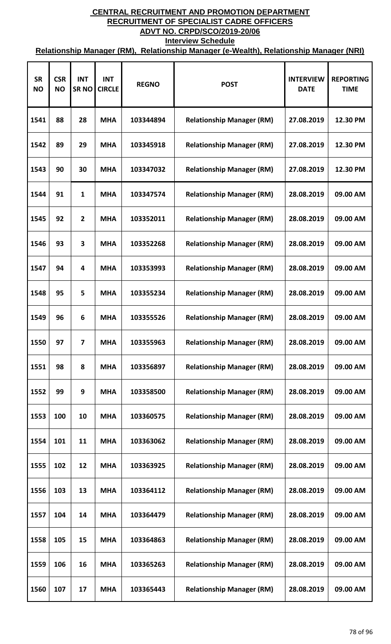| <b>SR</b><br><b>NO</b> | <b>CSR</b><br><b>NO</b> | <b>INT</b><br><b>SRNO</b> | <b>INT</b><br><b>CIRCLE</b> | <b>REGNO</b> | <b>POST</b>                      | <b>INTERVIEW</b><br><b>DATE</b> | <b>REPORTING</b><br><b>TIME</b> |
|------------------------|-------------------------|---------------------------|-----------------------------|--------------|----------------------------------|---------------------------------|---------------------------------|
| 1541                   | 88                      | 28                        | <b>MHA</b>                  | 103344894    | <b>Relationship Manager (RM)</b> | 27.08.2019                      | 12.30 PM                        |
| 1542                   | 89                      | 29                        | <b>MHA</b>                  | 103345918    | <b>Relationship Manager (RM)</b> | 27.08.2019                      | 12.30 PM                        |
| 1543                   | 90                      | 30                        | <b>MHA</b>                  | 103347032    | <b>Relationship Manager (RM)</b> | 27.08.2019                      | 12.30 PM                        |
| 1544                   | 91                      | $\mathbf{1}$              | <b>MHA</b>                  | 103347574    | <b>Relationship Manager (RM)</b> | 28.08.2019                      | 09.00 AM                        |
| 1545                   | 92                      | $\overline{2}$            | <b>MHA</b>                  | 103352011    | <b>Relationship Manager (RM)</b> | 28.08.2019                      | 09.00 AM                        |
| 1546                   | 93                      | 3                         | <b>MHA</b>                  | 103352268    | <b>Relationship Manager (RM)</b> | 28.08.2019                      | 09.00 AM                        |
| 1547                   | 94                      | 4                         | <b>MHA</b>                  | 103353993    | <b>Relationship Manager (RM)</b> | 28.08.2019                      | 09.00 AM                        |
| 1548                   | 95                      | 5                         | <b>MHA</b>                  | 103355234    | <b>Relationship Manager (RM)</b> | 28.08.2019                      | 09.00 AM                        |
| 1549                   | 96                      | 6                         | <b>MHA</b>                  | 103355526    | <b>Relationship Manager (RM)</b> | 28.08.2019                      | 09.00 AM                        |
| 1550                   | 97                      | 7                         | <b>MHA</b>                  | 103355963    | <b>Relationship Manager (RM)</b> | 28.08.2019                      | 09.00 AM                        |
| 1551                   | 98                      | 8                         | <b>MHA</b>                  | 103356897    | <b>Relationship Manager (RM)</b> | 28.08.2019                      | 09.00 AM                        |
| 1552                   | 99                      | 9                         | <b>MHA</b>                  | 103358500    | <b>Relationship Manager (RM)</b> | 28.08.2019                      | 09.00 AM                        |
| 1553                   | 100                     | 10                        | <b>MHA</b>                  | 103360575    | <b>Relationship Manager (RM)</b> | 28.08.2019                      | 09.00 AM                        |
| 1554                   | 101                     | 11                        | <b>MHA</b>                  | 103363062    | <b>Relationship Manager (RM)</b> | 28.08.2019                      | 09.00 AM                        |
| 1555                   | 102                     | 12                        | <b>MHA</b>                  | 103363925    | <b>Relationship Manager (RM)</b> | 28.08.2019                      | 09.00 AM                        |
| 1556                   | 103                     | 13                        | <b>MHA</b>                  | 103364112    | <b>Relationship Manager (RM)</b> | 28.08.2019                      | 09.00 AM                        |
| 1557                   | 104                     | 14                        | <b>MHA</b>                  | 103364479    | <b>Relationship Manager (RM)</b> | 28.08.2019                      | 09.00 AM                        |
| 1558                   | 105                     | 15                        | <b>MHA</b>                  | 103364863    | <b>Relationship Manager (RM)</b> | 28.08.2019                      | 09.00 AM                        |
| 1559                   | 106                     | 16                        | <b>MHA</b>                  | 103365263    | <b>Relationship Manager (RM)</b> | 28.08.2019                      | 09.00 AM                        |
| 1560                   | 107                     | 17                        | <b>MHA</b>                  | 103365443    | <b>Relationship Manager (RM)</b> | 28.08.2019                      | 09.00 AM                        |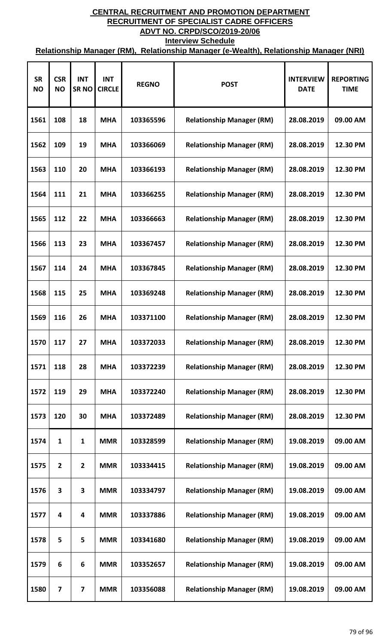| <b>SR</b><br><b>NO</b> | <b>CSR</b><br><b>NO</b> | <b>INT</b><br><b>SRNO</b> | <b>INT</b><br><b>CIRCLE</b> | <b>REGNO</b> | <b>POST</b>                      | <b>INTERVIEW</b><br><b>DATE</b> | <b>REPORTING</b><br><b>TIME</b> |
|------------------------|-------------------------|---------------------------|-----------------------------|--------------|----------------------------------|---------------------------------|---------------------------------|
| 1561                   | 108                     | 18                        | <b>MHA</b>                  | 103365596    | <b>Relationship Manager (RM)</b> | 28.08.2019                      | 09.00 AM                        |
| 1562                   | 109                     | 19                        | <b>MHA</b>                  | 103366069    | <b>Relationship Manager (RM)</b> | 28.08.2019                      | 12.30 PM                        |
| 1563                   | 110                     | 20                        | <b>MHA</b>                  | 103366193    | <b>Relationship Manager (RM)</b> | 28.08.2019                      | 12.30 PM                        |
| 1564                   | 111                     | 21                        | <b>MHA</b>                  | 103366255    | <b>Relationship Manager (RM)</b> | 28.08.2019                      | 12.30 PM                        |
| 1565                   | 112                     | 22                        | <b>MHA</b>                  | 103366663    | <b>Relationship Manager (RM)</b> | 28.08.2019                      | 12.30 PM                        |
| 1566                   | 113                     | 23                        | <b>MHA</b>                  | 103367457    | <b>Relationship Manager (RM)</b> | 28.08.2019                      | 12.30 PM                        |
| 1567                   | 114                     | 24                        | <b>MHA</b>                  | 103367845    | <b>Relationship Manager (RM)</b> | 28.08.2019                      | 12.30 PM                        |
| 1568                   | 115                     | 25                        | <b>MHA</b>                  | 103369248    | <b>Relationship Manager (RM)</b> | 28.08.2019                      | 12.30 PM                        |
| 1569                   | 116                     | 26                        | <b>MHA</b>                  | 103371100    | <b>Relationship Manager (RM)</b> | 28.08.2019                      | 12.30 PM                        |
| 1570                   | 117                     | 27                        | <b>MHA</b>                  | 103372033    | <b>Relationship Manager (RM)</b> | 28.08.2019                      | 12.30 PM                        |
| 1571                   | 118                     | 28                        | <b>MHA</b>                  | 103372239    | <b>Relationship Manager (RM)</b> | 28.08.2019                      | 12.30 PM                        |
| 1572                   | 119                     | 29                        | <b>MHA</b>                  | 103372240    | <b>Relationship Manager (RM)</b> | 28.08.2019                      | 12.30 PM                        |
| 1573                   | 120                     | 30                        | <b>MHA</b>                  | 103372489    | <b>Relationship Manager (RM)</b> | 28.08.2019                      | 12.30 PM                        |
| 1574                   | 1                       | 1                         | <b>MMR</b>                  | 103328599    | <b>Relationship Manager (RM)</b> | 19.08.2019                      | 09.00 AM                        |
| 1575                   | $\overline{2}$          | $\overline{2}$            | <b>MMR</b>                  | 103334415    | <b>Relationship Manager (RM)</b> | 19.08.2019                      | 09.00 AM                        |
| 1576                   | 3                       | $\overline{\mathbf{3}}$   | <b>MMR</b>                  | 103334797    | <b>Relationship Manager (RM)</b> | 19.08.2019                      | 09.00 AM                        |
| 1577                   | $\overline{\mathbf{4}}$ | 4                         | <b>MMR</b>                  | 103337886    | <b>Relationship Manager (RM)</b> | 19.08.2019                      | 09.00 AM                        |
| 1578                   | 5                       | 5                         | <b>MMR</b>                  | 103341680    | <b>Relationship Manager (RM)</b> | 19.08.2019                      | 09.00 AM                        |
| 1579                   | 6                       | 6                         | <b>MMR</b>                  | 103352657    | <b>Relationship Manager (RM)</b> | 19.08.2019                      | 09.00 AM                        |
| 1580                   | 7                       | 7                         | <b>MMR</b>                  | 103356088    | <b>Relationship Manager (RM)</b> | 19.08.2019                      | 09.00 AM                        |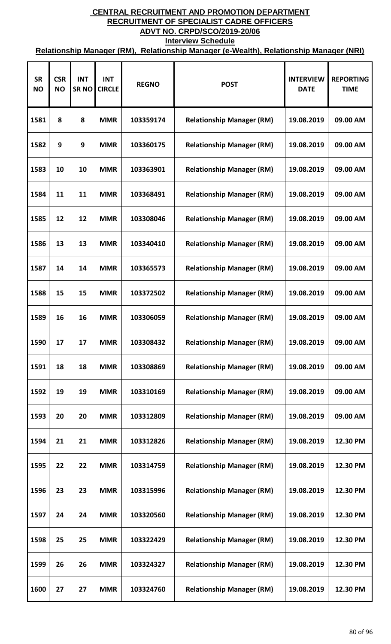| <b>SR</b><br><b>NO</b> | <b>CSR</b><br><b>NO</b> | <b>INT</b><br><b>SRNO</b> | <b>INT</b><br><b>CIRCLE</b> | <b>REGNO</b> | <b>POST</b>                      | <b>INTERVIEW</b><br><b>DATE</b> | <b>REPORTING</b><br><b>TIME</b> |
|------------------------|-------------------------|---------------------------|-----------------------------|--------------|----------------------------------|---------------------------------|---------------------------------|
| 1581                   | 8                       | 8                         | <b>MMR</b>                  | 103359174    | <b>Relationship Manager (RM)</b> | 19.08.2019                      | 09.00 AM                        |
| 1582                   | 9                       | 9                         | <b>MMR</b>                  | 103360175    | <b>Relationship Manager (RM)</b> | 19.08.2019                      | 09.00 AM                        |
| 1583                   | 10                      | 10                        | <b>MMR</b>                  | 103363901    | <b>Relationship Manager (RM)</b> | 19.08.2019                      | 09.00 AM                        |
| 1584                   | 11                      | 11                        | <b>MMR</b>                  | 103368491    | <b>Relationship Manager (RM)</b> | 19.08.2019                      | 09.00 AM                        |
| 1585                   | 12                      | 12                        | <b>MMR</b>                  | 103308046    | <b>Relationship Manager (RM)</b> | 19.08.2019                      | 09.00 AM                        |
| 1586                   | 13                      | 13                        | <b>MMR</b>                  | 103340410    | <b>Relationship Manager (RM)</b> | 19.08.2019                      | 09.00 AM                        |
| 1587                   | 14                      | 14                        | <b>MMR</b>                  | 103365573    | <b>Relationship Manager (RM)</b> | 19.08.2019                      | 09.00 AM                        |
| 1588                   | 15                      | 15                        | <b>MMR</b>                  | 103372502    | <b>Relationship Manager (RM)</b> | 19.08.2019                      | 09.00 AM                        |
| 1589                   | 16                      | 16                        | <b>MMR</b>                  | 103306059    | <b>Relationship Manager (RM)</b> | 19.08.2019                      | 09.00 AM                        |
| 1590                   | 17                      | 17                        | <b>MMR</b>                  | 103308432    | <b>Relationship Manager (RM)</b> | 19.08.2019                      | 09.00 AM                        |
| 1591                   | 18                      | 18                        | <b>MMR</b>                  | 103308869    | <b>Relationship Manager (RM)</b> | 19.08.2019                      | 09.00 AM                        |
| 1592                   | 19                      | 19                        | <b>MMR</b>                  | 103310169    | <b>Relationship Manager (RM)</b> | 19.08.2019                      | 09.00 AM                        |
| 1593                   | 20                      | 20                        | <b>MMR</b>                  | 103312809    | <b>Relationship Manager (RM)</b> | 19.08.2019                      | 09.00 AM                        |
| 1594                   | 21                      | 21                        | <b>MMR</b>                  | 103312826    | <b>Relationship Manager (RM)</b> | 19.08.2019                      | 12.30 PM                        |
| 1595                   | 22                      | 22                        | <b>MMR</b>                  | 103314759    | <b>Relationship Manager (RM)</b> | 19.08.2019                      | 12.30 PM                        |
| 1596                   | 23                      | 23                        | <b>MMR</b>                  | 103315996    | <b>Relationship Manager (RM)</b> | 19.08.2019                      | 12.30 PM                        |
| 1597                   | 24                      | 24                        | <b>MMR</b>                  | 103320560    | <b>Relationship Manager (RM)</b> | 19.08.2019                      | 12.30 PM                        |
| 1598                   | 25                      | 25                        | <b>MMR</b>                  | 103322429    | <b>Relationship Manager (RM)</b> | 19.08.2019                      | 12.30 PM                        |
| 1599                   | 26                      | 26                        | <b>MMR</b>                  | 103324327    | <b>Relationship Manager (RM)</b> | 19.08.2019                      | 12.30 PM                        |
| 1600                   | 27                      | 27                        | <b>MMR</b>                  | 103324760    | <b>Relationship Manager (RM)</b> | 19.08.2019                      | 12.30 PM                        |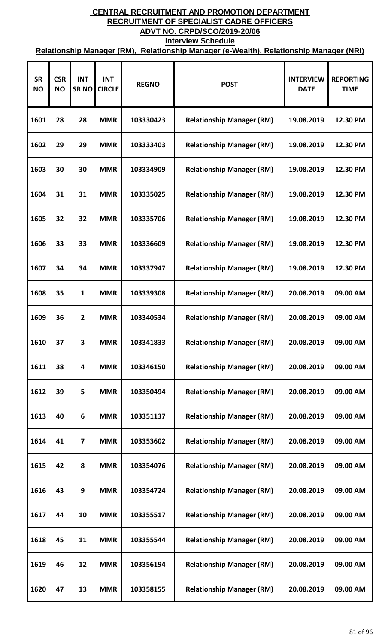| <b>SR</b><br><b>NO</b> | <b>CSR</b><br><b>NO</b> | <b>INT</b><br><b>SRNO</b> | <b>INT</b><br><b>CIRCLE</b> | <b>REGNO</b> | <b>POST</b>                      | <b>INTERVIEW</b><br><b>DATE</b> | <b>REPORTING</b><br><b>TIME</b> |
|------------------------|-------------------------|---------------------------|-----------------------------|--------------|----------------------------------|---------------------------------|---------------------------------|
| 1601                   | 28                      | 28                        | <b>MMR</b>                  | 103330423    | <b>Relationship Manager (RM)</b> | 19.08.2019                      | 12.30 PM                        |
| 1602                   | 29                      | 29                        | <b>MMR</b>                  | 103333403    | <b>Relationship Manager (RM)</b> | 19.08.2019                      | 12.30 PM                        |
| 1603                   | 30                      | 30                        | <b>MMR</b>                  | 103334909    | <b>Relationship Manager (RM)</b> | 19.08.2019                      | 12.30 PM                        |
| 1604                   | 31                      | 31                        | <b>MMR</b>                  | 103335025    | <b>Relationship Manager (RM)</b> | 19.08.2019                      | 12.30 PM                        |
| 1605                   | 32                      | 32                        | <b>MMR</b>                  | 103335706    | <b>Relationship Manager (RM)</b> | 19.08.2019                      | 12.30 PM                        |
| 1606                   | 33                      | 33                        | <b>MMR</b>                  | 103336609    | <b>Relationship Manager (RM)</b> | 19.08.2019                      | 12.30 PM                        |
| 1607                   | 34                      | 34                        | <b>MMR</b>                  | 103337947    | <b>Relationship Manager (RM)</b> | 19.08.2019                      | 12.30 PM                        |
| 1608                   | 35                      | 1                         | <b>MMR</b>                  | 103339308    | <b>Relationship Manager (RM)</b> | 20.08.2019                      | 09.00 AM                        |
| 1609                   | 36                      | $\overline{2}$            | <b>MMR</b>                  | 103340534    | <b>Relationship Manager (RM)</b> | 20.08.2019                      | 09.00 AM                        |
| 1610                   | 37                      | 3                         | <b>MMR</b>                  | 103341833    | <b>Relationship Manager (RM)</b> | 20.08.2019                      | 09.00 AM                        |
| 1611                   | 38                      | 4                         | <b>MMR</b>                  | 103346150    | <b>Relationship Manager (RM)</b> | 20.08.2019                      | 09.00 AM                        |
| 1612                   | 39                      | 5                         | <b>MMR</b>                  | 103350494    | <b>Relationship Manager (RM)</b> | 20.08.2019                      | 09.00 AM                        |
| 1613                   | 40                      | 6                         | <b>MMR</b>                  | 103351137    | <b>Relationship Manager (RM)</b> | 20.08.2019                      | 09.00 AM                        |
| 1614                   | 41                      | $\overline{7}$            | <b>MMR</b>                  | 103353602    | <b>Relationship Manager (RM)</b> | 20.08.2019                      | 09.00 AM                        |
| 1615                   | 42                      | 8                         | <b>MMR</b>                  | 103354076    | <b>Relationship Manager (RM)</b> | 20.08.2019                      | 09.00 AM                        |
| 1616                   | 43                      | 9                         | <b>MMR</b>                  | 103354724    | <b>Relationship Manager (RM)</b> | 20.08.2019                      | 09.00 AM                        |
| 1617                   | 44                      | 10                        | <b>MMR</b>                  | 103355517    | <b>Relationship Manager (RM)</b> | 20.08.2019                      | 09.00 AM                        |
| 1618                   | 45                      | 11                        | <b>MMR</b>                  | 103355544    | <b>Relationship Manager (RM)</b> | 20.08.2019                      | 09.00 AM                        |
| 1619                   | 46                      | 12                        | <b>MMR</b>                  | 103356194    | <b>Relationship Manager (RM)</b> | 20.08.2019                      | 09.00 AM                        |
| 1620                   | 47                      | 13                        | <b>MMR</b>                  | 103358155    | <b>Relationship Manager (RM)</b> | 20.08.2019                      | 09.00 AM                        |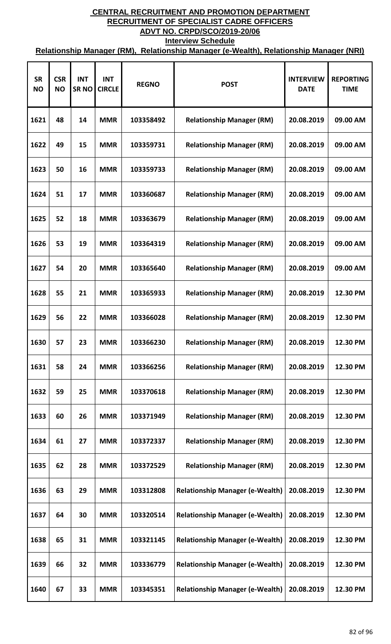| <b>SR</b><br><b>NO</b> | <b>CSR</b><br><b>NO</b> | <b>INT</b><br><b>SRNO</b> | <b>INT</b><br><b>CIRCLE</b> | <b>REGNO</b> | <b>POST</b>                            | <b>INTERVIEW</b><br><b>DATE</b> | <b>REPORTING</b><br><b>TIME</b> |
|------------------------|-------------------------|---------------------------|-----------------------------|--------------|----------------------------------------|---------------------------------|---------------------------------|
| 1621                   | 48                      | 14                        | <b>MMR</b>                  | 103358492    | <b>Relationship Manager (RM)</b>       | 20.08.2019                      | 09.00 AM                        |
| 1622                   | 49                      | 15                        | <b>MMR</b>                  | 103359731    | <b>Relationship Manager (RM)</b>       | 20.08.2019                      | 09.00 AM                        |
| 1623                   | 50                      | 16                        | <b>MMR</b>                  | 103359733    | <b>Relationship Manager (RM)</b>       | 20.08.2019                      | 09.00 AM                        |
| 1624                   | 51                      | 17                        | <b>MMR</b>                  | 103360687    | <b>Relationship Manager (RM)</b>       | 20.08.2019                      | 09.00 AM                        |
| 1625                   | 52                      | 18                        | <b>MMR</b>                  | 103363679    | <b>Relationship Manager (RM)</b>       | 20.08.2019                      | 09.00 AM                        |
| 1626                   | 53                      | 19                        | <b>MMR</b>                  | 103364319    | <b>Relationship Manager (RM)</b>       | 20.08.2019                      | 09.00 AM                        |
| 1627                   | 54                      | 20                        | <b>MMR</b>                  | 103365640    | <b>Relationship Manager (RM)</b>       | 20.08.2019                      | 09.00 AM                        |
| 1628                   | 55                      | 21                        | <b>MMR</b>                  | 103365933    | <b>Relationship Manager (RM)</b>       | 20.08.2019                      | 12.30 PM                        |
| 1629                   | 56                      | 22                        | <b>MMR</b>                  | 103366028    | <b>Relationship Manager (RM)</b>       | 20.08.2019                      | 12.30 PM                        |
| 1630                   | 57                      | 23                        | <b>MMR</b>                  | 103366230    | <b>Relationship Manager (RM)</b>       | 20.08.2019                      | 12.30 PM                        |
| 1631                   | 58                      | 24                        | <b>MMR</b>                  | 103366256    | <b>Relationship Manager (RM)</b>       | 20.08.2019                      | 12.30 PM                        |
| 1632                   | 59                      | 25                        | <b>MMR</b>                  | 103370618    | <b>Relationship Manager (RM)</b>       | 20.08.2019                      | 12.30 PM                        |
| 1633                   | 60                      | 26                        | <b>MMR</b>                  | 103371949    | <b>Relationship Manager (RM)</b>       | 20.08.2019                      | 12.30 PM                        |
| 1634                   | 61                      | 27                        | <b>MMR</b>                  | 103372337    | <b>Relationship Manager (RM)</b>       | 20.08.2019                      | 12.30 PM                        |
| 1635                   | 62                      | 28                        | <b>MMR</b>                  | 103372529    | <b>Relationship Manager (RM)</b>       | 20.08.2019                      | 12.30 PM                        |
| 1636                   | 63                      | 29                        | <b>MMR</b>                  | 103312808    | <b>Relationship Manager (e-Wealth)</b> | 20.08.2019                      | 12.30 PM                        |
| 1637                   | 64                      | 30                        | <b>MMR</b>                  | 103320514    | <b>Relationship Manager (e-Wealth)</b> | 20.08.2019                      | 12.30 PM                        |
| 1638                   | 65                      | 31                        | <b>MMR</b>                  | 103321145    | <b>Relationship Manager (e-Wealth)</b> | 20.08.2019                      | 12.30 PM                        |
| 1639                   | 66                      | 32                        | <b>MMR</b>                  | 103336779    | <b>Relationship Manager (e-Wealth)</b> | 20.08.2019                      | 12.30 PM                        |
| 1640                   | 67                      | 33                        | <b>MMR</b>                  | 103345351    | <b>Relationship Manager (e-Wealth)</b> | 20.08.2019                      | 12.30 PM                        |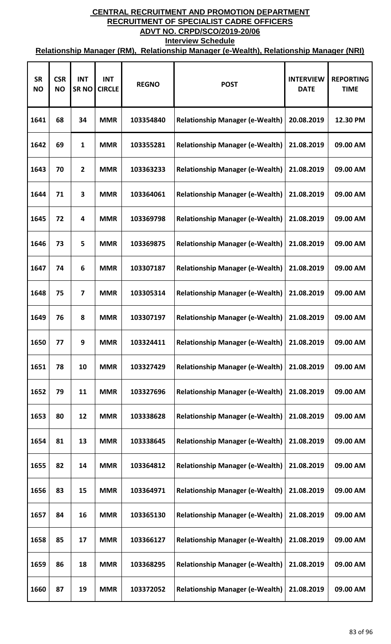| <b>SR</b><br><b>NO</b> | <b>CSR</b><br><b>NO</b> | <b>INT</b><br><b>SRNO</b> | <b>INT</b><br><b>CIRCLE</b> | <b>REGNO</b> | <b>POST</b>                            | <b>INTERVIEW</b><br><b>DATE</b> | <b>REPORTING</b><br><b>TIME</b> |
|------------------------|-------------------------|---------------------------|-----------------------------|--------------|----------------------------------------|---------------------------------|---------------------------------|
| 1641                   | 68                      | 34                        | <b>MMR</b>                  | 103354840    | <b>Relationship Manager (e-Wealth)</b> | 20.08.2019                      | 12.30 PM                        |
| 1642                   | 69                      | 1                         | <b>MMR</b>                  | 103355281    | <b>Relationship Manager (e-Wealth)</b> | 21.08.2019                      | 09.00 AM                        |
| 1643                   | 70                      | $\overline{2}$            | <b>MMR</b>                  | 103363233    | <b>Relationship Manager (e-Wealth)</b> | 21.08.2019                      | 09.00 AM                        |
| 1644                   | 71                      | 3                         | <b>MMR</b>                  | 103364061    | <b>Relationship Manager (e-Wealth)</b> | 21.08.2019                      | 09.00 AM                        |
| 1645                   | 72                      | 4                         | <b>MMR</b>                  | 103369798    | <b>Relationship Manager (e-Wealth)</b> | 21.08.2019                      | 09.00 AM                        |
| 1646                   | 73                      | 5                         | <b>MMR</b>                  | 103369875    | <b>Relationship Manager (e-Wealth)</b> | 21.08.2019                      | 09.00 AM                        |
| 1647                   | 74                      | 6                         | <b>MMR</b>                  | 103307187    | <b>Relationship Manager (e-Wealth)</b> | 21.08.2019                      | 09.00 AM                        |
| 1648                   | 75                      | $\overline{7}$            | <b>MMR</b>                  | 103305314    | <b>Relationship Manager (e-Wealth)</b> | 21.08.2019                      | 09.00 AM                        |
| 1649                   | 76                      | 8                         | <b>MMR</b>                  | 103307197    | <b>Relationship Manager (e-Wealth)</b> | 21.08.2019                      | 09.00 AM                        |
| 1650                   | 77                      | 9                         | <b>MMR</b>                  | 103324411    | <b>Relationship Manager (e-Wealth)</b> | 21.08.2019                      | 09.00 AM                        |
| 1651                   | 78                      | 10                        | <b>MMR</b>                  | 103327429    | <b>Relationship Manager (e-Wealth)</b> | 21.08.2019                      | 09.00 AM                        |
| 1652                   | 79                      | 11                        | <b>MMR</b>                  | 103327696    | <b>Relationship Manager (e-Wealth)</b> | 21.08.2019                      | 09.00 AM                        |
| 1653                   | 80                      | 12                        | <b>MMR</b>                  | 103338628    | <b>Relationship Manager (e-Wealth)</b> | 21.08.2019                      | 09.00 AM                        |
| 1654                   | 81                      | 13                        | <b>MMR</b>                  | 103338645    | <b>Relationship Manager (e-Wealth)</b> | 21.08.2019                      | 09.00 AM                        |
| 1655                   | 82                      | 14                        | <b>MMR</b>                  | 103364812    | <b>Relationship Manager (e-Wealth)</b> | 21.08.2019                      | 09.00 AM                        |
| 1656                   | 83                      | 15                        | <b>MMR</b>                  | 103364971    | <b>Relationship Manager (e-Wealth)</b> | 21.08.2019                      | 09.00 AM                        |
| 1657                   | 84                      | 16                        | <b>MMR</b>                  | 103365130    | <b>Relationship Manager (e-Wealth)</b> | 21.08.2019                      | 09.00 AM                        |
| 1658                   | 85                      | 17                        | <b>MMR</b>                  | 103366127    | <b>Relationship Manager (e-Wealth)</b> | 21.08.2019                      | 09.00 AM                        |
| 1659                   | 86                      | 18                        | <b>MMR</b>                  | 103368295    | <b>Relationship Manager (e-Wealth)</b> | 21.08.2019                      | 09.00 AM                        |
| 1660                   | 87                      | 19                        | <b>MMR</b>                  | 103372052    | <b>Relationship Manager (e-Wealth)</b> | 21.08.2019                      | 09.00 AM                        |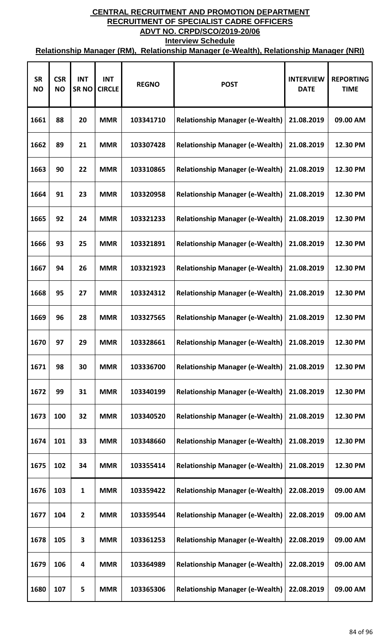| <b>SR</b><br><b>NO</b> | <b>CSR</b><br><b>NO</b> | <b>INT</b><br><b>SRNO</b> | <b>INT</b><br><b>CIRCLE</b> | <b>REGNO</b> | <b>POST</b>                            | <b>INTERVIEW</b><br><b>DATE</b> | <b>REPORTING</b><br><b>TIME</b> |
|------------------------|-------------------------|---------------------------|-----------------------------|--------------|----------------------------------------|---------------------------------|---------------------------------|
| 1661                   | 88                      | 20                        | <b>MMR</b>                  | 103341710    | <b>Relationship Manager (e-Wealth)</b> | 21.08.2019                      | 09.00 AM                        |
| 1662                   | 89                      | 21                        | <b>MMR</b>                  | 103307428    | <b>Relationship Manager (e-Wealth)</b> | 21.08.2019                      | 12.30 PM                        |
| 1663                   | 90                      | 22                        | <b>MMR</b>                  | 103310865    | <b>Relationship Manager (e-Wealth)</b> | 21.08.2019                      | 12.30 PM                        |
| 1664                   | 91                      | 23                        | <b>MMR</b>                  | 103320958    | <b>Relationship Manager (e-Wealth)</b> | 21.08.2019                      | 12.30 PM                        |
| 1665                   | 92                      | 24                        | <b>MMR</b>                  | 103321233    | <b>Relationship Manager (e-Wealth)</b> | 21.08.2019                      | 12.30 PM                        |
| 1666                   | 93                      | 25                        | <b>MMR</b>                  | 103321891    | <b>Relationship Manager (e-Wealth)</b> | 21.08.2019                      | 12.30 PM                        |
| 1667                   | 94                      | 26                        | <b>MMR</b>                  | 103321923    | <b>Relationship Manager (e-Wealth)</b> | 21.08.2019                      | 12.30 PM                        |
| 1668                   | 95                      | 27                        | <b>MMR</b>                  | 103324312    | <b>Relationship Manager (e-Wealth)</b> | 21.08.2019                      | 12.30 PM                        |
| 1669                   | 96                      | 28                        | <b>MMR</b>                  | 103327565    | <b>Relationship Manager (e-Wealth)</b> | 21.08.2019                      | 12.30 PM                        |
| 1670                   | 97                      | 29                        | <b>MMR</b>                  | 103328661    | <b>Relationship Manager (e-Wealth)</b> | 21.08.2019                      | 12.30 PM                        |
| 1671                   | 98                      | 30                        | <b>MMR</b>                  | 103336700    | <b>Relationship Manager (e-Wealth)</b> | 21.08.2019                      | 12.30 PM                        |
| 1672                   | 99                      | 31                        | <b>MMR</b>                  | 103340199    | <b>Relationship Manager (e-Wealth)</b> | 21.08.2019                      | 12.30 PM                        |
| 1673                   | 100                     | 32                        | <b>MMR</b>                  | 103340520    | <b>Relationship Manager (e-Wealth)</b> | 21.08.2019                      | 12.30 PM                        |
| 1674                   | 101                     | 33                        | <b>MMR</b>                  | 103348660    | <b>Relationship Manager (e-Wealth)</b> | 21.08.2019                      | 12.30 PM                        |
| 1675                   | 102                     | 34                        | <b>MMR</b>                  | 103355414    | <b>Relationship Manager (e-Wealth)</b> | 21.08.2019                      | 12.30 PM                        |
| 1676                   | 103                     | 1                         | <b>MMR</b>                  | 103359422    | <b>Relationship Manager (e-Wealth)</b> | 22.08.2019                      | 09.00 AM                        |
| 1677                   | 104                     | $\mathbf{2}$              | <b>MMR</b>                  | 103359544    | <b>Relationship Manager (e-Wealth)</b> | 22.08.2019                      | 09.00 AM                        |
| 1678                   | 105                     | 3                         | <b>MMR</b>                  | 103361253    | <b>Relationship Manager (e-Wealth)</b> | 22.08.2019                      | 09.00 AM                        |
| 1679                   | 106                     | 4                         | <b>MMR</b>                  | 103364989    | <b>Relationship Manager (e-Wealth)</b> | 22.08.2019                      | 09.00 AM                        |
| 1680                   | 107                     | 5                         | <b>MMR</b>                  | 103365306    | <b>Relationship Manager (e-Wealth)</b> | 22.08.2019                      | 09.00 AM                        |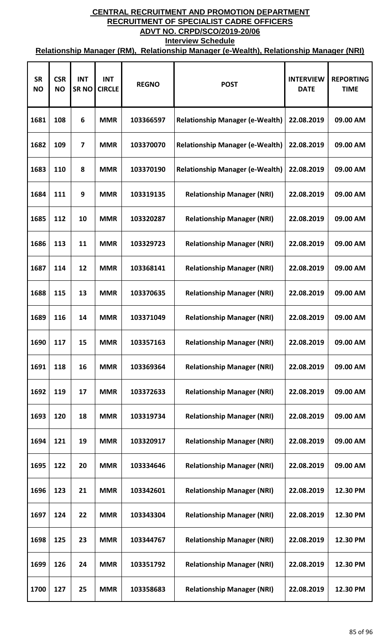| <b>SR</b><br><b>NO</b> | <b>CSR</b><br><b>NO</b> | <b>INT</b><br><b>SRNO</b> | <b>INT</b><br><b>CIRCLE</b> | <b>REGNO</b> | <b>POST</b>                            | <b>INTERVIEW</b><br><b>DATE</b> | <b>REPORTING</b><br><b>TIME</b> |
|------------------------|-------------------------|---------------------------|-----------------------------|--------------|----------------------------------------|---------------------------------|---------------------------------|
| 1681                   | 108                     | 6                         | <b>MMR</b>                  | 103366597    | <b>Relationship Manager (e-Wealth)</b> | 22.08.2019                      | 09.00 AM                        |
| 1682                   | 109                     | 7                         | <b>MMR</b>                  | 103370070    | <b>Relationship Manager (e-Wealth)</b> | 22.08.2019                      | 09.00 AM                        |
| 1683                   | 110                     | 8                         | <b>MMR</b>                  | 103370190    | <b>Relationship Manager (e-Wealth)</b> | 22.08.2019                      | 09.00 AM                        |
| 1684                   | 111                     | 9                         | <b>MMR</b>                  | 103319135    | <b>Relationship Manager (NRI)</b>      | 22.08.2019                      | 09.00 AM                        |
| 1685                   | 112                     | 10                        | <b>MMR</b>                  | 103320287    | <b>Relationship Manager (NRI)</b>      | 22.08.2019                      | 09.00 AM                        |
| 1686                   | 113                     | 11                        | <b>MMR</b>                  | 103329723    | <b>Relationship Manager (NRI)</b>      | 22.08.2019                      | 09.00 AM                        |
| 1687                   | 114                     | 12                        | <b>MMR</b>                  | 103368141    | <b>Relationship Manager (NRI)</b>      | 22.08.2019                      | 09.00 AM                        |
| 1688                   | 115                     | 13                        | <b>MMR</b>                  | 103370635    | <b>Relationship Manager (NRI)</b>      | 22.08.2019                      | 09.00 AM                        |
| 1689                   | 116                     | 14                        | <b>MMR</b>                  | 103371049    | <b>Relationship Manager (NRI)</b>      | 22.08.2019                      | 09.00 AM                        |
| 1690                   | 117                     | 15                        | <b>MMR</b>                  | 103357163    | <b>Relationship Manager (NRI)</b>      | 22.08.2019                      | 09.00 AM                        |
| 1691                   | 118                     | 16                        | <b>MMR</b>                  | 103369364    | <b>Relationship Manager (NRI)</b>      | 22.08.2019                      | 09.00 AM                        |
| 1692                   | 119                     | 17                        | <b>MMR</b>                  | 103372633    | <b>Relationship Manager (NRI)</b>      | 22.08.2019                      | 09.00 AM                        |
| 1693                   | 120                     | 18                        | <b>MMR</b>                  | 103319734    | <b>Relationship Manager (NRI)</b>      | 22.08.2019                      | 09.00 AM                        |
| 1694                   | 121                     | 19                        | <b>MMR</b>                  | 103320917    | <b>Relationship Manager (NRI)</b>      | 22.08.2019                      | 09.00 AM                        |
| 1695                   | 122                     | 20                        | <b>MMR</b>                  | 103334646    | <b>Relationship Manager (NRI)</b>      | 22.08.2019                      | 09.00 AM                        |
| 1696                   | 123                     | 21                        | <b>MMR</b>                  | 103342601    | <b>Relationship Manager (NRI)</b>      | 22.08.2019                      | 12.30 PM                        |
| 1697                   | 124                     | 22                        | <b>MMR</b>                  | 103343304    | <b>Relationship Manager (NRI)</b>      | 22.08.2019                      | 12.30 PM                        |
| 1698                   | 125                     | 23                        | <b>MMR</b>                  | 103344767    | <b>Relationship Manager (NRI)</b>      | 22.08.2019                      | 12.30 PM                        |
| 1699                   | 126                     | 24                        | <b>MMR</b>                  | 103351792    | <b>Relationship Manager (NRI)</b>      | 22.08.2019                      | 12.30 PM                        |
| 1700                   | 127                     | 25                        | <b>MMR</b>                  | 103358683    | <b>Relationship Manager (NRI)</b>      | 22.08.2019                      | 12.30 PM                        |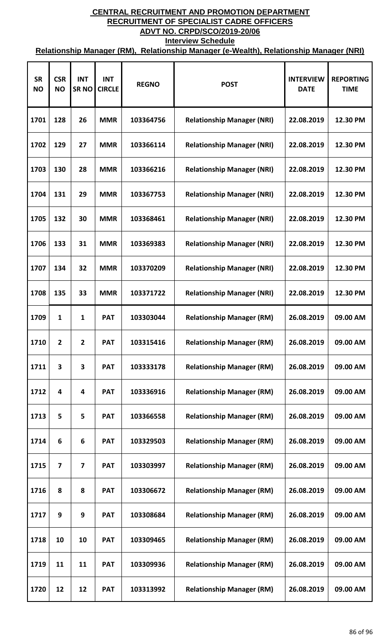| <b>SR</b><br><b>NO</b> | <b>CSR</b><br><b>NO</b> | <b>INT</b><br><b>SRNO</b> | <b>INT</b><br><b>CIRCLE</b> | <b>REGNO</b> | <b>POST</b>                       | <b>INTERVIEW</b><br><b>DATE</b> | <b>REPORTING</b><br><b>TIME</b> |
|------------------------|-------------------------|---------------------------|-----------------------------|--------------|-----------------------------------|---------------------------------|---------------------------------|
| 1701                   | 128                     | 26                        | <b>MMR</b>                  | 103364756    | <b>Relationship Manager (NRI)</b> | 22.08.2019                      | 12.30 PM                        |
| 1702                   | 129                     | 27                        | <b>MMR</b>                  | 103366114    | <b>Relationship Manager (NRI)</b> | 22.08.2019                      | 12.30 PM                        |
| 1703                   | 130                     | 28                        | <b>MMR</b>                  | 103366216    | <b>Relationship Manager (NRI)</b> | 22.08.2019                      | 12.30 PM                        |
| 1704                   | 131                     | 29                        | <b>MMR</b>                  | 103367753    | <b>Relationship Manager (NRI)</b> | 22.08.2019                      | 12.30 PM                        |
| 1705                   | 132                     | 30                        | <b>MMR</b>                  | 103368461    | <b>Relationship Manager (NRI)</b> | 22.08.2019                      | 12.30 PM                        |
| 1706                   | 133                     | 31                        | <b>MMR</b>                  | 103369383    | <b>Relationship Manager (NRI)</b> | 22.08.2019                      | 12.30 PM                        |
| 1707                   | 134                     | 32                        | <b>MMR</b>                  | 103370209    | <b>Relationship Manager (NRI)</b> | 22.08.2019                      | 12.30 PM                        |
| 1708                   | 135                     | 33                        | <b>MMR</b>                  | 103371722    | <b>Relationship Manager (NRI)</b> | 22.08.2019                      | 12.30 PM                        |
| 1709                   | 1                       | $\mathbf{1}$              | <b>PAT</b>                  | 103303044    | <b>Relationship Manager (RM)</b>  | 26.08.2019                      | 09.00 AM                        |
| 1710                   | $\overline{2}$          | $\overline{2}$            | <b>PAT</b>                  | 103315416    | <b>Relationship Manager (RM)</b>  | 26.08.2019                      | 09.00 AM                        |
| 1711                   | 3                       | 3                         | <b>PAT</b>                  | 103333178    | <b>Relationship Manager (RM)</b>  | 26.08.2019                      | 09.00 AM                        |
| 1712                   | 4                       | 4                         | <b>PAT</b>                  | 103336916    | <b>Relationship Manager (RM)</b>  | 26.08.2019                      | 09.00 AM                        |
| 1713                   | 5                       | 5                         | <b>PAT</b>                  | 103366558    | <b>Relationship Manager (RM)</b>  | 26.08.2019                      | 09.00 AM                        |
| 1714                   | 6                       | 6                         | <b>PAT</b>                  | 103329503    | <b>Relationship Manager (RM)</b>  | 26.08.2019                      | 09.00 AM                        |
| 1715                   | 7                       | 7                         | <b>PAT</b>                  | 103303997    | <b>Relationship Manager (RM)</b>  | 26.08.2019                      | 09.00 AM                        |
| 1716                   | 8                       | 8                         | <b>PAT</b>                  | 103306672    | <b>Relationship Manager (RM)</b>  | 26.08.2019                      | 09.00 AM                        |
| 1717                   | 9                       | 9                         | <b>PAT</b>                  | 103308684    | <b>Relationship Manager (RM)</b>  | 26.08.2019                      | 09.00 AM                        |
| 1718                   | 10                      | 10                        | <b>PAT</b>                  | 103309465    | <b>Relationship Manager (RM)</b>  | 26.08.2019                      | 09.00 AM                        |
| 1719                   | 11                      | 11                        | <b>PAT</b>                  | 103309936    | <b>Relationship Manager (RM)</b>  | 26.08.2019                      | 09.00 AM                        |
| 1720                   | 12                      | 12                        | <b>PAT</b>                  | 103313992    | <b>Relationship Manager (RM)</b>  | 26.08.2019                      | 09.00 AM                        |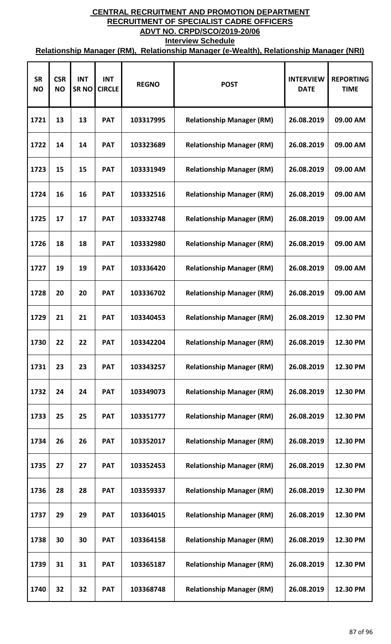| <b>SR</b><br><b>NO</b> | <b>CSR</b><br><b>NO</b> | <b>INT</b><br><b>SRNO</b> | <b>INT</b><br><b>CIRCLE</b> | <b>REGNO</b> | <b>POST</b>                      | <b>INTERVIEW</b><br><b>DATE</b> | <b>REPORTING</b><br><b>TIME</b> |
|------------------------|-------------------------|---------------------------|-----------------------------|--------------|----------------------------------|---------------------------------|---------------------------------|
| 1721                   | 13                      | 13                        | <b>PAT</b>                  | 103317995    | <b>Relationship Manager (RM)</b> | 26.08.2019                      | 09.00 AM                        |
| 1722                   | 14                      | 14                        | <b>PAT</b>                  | 103323689    | <b>Relationship Manager (RM)</b> | 26.08.2019                      | 09.00 AM                        |
| 1723                   | 15                      | 15                        | <b>PAT</b>                  | 103331949    | <b>Relationship Manager (RM)</b> | 26.08.2019                      | 09.00 AM                        |
| 1724                   | 16                      | 16                        | <b>PAT</b>                  | 103332516    | <b>Relationship Manager (RM)</b> | 26.08.2019                      | 09.00 AM                        |
| 1725                   | 17                      | 17                        | <b>PAT</b>                  | 103332748    | <b>Relationship Manager (RM)</b> | 26.08.2019                      | 09.00 AM                        |
| 1726                   | 18                      | 18                        | <b>PAT</b>                  | 103332980    | <b>Relationship Manager (RM)</b> | 26.08.2019                      | 09.00 AM                        |
| 1727                   | 19                      | 19                        | <b>PAT</b>                  | 103336420    | <b>Relationship Manager (RM)</b> | 26.08.2019                      | 09.00 AM                        |
| 1728                   | 20                      | 20                        | <b>PAT</b>                  | 103336702    | <b>Relationship Manager (RM)</b> | 26.08.2019                      | 09.00 AM                        |
| 1729                   | 21                      | 21                        | <b>PAT</b>                  | 103340453    | <b>Relationship Manager (RM)</b> | 26.08.2019                      | 12.30 PM                        |
| 1730                   | 22                      | 22                        | <b>PAT</b>                  | 103342204    | <b>Relationship Manager (RM)</b> | 26.08.2019                      | 12.30 PM                        |
| 1731                   | 23                      | 23                        | <b>PAT</b>                  | 103343257    | <b>Relationship Manager (RM)</b> | 26.08.2019                      | 12.30 PM                        |
| 1732                   | 24                      | 24                        | <b>PAT</b>                  | 103349073    | <b>Relationship Manager (RM)</b> | 26.08.2019                      | 12.30 PM                        |
| 1733                   | 25                      | 25                        | <b>PAT</b>                  | 103351777    | <b>Relationship Manager (RM)</b> | 26.08.2019                      | 12.30 PM                        |
| 1734                   | 26                      | 26                        | <b>PAT</b>                  | 103352017    | <b>Relationship Manager (RM)</b> | 26.08.2019                      | 12.30 PM                        |
| 1735                   | 27                      | 27                        | <b>PAT</b>                  | 103352453    | <b>Relationship Manager (RM)</b> | 26.08.2019                      | 12.30 PM                        |
| 1736                   | 28                      | 28                        | <b>PAT</b>                  | 103359337    | <b>Relationship Manager (RM)</b> | 26.08.2019                      | 12.30 PM                        |
| 1737                   | 29                      | 29                        | <b>PAT</b>                  | 103364015    | <b>Relationship Manager (RM)</b> | 26.08.2019                      | 12.30 PM                        |
| 1738                   | 30                      | 30                        | <b>PAT</b>                  | 103364158    | <b>Relationship Manager (RM)</b> | 26.08.2019                      | 12.30 PM                        |
| 1739                   | 31                      | 31                        | <b>PAT</b>                  | 103365187    | <b>Relationship Manager (RM)</b> | 26.08.2019                      | 12.30 PM                        |
| 1740                   | 32                      | 32                        | <b>PAT</b>                  | 103368748    | <b>Relationship Manager (RM)</b> | 26.08.2019                      | 12.30 PM                        |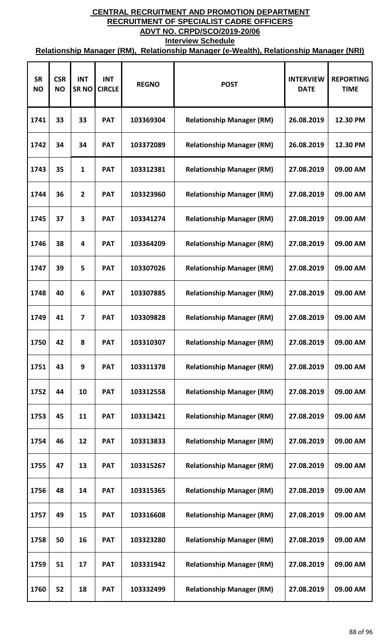| <b>SR</b><br><b>NO</b> | <b>CSR</b><br><b>NO</b> | <b>INT</b><br><b>SRNO</b> | <b>INT</b><br><b>CIRCLE</b> | <b>REGNO</b> | <b>POST</b>                      | <b>INTERVIEW</b><br><b>DATE</b> | <b>REPORTING</b><br><b>TIME</b> |
|------------------------|-------------------------|---------------------------|-----------------------------|--------------|----------------------------------|---------------------------------|---------------------------------|
| 1741                   | 33                      | 33                        | <b>PAT</b>                  | 103369304    | <b>Relationship Manager (RM)</b> | 26.08.2019                      | 12.30 PM                        |
| 1742                   | 34                      | 34                        | <b>PAT</b>                  | 103372089    | <b>Relationship Manager (RM)</b> | 26.08.2019                      | 12.30 PM                        |
| 1743                   | 35                      | 1                         | <b>PAT</b>                  | 103312381    | <b>Relationship Manager (RM)</b> | 27.08.2019                      | 09.00 AM                        |
| 1744                   | 36                      | $\overline{2}$            | <b>PAT</b>                  | 103323960    | <b>Relationship Manager (RM)</b> | 27.08.2019                      | 09.00 AM                        |
| 1745                   | 37                      | 3                         | <b>PAT</b>                  | 103341274    | <b>Relationship Manager (RM)</b> | 27.08.2019                      | 09.00 AM                        |
| 1746                   | 38                      | 4                         | <b>PAT</b>                  | 103364209    | <b>Relationship Manager (RM)</b> | 27.08.2019                      | 09.00 AM                        |
| 1747                   | 39                      | 5                         | <b>PAT</b>                  | 103307026    | <b>Relationship Manager (RM)</b> | 27.08.2019                      | 09.00 AM                        |
| 1748                   | 40                      | 6                         | <b>PAT</b>                  | 103307885    | <b>Relationship Manager (RM)</b> | 27.08.2019                      | 09.00 AM                        |
| 1749                   | 41                      | $\overline{7}$            | <b>PAT</b>                  | 103309828    | <b>Relationship Manager (RM)</b> | 27.08.2019                      | 09.00 AM                        |
| 1750                   | 42                      | 8                         | <b>PAT</b>                  | 103310307    | <b>Relationship Manager (RM)</b> | 27.08.2019                      | 09.00 AM                        |
| 1751                   | 43                      | 9                         | <b>PAT</b>                  | 103311378    | <b>Relationship Manager (RM)</b> | 27.08.2019                      | 09.00 AM                        |
| 1752                   | 44                      | 10                        | <b>PAT</b>                  | 103312558    | <b>Relationship Manager (RM)</b> | 27.08.2019                      | 09.00 AM                        |
| 1753                   | 45                      | 11                        | <b>PAT</b>                  | 103313421    | <b>Relationship Manager (RM)</b> | 27.08.2019                      | 09.00 AM                        |
| 1754                   | 46                      | 12                        | <b>PAT</b>                  | 103313833    | <b>Relationship Manager (RM)</b> | 27.08.2019                      | 09.00 AM                        |
| 1755                   | 47                      | 13                        | <b>PAT</b>                  | 103315267    | <b>Relationship Manager (RM)</b> | 27.08.2019                      | 09.00 AM                        |
| 1756                   | 48                      | 14                        | <b>PAT</b>                  | 103315365    | <b>Relationship Manager (RM)</b> | 27.08.2019                      | 09.00 AM                        |
| 1757                   | 49                      | 15                        | <b>PAT</b>                  | 103316608    | <b>Relationship Manager (RM)</b> | 27.08.2019                      | 09.00 AM                        |
| 1758                   | 50                      | 16                        | <b>PAT</b>                  | 103323280    | <b>Relationship Manager (RM)</b> | 27.08.2019                      | 09.00 AM                        |
| 1759                   | 51                      | 17                        | <b>PAT</b>                  | 103331942    | <b>Relationship Manager (RM)</b> | 27.08.2019                      | 09.00 AM                        |
| 1760                   | 52                      | 18                        | <b>PAT</b>                  | 103332499    | <b>Relationship Manager (RM)</b> | 27.08.2019                      | 09.00 AM                        |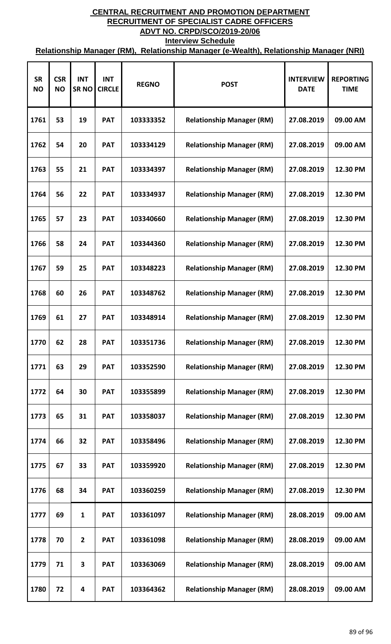| <b>SR</b><br><b>NO</b> | <b>CSR</b><br><b>NO</b> | <b>INT</b><br><b>SRNO</b> | <b>INT</b><br><b>CIRCLE</b> | <b>REGNO</b> | <b>POST</b>                      | <b>INTERVIEW</b><br><b>DATE</b> | <b>REPORTING</b><br><b>TIME</b> |
|------------------------|-------------------------|---------------------------|-----------------------------|--------------|----------------------------------|---------------------------------|---------------------------------|
| 1761                   | 53                      | 19                        | <b>PAT</b>                  | 103333352    | <b>Relationship Manager (RM)</b> | 27.08.2019                      | 09.00 AM                        |
| 1762                   | 54                      | 20                        | <b>PAT</b>                  | 103334129    | <b>Relationship Manager (RM)</b> | 27.08.2019                      | 09.00 AM                        |
| 1763                   | 55                      | 21                        | <b>PAT</b>                  | 103334397    | <b>Relationship Manager (RM)</b> | 27.08.2019                      | 12.30 PM                        |
| 1764                   | 56                      | 22                        | <b>PAT</b>                  | 103334937    | <b>Relationship Manager (RM)</b> | 27.08.2019                      | 12.30 PM                        |
| 1765                   | 57                      | 23                        | <b>PAT</b>                  | 103340660    | <b>Relationship Manager (RM)</b> | 27.08.2019                      | 12.30 PM                        |
| 1766                   | 58                      | 24                        | <b>PAT</b>                  | 103344360    | <b>Relationship Manager (RM)</b> | 27.08.2019                      | 12.30 PM                        |
| 1767                   | 59                      | 25                        | <b>PAT</b>                  | 103348223    | <b>Relationship Manager (RM)</b> | 27.08.2019                      | 12.30 PM                        |
| 1768                   | 60                      | 26                        | <b>PAT</b>                  | 103348762    | <b>Relationship Manager (RM)</b> | 27.08.2019                      | 12.30 PM                        |
| 1769                   | 61                      | 27                        | <b>PAT</b>                  | 103348914    | <b>Relationship Manager (RM)</b> | 27.08.2019                      | 12.30 PM                        |
| 1770                   | 62                      | 28                        | <b>PAT</b>                  | 103351736    | <b>Relationship Manager (RM)</b> | 27.08.2019                      | 12.30 PM                        |
| 1771                   | 63                      | 29                        | <b>PAT</b>                  | 103352590    | <b>Relationship Manager (RM)</b> | 27.08.2019                      | 12.30 PM                        |
| 1772                   | 64                      | 30                        | <b>PAT</b>                  | 103355899    | <b>Relationship Manager (RM)</b> | 27.08.2019                      | 12.30 PM                        |
| 1773                   | 65                      | 31                        | <b>PAT</b>                  | 103358037    | <b>Relationship Manager (RM)</b> | 27.08.2019                      | 12.30 PM                        |
| 1774                   | 66                      | 32                        | <b>PAT</b>                  | 103358496    | <b>Relationship Manager (RM)</b> | 27.08.2019                      | 12.30 PM                        |
| 1775                   | 67                      | 33                        | <b>PAT</b>                  | 103359920    | <b>Relationship Manager (RM)</b> | 27.08.2019                      | 12.30 PM                        |
| 1776                   | 68                      | 34                        | <b>PAT</b>                  | 103360259    | <b>Relationship Manager (RM)</b> | 27.08.2019                      | 12.30 PM                        |
| 1777                   | 69                      | 1                         | <b>PAT</b>                  | 103361097    | <b>Relationship Manager (RM)</b> | 28.08.2019                      | 09.00 AM                        |
| 1778                   | 70                      | $\overline{2}$            | <b>PAT</b>                  | 103361098    | <b>Relationship Manager (RM)</b> | 28.08.2019                      | 09.00 AM                        |
| 1779                   | 71                      | 3                         | <b>PAT</b>                  | 103363069    | <b>Relationship Manager (RM)</b> | 28.08.2019                      | 09.00 AM                        |
| 1780                   | 72                      | 4                         | <b>PAT</b>                  | 103364362    | <b>Relationship Manager (RM)</b> | 28.08.2019                      | 09.00 AM                        |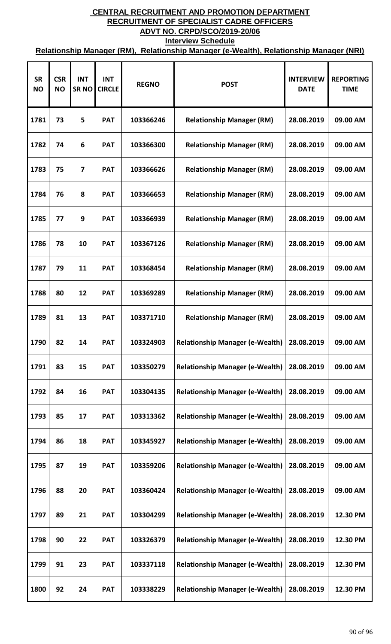| <b>SR</b><br><b>NO</b> | <b>CSR</b><br><b>NO</b> | <b>INT</b><br><b>SRNO</b> | <b>INT</b><br><b>CIRCLE</b> | <b>REGNO</b> | <b>POST</b>                            | <b>INTERVIEW</b><br><b>DATE</b> | <b>REPORTING</b><br><b>TIME</b> |
|------------------------|-------------------------|---------------------------|-----------------------------|--------------|----------------------------------------|---------------------------------|---------------------------------|
| 1781                   | 73                      | 5                         | <b>PAT</b>                  | 103366246    | <b>Relationship Manager (RM)</b>       | 28.08.2019                      | 09.00 AM                        |
| 1782                   | 74                      | 6                         | <b>PAT</b>                  | 103366300    | <b>Relationship Manager (RM)</b>       | 28.08.2019                      | 09.00 AM                        |
| 1783                   | 75                      | $\overline{7}$            | <b>PAT</b>                  | 103366626    | <b>Relationship Manager (RM)</b>       | 28.08.2019                      | 09.00 AM                        |
| 1784                   | 76                      | 8                         | <b>PAT</b>                  | 103366653    | <b>Relationship Manager (RM)</b>       | 28.08.2019                      | 09.00 AM                        |
| 1785                   | 77                      | 9                         | <b>PAT</b>                  | 103366939    | <b>Relationship Manager (RM)</b>       | 28.08.2019                      | 09.00 AM                        |
| 1786                   | 78                      | 10                        | <b>PAT</b>                  | 103367126    | <b>Relationship Manager (RM)</b>       | 28.08.2019                      | 09.00 AM                        |
| 1787                   | 79                      | 11                        | <b>PAT</b>                  | 103368454    | <b>Relationship Manager (RM)</b>       | 28.08.2019                      | 09.00 AM                        |
| 1788                   | 80                      | 12                        | <b>PAT</b>                  | 103369289    | <b>Relationship Manager (RM)</b>       | 28.08.2019                      | 09.00 AM                        |
| 1789                   | 81                      | 13                        | <b>PAT</b>                  | 103371710    | <b>Relationship Manager (RM)</b>       | 28.08.2019                      | 09.00 AM                        |
| 1790                   | 82                      | 14                        | <b>PAT</b>                  | 103324903    | <b>Relationship Manager (e-Wealth)</b> | 28.08.2019                      | 09.00 AM                        |
| 1791                   | 83                      | 15                        | <b>PAT</b>                  | 103350279    | <b>Relationship Manager (e-Wealth)</b> | 28.08.2019                      | 09.00 AM                        |
| 1792                   | 84                      | 16                        | <b>PAT</b>                  | 103304135    | <b>Relationship Manager (e-Wealth)</b> | 28.08.2019                      | 09.00 AM                        |
| 1793                   | 85                      | 17                        | <b>PAT</b>                  | 103313362    | <b>Relationship Manager (e-Wealth)</b> | 28.08.2019                      | 09.00 AM                        |
| 1794                   | 86                      | 18                        | <b>PAT</b>                  | 103345927    | <b>Relationship Manager (e-Wealth)</b> | 28.08.2019                      | 09.00 AM                        |
| 1795                   | 87                      | 19                        | <b>PAT</b>                  | 103359206    | <b>Relationship Manager (e-Wealth)</b> | 28.08.2019                      | 09.00 AM                        |
| 1796                   | 88                      | 20                        | <b>PAT</b>                  | 103360424    | <b>Relationship Manager (e-Wealth)</b> | 28.08.2019                      | 09.00 AM                        |
| 1797                   | 89                      | 21                        | <b>PAT</b>                  | 103304299    | <b>Relationship Manager (e-Wealth)</b> | 28.08.2019                      | 12.30 PM                        |
| 1798                   | 90                      | 22                        | <b>PAT</b>                  | 103326379    | <b>Relationship Manager (e-Wealth)</b> | 28.08.2019                      | 12.30 PM                        |
| 1799                   | 91                      | 23                        | <b>PAT</b>                  | 103337118    | <b>Relationship Manager (e-Wealth)</b> | 28.08.2019                      | 12.30 PM                        |
| 1800                   | 92                      | 24                        | <b>PAT</b>                  | 103338229    | <b>Relationship Manager (e-Wealth)</b> | 28.08.2019                      | 12.30 PM                        |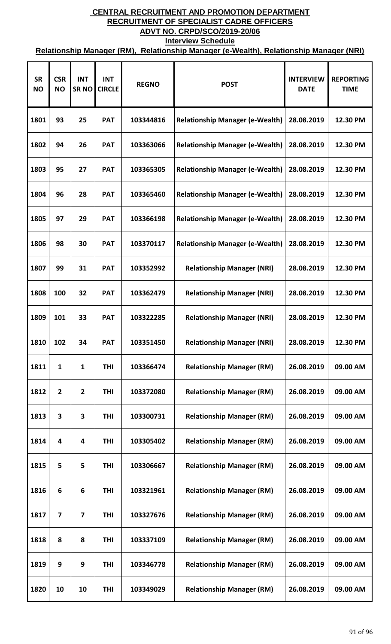| <b>SR</b><br><b>NO</b> | <b>CSR</b><br><b>NO</b> | <b>INT</b><br><b>SRNO</b> | <b>INT</b><br><b>CIRCLE</b> | <b>REGNO</b> | <b>POST</b>                            | <b>INTERVIEW</b><br><b>DATE</b> | <b>REPORTING</b><br><b>TIME</b> |
|------------------------|-------------------------|---------------------------|-----------------------------|--------------|----------------------------------------|---------------------------------|---------------------------------|
| 1801                   | 93                      | 25                        | <b>PAT</b>                  | 103344816    | <b>Relationship Manager (e-Wealth)</b> | 28.08.2019                      | 12.30 PM                        |
| 1802                   | 94                      | 26                        | <b>PAT</b>                  | 103363066    | <b>Relationship Manager (e-Wealth)</b> | 28.08.2019                      | 12.30 PM                        |
| 1803                   | 95                      | 27                        | <b>PAT</b>                  | 103365305    | <b>Relationship Manager (e-Wealth)</b> | 28.08.2019                      | 12.30 PM                        |
| 1804                   | 96                      | 28                        | <b>PAT</b>                  | 103365460    | <b>Relationship Manager (e-Wealth)</b> | 28.08.2019                      | 12.30 PM                        |
| 1805                   | 97                      | 29                        | <b>PAT</b>                  | 103366198    | <b>Relationship Manager (e-Wealth)</b> | 28.08.2019                      | 12.30 PM                        |
| 1806                   | 98                      | 30                        | <b>PAT</b>                  | 103370117    | <b>Relationship Manager (e-Wealth)</b> | 28.08.2019                      | 12.30 PM                        |
| 1807                   | 99                      | 31                        | <b>PAT</b>                  | 103352992    | <b>Relationship Manager (NRI)</b>      | 28.08.2019                      | 12.30 PM                        |
| 1808                   | 100                     | 32                        | <b>PAT</b>                  | 103362479    | <b>Relationship Manager (NRI)</b>      | 28.08.2019                      | 12.30 PM                        |
| 1809                   | 101                     | 33                        | <b>PAT</b>                  | 103322285    | <b>Relationship Manager (NRI)</b>      | 28.08.2019                      | 12.30 PM                        |
| 1810                   | 102                     | 34                        | <b>PAT</b>                  | 103351450    | <b>Relationship Manager (NRI)</b>      | 28.08.2019                      | 12.30 PM                        |
| 1811                   | $\mathbf{1}$            | $\mathbf{1}$              | THI                         | 103366474    | <b>Relationship Manager (RM)</b>       | 26.08.2019                      | 09.00 AM                        |
| 1812                   | $\overline{2}$          | $\overline{2}$            | THI                         | 103372080    | <b>Relationship Manager (RM)</b>       | 26.08.2019                      | 09.00 AM                        |
| 1813                   | 3                       | 3                         | <b>THI</b>                  | 103300731    | <b>Relationship Manager (RM)</b>       | 26.08.2019                      | 09.00 AM                        |
| 1814                   | 4                       | 4                         | <b>THI</b>                  | 103305402    | <b>Relationship Manager (RM)</b>       | 26.08.2019                      | 09.00 AM                        |
| 1815                   | 5                       | 5                         | <b>THI</b>                  | 103306667    | <b>Relationship Manager (RM)</b>       | 26.08.2019                      | 09.00 AM                        |
| 1816                   | 6                       | 6                         | <b>THI</b>                  | 103321961    | <b>Relationship Manager (RM)</b>       | 26.08.2019                      | 09.00 AM                        |
| 1817                   | $\overline{\mathbf{z}}$ | 7                         | <b>THI</b>                  | 103327676    | <b>Relationship Manager (RM)</b>       | 26.08.2019                      | 09.00 AM                        |
| 1818                   | 8                       | 8                         | <b>THI</b>                  | 103337109    | <b>Relationship Manager (RM)</b>       | 26.08.2019                      | 09.00 AM                        |
| 1819                   | 9                       | 9                         | THI                         | 103346778    | <b>Relationship Manager (RM)</b>       | 26.08.2019                      | 09.00 AM                        |
| 1820                   | 10                      | 10                        | <b>THI</b>                  | 103349029    | <b>Relationship Manager (RM)</b>       | 26.08.2019                      | 09.00 AM                        |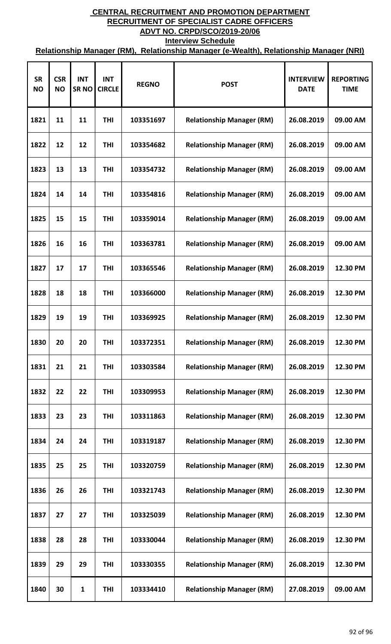| <b>SR</b><br><b>NO</b> | <b>CSR</b><br><b>NO</b> | <b>INT</b><br><b>SRNO</b> | <b>INT</b><br><b>CIRCLE</b> | <b>REGNO</b> | <b>POST</b>                      | <b>INTERVIEW</b><br><b>DATE</b> | <b>REPORTING</b><br><b>TIME</b> |
|------------------------|-------------------------|---------------------------|-----------------------------|--------------|----------------------------------|---------------------------------|---------------------------------|
| 1821                   | 11                      | 11                        | <b>THI</b>                  | 103351697    | <b>Relationship Manager (RM)</b> | 26.08.2019                      | 09.00 AM                        |
| 1822                   | 12                      | 12                        | <b>THI</b>                  | 103354682    | <b>Relationship Manager (RM)</b> | 26.08.2019                      | 09.00 AM                        |
| 1823                   | 13                      | 13                        | <b>THI</b>                  | 103354732    | <b>Relationship Manager (RM)</b> | 26.08.2019                      | 09.00 AM                        |
| 1824                   | 14                      | 14                        | <b>THI</b>                  | 103354816    | <b>Relationship Manager (RM)</b> | 26.08.2019                      | 09.00 AM                        |
| 1825                   | 15                      | 15                        | <b>THI</b>                  | 103359014    | <b>Relationship Manager (RM)</b> | 26.08.2019                      | 09.00 AM                        |
| 1826                   | 16                      | 16                        | <b>THI</b>                  | 103363781    | <b>Relationship Manager (RM)</b> | 26.08.2019                      | 09.00 AM                        |
| 1827                   | 17                      | 17                        | <b>THI</b>                  | 103365546    | <b>Relationship Manager (RM)</b> | 26.08.2019                      | 12.30 PM                        |
| 1828                   | 18                      | 18                        | <b>THI</b>                  | 103366000    | <b>Relationship Manager (RM)</b> | 26.08.2019                      | 12.30 PM                        |
| 1829                   | 19                      | 19                        | <b>THI</b>                  | 103369925    | <b>Relationship Manager (RM)</b> | 26.08.2019                      | 12.30 PM                        |
| 1830                   | 20                      | 20                        | THI                         | 103372351    | <b>Relationship Manager (RM)</b> | 26.08.2019                      | 12.30 PM                        |
| 1831                   | 21                      | 21                        | <b>THI</b>                  | 103303584    | <b>Relationship Manager (RM)</b> | 26.08.2019                      | 12.30 PM                        |
| 1832                   | 22                      | 22                        | <b>THI</b>                  | 103309953    | <b>Relationship Manager (RM)</b> | 26.08.2019                      | 12.30 PM                        |
| 1833                   | 23                      | 23                        | <b>THI</b>                  | 103311863    | <b>Relationship Manager (RM)</b> | 26.08.2019                      | 12.30 PM                        |
| 1834                   | 24                      | 24                        | <b>THI</b>                  | 103319187    | <b>Relationship Manager (RM)</b> | 26.08.2019                      | 12.30 PM                        |
| 1835                   | 25                      | 25                        | <b>THI</b>                  | 103320759    | <b>Relationship Manager (RM)</b> | 26.08.2019                      | 12.30 PM                        |
| 1836                   | 26                      | 26                        | <b>THI</b>                  | 103321743    | <b>Relationship Manager (RM)</b> | 26.08.2019                      | 12.30 PM                        |
| 1837                   | 27                      | 27                        | <b>THI</b>                  | 103325039    | <b>Relationship Manager (RM)</b> | 26.08.2019                      | 12.30 PM                        |
| 1838                   | 28                      | 28                        | <b>THI</b>                  | 103330044    | <b>Relationship Manager (RM)</b> | 26.08.2019                      | 12.30 PM                        |
| 1839                   | 29                      | 29                        | <b>THI</b>                  | 103330355    | <b>Relationship Manager (RM)</b> | 26.08.2019                      | 12.30 PM                        |
| 1840                   | 30                      | $\mathbf{1}$              | <b>THI</b>                  | 103334410    | <b>Relationship Manager (RM)</b> | 27.08.2019                      | 09.00 AM                        |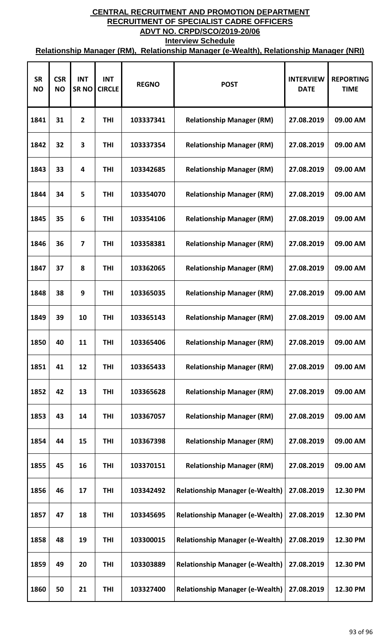| <b>SR</b><br><b>NO</b> | <b>CSR</b><br><b>NO</b> | <b>INT</b><br><b>SRNO</b> | <b>INT</b><br><b>CIRCLE</b> | <b>REGNO</b> | <b>POST</b>                            | <b>INTERVIEW</b><br><b>DATE</b> | <b>REPORTING</b><br><b>TIME</b> |
|------------------------|-------------------------|---------------------------|-----------------------------|--------------|----------------------------------------|---------------------------------|---------------------------------|
| 1841                   | 31                      | $\overline{2}$            | <b>THI</b>                  | 103337341    | <b>Relationship Manager (RM)</b>       | 27.08.2019                      | 09.00 AM                        |
| 1842                   | 32                      | 3                         | <b>THI</b>                  | 103337354    | <b>Relationship Manager (RM)</b>       | 27.08.2019                      | 09.00 AM                        |
| 1843                   | 33                      | 4                         | THI                         | 103342685    | <b>Relationship Manager (RM)</b>       | 27.08.2019                      | 09.00 AM                        |
| 1844                   | 34                      | 5                         | <b>THI</b>                  | 103354070    | <b>Relationship Manager (RM)</b>       | 27.08.2019                      | 09.00 AM                        |
| 1845                   | 35                      | 6                         | THI                         | 103354106    | <b>Relationship Manager (RM)</b>       | 27.08.2019                      | 09.00 AM                        |
| 1846                   | 36                      | $\overline{\mathbf{z}}$   | <b>THI</b>                  | 103358381    | <b>Relationship Manager (RM)</b>       | 27.08.2019                      | 09.00 AM                        |
| 1847                   | 37                      | 8                         | <b>THI</b>                  | 103362065    | <b>Relationship Manager (RM)</b>       | 27.08.2019                      | 09.00 AM                        |
| 1848                   | 38                      | 9                         | <b>THI</b>                  | 103365035    | <b>Relationship Manager (RM)</b>       | 27.08.2019                      | 09.00 AM                        |
| 1849                   | 39                      | 10                        | <b>THI</b>                  | 103365143    | <b>Relationship Manager (RM)</b>       | 27.08.2019                      | 09.00 AM                        |
| 1850                   | 40                      | 11                        | THI                         | 103365406    | <b>Relationship Manager (RM)</b>       | 27.08.2019                      | 09.00 AM                        |
| 1851                   | 41                      | 12                        | THI                         | 103365433    | <b>Relationship Manager (RM)</b>       | 27.08.2019                      | 09.00 AM                        |
| 1852                   | 42                      | 13                        | THI                         | 103365628    | <b>Relationship Manager (RM)</b>       | 27.08.2019                      | 09.00 AM                        |
| 1853                   | 43                      | 14                        | <b>THI</b>                  | 103367057    | <b>Relationship Manager (RM)</b>       | 27.08.2019                      | 09.00 AM                        |
| 1854                   | 44                      | 15                        | <b>THI</b>                  | 103367398    | <b>Relationship Manager (RM)</b>       | 27.08.2019                      | 09.00 AM                        |
| 1855                   | 45                      | 16                        | <b>THI</b>                  | 103370151    | <b>Relationship Manager (RM)</b>       | 27.08.2019                      | 09.00 AM                        |
| 1856                   | 46                      | 17                        | <b>THI</b>                  | 103342492    | <b>Relationship Manager (e-Wealth)</b> | 27.08.2019                      | 12.30 PM                        |
| 1857                   | 47                      | 18                        | <b>THI</b>                  | 103345695    | <b>Relationship Manager (e-Wealth)</b> | 27.08.2019                      | 12.30 PM                        |
| 1858                   | 48                      | 19                        | <b>THI</b>                  | 103300015    | <b>Relationship Manager (e-Wealth)</b> | 27.08.2019                      | 12.30 PM                        |
| 1859                   | 49                      | 20                        | THI                         | 103303889    | <b>Relationship Manager (e-Wealth)</b> | 27.08.2019                      | 12.30 PM                        |
| 1860                   | 50                      | 21                        | THI                         | 103327400    | <b>Relationship Manager (e-Wealth)</b> | 27.08.2019                      | 12.30 PM                        |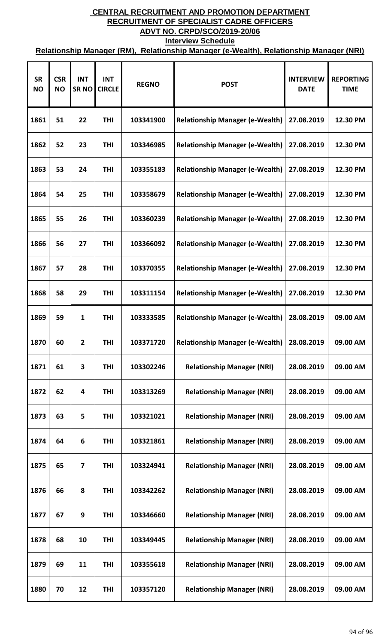| <b>SR</b><br><b>NO</b> | <b>CSR</b><br><b>NO</b> | <b>INT</b><br><b>SRNO</b> | <b>INT</b><br><b>CIRCLE</b> | <b>REGNO</b> | <b>POST</b>                            | <b>INTERVIEW</b><br><b>DATE</b> | <b>REPORTING</b><br><b>TIME</b> |
|------------------------|-------------------------|---------------------------|-----------------------------|--------------|----------------------------------------|---------------------------------|---------------------------------|
| 1861                   | 51                      | 22                        | <b>THI</b>                  | 103341900    | <b>Relationship Manager (e-Wealth)</b> | 27.08.2019                      | 12.30 PM                        |
| 1862                   | 52                      | 23                        | THI                         | 103346985    | <b>Relationship Manager (e-Wealth)</b> | 27.08.2019                      | 12.30 PM                        |
| 1863                   | 53                      | 24                        | THI                         | 103355183    | <b>Relationship Manager (e-Wealth)</b> | 27.08.2019                      | 12.30 PM                        |
| 1864                   | 54                      | 25                        | THI                         | 103358679    | <b>Relationship Manager (e-Wealth)</b> | 27.08.2019                      | 12.30 PM                        |
| 1865                   | 55                      | 26                        | THI                         | 103360239    | <b>Relationship Manager (e-Wealth)</b> | 27.08.2019                      | 12.30 PM                        |
| 1866                   | 56                      | 27                        | <b>THI</b>                  | 103366092    | <b>Relationship Manager (e-Wealth)</b> | 27.08.2019                      | 12.30 PM                        |
| 1867                   | 57                      | 28                        | <b>THI</b>                  | 103370355    | <b>Relationship Manager (e-Wealth)</b> | 27.08.2019                      | 12.30 PM                        |
| 1868                   | 58                      | 29                        | <b>THI</b>                  | 103311154    | <b>Relationship Manager (e-Wealth)</b> | 27.08.2019                      | 12.30 PM                        |
| 1869                   | 59                      | 1                         | <b>THI</b>                  | 103333585    | <b>Relationship Manager (e-Wealth)</b> | 28.08.2019                      | 09.00 AM                        |
| 1870                   | 60                      | 2                         | THI                         | 103371720    | <b>Relationship Manager (e-Wealth)</b> | 28.08.2019                      | 09.00 AM                        |
| 1871                   | 61                      | 3                         | THI                         | 103302246    | <b>Relationship Manager (NRI)</b>      | 28.08.2019                      | 09.00 AM                        |
| 1872                   | 62                      | 4                         | <b>THI</b>                  | 103313269    | <b>Relationship Manager (NRI)</b>      | 28.08.2019                      | 09.00 AM                        |
| 1873                   | 63                      | 5                         | <b>THI</b>                  | 103321021    | <b>Relationship Manager (NRI)</b>      | 28.08.2019                      | 09.00 AM                        |
| 1874                   | 64                      | 6                         | <b>THI</b>                  | 103321861    | <b>Relationship Manager (NRI)</b>      | 28.08.2019                      | 09.00 AM                        |
| 1875                   | 65                      | $\overline{7}$            | <b>THI</b>                  | 103324941    | <b>Relationship Manager (NRI)</b>      | 28.08.2019                      | 09.00 AM                        |
| 1876                   | 66                      | 8                         | <b>THI</b>                  | 103342262    | <b>Relationship Manager (NRI)</b>      | 28.08.2019                      | 09.00 AM                        |
| 1877                   | 67                      | 9                         | <b>THI</b>                  | 103346660    | <b>Relationship Manager (NRI)</b>      | 28.08.2019                      | 09.00 AM                        |
| 1878                   | 68                      | 10                        | <b>THI</b>                  | 103349445    | <b>Relationship Manager (NRI)</b>      | 28.08.2019                      | 09.00 AM                        |
| 1879                   | 69                      | 11                        | THI                         | 103355618    | <b>Relationship Manager (NRI)</b>      | 28.08.2019                      | 09.00 AM                        |
| 1880                   | 70                      | 12                        | <b>THI</b>                  | 103357120    | <b>Relationship Manager (NRI)</b>      | 28.08.2019                      | 09.00 AM                        |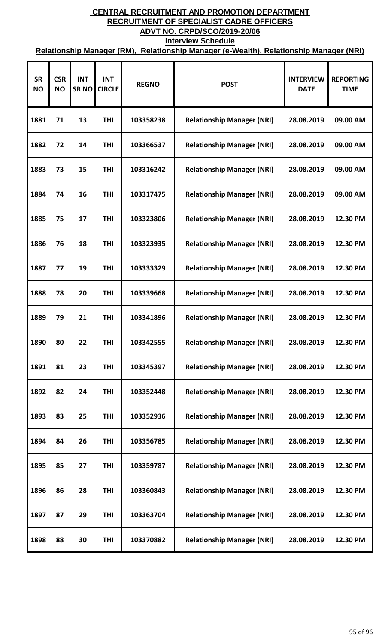| <b>SR</b><br><b>NO</b> | <b>CSR</b><br><b>NO</b> | <b>INT</b><br><b>SRNO</b> | <b>INT</b><br><b>CIRCLE</b> | <b>REGNO</b> | <b>POST</b>                       | <b>INTERVIEW</b><br><b>DATE</b> | <b>REPORTING</b><br><b>TIME</b> |
|------------------------|-------------------------|---------------------------|-----------------------------|--------------|-----------------------------------|---------------------------------|---------------------------------|
| 1881                   | 71                      | 13                        | <b>THI</b>                  | 103358238    | <b>Relationship Manager (NRI)</b> | 28.08.2019                      | 09.00 AM                        |
| 1882                   | 72                      | 14                        | THI                         | 103366537    | <b>Relationship Manager (NRI)</b> | 28.08.2019                      | 09.00 AM                        |
| 1883                   | 73                      | 15                        | <b>THI</b>                  | 103316242    | <b>Relationship Manager (NRI)</b> | 28.08.2019                      | 09.00 AM                        |
| 1884                   | 74                      | 16                        | <b>THI</b>                  | 103317475    | <b>Relationship Manager (NRI)</b> | 28.08.2019                      | 09.00 AM                        |
| 1885                   | 75                      | 17                        | <b>THI</b>                  | 103323806    | <b>Relationship Manager (NRI)</b> | 28.08.2019                      | 12.30 PM                        |
| 1886                   | 76                      | 18                        | <b>THI</b>                  | 103323935    | <b>Relationship Manager (NRI)</b> | 28.08.2019                      | 12.30 PM                        |
| 1887                   | 77                      | 19                        | <b>THI</b>                  | 103333329    | <b>Relationship Manager (NRI)</b> | 28.08.2019                      | 12.30 PM                        |
| 1888                   | 78                      | 20                        | THI                         | 103339668    | <b>Relationship Manager (NRI)</b> | 28.08.2019                      | 12.30 PM                        |
| 1889                   | 79                      | 21                        | THI                         | 103341896    | <b>Relationship Manager (NRI)</b> | 28.08.2019                      | 12.30 PM                        |
| 1890                   | 80                      | 22                        | THI                         | 103342555    | <b>Relationship Manager (NRI)</b> | 28.08.2019                      | 12.30 PM                        |
| 1891                   | 81                      | 23                        | <b>THI</b>                  | 103345397    | <b>Relationship Manager (NRI)</b> | 28.08.2019                      | 12.30 PM                        |
| 1892                   | 82                      | 24                        | <b>THI</b>                  | 103352448    | <b>Relationship Manager (NRI)</b> | 28.08.2019                      | 12.30 PM                        |
| 1893                   | 83                      | 25                        | <b>THI</b>                  | 103352936    | <b>Relationship Manager (NRI)</b> | 28.08.2019                      | 12.30 PM                        |
| 1894                   | 84                      | 26                        | <b>THI</b>                  | 103356785    | <b>Relationship Manager (NRI)</b> | 28.08.2019                      | 12.30 PM                        |
| 1895                   | 85                      | 27                        | THI                         | 103359787    | <b>Relationship Manager (NRI)</b> | 28.08.2019                      | 12.30 PM                        |
| 1896                   | 86                      | 28                        | THI                         | 103360843    | <b>Relationship Manager (NRI)</b> | 28.08.2019                      | 12.30 PM                        |
| 1897                   | 87                      | 29                        | <b>THI</b>                  | 103363704    | <b>Relationship Manager (NRI)</b> | 28.08.2019                      | 12.30 PM                        |
| 1898                   | 88                      | 30                        | <b>THI</b>                  | 103370882    | <b>Relationship Manager (NRI)</b> | 28.08.2019                      | 12.30 PM                        |